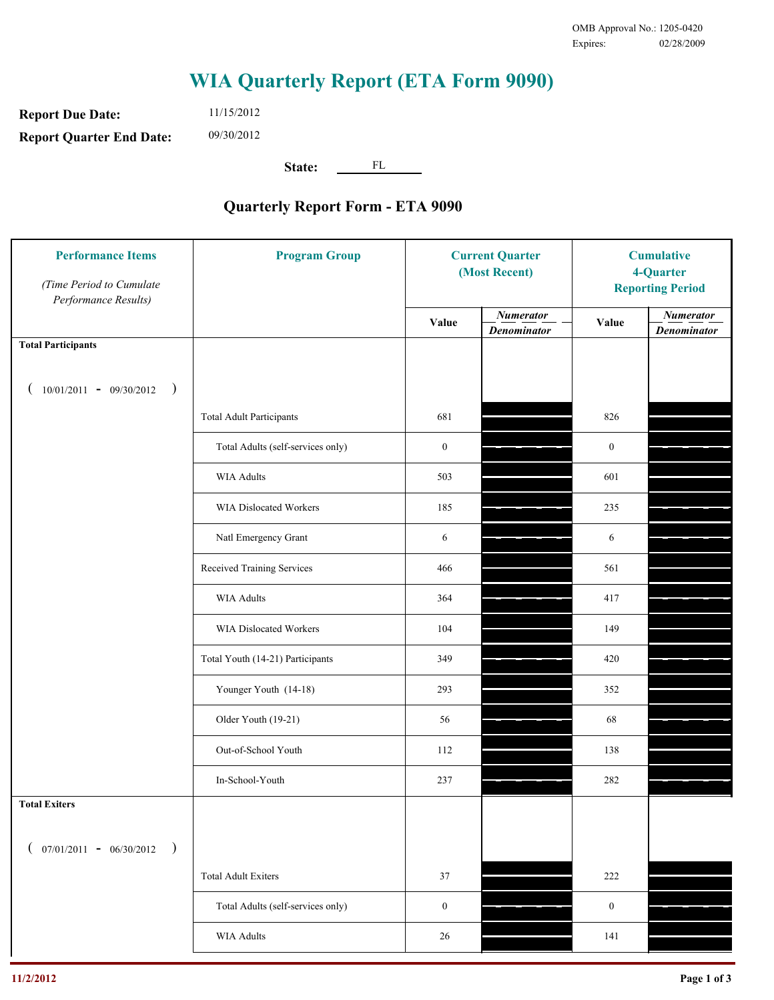**Report Due Date: Report Quarter End Date:** 11/15/2012 09/30/2012

**State:** FL

| <b>Performance Items</b><br>(Time Period to Cumulate<br>Performance Results) | <b>Program Group</b>              | <b>Current Quarter</b><br>(Most Recent) |                                        | <b>Cumulative</b><br>4-Quarter<br><b>Reporting Period</b> |                                        |
|------------------------------------------------------------------------------|-----------------------------------|-----------------------------------------|----------------------------------------|-----------------------------------------------------------|----------------------------------------|
|                                                                              |                                   | Value                                   | <b>Numerator</b><br><b>Denominator</b> | Value                                                     | <b>Numerator</b><br><b>Denominator</b> |
| <b>Total Participants</b>                                                    |                                   |                                         |                                        |                                                           |                                        |
| $10/01/2011 - 09/30/2012$ )                                                  |                                   |                                         |                                        |                                                           |                                        |
|                                                                              | <b>Total Adult Participants</b>   | 681                                     |                                        | 826                                                       |                                        |
|                                                                              | Total Adults (self-services only) | $\boldsymbol{0}$                        |                                        | $\boldsymbol{0}$                                          |                                        |
|                                                                              | WIA Adults                        | 503                                     |                                        | 601                                                       |                                        |
|                                                                              | WIA Dislocated Workers            | 185                                     |                                        | 235                                                       |                                        |
|                                                                              | Natl Emergency Grant              | 6                                       |                                        | 6                                                         |                                        |
|                                                                              | Received Training Services        | 466                                     |                                        | 561                                                       |                                        |
|                                                                              | <b>WIA Adults</b>                 | 364                                     |                                        | 417                                                       |                                        |
|                                                                              | WIA Dislocated Workers            | 104                                     |                                        | 149                                                       |                                        |
|                                                                              | Total Youth (14-21) Participants  | 349                                     |                                        | 420                                                       |                                        |
|                                                                              | Younger Youth (14-18)             | 293                                     |                                        | 352                                                       |                                        |
|                                                                              | Older Youth (19-21)               | 56                                      |                                        | 68                                                        |                                        |
|                                                                              | Out-of-School Youth               | 112                                     |                                        | 138                                                       |                                        |
|                                                                              | In-School-Youth                   | 237                                     |                                        | 282                                                       |                                        |
| <b>Total Exiters</b>                                                         |                                   |                                         |                                        |                                                           |                                        |
| $07/01/2011 - 06/30/2012$<br>$\rightarrow$                                   |                                   |                                         |                                        |                                                           |                                        |
|                                                                              | <b>Total Adult Exiters</b>        | 37                                      |                                        | 222                                                       |                                        |
|                                                                              | Total Adults (self-services only) | $\boldsymbol{0}$                        |                                        | $\boldsymbol{0}$                                          |                                        |
|                                                                              | <b>WIA Adults</b>                 | 26                                      |                                        | 141                                                       |                                        |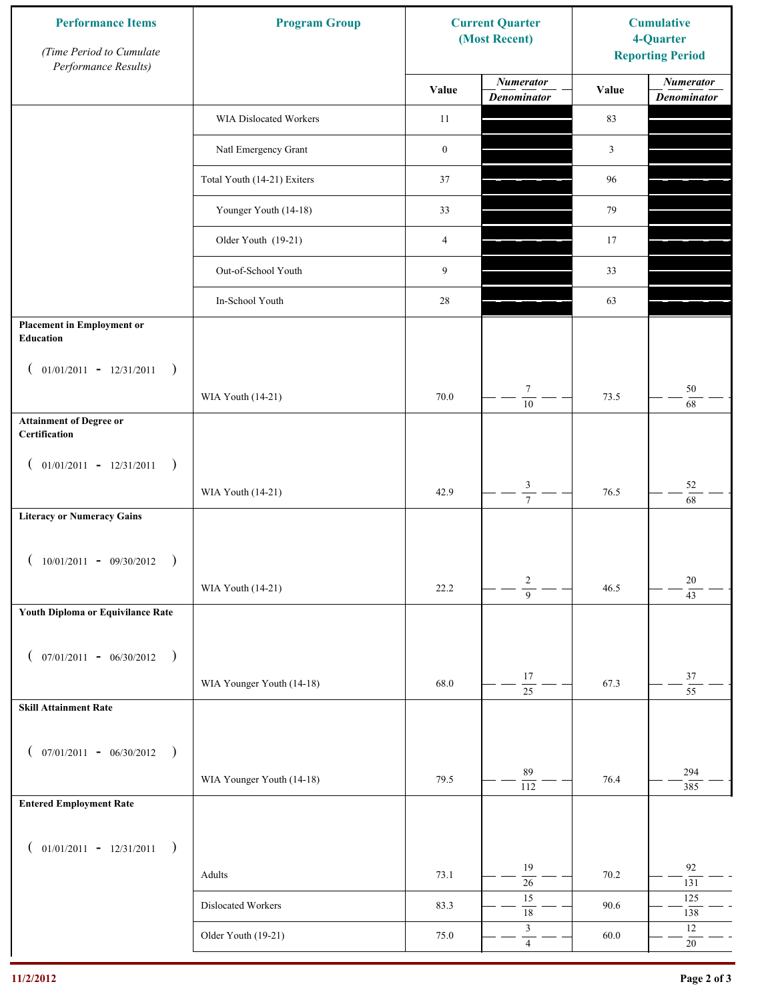| <b>Performance Items</b><br>(Time Period to Cumulate<br>Performance Results) | <b>Program Group</b>        |                  | <b>Current Quarter</b><br>(Most Recent) | <b>Cumulative</b><br>4-Quarter<br><b>Reporting Period</b> |                                        |
|------------------------------------------------------------------------------|-----------------------------|------------------|-----------------------------------------|-----------------------------------------------------------|----------------------------------------|
|                                                                              |                             | Value            | <b>Numerator</b><br><b>Denominator</b>  | Value                                                     | <b>Numerator</b><br><b>Denominator</b> |
|                                                                              | WIA Dislocated Workers      | 11               |                                         | 83                                                        |                                        |
|                                                                              | Natl Emergency Grant        | $\boldsymbol{0}$ |                                         | $\mathfrak{Z}$                                            |                                        |
|                                                                              | Total Youth (14-21) Exiters | 37               |                                         | 96                                                        |                                        |
|                                                                              | Younger Youth (14-18)       | 33               |                                         | 79                                                        |                                        |
|                                                                              | Older Youth (19-21)         | 4                |                                         | 17                                                        |                                        |
|                                                                              | Out-of-School Youth         | 9                |                                         | 33                                                        |                                        |
|                                                                              | In-School Youth             | 28               |                                         | 63                                                        |                                        |
| <b>Placement in Employment or</b><br>Education                               |                             |                  |                                         |                                                           |                                        |
| $01/01/2011 - 12/31/2011$<br>$\rightarrow$<br>$\overline{ }$                 |                             |                  |                                         |                                                           |                                        |
|                                                                              | WIA Youth (14-21)           | 70.0             | $\tau$<br>$\overline{10}$               | 73.5                                                      | $50\,$<br>68                           |
| <b>Attainment of Degree or</b><br>Certification                              |                             |                  |                                         |                                                           |                                        |
| $($ 01/01/2011 - 12/31/2011<br>$\rightarrow$                                 |                             |                  |                                         |                                                           |                                        |
|                                                                              | WIA Youth (14-21)           | 42.9             | $\sqrt{3}$<br>$\overline{7}$            | 76.5                                                      | $52\,$<br>$\overline{68}$              |
| <b>Literacy or Numeracy Gains</b>                                            |                             |                  |                                         |                                                           |                                        |
| $10/01/2011 - 09/30/2012$                                                    |                             |                  |                                         |                                                           |                                        |
|                                                                              | WIA Youth (14-21)           | 22.2             | $\overline{c}$<br>$\overline{9}$        | 46.5                                                      | 20<br>$\overline{43}$                  |
| Youth Diploma or Equivilance Rate                                            |                             |                  |                                         |                                                           |                                        |
| $07/01/2011 - 06/30/2012$ )<br>€                                             |                             |                  |                                         |                                                           |                                        |
|                                                                              | WIA Younger Youth (14-18)   | 68.0             | $17\,$                                  | 67.3                                                      | $37\,$<br>$\overline{55}$              |
| <b>Skill Attainment Rate</b>                                                 |                             |                  | $\overline{25}$                         |                                                           |                                        |
|                                                                              |                             |                  |                                         |                                                           |                                        |
| $07/01/2011 - 06/30/2012$ )<br>$\left($                                      | WIA Younger Youth (14-18)   | 79.5             | 89                                      | 76.4                                                      | 294                                    |
| <b>Entered Employment Rate</b>                                               |                             |                  | $\overline{112}$                        |                                                           | 385                                    |
|                                                                              |                             |                  |                                         |                                                           |                                        |
| $($ 01/01/2011 - 12/31/2011<br>$\rightarrow$                                 |                             |                  | 19                                      |                                                           | $92\,$                                 |
|                                                                              | Adults                      | 73.1             | $\overline{26}$<br>15                   | 70.2                                                      | 131<br>125                             |
|                                                                              | Dislocated Workers          | 83.3             | $\overline{18}$                         | 90.6                                                      | 138                                    |
|                                                                              | Older Youth (19-21)         | 75.0             | $\mathfrak z$<br>$\overline{4}$         | 60.0                                                      | $12\,$<br>$20\,$                       |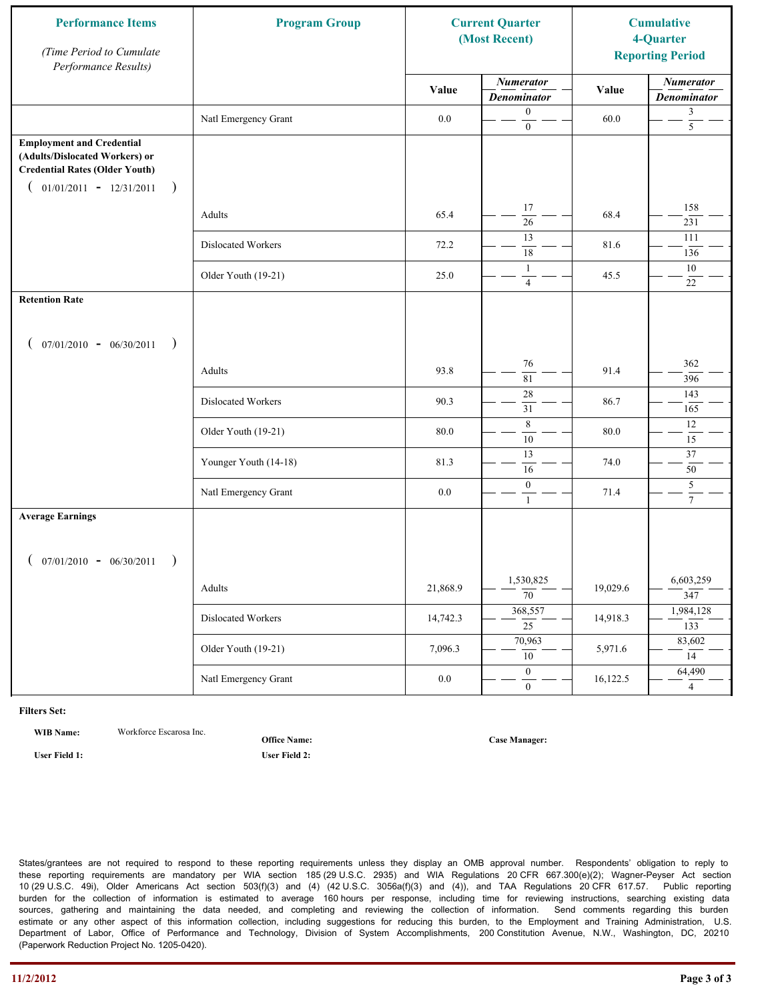| <b>Performance Items</b><br>(Time Period to Cumulate<br>Performance Results)                                                                          | <b>Program Group</b>         | <b>Current Quarter</b><br>(Most Recent) |                                              | <b>Cumulative</b><br>4-Quarter<br><b>Reporting Period</b> |                                           |
|-------------------------------------------------------------------------------------------------------------------------------------------------------|------------------------------|-----------------------------------------|----------------------------------------------|-----------------------------------------------------------|-------------------------------------------|
|                                                                                                                                                       |                              | Value                                   | <b>Numerator</b><br><b>Denominator</b>       | Value                                                     | <b>Numerator</b><br><b>Denominator</b>    |
|                                                                                                                                                       | Natl Emergency Grant         | 0.0                                     | $\boldsymbol{0}$<br>$\overline{0}$           | 60.0                                                      | 3<br>$\overline{5}$                       |
| <b>Employment and Credential</b><br>(Adults/Dislocated Workers) or<br><b>Credential Rates (Older Youth)</b><br>$01/01/2011 - 12/31/2011$<br>$\lambda$ |                              |                                         |                                              |                                                           |                                           |
|                                                                                                                                                       | Adults                       | 65.4                                    | 17<br>$\overline{26}$                        | 68.4                                                      | 158<br>231                                |
|                                                                                                                                                       | Dislocated Workers           | 72.2                                    | 13<br>18                                     | 81.6                                                      | 111<br>136                                |
|                                                                                                                                                       | Older Youth (19-21)          | 25.0                                    | $\mathbf{1}$<br>$\overline{4}$               | 45.5                                                      | $10\,$<br>22                              |
| <b>Retention Rate</b>                                                                                                                                 |                              |                                         |                                              |                                                           |                                           |
| $07/01/2010 - 06/30/2011$<br>$\rightarrow$                                                                                                            |                              |                                         |                                              |                                                           |                                           |
|                                                                                                                                                       | Adults                       | 93.8                                    | 76<br>81                                     | 91.4                                                      | 362<br>396                                |
|                                                                                                                                                       | Dislocated Workers           | 90.3                                    | $\overline{28}$<br>31                        | 86.7                                                      | 143<br>165                                |
|                                                                                                                                                       | Older Youth (19-21)          | 80.0                                    | $\,8\,$<br>$\overline{10}$                   | 80.0                                                      | 12<br>$\overline{15}$                     |
|                                                                                                                                                       | Younger Youth (14-18)        | 81.3                                    | 13<br>16                                     | 74.0                                                      | $37\,$<br>50                              |
|                                                                                                                                                       | Natl Emergency Grant         | 0.0                                     | $\boldsymbol{0}$<br>$\mathbf{1}$             | 71.4                                                      | $\overline{\mathbf{5}}$<br>$\overline{7}$ |
| <b>Average Earnings</b>                                                                                                                               |                              |                                         |                                              |                                                           |                                           |
| $07/01/2010 - 06/30/2011$                                                                                                                             |                              | 21,868.9                                | 1,530,825                                    | 19,029.6                                                  | 6,603,259                                 |
|                                                                                                                                                       | Adults<br>Dislocated Workers | 14,742.3                                | $\overline{70}$<br>368,557                   | 14,918.3                                                  | 347<br>1,984,128                          |
|                                                                                                                                                       | Older Youth (19-21)          | 7,096.3                                 | $\overline{25}$<br>70,963                    | 5,971.6                                                   | 133<br>83,602                             |
|                                                                                                                                                       | Natl Emergency Grant         | $0.0\,$                                 | $10\,$<br>$\overline{0}$<br>$\boldsymbol{0}$ | 16,122.5                                                  | 14<br>64,490<br>$\overline{4}$            |

**WIB Name:** Workforce Escarosa Inc.

**Office Name:**

**User Field 1: User Field 2:**

**Case Manager:**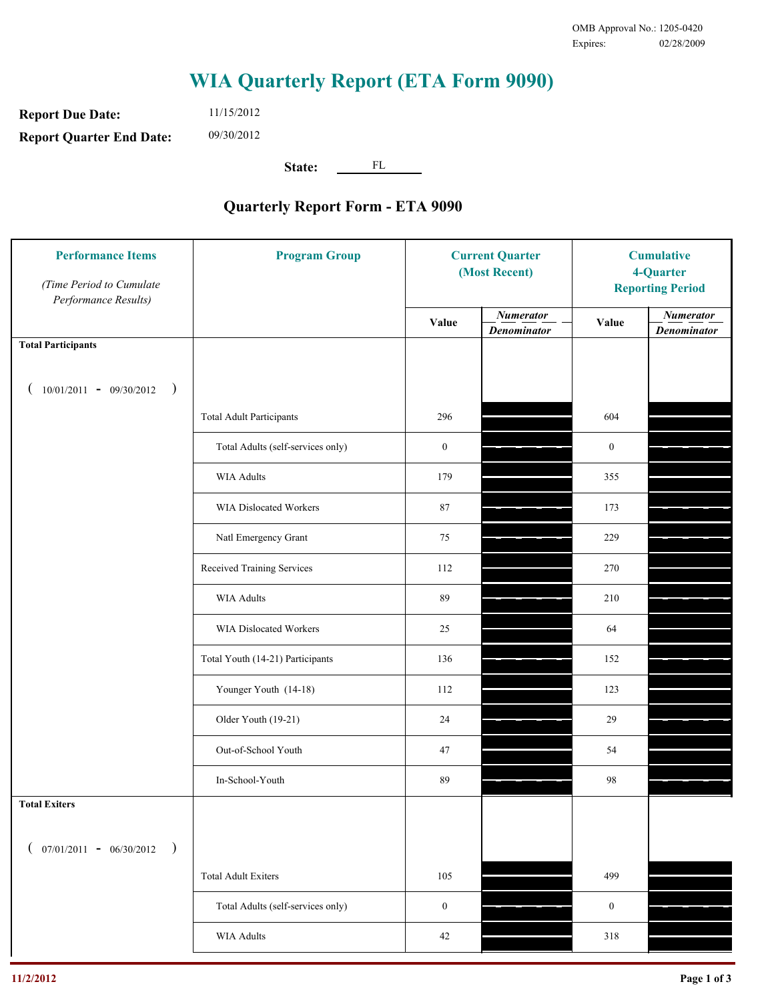**Report Due Date: Report Quarter End Date:** 11/15/2012 09/30/2012

**State:** FL

| <b>Performance Items</b><br>(Time Period to Cumulate<br>Performance Results) | <b>Program Group</b>              | <b>Current Quarter</b><br>(Most Recent) |                                        | <b>Cumulative</b><br>4-Quarter<br><b>Reporting Period</b> |                                        |
|------------------------------------------------------------------------------|-----------------------------------|-----------------------------------------|----------------------------------------|-----------------------------------------------------------|----------------------------------------|
|                                                                              |                                   | Value                                   | <b>Numerator</b><br><b>Denominator</b> | Value                                                     | <b>Numerator</b><br><b>Denominator</b> |
| <b>Total Participants</b>                                                    |                                   |                                         |                                        |                                                           |                                        |
| $10/01/2011 - 09/30/2012$ )                                                  |                                   |                                         |                                        |                                                           |                                        |
|                                                                              | <b>Total Adult Participants</b>   | 296                                     |                                        | 604                                                       |                                        |
|                                                                              | Total Adults (self-services only) | $\boldsymbol{0}$                        |                                        | $\mathbf{0}$                                              |                                        |
|                                                                              | WIA Adults                        | 179                                     |                                        | 355                                                       |                                        |
|                                                                              | WIA Dislocated Workers            | 87                                      |                                        | 173                                                       |                                        |
|                                                                              | Natl Emergency Grant              | 75                                      |                                        | 229                                                       |                                        |
|                                                                              | Received Training Services        | 112                                     |                                        | 270                                                       |                                        |
|                                                                              | <b>WIA Adults</b>                 | 89                                      |                                        | 210                                                       |                                        |
|                                                                              | WIA Dislocated Workers            | 25                                      |                                        | 64                                                        |                                        |
|                                                                              | Total Youth (14-21) Participants  | 136                                     |                                        | 152                                                       |                                        |
|                                                                              | Younger Youth (14-18)             | 112                                     |                                        | 123                                                       |                                        |
|                                                                              | Older Youth (19-21)               | 24                                      |                                        | 29                                                        |                                        |
|                                                                              | Out-of-School Youth               | 47                                      |                                        | 54                                                        |                                        |
|                                                                              | In-School-Youth                   | 89                                      |                                        | 98                                                        |                                        |
| <b>Total Exiters</b>                                                         |                                   |                                         |                                        |                                                           |                                        |
| $07/01/2011 - 06/30/2012$<br>$\rightarrow$                                   |                                   |                                         |                                        |                                                           |                                        |
|                                                                              | <b>Total Adult Exiters</b>        | 105                                     |                                        | 499                                                       |                                        |
|                                                                              | Total Adults (self-services only) | $\boldsymbol{0}$                        |                                        | $\mathbf{0}$                                              |                                        |
|                                                                              | <b>WIA Adults</b>                 | $42\,$                                  |                                        | 318                                                       |                                        |
|                                                                              |                                   |                                         |                                        |                                                           |                                        |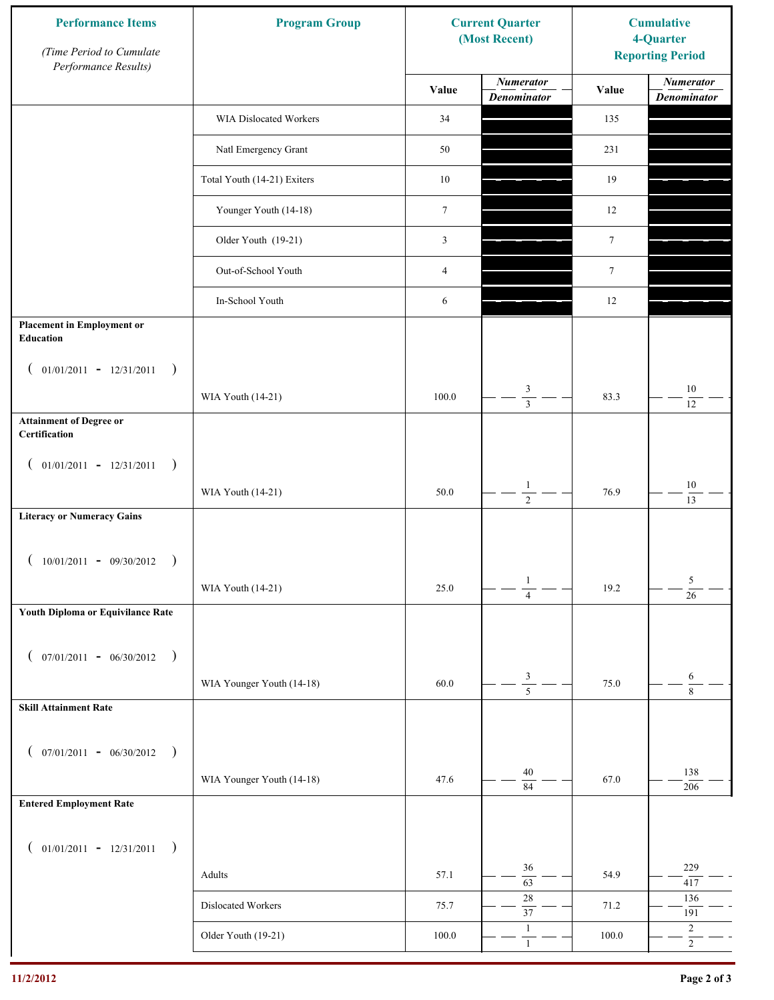| <b>Performance Items</b><br>(Time Period to Cumulate<br>Performance Results) | <b>Program Group</b>        |                  | <b>Current Quarter</b><br>(Most Recent) | <b>Cumulative</b><br>4-Quarter<br><b>Reporting Period</b> |                                        |
|------------------------------------------------------------------------------|-----------------------------|------------------|-----------------------------------------|-----------------------------------------------------------|----------------------------------------|
|                                                                              |                             | Value            | <b>Numerator</b><br><b>Denominator</b>  | Value                                                     | <b>Numerator</b><br><b>Denominator</b> |
|                                                                              | WIA Dislocated Workers      | 34               |                                         | 135                                                       |                                        |
|                                                                              | Natl Emergency Grant        | 50               |                                         | 231                                                       |                                        |
|                                                                              | Total Youth (14-21) Exiters | $10\,$           |                                         | 19                                                        |                                        |
|                                                                              | Younger Youth (14-18)       | $\boldsymbol{7}$ |                                         | 12                                                        |                                        |
|                                                                              | Older Youth (19-21)         | $\mathfrak{Z}$   |                                         | $\tau$                                                    |                                        |
|                                                                              | Out-of-School Youth         | $\overline{4}$   |                                         | $\tau$                                                    |                                        |
|                                                                              | In-School Youth             | 6                |                                         | $12\,$                                                    |                                        |
| <b>Placement in Employment or</b><br>Education                               |                             |                  |                                         |                                                           |                                        |
| $01/01/2011 - 12/31/2011$<br>$\rightarrow$<br>$\overline{ }$                 | WIA Youth (14-21)           | 100.0            | 3                                       | 83.3                                                      | $10\,$                                 |
| <b>Attainment of Degree or</b>                                               |                             |                  |                                         |                                                           | 12                                     |
| Certification                                                                |                             |                  |                                         |                                                           |                                        |
| $($ 01/01/2011 - 12/31/2011<br>$\rightarrow$                                 |                             |                  |                                         |                                                           |                                        |
|                                                                              | WIA Youth (14-21)           | 50.0             | $\mathbf{1}$<br>$\overline{2}$          | 76.9                                                      | $10\,$<br>13                           |
| <b>Literacy or Numeracy Gains</b>                                            |                             |                  |                                         |                                                           |                                        |
| $10/01/2011 - 09/30/2012$                                                    |                             |                  |                                         |                                                           |                                        |
|                                                                              | WIA Youth (14-21)           | 25.0             | $\mathbf{1}$<br>$\overline{4}$          | 19.2                                                      | 5<br>$\overline{26}$                   |
| Youth Diploma or Equivilance Rate                                            |                             |                  |                                         |                                                           |                                        |
| $07/01/2011 - 06/30/2012$<br>$\rightarrow$<br>€                              |                             |                  |                                         |                                                           |                                        |
|                                                                              | WIA Younger Youth (14-18)   | 60.0             | $\frac{3}{5}$                           | 75.0                                                      | 6<br>$\,8\,$                           |
| <b>Skill Attainment Rate</b>                                                 |                             |                  |                                         |                                                           |                                        |
| $07/01/2011 - 06/30/2012$ )                                                  |                             |                  |                                         |                                                           |                                        |
| $\left($                                                                     | WIA Younger Youth (14-18)   | 47.6             | 40                                      | 67.0                                                      | 138                                    |
| <b>Entered Employment Rate</b>                                               |                             |                  | $\overline{84}$                         |                                                           | 206                                    |
|                                                                              |                             |                  |                                         |                                                           |                                        |
| $($ 01/01/2011 - 12/31/2011<br>$\big)$                                       |                             |                  | 36                                      |                                                           | 229                                    |
|                                                                              | Adults                      | 57.1             | $\overline{63}$<br>$28\,$               | 54.9                                                      | 417                                    |
|                                                                              | Dislocated Workers          | 75.7             | $\overline{37}$                         | 71.2                                                      | 136<br>191                             |
|                                                                              | Older Youth (19-21)         | $100.0\,$        | $\mathbf{1}$<br>$\mathbf{1}$            | 100.0                                                     | $\overline{c}$<br>$\overline{2}$       |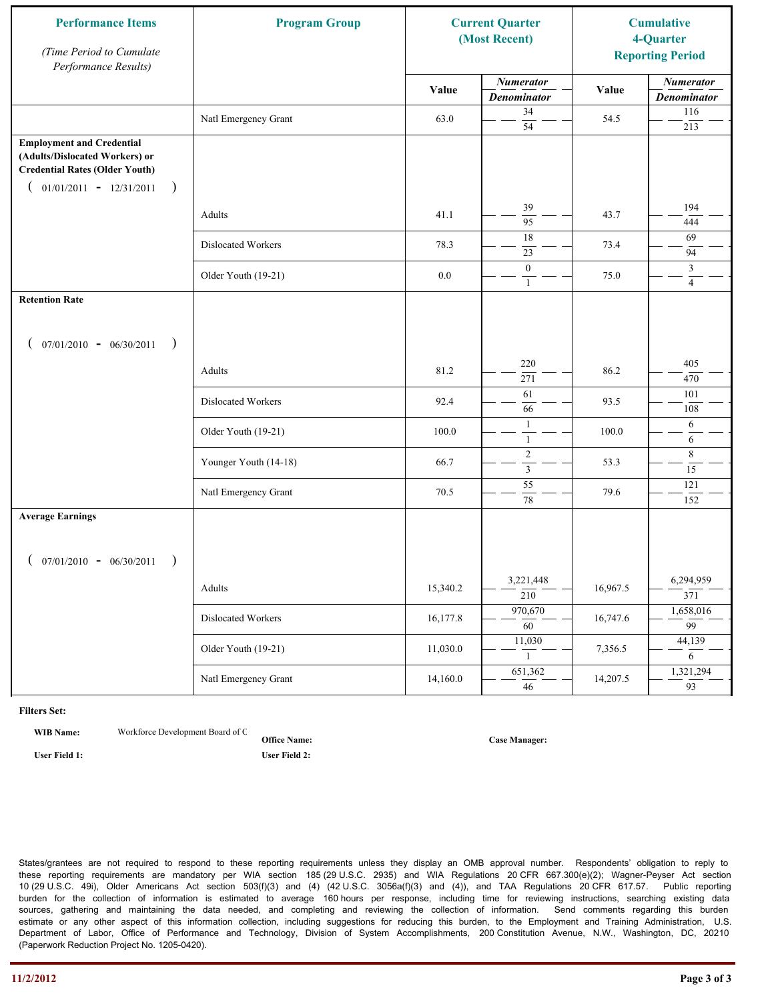| <b>Performance Items</b><br>(Time Period to Cumulate<br>Performance Results)                                                                               | <b>Program Group</b>  |          | <b>Current Quarter</b><br>(Most Recent) |          |                                        |  | <b>Cumulative</b><br>4-Quarter<br><b>Reporting Period</b> |
|------------------------------------------------------------------------------------------------------------------------------------------------------------|-----------------------|----------|-----------------------------------------|----------|----------------------------------------|--|-----------------------------------------------------------|
|                                                                                                                                                            |                       | Value    | <b>Numerator</b><br><b>Denominator</b>  | Value    | <b>Numerator</b><br><b>Denominator</b> |  |                                                           |
|                                                                                                                                                            | Natl Emergency Grant  | 63.0     | 34<br>$\overline{54}$                   | 54.5     | 116<br>213                             |  |                                                           |
| <b>Employment and Credential</b><br>(Adults/Dislocated Workers) or<br><b>Credential Rates (Older Youth)</b><br>$01/01/2011 - 12/31/2011$<br>$\overline{)}$ |                       |          |                                         |          |                                        |  |                                                           |
|                                                                                                                                                            | Adults                | 41.1     | 39<br>95                                | 43.7     | 194<br>444                             |  |                                                           |
|                                                                                                                                                            | Dislocated Workers    | 78.3     | 18<br>23                                | 73.4     | 69<br>94                               |  |                                                           |
|                                                                                                                                                            | Older Youth (19-21)   | $0.0\,$  | $\boldsymbol{0}$<br>$\mathbf{1}$        | 75.0     | $\mathfrak{Z}$<br>$\overline{4}$       |  |                                                           |
| <b>Retention Rate</b>                                                                                                                                      |                       |          |                                         |          |                                        |  |                                                           |
| $07/01/2010 - 06/30/2011$<br>$\rightarrow$                                                                                                                 |                       |          |                                         |          |                                        |  |                                                           |
|                                                                                                                                                            | Adults                | 81.2     | 220<br>271                              | 86.2     | 405<br>470                             |  |                                                           |
|                                                                                                                                                            | Dislocated Workers    | 92.4     | 61<br>66                                | 93.5     | 101<br>108                             |  |                                                           |
|                                                                                                                                                            | Older Youth (19-21)   | 100.0    | $\mathbf{1}$<br>$\mathbf{1}$            | 100.0    | 6<br>6                                 |  |                                                           |
|                                                                                                                                                            | Younger Youth (14-18) | 66.7     | $\sqrt{2}$<br>$\mathfrak{Z}$            | 53.3     | $\,8\,$<br>15                          |  |                                                           |
|                                                                                                                                                            | Natl Emergency Grant  | 70.5     | 55<br>78                                | 79.6     | 121<br>152                             |  |                                                           |
| <b>Average Earnings</b>                                                                                                                                    |                       |          |                                         |          |                                        |  |                                                           |
| $07/01/2010 - 06/30/2011$                                                                                                                                  | Adults                | 15,340.2 | 3,221,448<br>$\overline{210}$           | 16,967.5 | 6,294,959<br>371                       |  |                                                           |
|                                                                                                                                                            | Dislocated Workers    | 16,177.8 | 970,670<br>$\overline{60}$              | 16,747.6 | 1,658,016<br>$\overline{99}$           |  |                                                           |
|                                                                                                                                                            | Older Youth (19-21)   | 11,030.0 | 11,030<br>1                             | 7,356.5  | 44,139<br>6                            |  |                                                           |
|                                                                                                                                                            | Natl Emergency Grant  | 14,160.0 | 651,362<br>46                           | 14,207.5 | 1,321,294<br>93                        |  |                                                           |

**WIB Name:** Workforce Development Board of C

**Office Name: User Field 1: User Field 2:**

**Case Manager:**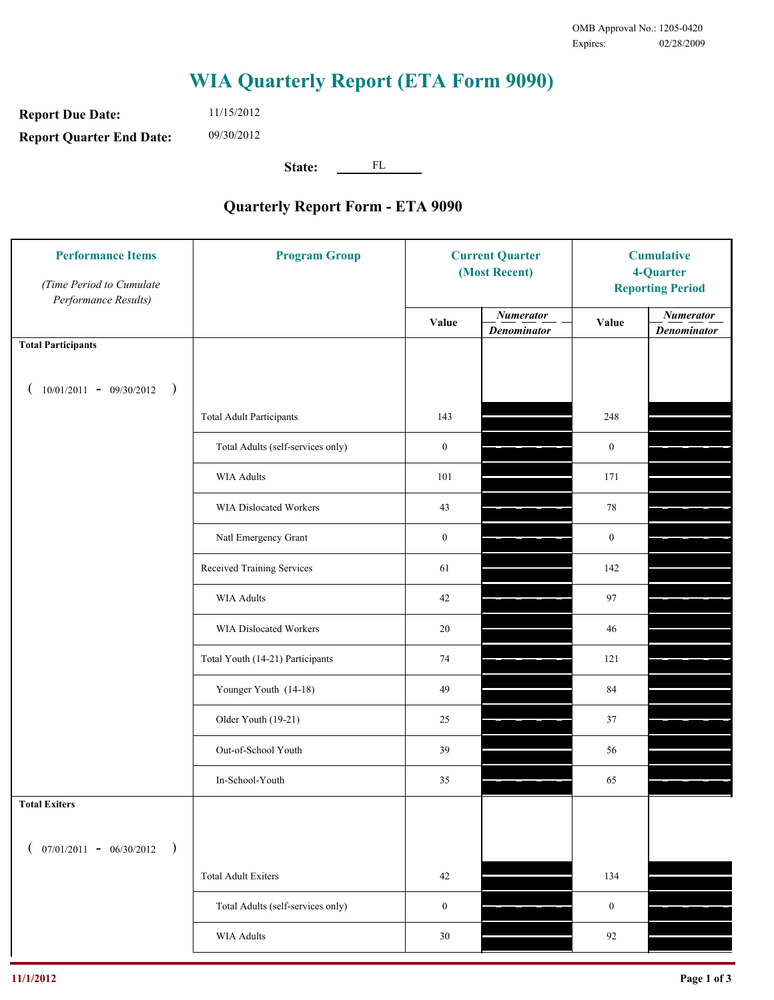**Report Due Date: Report Quarter End Date:** 11/15/2012 09/30/2012

**State:** FL

| <b>Performance Items</b><br>(Time Period to Cumulate<br>Performance Results) | <b>Program Group</b>              | <b>Current Quarter</b><br>(Most Recent) |                                        | <b>Cumulative</b><br>4-Quarter<br><b>Reporting Period</b> |                                        |
|------------------------------------------------------------------------------|-----------------------------------|-----------------------------------------|----------------------------------------|-----------------------------------------------------------|----------------------------------------|
|                                                                              |                                   | Value                                   | <b>Numerator</b><br><b>Denominator</b> | Value                                                     | <b>Numerator</b><br><b>Denominator</b> |
| <b>Total Participants</b>                                                    |                                   |                                         |                                        |                                                           |                                        |
| $10/01/2011 - 09/30/2012$ )<br>$\overline{ }$                                |                                   |                                         |                                        |                                                           |                                        |
|                                                                              | <b>Total Adult Participants</b>   | 143                                     |                                        | 248                                                       |                                        |
|                                                                              | Total Adults (self-services only) | $\boldsymbol{0}$                        |                                        | $\boldsymbol{0}$                                          |                                        |
|                                                                              | <b>WIA Adults</b>                 | 101                                     |                                        | 171                                                       |                                        |
|                                                                              | WIA Dislocated Workers            | 43                                      |                                        | 78                                                        |                                        |
|                                                                              | Natl Emergency Grant              | $\boldsymbol{0}$                        |                                        | $\boldsymbol{0}$                                          |                                        |
|                                                                              | Received Training Services        | 61                                      |                                        | 142                                                       |                                        |
|                                                                              | <b>WIA Adults</b>                 | 42                                      |                                        | 97                                                        |                                        |
|                                                                              | WIA Dislocated Workers            | 20                                      |                                        | 46                                                        |                                        |
|                                                                              | Total Youth (14-21) Participants  | 74                                      |                                        | 121                                                       |                                        |
|                                                                              | Younger Youth (14-18)             | 49                                      |                                        | 84                                                        |                                        |
|                                                                              | Older Youth (19-21)               | 25                                      |                                        | 37                                                        |                                        |
|                                                                              | Out-of-School Youth               | 39                                      |                                        | 56                                                        |                                        |
|                                                                              | In-School-Youth                   | 35                                      |                                        | 65                                                        |                                        |
| <b>Total Exiters</b>                                                         |                                   |                                         |                                        |                                                           |                                        |
| $($ 07/01/2011 - 06/30/2012<br>$\rightarrow$                                 |                                   |                                         |                                        |                                                           |                                        |
|                                                                              | <b>Total Adult Exiters</b>        | 42                                      |                                        | 134                                                       |                                        |
|                                                                              | Total Adults (self-services only) | $\mathbf{0}$                            |                                        | $\boldsymbol{0}$                                          |                                        |
|                                                                              | WIA Adults                        | $30\,$                                  |                                        | 92                                                        |                                        |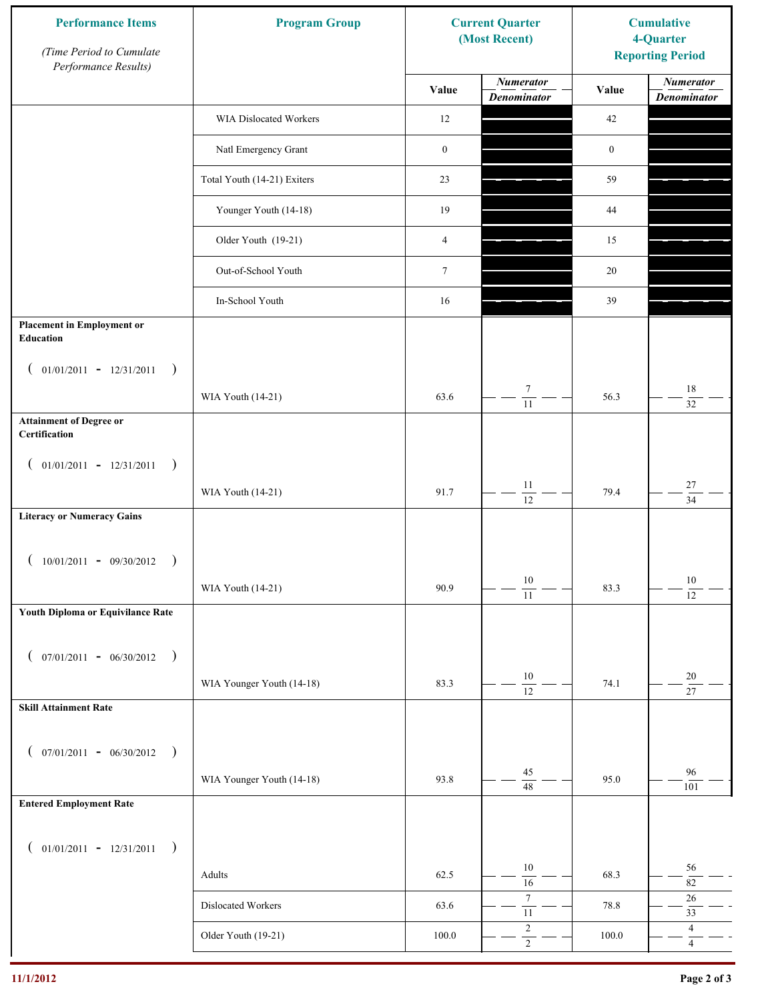| <b>Performance Items</b><br>(Time Period to Cumulate<br>Performance Results) | <b>Program Group</b>        |                  | <b>Current Quarter</b><br>(Most Recent) | <b>Cumulative</b><br>4-Quarter<br><b>Reporting Period</b> |                                        |
|------------------------------------------------------------------------------|-----------------------------|------------------|-----------------------------------------|-----------------------------------------------------------|----------------------------------------|
|                                                                              |                             | Value            | <b>Numerator</b><br><b>Denominator</b>  | Value                                                     | <b>Numerator</b><br><b>Denominator</b> |
|                                                                              | WIA Dislocated Workers      | 12               |                                         | 42                                                        |                                        |
|                                                                              | Natl Emergency Grant        | $\boldsymbol{0}$ |                                         | $\boldsymbol{0}$                                          |                                        |
|                                                                              | Total Youth (14-21) Exiters | 23               |                                         | 59                                                        |                                        |
|                                                                              | Younger Youth (14-18)       | 19               |                                         | 44                                                        |                                        |
|                                                                              | Older Youth (19-21)         | $\overline{4}$   |                                         | 15                                                        |                                        |
|                                                                              | Out-of-School Youth         | $\tau$           |                                         | 20                                                        |                                        |
|                                                                              | In-School Youth             | 16               |                                         | 39                                                        |                                        |
| <b>Placement in Employment or</b><br>Education                               |                             |                  |                                         |                                                           |                                        |
| $01/01/2011 - 12/31/2011$<br>$\rightarrow$<br>$\overline{ }$                 | WIA Youth (14-21)           | 63.6             | $\tau$                                  | 56.3                                                      | 18                                     |
| <b>Attainment of Degree or</b><br>Certification                              |                             |                  | $\overline{11}$                         |                                                           | 32                                     |
| $($ 01/01/2011 - 12/31/2011<br>$\big)$                                       |                             |                  |                                         |                                                           |                                        |
|                                                                              | WIA Youth (14-21)           | 91.7             | $11\,$<br>$\overline{12}$               | 79.4                                                      | $27\,$<br>$\overline{34}$              |
| <b>Literacy or Numeracy Gains</b>                                            |                             |                  |                                         |                                                           |                                        |
| $10/01/2011 - 09/30/2012$<br>$\overline{\phantom{a}}$                        |                             |                  |                                         |                                                           |                                        |
|                                                                              | WIA Youth (14-21)           | 90.9             | $10\,$<br>$\overline{11}$               | 83.3                                                      | $10\,$<br>$\overline{12}$              |
| Youth Diploma or Equivilance Rate                                            |                             |                  |                                         |                                                           |                                        |
| $07/01/2011 - 06/30/2012$<br>$\rightarrow$<br>€                              |                             |                  |                                         |                                                           |                                        |
|                                                                              | WIA Younger Youth (14-18)   | 83.3             | $10\,$<br>$\overline{12}$               | 74.1                                                      | $20\,$<br>27                           |
| <b>Skill Attainment Rate</b>                                                 |                             |                  |                                         |                                                           |                                        |
| $07/01/2011 - 06/30/2012$ )<br>$\left($                                      |                             |                  |                                         |                                                           |                                        |
|                                                                              | WIA Younger Youth (14-18)   | 93.8             | $45\,$<br>$\overline{48}$               | 95.0                                                      | 96<br>101                              |
| <b>Entered Employment Rate</b>                                               |                             |                  |                                         |                                                           |                                        |
| $($ 01/01/2011 - 12/31/2011<br>$\big)$                                       |                             |                  |                                         |                                                           |                                        |
|                                                                              | Adults                      | 62.5             | 10<br>16                                | 68.3                                                      | 56<br>$82\,$                           |
|                                                                              | Dislocated Workers          | 63.6             | $\boldsymbol{7}$<br>$\overline{11}$     | 78.8                                                      | $26\,$<br>33                           |
|                                                                              | Older Youth (19-21)         | $100.0\,$        | $\sqrt{2}$<br>$\overline{2}$            | 100.0                                                     | $\overline{4}$<br>$\overline{4}$       |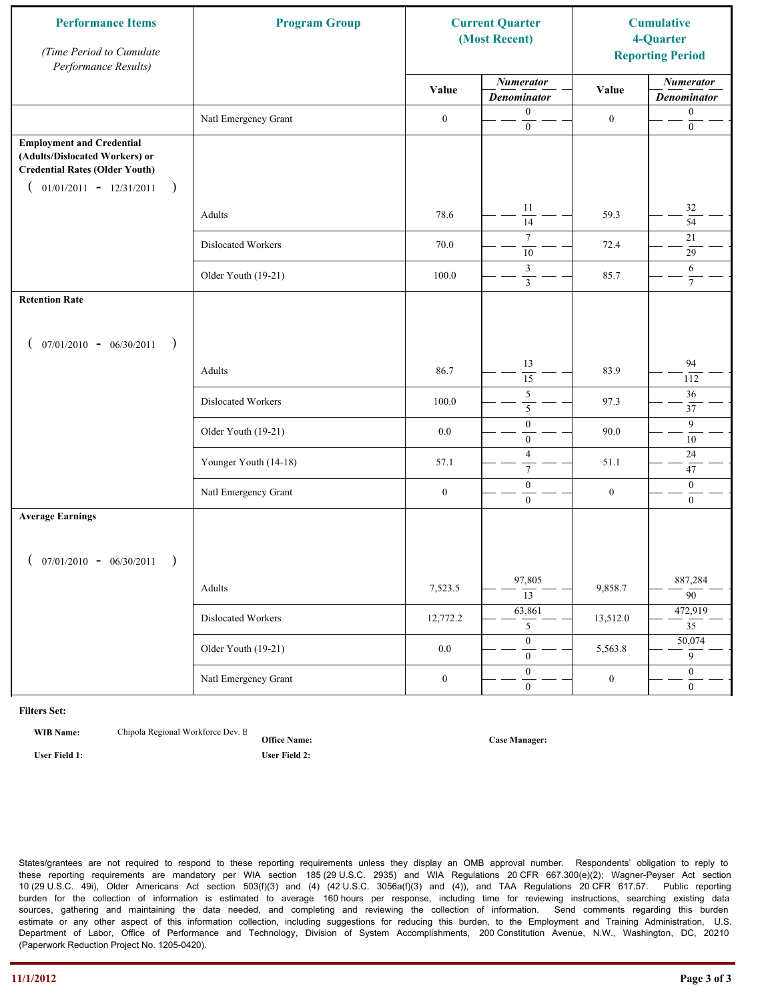| <b>Performance Items</b><br>(Time Period to Cumulate<br>Performance Results)                                                                              | <b>Program Group</b>  | <b>Current Quarter</b><br>(Most Recent) |                                        | <b>Cumulative</b><br>4-Quarter<br><b>Reporting Period</b> |                                        |
|-----------------------------------------------------------------------------------------------------------------------------------------------------------|-----------------------|-----------------------------------------|----------------------------------------|-----------------------------------------------------------|----------------------------------------|
|                                                                                                                                                           |                       | Value                                   | <b>Numerator</b><br><b>Denominator</b> | Value                                                     | <b>Numerator</b><br><b>Denominator</b> |
|                                                                                                                                                           | Natl Emergency Grant  | $\boldsymbol{0}$                        | $\boldsymbol{0}$<br>$\mathbf{0}$       | $\boldsymbol{0}$                                          | $\boldsymbol{0}$<br>$\boldsymbol{0}$   |
| <b>Employment and Credential</b><br>(Adults/Dislocated Workers) or<br><b>Credential Rates (Older Youth)</b><br>$01/01/2011 - 12/31/2011$<br>$\rightarrow$ |                       |                                         |                                        |                                                           |                                        |
|                                                                                                                                                           | Adults                | 78.6                                    | 11<br>$\overline{14}$                  | 59.3                                                      | 32<br>$\overline{54}$                  |
|                                                                                                                                                           | Dislocated Workers    | 70.0                                    | $\overline{7}$<br>10                   | 72.4                                                      | 21<br>29                               |
|                                                                                                                                                           | Older Youth (19-21)   | 100.0                                   | 3<br>$\overline{\mathbf{3}}$           | 85.7                                                      | 6<br>$7\overline{ }$                   |
| <b>Retention Rate</b>                                                                                                                                     |                       |                                         |                                        |                                                           |                                        |
| $07/01/2010 - 06/30/2011$<br>$\rightarrow$                                                                                                                |                       |                                         |                                        |                                                           |                                        |
|                                                                                                                                                           | Adults                | 86.7                                    | 13<br>$\overline{15}$                  | 83.9                                                      | 94<br>112                              |
|                                                                                                                                                           | Dislocated Workers    | 100.0                                   | 5<br>5                                 | 97.3                                                      | 36<br>37                               |
|                                                                                                                                                           | Older Youth (19-21)   | 0.0                                     | $\boldsymbol{0}$<br>$\mathbf{0}$       | 90.0                                                      | 9<br>10                                |
|                                                                                                                                                           | Younger Youth (14-18) | 57.1                                    | $\overline{4}$<br>$\tau$               | 51.1                                                      | $24\,$<br>47                           |
|                                                                                                                                                           | Natl Emergency Grant  | $\boldsymbol{0}$                        | $\boldsymbol{0}$<br>$\overline{0}$     | $\boldsymbol{0}$                                          | $\mathbf{0}$<br>$\mathbf{0}$           |
| <b>Average Earnings</b>                                                                                                                                   |                       |                                         |                                        |                                                           |                                        |
| $07/01/2010 - 06/30/2011$<br>$\rightarrow$                                                                                                                |                       |                                         |                                        |                                                           |                                        |
|                                                                                                                                                           | Adults                | 7,523.5                                 | 97,805<br>13                           | 9,858.7                                                   | 887,284<br>$\overline{90}$             |
|                                                                                                                                                           | Dislocated Workers    | 12,772.2                                | 63,861<br>5 <sup>5</sup>               | 13,512.0                                                  | 472,919<br>$\overline{35}$             |
|                                                                                                                                                           | Older Youth (19-21)   | $0.0\,$                                 | $\overline{0}$<br>$\overline{0}$       | 5,563.8                                                   | 50,074<br>$\overline{9}$               |
|                                                                                                                                                           | Natl Emergency Grant  | $\boldsymbol{0}$                        | $\overline{0}$<br>$\mathbf{0}$         | $\boldsymbol{0}$                                          | $\overline{0}$<br>$\overline{0}$       |

**WIB Name:** Chipola Regional Workforce Dev. E

**Office Name: User Field 1: User Field 2:**

**Case Manager:**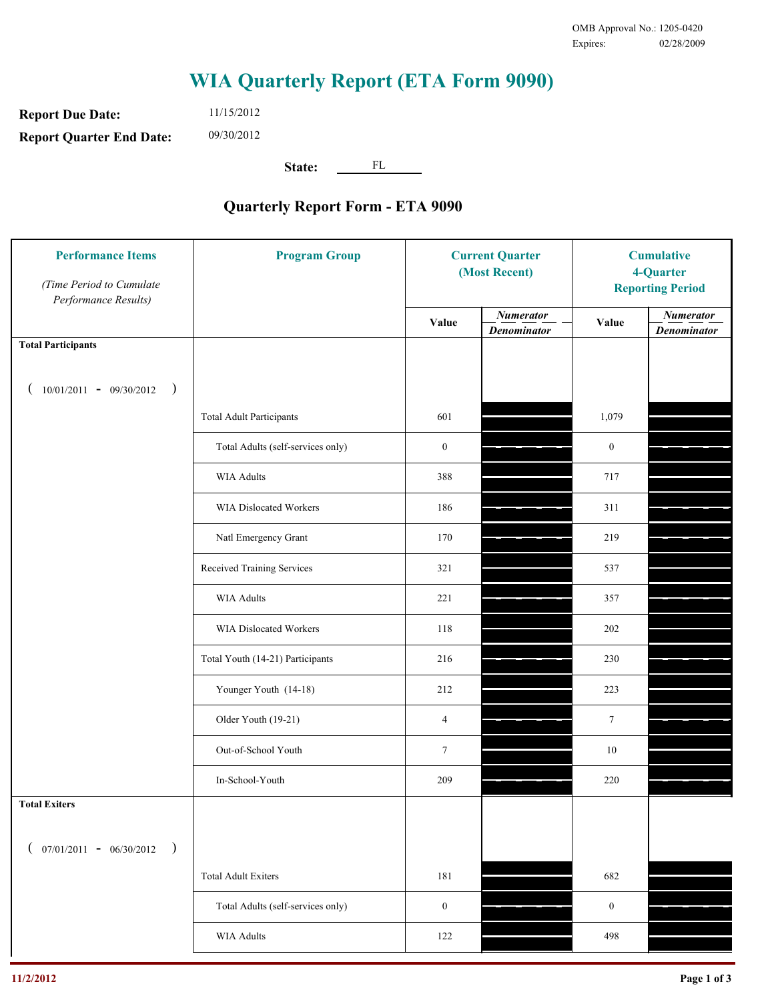**Report Due Date: Report Quarter End Date:** 11/15/2012 09/30/2012

**State:** FL

| <b>Performance Items</b><br>(Time Period to Cumulate<br>Performance Results) | <b>Program Group</b>              | <b>Current Quarter</b><br>(Most Recent) |                                        | <b>Cumulative</b><br>4-Quarter<br><b>Reporting Period</b> |                                        |
|------------------------------------------------------------------------------|-----------------------------------|-----------------------------------------|----------------------------------------|-----------------------------------------------------------|----------------------------------------|
|                                                                              |                                   | Value                                   | <b>Numerator</b><br><b>Denominator</b> | Value                                                     | <b>Numerator</b><br><b>Denominator</b> |
| <b>Total Participants</b>                                                    |                                   |                                         |                                        |                                                           |                                        |
| $10/01/2011 - 09/30/2012$<br>$\rightarrow$                                   |                                   |                                         |                                        |                                                           |                                        |
|                                                                              | <b>Total Adult Participants</b>   | 601                                     |                                        | 1,079                                                     |                                        |
|                                                                              | Total Adults (self-services only) | $\boldsymbol{0}$                        |                                        | $\boldsymbol{0}$                                          |                                        |
|                                                                              | <b>WIA Adults</b>                 | 388                                     |                                        | 717                                                       |                                        |
|                                                                              | <b>WIA Dislocated Workers</b>     | 186                                     |                                        | 311                                                       |                                        |
|                                                                              | Natl Emergency Grant              | 170                                     |                                        | 219                                                       |                                        |
|                                                                              | Received Training Services        | 321                                     |                                        | 537                                                       |                                        |
|                                                                              | <b>WIA Adults</b>                 | 221                                     |                                        | 357                                                       |                                        |
|                                                                              | WIA Dislocated Workers            | 118                                     |                                        | 202                                                       |                                        |
|                                                                              | Total Youth (14-21) Participants  | 216                                     |                                        | 230                                                       |                                        |
|                                                                              | Younger Youth (14-18)             | 212                                     |                                        | 223                                                       |                                        |
|                                                                              | Older Youth (19-21)               | $\overline{4}$                          |                                        | $7\phantom{.0}$                                           |                                        |
|                                                                              | Out-of-School Youth               | $\tau$                                  |                                        | $10\,$                                                    |                                        |
|                                                                              | In-School-Youth                   | 209                                     |                                        | $220\,$                                                   |                                        |
| <b>Total Exiters</b>                                                         |                                   |                                         |                                        |                                                           |                                        |
| $07/01/2011 - 06/30/2012$<br>$\rightarrow$                                   |                                   |                                         |                                        |                                                           |                                        |
|                                                                              | <b>Total Adult Exiters</b>        | 181                                     |                                        | 682                                                       |                                        |
|                                                                              | Total Adults (self-services only) | $\boldsymbol{0}$                        |                                        | $\boldsymbol{0}$                                          |                                        |
|                                                                              | WIA Adults                        | 122                                     |                                        | 498                                                       |                                        |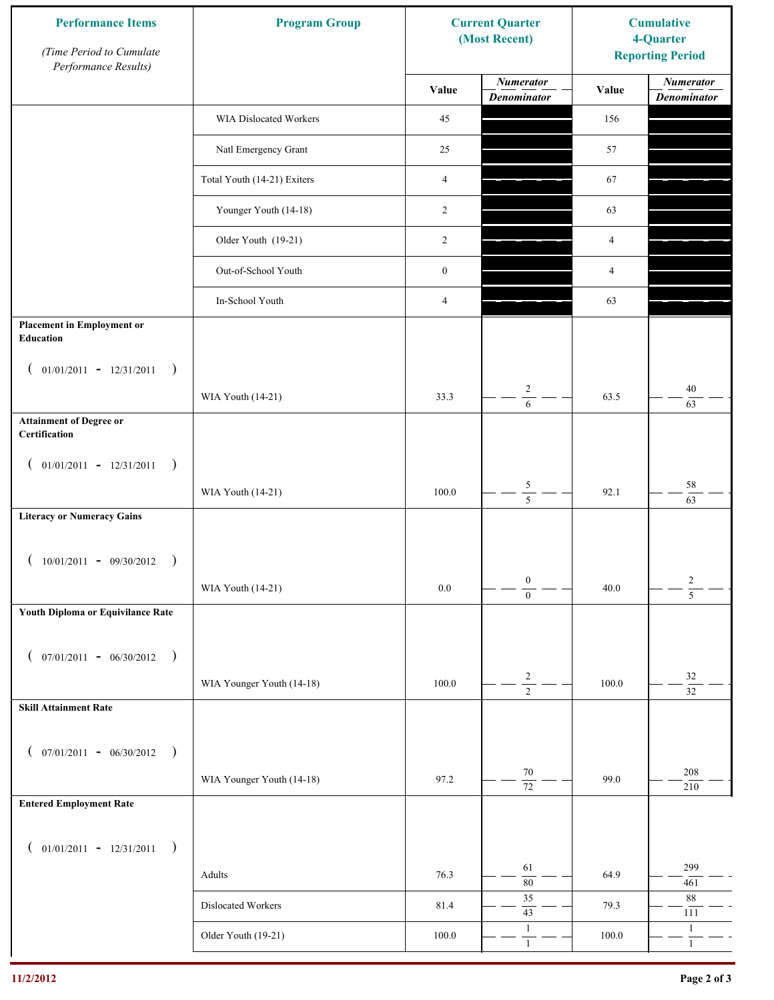| <b>Performance Items</b><br>(Time Period to Cumulate<br>Performance Results) | <b>Program Group</b>        | <b>Current Quarter</b><br>(Most Recent) |                                        | <b>Cumulative</b><br>4-Quarter<br><b>Reporting Period</b> |                                        |
|------------------------------------------------------------------------------|-----------------------------|-----------------------------------------|----------------------------------------|-----------------------------------------------------------|----------------------------------------|
|                                                                              |                             | Value                                   | <b>Numerator</b><br><b>Denominator</b> | Value                                                     | <b>Numerator</b><br><b>Denominator</b> |
|                                                                              | WIA Dislocated Workers      | 45                                      |                                        | 156                                                       |                                        |
|                                                                              | Natl Emergency Grant        | 25                                      |                                        | 57                                                        |                                        |
|                                                                              | Total Youth (14-21) Exiters | $\overline{4}$                          |                                        | 67                                                        |                                        |
|                                                                              | Younger Youth (14-18)       | 2                                       |                                        | 63                                                        |                                        |
|                                                                              | Older Youth (19-21)         | 2                                       |                                        | 4                                                         |                                        |
|                                                                              | Out-of-School Youth         | $\boldsymbol{0}$                        |                                        | 4                                                         |                                        |
|                                                                              | In-School Youth             | 4                                       |                                        | 63                                                        |                                        |
| <b>Placement in Employment or</b><br>Education                               |                             |                                         |                                        |                                                           |                                        |
| $01/01/2011 - 12/31/2011$<br>$\rightarrow$<br>$\overline{ }$                 |                             |                                         |                                        |                                                           |                                        |
|                                                                              | WIA Youth (14-21)           | 33.3                                    | $\overline{c}$<br>$\overline{6}$       | 63.5                                                      | 40<br>63                               |
| <b>Attainment of Degree or</b><br>Certification                              |                             |                                         |                                        |                                                           |                                        |
| $($ 01/01/2011 - 12/31/2011<br>$\rightarrow$                                 |                             |                                         |                                        |                                                           |                                        |
|                                                                              | WIA Youth (14-21)           | 100.0                                   | $\frac{5}{5}$                          | 92.1                                                      | $58\,$<br>63                           |
| <b>Literacy or Numeracy Gains</b>                                            |                             |                                         |                                        |                                                           |                                        |
| $10/01/2011 - 09/30/2012$<br>$\overline{\phantom{a}}$                        |                             |                                         |                                        |                                                           |                                        |
|                                                                              | WIA Youth (14-21)           | $0.0\,$                                 | $\boldsymbol{0}$<br>$\overline{0}$     | 40.0                                                      | $\frac{2}{5}$                          |
| Youth Diploma or Equivilance Rate                                            |                             |                                         |                                        |                                                           |                                        |
| $07/01/2011 - 06/30/2012$<br>$\rightarrow$<br>€                              |                             |                                         |                                        |                                                           |                                        |
|                                                                              | WIA Younger Youth (14-18)   | 100.0                                   | $\frac{2}{2}$                          | 100.0                                                     | $32\,$                                 |
| <b>Skill Attainment Rate</b>                                                 |                             |                                         |                                        |                                                           | $\overline{32}$                        |
|                                                                              |                             |                                         |                                        |                                                           |                                        |
| $07/01/2011 - 06/30/2012$ )<br>$\left($                                      | WIA Younger Youth (14-18)   | 97.2                                    | $70\,$                                 | 99.0                                                      | 208                                    |
| <b>Entered Employment Rate</b>                                               |                             |                                         | $\overline{72}$                        |                                                           | 210                                    |
|                                                                              |                             |                                         |                                        |                                                           |                                        |
| $($ 01/01/2011 - 12/31/2011<br>$\rightarrow$                                 |                             |                                         | 61                                     |                                                           | 299                                    |
|                                                                              | Adults                      | 76.3                                    | $\overline{80}$<br>35                  | 64.9                                                      | 461<br>88                              |
|                                                                              | Dislocated Workers          | 81.4                                    | $43\,$                                 | 79.3                                                      | 111                                    |
|                                                                              | Older Youth (19-21)         | $100.0\,$                               | $\mathbf{1}$<br>$\mathbf{1}$           | 100.0                                                     | $\mathbf{1}$<br>$\mathbf{1}$           |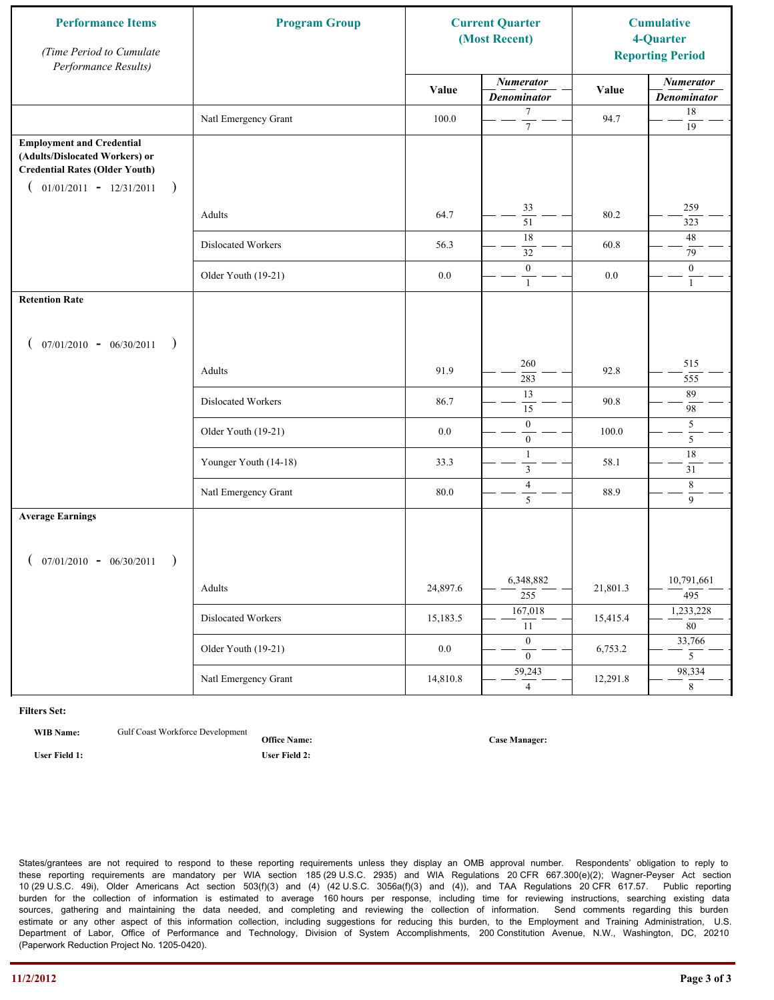| <b>Performance Items</b><br>(Time Period to Cumulate<br>Performance Results)                                                                              | <b>Program Group</b>  |          | <b>Current Quarter</b><br>(Most Recent) |          | <b>Cumulative</b><br>4-Quarter<br><b>Reporting Period</b> |
|-----------------------------------------------------------------------------------------------------------------------------------------------------------|-----------------------|----------|-----------------------------------------|----------|-----------------------------------------------------------|
|                                                                                                                                                           |                       | Value    | <b>Numerator</b><br><b>Denominator</b>  | Value    | <b>Numerator</b><br><b>Denominator</b>                    |
|                                                                                                                                                           | Natl Emergency Grant  | 100.0    | 7<br>$\tau$                             | 94.7     | 18<br>19                                                  |
| <b>Employment and Credential</b><br>(Adults/Dislocated Workers) or<br><b>Credential Rates (Older Youth)</b><br>$01/01/2011 - 12/31/2011$<br>$\rightarrow$ |                       |          |                                         |          |                                                           |
|                                                                                                                                                           | Adults                | 64.7     | 33<br>$\overline{51}$                   | 80.2     | 259<br>323                                                |
|                                                                                                                                                           | Dislocated Workers    | 56.3     | 18<br>32                                | 60.8     | 48<br>79                                                  |
|                                                                                                                                                           | Older Youth (19-21)   | $0.0\,$  | $\boldsymbol{0}$<br>$\mathbf{1}$        | 0.0      | $\overline{0}$<br>$\mathbf{1}$                            |
| <b>Retention Rate</b>                                                                                                                                     |                       |          |                                         |          |                                                           |
| $07/01/2010 - 06/30/2011$<br>$\rightarrow$                                                                                                                |                       |          |                                         |          |                                                           |
|                                                                                                                                                           | Adults                | 91.9     | 260<br>283                              | 92.8     | 515<br>555                                                |
|                                                                                                                                                           | Dislocated Workers    | 86.7     | 13<br>$\overline{15}$                   | 90.8     | 89<br>98                                                  |
|                                                                                                                                                           | Older Youth (19-21)   | 0.0      | $\boldsymbol{0}$<br>$\mathbf{0}$        | 100.0    | 5<br>5                                                    |
|                                                                                                                                                           | Younger Youth (14-18) | 33.3     | $\mathbf{1}$<br>$\mathfrak{Z}$          | 58.1     | $18\,$<br>31                                              |
|                                                                                                                                                           | Natl Emergency Grant  | 80.0     | $\overline{4}$<br>5                     | 88.9     | $\,8\,$<br>$\overline{9}$                                 |
| <b>Average Earnings</b>                                                                                                                                   |                       |          |                                         |          |                                                           |
| $07/01/2010 - 06/30/2011$<br>$\rightarrow$                                                                                                                |                       |          |                                         |          |                                                           |
|                                                                                                                                                           | Adults                | 24,897.6 | 6,348,882<br>$\overline{255}$           | 21,801.3 | 10,791,661<br>495                                         |
|                                                                                                                                                           | Dislocated Workers    | 15,183.5 | 167,018<br>11                           | 15,415.4 | 1,233,228<br>$\overline{80}$                              |
|                                                                                                                                                           | Older Youth (19-21)   | $0.0\,$  | $\overline{0}$<br>$\mathbf{0}$          | 6,753.2  | 33,766<br>5 <sup>5</sup>                                  |
|                                                                                                                                                           | Natl Emergency Grant  | 14,810.8 | 59,243<br>$\overline{4}$                | 12,291.8 | 98,334<br>$\overline{8}$                                  |

**WIB Name:** Gulf Coast Workforce Development

**Office Name: User Field 1: User Field 2:**

**Case Manager:**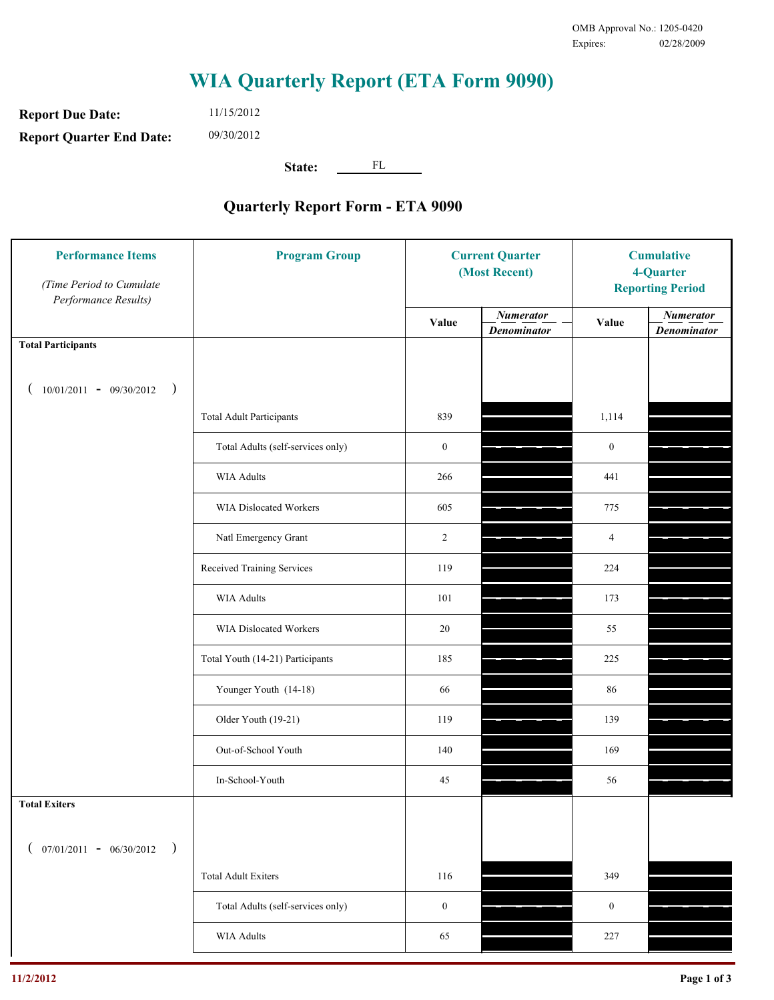**Report Due Date: Report Quarter End Date:** 11/15/2012 09/30/2012

**State:** FL

| <b>Performance Items</b><br>(Time Period to Cumulate<br>Performance Results) | <b>Program Group</b>              | <b>Current Quarter</b><br>(Most Recent) |                                        | <b>Cumulative</b><br>4-Quarter<br><b>Reporting Period</b> |                                        |
|------------------------------------------------------------------------------|-----------------------------------|-----------------------------------------|----------------------------------------|-----------------------------------------------------------|----------------------------------------|
|                                                                              |                                   | Value                                   | <b>Numerator</b><br><b>Denominator</b> | Value                                                     | <b>Numerator</b><br><b>Denominator</b> |
| <b>Total Participants</b>                                                    |                                   |                                         |                                        |                                                           |                                        |
| $10/01/2011 - 09/30/2012$ )                                                  |                                   |                                         |                                        |                                                           |                                        |
|                                                                              | <b>Total Adult Participants</b>   | 839                                     |                                        | 1,114                                                     |                                        |
|                                                                              | Total Adults (self-services only) | $\boldsymbol{0}$                        |                                        | $\boldsymbol{0}$                                          |                                        |
|                                                                              | <b>WIA Adults</b>                 | 266                                     |                                        | 441                                                       |                                        |
|                                                                              | WIA Dislocated Workers            | 605                                     |                                        | 775                                                       |                                        |
|                                                                              | Natl Emergency Grant              | $\overline{c}$                          |                                        | 4                                                         |                                        |
|                                                                              | Received Training Services        | 119                                     |                                        | 224                                                       |                                        |
|                                                                              | <b>WIA Adults</b>                 | 101                                     |                                        | 173                                                       |                                        |
|                                                                              | WIA Dislocated Workers            | 20                                      |                                        | 55                                                        |                                        |
|                                                                              | Total Youth (14-21) Participants  | 185                                     |                                        | 225                                                       |                                        |
|                                                                              | Younger Youth (14-18)             | 66                                      |                                        | 86                                                        |                                        |
|                                                                              | Older Youth (19-21)               | 119                                     |                                        | 139                                                       |                                        |
|                                                                              | Out-of-School Youth               | 140                                     |                                        | 169                                                       |                                        |
|                                                                              | In-School-Youth                   | $45\,$                                  |                                        | 56                                                        |                                        |
| <b>Total Exiters</b>                                                         |                                   |                                         |                                        |                                                           |                                        |
| $07/01/2011 - 06/30/2012$<br>$\rightarrow$                                   |                                   |                                         |                                        |                                                           |                                        |
|                                                                              | <b>Total Adult Exiters</b>        | 116                                     |                                        | 349                                                       |                                        |
|                                                                              | Total Adults (self-services only) | $\boldsymbol{0}$                        |                                        | $\boldsymbol{0}$                                          |                                        |
|                                                                              | <b>WIA Adults</b>                 | 65                                      |                                        | 227                                                       |                                        |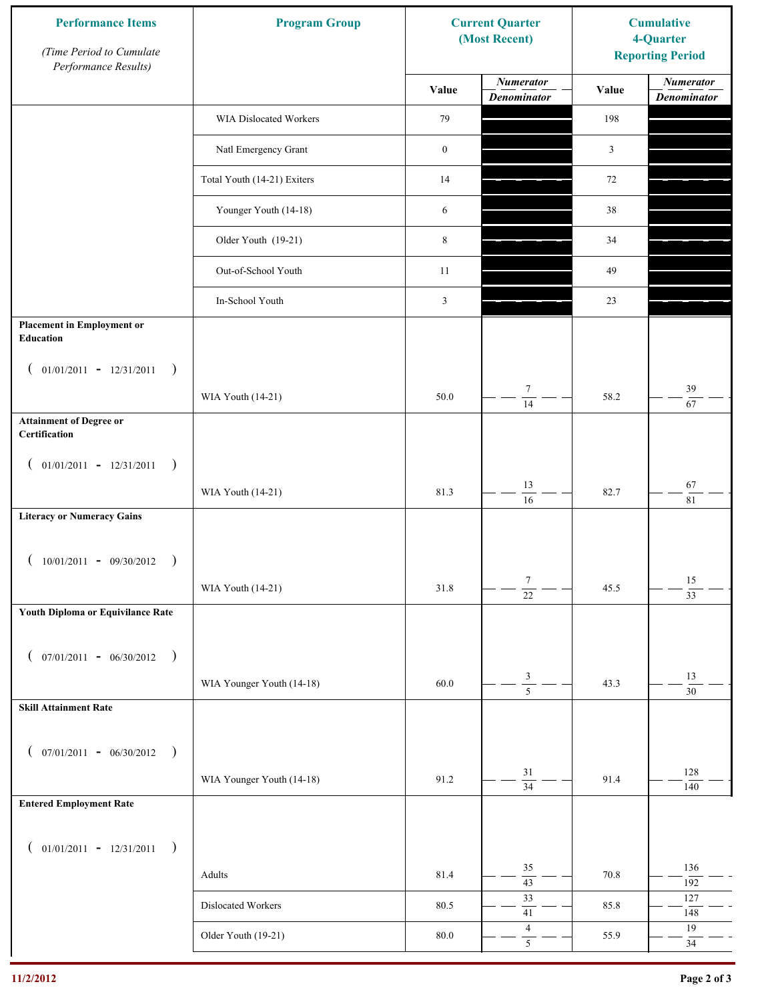| <b>Numerator</b><br><b>Numerator</b><br>Value<br>Value<br><b>Denominator</b><br><b>Denominator</b><br>79<br>198<br>WIA Dislocated Workers<br>Natl Emergency Grant<br>$\boldsymbol{0}$<br>$\mathfrak{Z}$<br>Total Youth (14-21) Exiters<br>14<br>72<br>Younger Youth (14-18)<br>6<br>38<br>Older Youth (19-21)<br>8<br>34<br>Out-of-School Youth<br>11<br>49<br>In-School Youth<br>3<br>23<br><b>Placement in Employment or</b><br>Education<br>$01/01/2011 - 12/31/2011$<br>$\rightarrow$<br>$\overline{ }$<br>$\tau$<br>39<br>50.0<br>58.2<br>WIA Youth (14-21)<br>$\overline{14}$<br>67<br><b>Attainment of Degree or</b><br>Certification<br>$($ 01/01/2011 - 12/31/2011<br>$\rightarrow$<br>13<br>67<br>81.3<br>82.7<br>WIA Youth (14-21)<br>$\overline{16}$<br>$\overline{81}$<br><b>Literacy or Numeracy Gains</b><br>$10/01/2011 - 09/30/2012$<br>$\overline{\phantom{a}}$<br>$\tau$<br>15<br>WIA Youth (14-21)<br>31.8<br>45.5<br>$\overline{22}$<br>$\overline{33}$<br>Youth Diploma or Equivilance Rate<br>$07/01/2011 - 06/30/2012$<br>$\rightarrow$<br>€<br>$\frac{3}{5}$<br>13<br>WIA Younger Youth (14-18)<br>60.0<br>43.3<br>$\overline{30}$<br><b>Skill Attainment Rate</b><br>$07/01/2011 - 06/30/2012$ )<br>$\left($<br>31<br>128<br>WIA Younger Youth (14-18)<br>91.2<br>91.4<br>$\overline{34}$<br>140<br><b>Entered Employment Rate</b><br>$($ 01/01/2011 - 12/31/2011<br>$\big)$<br>35<br>136<br>81.4<br>Adults<br>70.8<br>$\overline{43}$<br>192<br>33<br>127<br>Dislocated Workers<br>80.5<br>85.8<br>$41\,$<br>148<br>$\overline{4}$<br>19<br>Older Youth (19-21)<br>$80.0\,$<br>55.9 | <b>Performance Items</b><br>(Time Period to Cumulate<br>Performance Results) | <b>Program Group</b> | <b>Current Quarter</b><br>(Most Recent) | <b>Cumulative</b><br>4-Quarter<br><b>Reporting Period</b> |        |
|----------------------------------------------------------------------------------------------------------------------------------------------------------------------------------------------------------------------------------------------------------------------------------------------------------------------------------------------------------------------------------------------------------------------------------------------------------------------------------------------------------------------------------------------------------------------------------------------------------------------------------------------------------------------------------------------------------------------------------------------------------------------------------------------------------------------------------------------------------------------------------------------------------------------------------------------------------------------------------------------------------------------------------------------------------------------------------------------------------------------------------------------------------------------------------------------------------------------------------------------------------------------------------------------------------------------------------------------------------------------------------------------------------------------------------------------------------------------------------------------------------------------------------------------------------------------------------------------------------------|------------------------------------------------------------------------------|----------------------|-----------------------------------------|-----------------------------------------------------------|--------|
|                                                                                                                                                                                                                                                                                                                                                                                                                                                                                                                                                                                                                                                                                                                                                                                                                                                                                                                                                                                                                                                                                                                                                                                                                                                                                                                                                                                                                                                                                                                                                                                                                |                                                                              |                      |                                         |                                                           |        |
|                                                                                                                                                                                                                                                                                                                                                                                                                                                                                                                                                                                                                                                                                                                                                                                                                                                                                                                                                                                                                                                                                                                                                                                                                                                                                                                                                                                                                                                                                                                                                                                                                |                                                                              |                      |                                         |                                                           |        |
|                                                                                                                                                                                                                                                                                                                                                                                                                                                                                                                                                                                                                                                                                                                                                                                                                                                                                                                                                                                                                                                                                                                                                                                                                                                                                                                                                                                                                                                                                                                                                                                                                |                                                                              |                      |                                         |                                                           |        |
|                                                                                                                                                                                                                                                                                                                                                                                                                                                                                                                                                                                                                                                                                                                                                                                                                                                                                                                                                                                                                                                                                                                                                                                                                                                                                                                                                                                                                                                                                                                                                                                                                |                                                                              |                      |                                         |                                                           |        |
|                                                                                                                                                                                                                                                                                                                                                                                                                                                                                                                                                                                                                                                                                                                                                                                                                                                                                                                                                                                                                                                                                                                                                                                                                                                                                                                                                                                                                                                                                                                                                                                                                |                                                                              |                      |                                         |                                                           |        |
|                                                                                                                                                                                                                                                                                                                                                                                                                                                                                                                                                                                                                                                                                                                                                                                                                                                                                                                                                                                                                                                                                                                                                                                                                                                                                                                                                                                                                                                                                                                                                                                                                |                                                                              |                      |                                         |                                                           |        |
|                                                                                                                                                                                                                                                                                                                                                                                                                                                                                                                                                                                                                                                                                                                                                                                                                                                                                                                                                                                                                                                                                                                                                                                                                                                                                                                                                                                                                                                                                                                                                                                                                |                                                                              |                      |                                         |                                                           |        |
|                                                                                                                                                                                                                                                                                                                                                                                                                                                                                                                                                                                                                                                                                                                                                                                                                                                                                                                                                                                                                                                                                                                                                                                                                                                                                                                                                                                                                                                                                                                                                                                                                |                                                                              |                      |                                         |                                                           |        |
|                                                                                                                                                                                                                                                                                                                                                                                                                                                                                                                                                                                                                                                                                                                                                                                                                                                                                                                                                                                                                                                                                                                                                                                                                                                                                                                                                                                                                                                                                                                                                                                                                |                                                                              |                      |                                         |                                                           |        |
|                                                                                                                                                                                                                                                                                                                                                                                                                                                                                                                                                                                                                                                                                                                                                                                                                                                                                                                                                                                                                                                                                                                                                                                                                                                                                                                                                                                                                                                                                                                                                                                                                |                                                                              |                      |                                         |                                                           |        |
|                                                                                                                                                                                                                                                                                                                                                                                                                                                                                                                                                                                                                                                                                                                                                                                                                                                                                                                                                                                                                                                                                                                                                                                                                                                                                                                                                                                                                                                                                                                                                                                                                |                                                                              |                      |                                         |                                                           |        |
|                                                                                                                                                                                                                                                                                                                                                                                                                                                                                                                                                                                                                                                                                                                                                                                                                                                                                                                                                                                                                                                                                                                                                                                                                                                                                                                                                                                                                                                                                                                                                                                                                |                                                                              |                      |                                         |                                                           |        |
|                                                                                                                                                                                                                                                                                                                                                                                                                                                                                                                                                                                                                                                                                                                                                                                                                                                                                                                                                                                                                                                                                                                                                                                                                                                                                                                                                                                                                                                                                                                                                                                                                |                                                                              |                      |                                         |                                                           |        |
|                                                                                                                                                                                                                                                                                                                                                                                                                                                                                                                                                                                                                                                                                                                                                                                                                                                                                                                                                                                                                                                                                                                                                                                                                                                                                                                                                                                                                                                                                                                                                                                                                |                                                                              |                      |                                         |                                                           |        |
|                                                                                                                                                                                                                                                                                                                                                                                                                                                                                                                                                                                                                                                                                                                                                                                                                                                                                                                                                                                                                                                                                                                                                                                                                                                                                                                                                                                                                                                                                                                                                                                                                |                                                                              |                      |                                         |                                                           |        |
|                                                                                                                                                                                                                                                                                                                                                                                                                                                                                                                                                                                                                                                                                                                                                                                                                                                                                                                                                                                                                                                                                                                                                                                                                                                                                                                                                                                                                                                                                                                                                                                                                |                                                                              |                      |                                         |                                                           |        |
|                                                                                                                                                                                                                                                                                                                                                                                                                                                                                                                                                                                                                                                                                                                                                                                                                                                                                                                                                                                                                                                                                                                                                                                                                                                                                                                                                                                                                                                                                                                                                                                                                |                                                                              |                      |                                         |                                                           |        |
|                                                                                                                                                                                                                                                                                                                                                                                                                                                                                                                                                                                                                                                                                                                                                                                                                                                                                                                                                                                                                                                                                                                                                                                                                                                                                                                                                                                                                                                                                                                                                                                                                |                                                                              |                      |                                         |                                                           |        |
|                                                                                                                                                                                                                                                                                                                                                                                                                                                                                                                                                                                                                                                                                                                                                                                                                                                                                                                                                                                                                                                                                                                                                                                                                                                                                                                                                                                                                                                                                                                                                                                                                |                                                                              |                      |                                         |                                                           |        |
|                                                                                                                                                                                                                                                                                                                                                                                                                                                                                                                                                                                                                                                                                                                                                                                                                                                                                                                                                                                                                                                                                                                                                                                                                                                                                                                                                                                                                                                                                                                                                                                                                |                                                                              |                      |                                         |                                                           |        |
|                                                                                                                                                                                                                                                                                                                                                                                                                                                                                                                                                                                                                                                                                                                                                                                                                                                                                                                                                                                                                                                                                                                                                                                                                                                                                                                                                                                                                                                                                                                                                                                                                |                                                                              |                      |                                         |                                                           |        |
|                                                                                                                                                                                                                                                                                                                                                                                                                                                                                                                                                                                                                                                                                                                                                                                                                                                                                                                                                                                                                                                                                                                                                                                                                                                                                                                                                                                                                                                                                                                                                                                                                |                                                                              |                      |                                         |                                                           |        |
|                                                                                                                                                                                                                                                                                                                                                                                                                                                                                                                                                                                                                                                                                                                                                                                                                                                                                                                                                                                                                                                                                                                                                                                                                                                                                                                                                                                                                                                                                                                                                                                                                |                                                                              |                      |                                         |                                                           |        |
|                                                                                                                                                                                                                                                                                                                                                                                                                                                                                                                                                                                                                                                                                                                                                                                                                                                                                                                                                                                                                                                                                                                                                                                                                                                                                                                                                                                                                                                                                                                                                                                                                |                                                                              |                      |                                         |                                                           |        |
|                                                                                                                                                                                                                                                                                                                                                                                                                                                                                                                                                                                                                                                                                                                                                                                                                                                                                                                                                                                                                                                                                                                                                                                                                                                                                                                                                                                                                                                                                                                                                                                                                |                                                                              |                      |                                         |                                                           |        |
|                                                                                                                                                                                                                                                                                                                                                                                                                                                                                                                                                                                                                                                                                                                                                                                                                                                                                                                                                                                                                                                                                                                                                                                                                                                                                                                                                                                                                                                                                                                                                                                                                |                                                                              |                      |                                         |                                                           |        |
|                                                                                                                                                                                                                                                                                                                                                                                                                                                                                                                                                                                                                                                                                                                                                                                                                                                                                                                                                                                                                                                                                                                                                                                                                                                                                                                                                                                                                                                                                                                                                                                                                |                                                                              |                      |                                         |                                                           |        |
|                                                                                                                                                                                                                                                                                                                                                                                                                                                                                                                                                                                                                                                                                                                                                                                                                                                                                                                                                                                                                                                                                                                                                                                                                                                                                                                                                                                                                                                                                                                                                                                                                |                                                                              |                      |                                         |                                                           |        |
|                                                                                                                                                                                                                                                                                                                                                                                                                                                                                                                                                                                                                                                                                                                                                                                                                                                                                                                                                                                                                                                                                                                                                                                                                                                                                                                                                                                                                                                                                                                                                                                                                |                                                                              |                      | $\sqrt{5}$                              |                                                           | $34\,$ |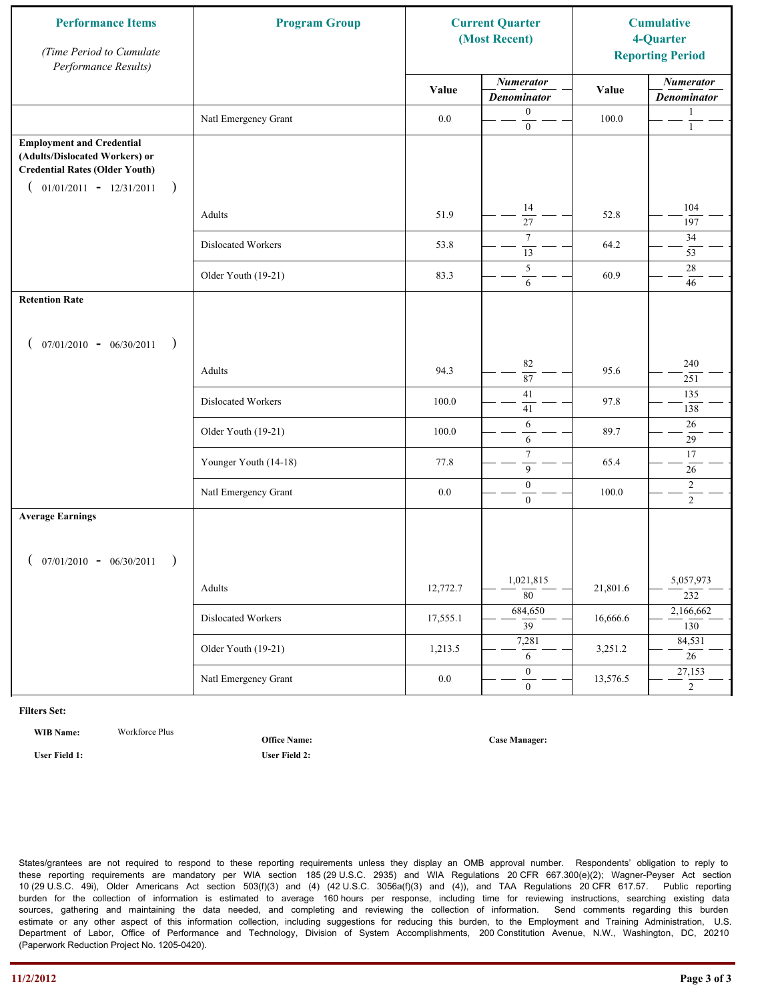| <b>Performance Items</b><br>(Time Period to Cumulate<br>Performance Results)                                                                              | <b>Program Group</b>  |          | <b>Current Quarter</b><br>(Most Recent) |          | <b>Cumulative</b><br>4-Quarter<br><b>Reporting Period</b> |
|-----------------------------------------------------------------------------------------------------------------------------------------------------------|-----------------------|----------|-----------------------------------------|----------|-----------------------------------------------------------|
|                                                                                                                                                           |                       | Value    | <b>Numerator</b><br><b>Denominator</b>  | Value    | <b>Numerator</b><br><b>Denominator</b>                    |
|                                                                                                                                                           | Natl Emergency Grant  | $0.0\,$  | $\mathbf{0}$<br>$\mathbf{0}$            | 100.0    | 1<br>$\mathbf{1}$                                         |
| <b>Employment and Credential</b><br>(Adults/Dislocated Workers) or<br><b>Credential Rates (Older Youth)</b><br>$01/01/2011 - 12/31/2011$<br>$\rightarrow$ |                       |          |                                         |          |                                                           |
|                                                                                                                                                           | Adults                | 51.9     | 14<br>$\overline{27}$                   | 52.8     | 104<br>197                                                |
|                                                                                                                                                           | Dislocated Workers    | 53.8     | $\overline{7}$<br>13                    | 64.2     | 34<br>53                                                  |
|                                                                                                                                                           | Older Youth (19-21)   | 83.3     | 5<br>6                                  | 60.9     | 28<br>46                                                  |
| <b>Retention Rate</b>                                                                                                                                     |                       |          |                                         |          |                                                           |
| $07/01/2010 - 06/30/2011$<br>$\rightarrow$                                                                                                                |                       |          |                                         |          |                                                           |
|                                                                                                                                                           | Adults                | 94.3     | 82<br>87                                | 95.6     | 240<br>251                                                |
|                                                                                                                                                           | Dislocated Workers    | 100.0    | $\overline{41}$<br>41                   | 97.8     | 135<br>138                                                |
|                                                                                                                                                           | Older Youth (19-21)   | 100.0    | 6<br>6                                  | 89.7     | 26<br>29                                                  |
|                                                                                                                                                           | Younger Youth (14-18) | 77.8     | $\tau$<br>9                             | 65.4     | 17<br>26                                                  |
|                                                                                                                                                           | Natl Emergency Grant  | 0.0      | $\boldsymbol{0}$<br>$\overline{0}$      | 100.0    | $\overline{c}$<br>$\overline{2}$                          |
| <b>Average Earnings</b>                                                                                                                                   |                       |          |                                         |          |                                                           |
| $07/01/2010 - 06/30/2011$<br>$\rightarrow$                                                                                                                |                       |          |                                         |          |                                                           |
|                                                                                                                                                           | Adults                | 12,772.7 | 1,021,815<br>$\overline{80}$            | 21,801.6 | 5,057,973<br>232                                          |
|                                                                                                                                                           | Dislocated Workers    | 17,555.1 | 684,650<br>$\overline{39}$              | 16,666.6 | 2,166,662<br>130                                          |
|                                                                                                                                                           | Older Youth (19-21)   | 1,213.5  | 7,281<br>6                              | 3,251.2  | 84,531<br>26                                              |
|                                                                                                                                                           | Natl Emergency Grant  | $0.0\,$  | $\overline{0}$<br>$\mathbf{0}$          | 13,576.5 | 27,153<br>$\overline{2}$                                  |

**WIB Name:** Workforce Plus

**Office Name:**

**User Field 1: User Field 2:**

**Case Manager:**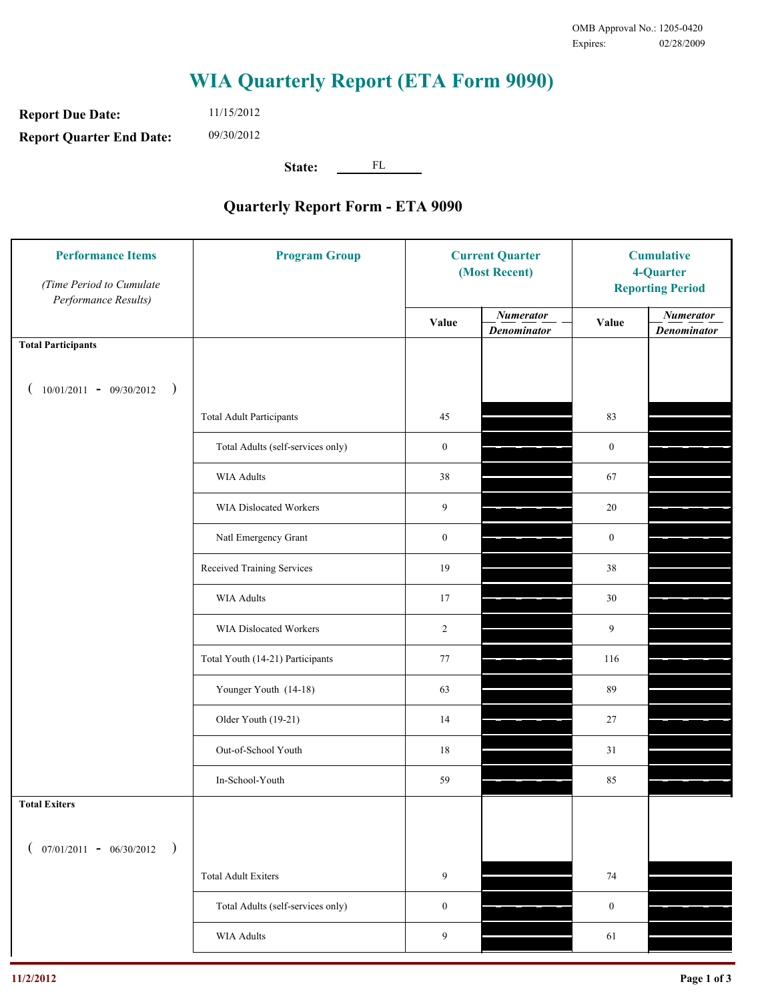**Report Due Date: Report Quarter End Date:** 11/15/2012 09/30/2012

**State:** FL

| <b>Performance Items</b><br>(Time Period to Cumulate<br>Performance Results) | <b>Program Group</b>              | <b>Current Quarter</b><br>(Most Recent) |                                        | <b>Cumulative</b><br>4-Quarter<br><b>Reporting Period</b> |                                        |
|------------------------------------------------------------------------------|-----------------------------------|-----------------------------------------|----------------------------------------|-----------------------------------------------------------|----------------------------------------|
|                                                                              |                                   | Value                                   | <b>Numerator</b><br><b>Denominator</b> | Value                                                     | <b>Numerator</b><br><b>Denominator</b> |
| <b>Total Participants</b>                                                    |                                   |                                         |                                        |                                                           |                                        |
| $10/01/2011 - 09/30/2012$<br>$\big)$                                         |                                   |                                         |                                        |                                                           |                                        |
|                                                                              | <b>Total Adult Participants</b>   | 45                                      |                                        | 83                                                        |                                        |
|                                                                              | Total Adults (self-services only) | $\boldsymbol{0}$                        |                                        | $\mathbf{0}$                                              |                                        |
|                                                                              | <b>WIA Adults</b>                 | 38                                      |                                        | 67                                                        |                                        |
|                                                                              | WIA Dislocated Workers            | 9                                       |                                        | $20\,$                                                    |                                        |
|                                                                              | Natl Emergency Grant              | $\boldsymbol{0}$                        |                                        | $\mathbf{0}$                                              |                                        |
|                                                                              | Received Training Services        | 19                                      |                                        | 38                                                        |                                        |
|                                                                              | <b>WIA Adults</b>                 | 17                                      |                                        | 30                                                        |                                        |
|                                                                              | WIA Dislocated Workers            | $\overline{c}$                          |                                        | 9                                                         |                                        |
|                                                                              | Total Youth (14-21) Participants  | 77                                      |                                        | 116                                                       |                                        |
|                                                                              | Younger Youth (14-18)             | 63                                      |                                        | 89                                                        |                                        |
|                                                                              | Older Youth (19-21)               | 14                                      |                                        | $27\,$                                                    |                                        |
|                                                                              | Out-of-School Youth               | 18                                      |                                        | 31                                                        |                                        |
|                                                                              | In-School-Youth                   | 59                                      |                                        | 85                                                        |                                        |
| <b>Total Exiters</b>                                                         |                                   |                                         |                                        |                                                           |                                        |
| $07/01/2011 - 06/30/2012$<br>$\rightarrow$                                   |                                   |                                         |                                        |                                                           |                                        |
|                                                                              | <b>Total Adult Exiters</b>        | 9                                       |                                        | 74                                                        |                                        |
|                                                                              | Total Adults (self-services only) | $\boldsymbol{0}$                        |                                        | $\boldsymbol{0}$                                          |                                        |
|                                                                              | <b>WIA Adults</b>                 | 9                                       |                                        | 61                                                        |                                        |
|                                                                              |                                   |                                         |                                        |                                                           |                                        |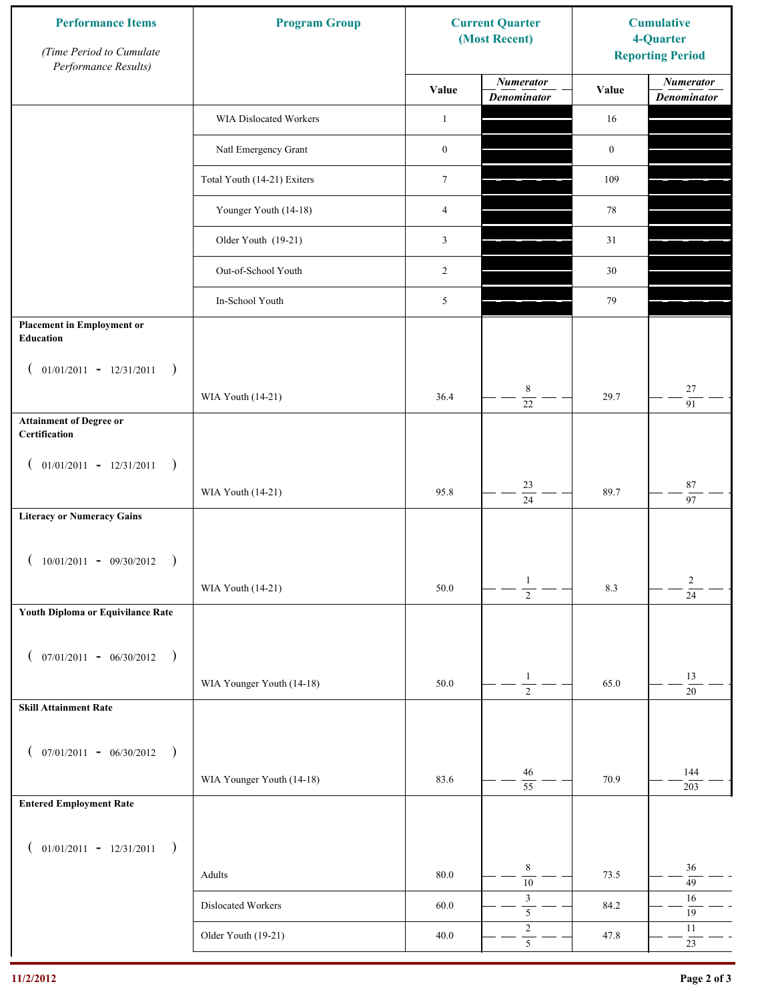| <b>Performance Items</b><br>(Time Period to Cumulate<br>Performance Results) | <b>Program Group</b>        |                  | <b>Current Quarter</b><br>(Most Recent)   | <b>Cumulative</b><br>4-Quarter<br><b>Reporting Period</b> |                                        |
|------------------------------------------------------------------------------|-----------------------------|------------------|-------------------------------------------|-----------------------------------------------------------|----------------------------------------|
|                                                                              |                             | Value            | <b>Numerator</b><br><b>Denominator</b>    | Value                                                     | <b>Numerator</b><br><b>Denominator</b> |
|                                                                              | WIA Dislocated Workers      | $\mathbf{1}$     |                                           | 16                                                        |                                        |
|                                                                              | Natl Emergency Grant        | $\boldsymbol{0}$ |                                           | $\boldsymbol{0}$                                          |                                        |
|                                                                              | Total Youth (14-21) Exiters | $\boldsymbol{7}$ |                                           | 109                                                       |                                        |
|                                                                              | Younger Youth (14-18)       | $\overline{4}$   |                                           | 78                                                        |                                        |
|                                                                              | Older Youth (19-21)         | $\mathfrak{Z}$   |                                           | 31                                                        |                                        |
|                                                                              | Out-of-School Youth         | 2                |                                           | 30                                                        |                                        |
|                                                                              | In-School Youth             | 5                |                                           | 79                                                        |                                        |
| <b>Placement in Employment or</b><br>Education                               |                             |                  |                                           |                                                           |                                        |
| $01/01/2011 - 12/31/2011$<br>$\rightarrow$<br>$\overline{ }$                 |                             |                  |                                           |                                                           |                                        |
|                                                                              | WIA Youth (14-21)           | 36.4             | 8<br>$\overline{22}$                      | 29.7                                                      | 27<br>$\overline{91}$                  |
| <b>Attainment of Degree or</b><br>Certification                              |                             |                  |                                           |                                                           |                                        |
| $($ 01/01/2011 - 12/31/2011<br>$\rightarrow$                                 |                             |                  |                                           |                                                           |                                        |
|                                                                              | WIA Youth (14-21)           | 95.8             | $23\,$<br>$\overline{24}$                 | 89.7                                                      | $\bf 87$<br>$\overline{97}$            |
| <b>Literacy or Numeracy Gains</b>                                            |                             |                  |                                           |                                                           |                                        |
| $10/01/2011 - 09/30/2012$<br>$\overline{\phantom{a}}$                        |                             |                  |                                           |                                                           |                                        |
|                                                                              | WIA Youth (14-21)           | 50.0             | $\mathbf{1}$<br>$\overline{2}$            | 8.3                                                       | $\overline{c}$<br>$\overline{24}$      |
| Youth Diploma or Equivilance Rate                                            |                             |                  |                                           |                                                           |                                        |
|                                                                              |                             |                  |                                           |                                                           |                                        |
| $07/01/2011 - 06/30/2012$<br>$\rightarrow$<br>€                              | WIA Younger Youth (14-18)   | 50.0             | $\mathbf{1}$                              | 65.0                                                      | 13                                     |
| <b>Skill Attainment Rate</b>                                                 |                             |                  | $\overline{2}$                            |                                                           | $20\,$                                 |
|                                                                              |                             |                  |                                           |                                                           |                                        |
| $07/01/2011 - 06/30/2012$ )<br>$\left($                                      |                             |                  | 46                                        |                                                           | 144                                    |
|                                                                              | WIA Younger Youth (14-18)   | 83.6             | $\overline{55}$                           | 70.9                                                      | 203                                    |
| <b>Entered Employment Rate</b>                                               |                             |                  |                                           |                                                           |                                        |
| $($ 01/01/2011 - 12/31/2011<br>$\big)$                                       |                             |                  |                                           |                                                           |                                        |
|                                                                              | Adults                      | $80.0\,$         | $\,8\,$<br>$\overline{10}$                | 73.5                                                      | 36<br>49                               |
|                                                                              | Dislocated Workers          | 60.0             | $\mathfrak{Z}$<br>$\overline{\mathbf{5}}$ | 84.2                                                      | 16<br>$19\,$                           |
|                                                                              | Older Youth (19-21)         | 40.0             | $\sqrt{2}$<br>$\overline{5}$              | 47.8                                                      | $11\,$<br>$23\,$                       |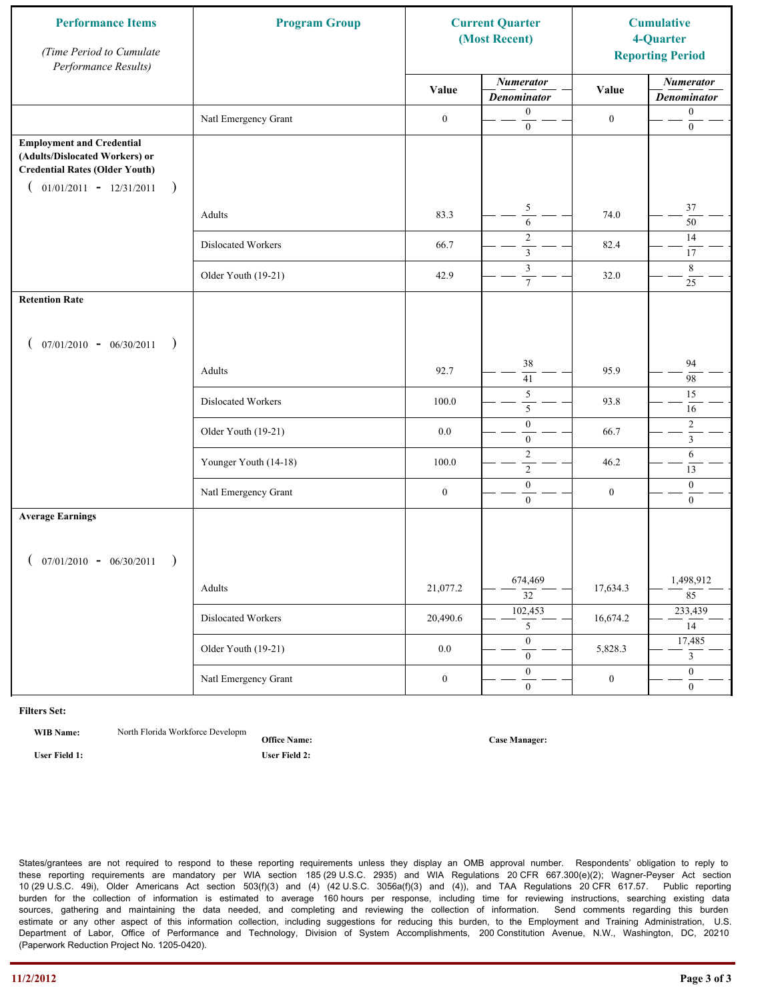| <b>Performance Items</b><br>(Time Period to Cumulate<br>Performance Results)                                                                          | <b>Program Group</b>  | <b>Current Quarter</b><br>(Most Recent) |                                        | <b>Cumulative</b><br>4-Quarter<br><b>Reporting Period</b> |                                        |
|-------------------------------------------------------------------------------------------------------------------------------------------------------|-----------------------|-----------------------------------------|----------------------------------------|-----------------------------------------------------------|----------------------------------------|
|                                                                                                                                                       |                       | Value                                   | <b>Numerator</b><br><b>Denominator</b> | Value                                                     | <b>Numerator</b><br><b>Denominator</b> |
|                                                                                                                                                       | Natl Emergency Grant  | $\boldsymbol{0}$                        | $\boldsymbol{0}$<br>$\overline{0}$     | $\boldsymbol{0}$                                          | $\boldsymbol{0}$<br>$\boldsymbol{0}$   |
| <b>Employment and Credential</b><br>(Adults/Dislocated Workers) or<br><b>Credential Rates (Older Youth)</b><br>$01/01/2011 - 12/31/2011$<br>$\lambda$ |                       |                                         |                                        |                                                           |                                        |
|                                                                                                                                                       | Adults                | 83.3                                    | $\sqrt{5}$<br>$\overline{6}$           | 74.0                                                      | $37\,$<br>50                           |
|                                                                                                                                                       | Dislocated Workers    | 66.7                                    | $\sqrt{2}$<br>$\overline{\mathbf{3}}$  | 82.4                                                      | 14<br>17                               |
|                                                                                                                                                       | Older Youth (19-21)   | 42.9                                    | $\mathfrak{Z}$<br>$\overline{7}$       | 32.0                                                      | 8<br>25                                |
| <b>Retention Rate</b>                                                                                                                                 |                       |                                         |                                        |                                                           |                                        |
| $07/01/2010 - 06/30/2011$<br>$\rightarrow$                                                                                                            |                       |                                         |                                        |                                                           |                                        |
|                                                                                                                                                       | Adults                | 92.7                                    | 38<br>41                               | 95.9                                                      | 94<br>98                               |
|                                                                                                                                                       | Dislocated Workers    | 100.0                                   | $\overline{5}$<br>5                    | 93.8                                                      | $\overline{15}$<br>16                  |
|                                                                                                                                                       | Older Youth (19-21)   | 0.0                                     | $\boldsymbol{0}$<br>$\mathbf{0}$       | 66.7                                                      | $\overline{c}$<br>$\overline{3}$       |
|                                                                                                                                                       | Younger Youth (14-18) | 100.0                                   | $\overline{2}$<br>$\sqrt{2}$           | 46.2                                                      | 6<br>13                                |
|                                                                                                                                                       | Natl Emergency Grant  | $\boldsymbol{0}$                        | $\boldsymbol{0}$<br>$\overline{0}$     | $\boldsymbol{0}$                                          | $\boldsymbol{0}$<br>$\overline{0}$     |
| <b>Average Earnings</b>                                                                                                                               |                       |                                         |                                        |                                                           |                                        |
| $07/01/2010 - 06/30/2011$                                                                                                                             |                       |                                         |                                        |                                                           |                                        |
|                                                                                                                                                       | Adults                | 21,077.2                                | 674,469<br>$\overline{32}$             | 17,634.3                                                  | 1,498,912<br>$8\overline{5}$           |
|                                                                                                                                                       | Dislocated Workers    | 20,490.6                                | 102,453<br>5                           | 16,674.2                                                  | 233,439<br>14                          |
|                                                                                                                                                       | Older Youth (19-21)   | $0.0\,$                                 | $\overline{0}$<br>$\boldsymbol{0}$     | 5,828.3                                                   | 17,485<br>$\mathbf{3}$                 |
|                                                                                                                                                       | Natl Emergency Grant  | $\boldsymbol{0}$                        | $\mathbf{0}$<br>$\boldsymbol{0}$       | $\boldsymbol{0}$                                          | $\overline{0}$<br>$\boldsymbol{0}$     |

**WIB Name:** North Florida Workforce Developm

**Office Name:**

**User Field 1: User Field 2:**

**Case Manager:**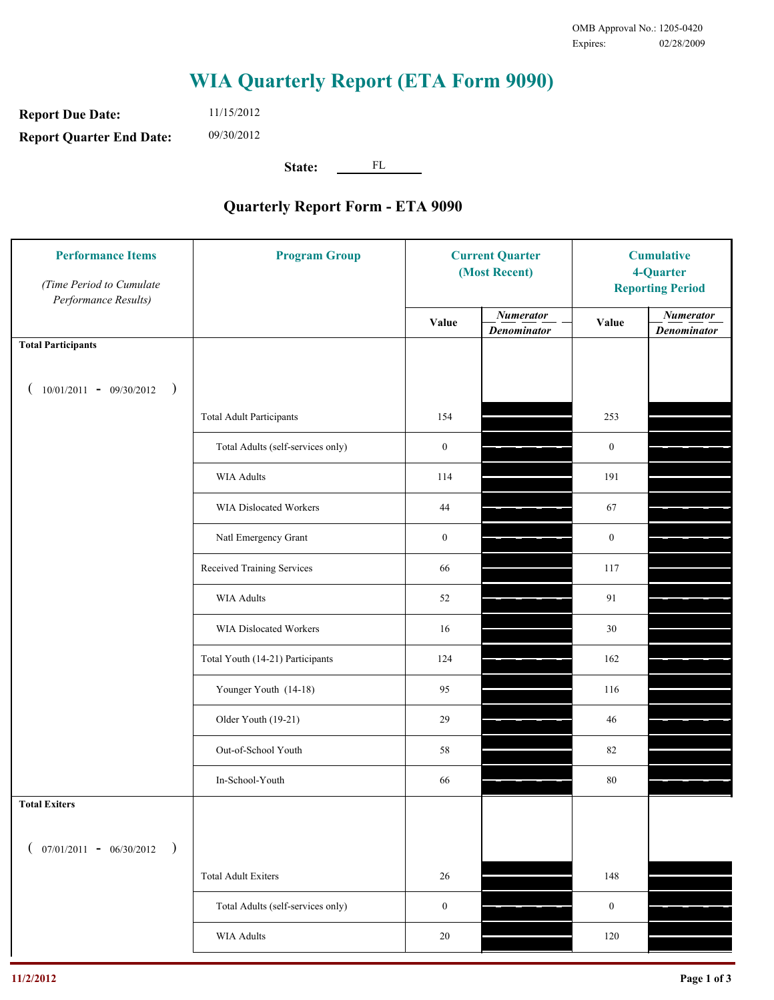**Report Due Date: Report Quarter End Date:** 11/15/2012 09/30/2012

**State:** FL

| <b>Performance Items</b><br>(Time Period to Cumulate<br>Performance Results) | <b>Program Group</b>              | <b>Current Quarter</b><br>(Most Recent) |                                        | <b>Cumulative</b><br>4-Quarter<br><b>Reporting Period</b> |                                        |
|------------------------------------------------------------------------------|-----------------------------------|-----------------------------------------|----------------------------------------|-----------------------------------------------------------|----------------------------------------|
|                                                                              |                                   | Value                                   | <b>Numerator</b><br><b>Denominator</b> | Value                                                     | <b>Numerator</b><br><b>Denominator</b> |
| <b>Total Participants</b>                                                    |                                   |                                         |                                        |                                                           |                                        |
| $10/01/2011 - 09/30/2012$<br>$\big)$                                         |                                   |                                         |                                        |                                                           |                                        |
|                                                                              | <b>Total Adult Participants</b>   | 154                                     |                                        | 253                                                       |                                        |
|                                                                              | Total Adults (self-services only) | $\boldsymbol{0}$                        |                                        | $\mathbf{0}$                                              |                                        |
|                                                                              | <b>WIA Adults</b>                 | 114                                     |                                        | 191                                                       |                                        |
|                                                                              | <b>WIA Dislocated Workers</b>     | 44                                      |                                        | 67                                                        |                                        |
|                                                                              | Natl Emergency Grant              | $\boldsymbol{0}$                        |                                        | $\mathbf{0}$                                              |                                        |
|                                                                              | Received Training Services        | 66                                      |                                        | 117                                                       |                                        |
|                                                                              | <b>WIA Adults</b>                 | 52                                      |                                        | 91                                                        |                                        |
|                                                                              | WIA Dislocated Workers            | 16                                      |                                        | 30                                                        |                                        |
|                                                                              | Total Youth (14-21) Participants  | 124                                     |                                        | 162                                                       |                                        |
|                                                                              | Younger Youth (14-18)             | 95                                      |                                        | 116                                                       |                                        |
|                                                                              | Older Youth (19-21)               | 29                                      |                                        | 46                                                        |                                        |
|                                                                              | Out-of-School Youth               | 58                                      |                                        | 82                                                        |                                        |
|                                                                              | In-School-Youth                   | 66                                      |                                        | 80                                                        |                                        |
| <b>Total Exiters</b>                                                         |                                   |                                         |                                        |                                                           |                                        |
| $07/01/2011 - 06/30/2012$<br>$\rightarrow$                                   |                                   |                                         |                                        |                                                           |                                        |
|                                                                              | <b>Total Adult Exiters</b>        | 26                                      |                                        | 148                                                       |                                        |
|                                                                              | Total Adults (self-services only) | $\boldsymbol{0}$                        |                                        | $\boldsymbol{0}$                                          |                                        |
|                                                                              | <b>WIA Adults</b>                 | 20                                      |                                        | 120                                                       |                                        |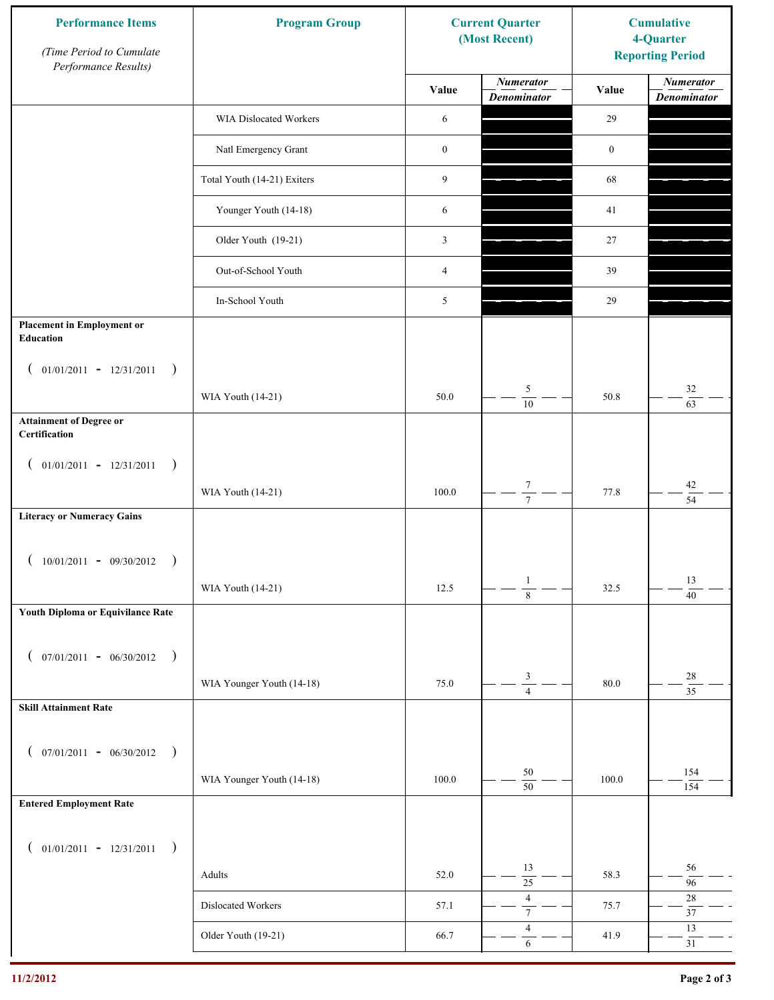| <b>Performance Items</b><br>(Time Period to Cumulate<br>Performance Results) | <b>Program Group</b>        |                  | <b>Current Quarter</b><br>(Most Recent) | <b>Cumulative</b><br>4-Quarter<br><b>Reporting Period</b> |                                        |
|------------------------------------------------------------------------------|-----------------------------|------------------|-----------------------------------------|-----------------------------------------------------------|----------------------------------------|
|                                                                              |                             | Value            | <b>Numerator</b><br><b>Denominator</b>  | Value                                                     | <b>Numerator</b><br><b>Denominator</b> |
|                                                                              | WIA Dislocated Workers      | 6                |                                         | 29                                                        |                                        |
|                                                                              | Natl Emergency Grant        | $\boldsymbol{0}$ |                                         | $\boldsymbol{0}$                                          |                                        |
|                                                                              | Total Youth (14-21) Exiters | 9                |                                         | 68                                                        |                                        |
|                                                                              | Younger Youth (14-18)       | 6                |                                         | 41                                                        |                                        |
|                                                                              | Older Youth (19-21)         | $\mathfrak{Z}$   |                                         | 27                                                        |                                        |
|                                                                              | Out-of-School Youth         | $\overline{4}$   |                                         | 39                                                        |                                        |
|                                                                              | In-School Youth             | 5                |                                         | 29                                                        |                                        |
| <b>Placement in Employment or</b><br>Education                               |                             |                  |                                         |                                                           |                                        |
| $01/01/2011 - 12/31/2011$<br>$\rightarrow$<br>$\overline{ }$                 |                             |                  |                                         |                                                           |                                        |
|                                                                              | WIA Youth (14-21)           | 50.0             | 5<br>$\overline{10}$                    | 50.8                                                      | 32<br>$\overline{63}$                  |
| <b>Attainment of Degree or</b><br>Certification                              |                             |                  |                                         |                                                           |                                        |
| $($ 01/01/2011 - 12/31/2011<br>$\rightarrow$                                 |                             |                  |                                         |                                                           |                                        |
|                                                                              | WIA Youth (14-21)           | 100.0            | $\boldsymbol{7}$<br>$\overline{7}$      | 77.8                                                      | $42\,$<br>$\overline{54}$              |
| <b>Literacy or Numeracy Gains</b>                                            |                             |                  |                                         |                                                           |                                        |
| $10/01/2011 - 09/30/2012$<br>$\overline{\phantom{a}}$                        |                             |                  |                                         |                                                           |                                        |
|                                                                              | WIA Youth (14-21)           | 12.5             | $\mathbf{1}$<br>$\overline{8}$          | 32.5                                                      | 13<br>$\overline{40}$                  |
| Youth Diploma or Equivilance Rate                                            |                             |                  |                                         |                                                           |                                        |
|                                                                              |                             |                  |                                         |                                                           |                                        |
| $07/01/2011 - 06/30/2012$<br>$\rightarrow$<br>€                              | WIA Younger Youth (14-18)   | 75.0             | $\ensuremath{\mathfrak{Z}}$             | 80.0                                                      | $28\,$                                 |
| <b>Skill Attainment Rate</b>                                                 |                             |                  | $\overline{4}$                          |                                                           | $\overline{35}$                        |
|                                                                              |                             |                  |                                         |                                                           |                                        |
| $07/01/2011 - 06/30/2012$ )<br>$\left($                                      |                             |                  |                                         |                                                           |                                        |
|                                                                              | WIA Younger Youth (14-18)   | 100.0            | $50\,$<br>$\overline{50}$               | 100.0                                                     | 154<br>154                             |
| <b>Entered Employment Rate</b>                                               |                             |                  |                                         |                                                           |                                        |
| $($ 01/01/2011 - 12/31/2011<br>$\big)$                                       |                             |                  |                                         |                                                           |                                        |
|                                                                              | Adults                      | 52.0             | 13<br>$\overline{25}$                   | 58.3                                                      | 56<br>96                               |
|                                                                              | Dislocated Workers          | 57.1             | $\sqrt{4}$<br>$\overline{7}$            | 75.7                                                      | $28\,$<br>$37\,$                       |
|                                                                              | Older Youth (19-21)         | 66.7             | $\overline{4}$<br>$\sqrt{6}$            | 41.9                                                      | 13<br>31                               |
|                                                                              |                             |                  |                                         |                                                           |                                        |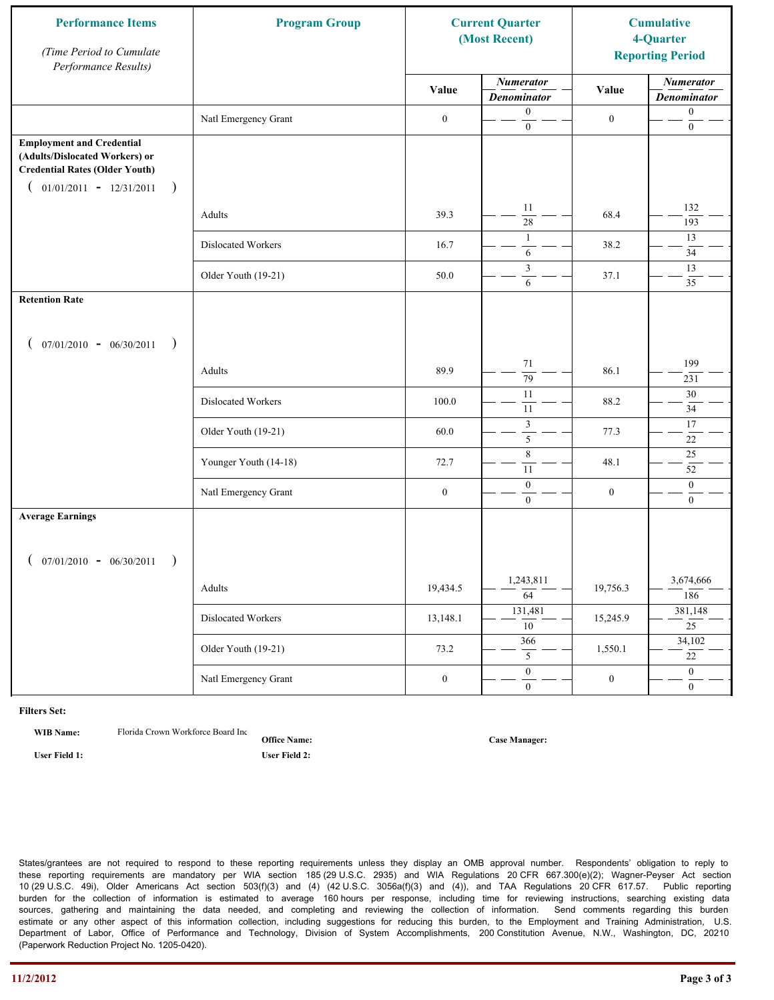| <b>Performance Items</b><br>(Time Period to Cumulate<br>Performance Results)                                                                              | <b>Program Group</b>  | <b>Current Quarter</b><br>(Most Recent) |                                        | <b>Cumulative</b><br>4-Quarter<br><b>Reporting Period</b> |                                        |
|-----------------------------------------------------------------------------------------------------------------------------------------------------------|-----------------------|-----------------------------------------|----------------------------------------|-----------------------------------------------------------|----------------------------------------|
|                                                                                                                                                           |                       | Value                                   | <b>Numerator</b><br><b>Denominator</b> | Value                                                     | <b>Numerator</b><br><b>Denominator</b> |
|                                                                                                                                                           | Natl Emergency Grant  | $\boldsymbol{0}$                        | $\boldsymbol{0}$<br>$\mathbf{0}$       | $\boldsymbol{0}$                                          | $\boldsymbol{0}$<br>$\boldsymbol{0}$   |
| <b>Employment and Credential</b><br>(Adults/Dislocated Workers) or<br><b>Credential Rates (Older Youth)</b><br>$01/01/2011 - 12/31/2011$<br>$\rightarrow$ |                       |                                         |                                        |                                                           |                                        |
|                                                                                                                                                           | Adults                | 39.3                                    | 11<br>$\overline{28}$                  | 68.4                                                      | 132<br>193                             |
|                                                                                                                                                           | Dislocated Workers    | 16.7                                    | $\mathbf{1}$<br>6                      | 38.2                                                      | 13<br>34                               |
|                                                                                                                                                           | Older Youth (19-21)   | 50.0                                    | 3<br>6                                 | 37.1                                                      | 13<br>35                               |
| <b>Retention Rate</b>                                                                                                                                     |                       |                                         |                                        |                                                           |                                        |
| $07/01/2010 - 06/30/2011$<br>$\rightarrow$                                                                                                                |                       |                                         |                                        |                                                           |                                        |
|                                                                                                                                                           | Adults                | 89.9                                    | 71<br>$\overline{79}$                  | 86.1                                                      | 199<br>231                             |
|                                                                                                                                                           | Dislocated Workers    | 100.0                                   | $\overline{11}$<br>11                  | 88.2                                                      | 30<br>34                               |
|                                                                                                                                                           | Older Youth (19-21)   | 60.0                                    | $\mathfrak{Z}$<br>5                    | 77.3                                                      | 17<br>$22\,$                           |
|                                                                                                                                                           | Younger Youth (14-18) | 72.7                                    | $\,$ 8 $\,$<br>11                      | 48.1                                                      | $25$<br>52                             |
|                                                                                                                                                           | Natl Emergency Grant  | $\boldsymbol{0}$                        | $\mathbf{0}$<br>$\overline{0}$         | $\boldsymbol{0}$                                          | $\mathbf{0}$<br>$\mathbf{0}$           |
| <b>Average Earnings</b>                                                                                                                                   |                       |                                         |                                        |                                                           |                                        |
| $07/01/2010 - 06/30/2011$<br>$\rightarrow$                                                                                                                |                       |                                         |                                        |                                                           |                                        |
|                                                                                                                                                           | Adults                | 19,434.5                                | 1,243,811<br>$\overline{64}$           | 19,756.3                                                  | 3,674,666<br>186                       |
|                                                                                                                                                           | Dislocated Workers    | 13,148.1                                | 131,481<br>$\overline{10}$             | 15,245.9                                                  | 381,148<br>25                          |
|                                                                                                                                                           | Older Youth (19-21)   | 73.2                                    | 366<br>5                               | 1,550.1                                                   | 34,102<br>$\overline{22}$              |
|                                                                                                                                                           | Natl Emergency Grant  | $\boldsymbol{0}$                        | $\overline{0}$<br>$\boldsymbol{0}$     | $\boldsymbol{0}$                                          | $\overline{0}$<br>$\overline{0}$       |

**WIB Name:** Florida Crown Workforce Board Inc.

**Office Name: User Field 1: User Field 2:**

**Case Manager:**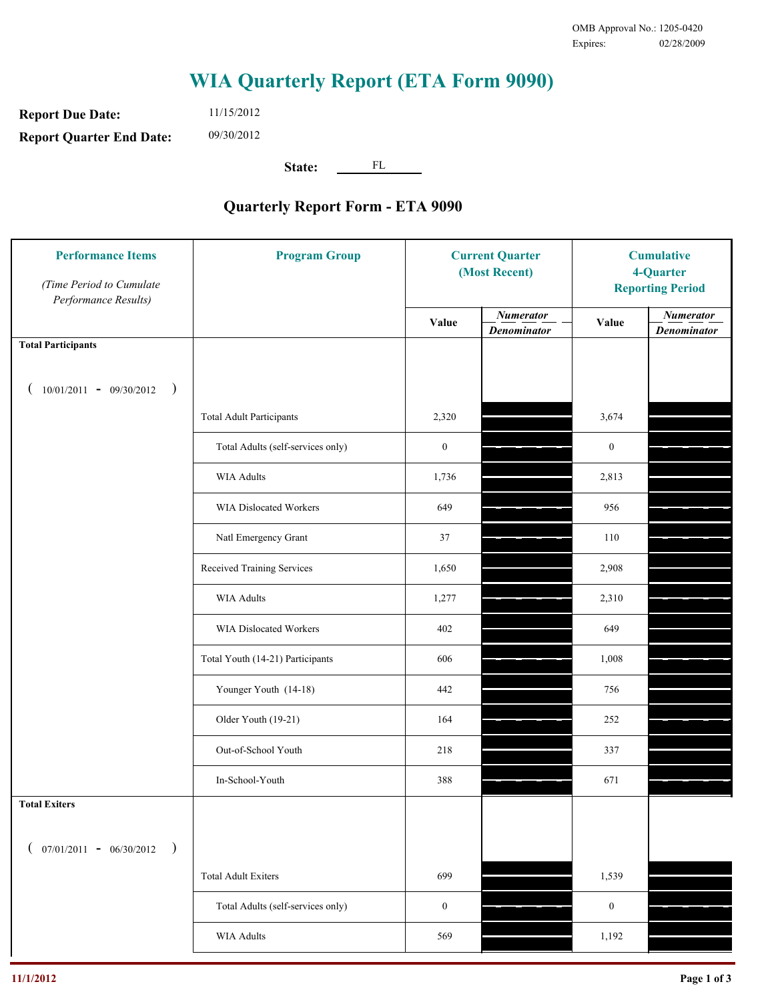**Report Due Date: Report Quarter End Date:** 11/15/2012 09/30/2012

**State:** FL

| <b>Performance Items</b><br>(Time Period to Cumulate<br>Performance Results) | <b>Program Group</b>              | <b>Current Quarter</b><br>(Most Recent) |                                        | <b>Cumulative</b><br>4-Quarter<br><b>Reporting Period</b> |                                        |
|------------------------------------------------------------------------------|-----------------------------------|-----------------------------------------|----------------------------------------|-----------------------------------------------------------|----------------------------------------|
|                                                                              |                                   | Value                                   | <b>Numerator</b><br><b>Denominator</b> | Value                                                     | <b>Numerator</b><br><b>Denominator</b> |
| <b>Total Participants</b>                                                    |                                   |                                         |                                        |                                                           |                                        |
| $10/01/2011 - 09/30/2012$<br>$\big)$                                         |                                   |                                         |                                        |                                                           |                                        |
|                                                                              | <b>Total Adult Participants</b>   | 2,320                                   |                                        | 3,674                                                     |                                        |
|                                                                              | Total Adults (self-services only) | $\boldsymbol{0}$                        |                                        | $\boldsymbol{0}$                                          |                                        |
|                                                                              | <b>WIA Adults</b>                 | 1,736                                   |                                        | 2,813                                                     |                                        |
|                                                                              | WIA Dislocated Workers            | 649                                     |                                        | 956                                                       |                                        |
|                                                                              | Natl Emergency Grant              | 37                                      |                                        | 110                                                       |                                        |
|                                                                              | Received Training Services        | 1,650                                   |                                        | 2,908                                                     |                                        |
|                                                                              | <b>WIA Adults</b>                 | 1,277                                   |                                        | 2,310                                                     |                                        |
|                                                                              | WIA Dislocated Workers            | 402                                     |                                        | 649                                                       |                                        |
|                                                                              | Total Youth (14-21) Participants  | 606                                     |                                        | 1,008                                                     |                                        |
|                                                                              | Younger Youth (14-18)             | 442                                     |                                        | 756                                                       |                                        |
|                                                                              | Older Youth (19-21)               | 164                                     |                                        | 252                                                       |                                        |
|                                                                              | Out-of-School Youth               | 218                                     |                                        | 337                                                       |                                        |
|                                                                              | In-School-Youth                   | 388                                     |                                        | 671                                                       |                                        |
| <b>Total Exiters</b>                                                         |                                   |                                         |                                        |                                                           |                                        |
| $07/01/2011 - 06/30/2012$<br>$\rightarrow$                                   |                                   |                                         |                                        |                                                           |                                        |
|                                                                              | <b>Total Adult Exiters</b>        | 699                                     |                                        | 1,539                                                     |                                        |
|                                                                              | Total Adults (self-services only) | $\boldsymbol{0}$                        |                                        | $\boldsymbol{0}$                                          |                                        |
|                                                                              | WIA Adults                        | 569                                     |                                        | 1,192                                                     |                                        |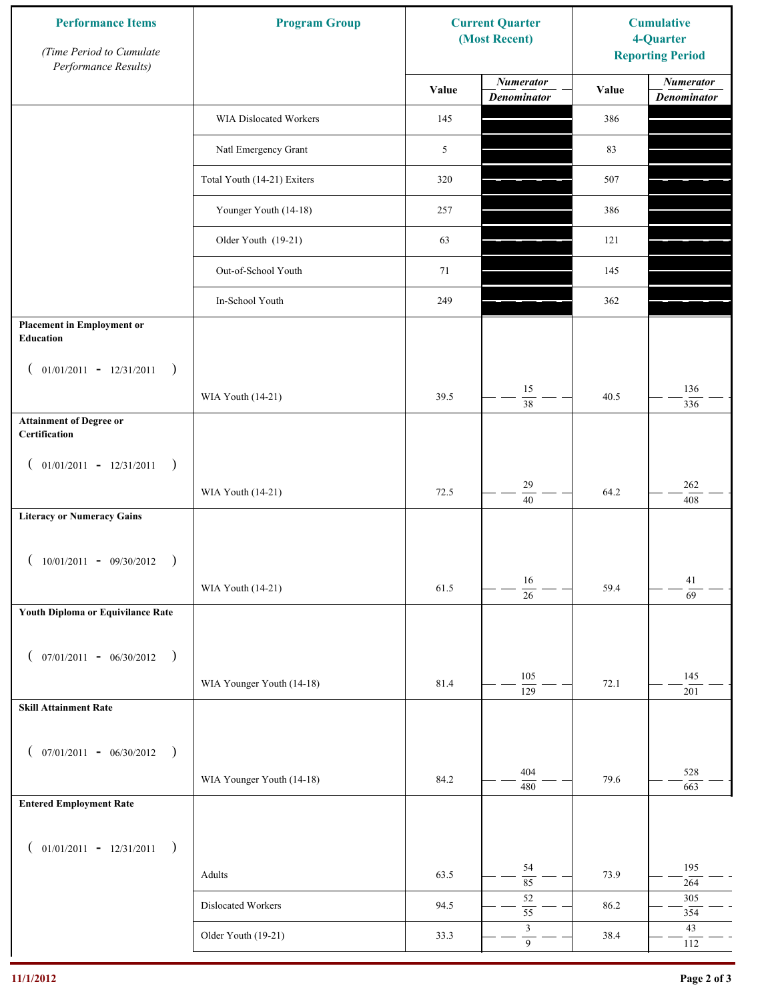| <b>Performance Items</b><br>(Time Period to Cumulate<br>Performance Results) | <b>Program Group</b>        |       | <b>Current Quarter</b><br>(Most Recent)       | <b>Cumulative</b><br>4-Quarter<br><b>Reporting Period</b> |                                        |
|------------------------------------------------------------------------------|-----------------------------|-------|-----------------------------------------------|-----------------------------------------------------------|----------------------------------------|
|                                                                              |                             | Value | <b>Numerator</b><br><b>Denominator</b>        | Value                                                     | <b>Numerator</b><br><b>Denominator</b> |
|                                                                              | WIA Dislocated Workers      | 145   |                                               | 386                                                       |                                        |
|                                                                              | Natl Emergency Grant        | 5     |                                               | 83                                                        |                                        |
|                                                                              | Total Youth (14-21) Exiters | 320   |                                               | 507                                                       |                                        |
|                                                                              | Younger Youth (14-18)       | 257   |                                               | 386                                                       |                                        |
|                                                                              | Older Youth (19-21)         | 63    |                                               | 121                                                       |                                        |
|                                                                              | Out-of-School Youth         | 71    |                                               | 145                                                       |                                        |
|                                                                              | In-School Youth             | 249   |                                               | 362                                                       |                                        |
| <b>Placement in Employment or</b><br>Education                               |                             |       |                                               |                                                           |                                        |
| $01/01/2011 - 12/31/2011$<br>$\rightarrow$<br>$\overline{ }$                 | WIA Youth (14-21)           | 39.5  | 15<br>$\overline{38}$                         | 40.5                                                      | 136                                    |
| <b>Attainment of Degree or</b><br>Certification                              |                             |       |                                               |                                                           | 336                                    |
| $($ 01/01/2011 - 12/31/2011<br>$\rightarrow$                                 |                             |       |                                               |                                                           |                                        |
|                                                                              | WIA Youth (14-21)           | 72.5  | 29<br>$\overline{40}$                         | 64.2                                                      | $262\,$<br>408                         |
| <b>Literacy or Numeracy Gains</b>                                            |                             |       |                                               |                                                           |                                        |
| $10/01/2011 - 09/30/2012$<br>$\rightarrow$                                   |                             |       |                                               |                                                           |                                        |
|                                                                              | WIA Youth (14-21)           | 61.5  | 16<br>$\overline{26}$                         | 59.4                                                      | 41<br>$\overline{69}$                  |
| Youth Diploma or Equivilance Rate                                            |                             |       |                                               |                                                           |                                        |
| $07/01/2011 - 06/30/2012$ )<br>€                                             |                             |       |                                               |                                                           |                                        |
|                                                                              | WIA Younger Youth (14-18)   | 81.4  | 105<br>$\overline{129}$                       | 72.1                                                      | 145<br>201                             |
| <b>Skill Attainment Rate</b>                                                 |                             |       |                                               |                                                           |                                        |
| $07/01/2011 - 06/30/2012$ )<br>$\left($                                      |                             |       |                                               |                                                           |                                        |
|                                                                              | WIA Younger Youth (14-18)   | 84.2  | 404<br>480                                    | 79.6                                                      | 528<br>663                             |
| <b>Entered Employment Rate</b>                                               |                             |       |                                               |                                                           |                                        |
| $($ 01/01/2011 - 12/31/2011<br>$\rightarrow$                                 |                             |       |                                               |                                                           |                                        |
|                                                                              | Adults                      | 63.5  | 54<br>85                                      | 73.9                                                      | 195<br>264                             |
|                                                                              | Dislocated Workers          | 94.5  | $52\,$<br>$\overline{55}$                     | 86.2                                                      | 305<br>354                             |
|                                                                              | Older Youth (19-21)         | 33.3  | $\ensuremath{\mathfrak{Z}}$<br>$\overline{9}$ | 38.4                                                      | $43\,$<br>112                          |
|                                                                              |                             |       |                                               |                                                           |                                        |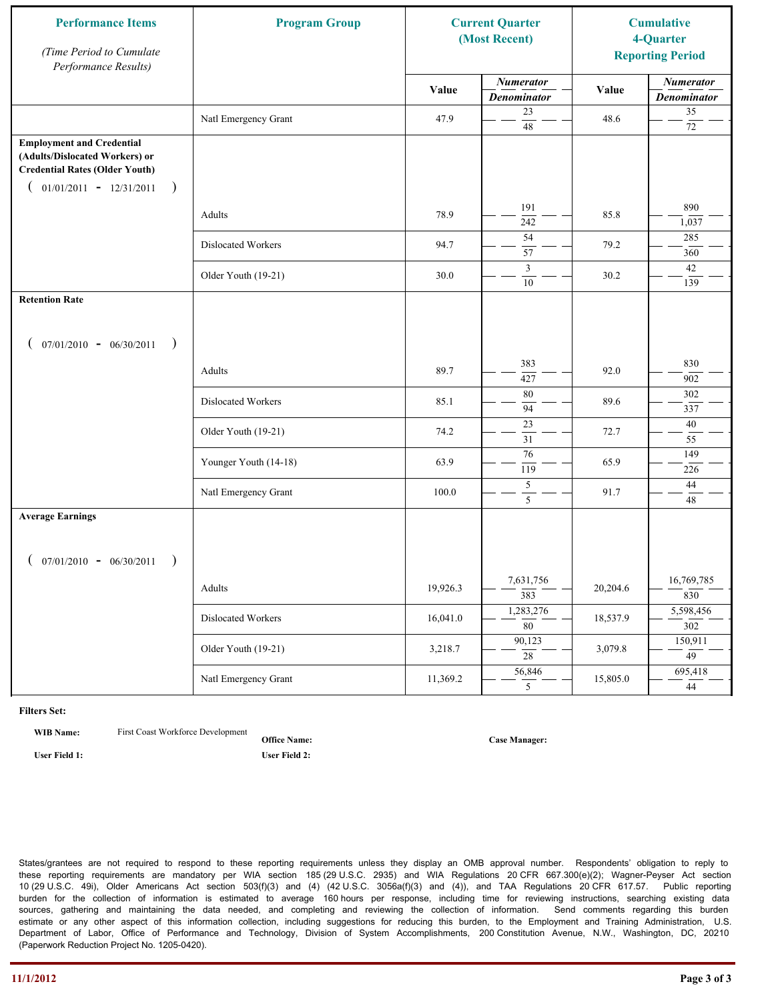| <b>Performance Items</b><br>(Time Period to Cumulate<br>Performance Results)                                                                              | <b>Program Group</b>  | <b>Current Quarter</b><br>(Most Recent) |                                        | <b>Cumulative</b><br>4-Quarter<br><b>Reporting Period</b> |                                        |
|-----------------------------------------------------------------------------------------------------------------------------------------------------------|-----------------------|-----------------------------------------|----------------------------------------|-----------------------------------------------------------|----------------------------------------|
|                                                                                                                                                           |                       | Value                                   | <b>Numerator</b><br><b>Denominator</b> | Value                                                     | <b>Numerator</b><br><b>Denominator</b> |
|                                                                                                                                                           | Natl Emergency Grant  | 47.9                                    | 23<br>$\overline{48}$                  | 48.6                                                      | 35<br>$72\,$                           |
| <b>Employment and Credential</b><br>(Adults/Dislocated Workers) or<br><b>Credential Rates (Older Youth)</b><br>$01/01/2011 - 12/31/2011$<br>$\rightarrow$ |                       |                                         |                                        |                                                           |                                        |
|                                                                                                                                                           | Adults                | 78.9                                    | 191<br>242                             | 85.8                                                      | 890<br>1,037                           |
|                                                                                                                                                           | Dislocated Workers    | 94.7                                    | 54<br>57                               | 79.2                                                      | 285<br>360                             |
|                                                                                                                                                           | Older Youth (19-21)   | 30.0                                    | 3<br>10                                | 30.2                                                      | 42<br>139                              |
| <b>Retention Rate</b>                                                                                                                                     |                       |                                         |                                        |                                                           |                                        |
| $07/01/2010 - 06/30/2011$<br>$\rightarrow$                                                                                                                |                       |                                         |                                        |                                                           |                                        |
|                                                                                                                                                           | Adults                | 89.7                                    | 383<br>427                             | 92.0                                                      | 830<br>902                             |
|                                                                                                                                                           | Dislocated Workers    | 85.1                                    | 80<br>94                               | 89.6                                                      | 302<br>337                             |
|                                                                                                                                                           | Older Youth (19-21)   | 74.2                                    | $\overline{23}$<br>31                  | 72.7                                                      | 40<br>55                               |
|                                                                                                                                                           | Younger Youth (14-18) | 63.9                                    | $\overline{76}$<br>$\overline{119}$    | 65.9                                                      | 149<br>226                             |
|                                                                                                                                                           | Natl Emergency Grant  | 100.0                                   | $\sqrt{5}$<br>5                        | 91.7                                                      | 44<br>48                               |
| <b>Average Earnings</b><br>$07/01/2010 - 06/30/2011$<br>$\rightarrow$                                                                                     |                       |                                         |                                        |                                                           |                                        |
|                                                                                                                                                           | Adults                | 19,926.3                                | 7,631,756<br>383                       | 20,204.6                                                  | 16,769,785<br>830                      |
|                                                                                                                                                           | Dislocated Workers    | 16,041.0                                | 1,283,276<br>$\overline{80}$           | 18,537.9                                                  | 5,598,456<br>302                       |
|                                                                                                                                                           | Older Youth (19-21)   | 3,218.7                                 | 90,123<br>28                           | 3,079.8                                                   | 150,911<br>$\overline{49}$             |
|                                                                                                                                                           | Natl Emergency Grant  | 11,369.2                                | 56,846<br>5 <sup>5</sup>               | 15,805.0                                                  | 695,418<br>44                          |

**WIB Name:** First Coast Workforce Development

**Office Name: User Field 1: User Field 2:**

**Case Manager:**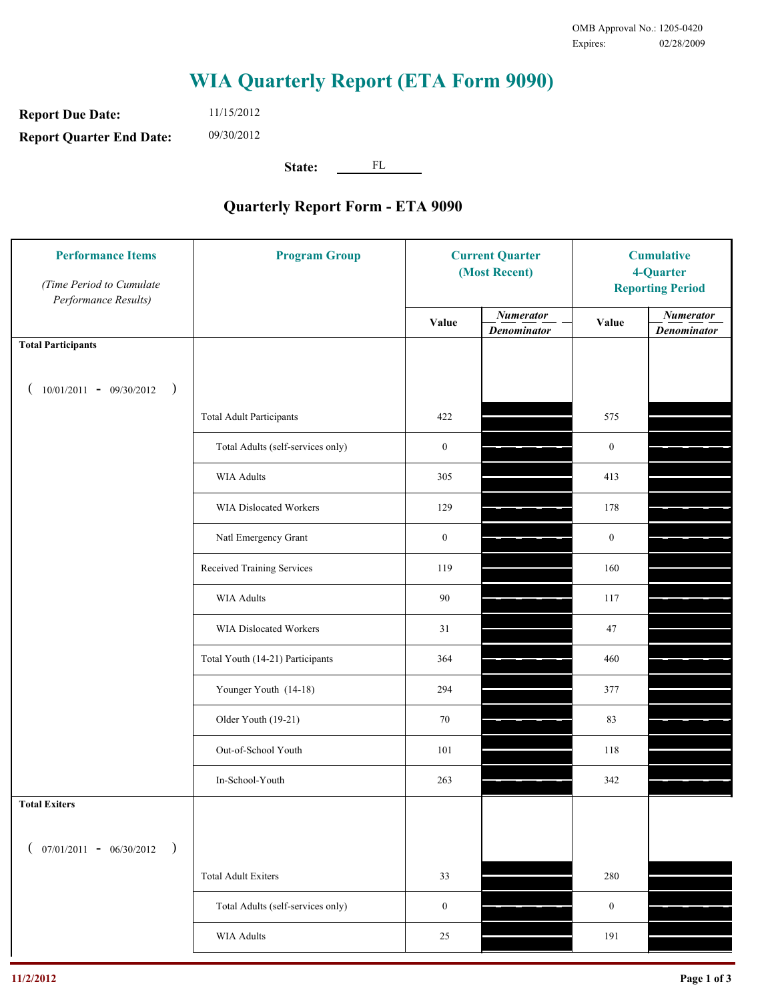**Report Due Date: Report Quarter End Date:** 11/15/2012 09/30/2012

**State:** FL

| <b>Performance Items</b><br>(Time Period to Cumulate<br>Performance Results) | <b>Program Group</b>              | <b>Current Quarter</b><br>(Most Recent) |                                        | <b>Cumulative</b><br>4-Quarter<br><b>Reporting Period</b> |                                        |
|------------------------------------------------------------------------------|-----------------------------------|-----------------------------------------|----------------------------------------|-----------------------------------------------------------|----------------------------------------|
|                                                                              |                                   | Value                                   | <b>Numerator</b><br><b>Denominator</b> | Value                                                     | <b>Numerator</b><br><b>Denominator</b> |
| <b>Total Participants</b>                                                    |                                   |                                         |                                        |                                                           |                                        |
| $10/01/2011 - 09/30/2012$ )                                                  |                                   |                                         |                                        |                                                           |                                        |
|                                                                              | <b>Total Adult Participants</b>   | 422                                     |                                        | 575                                                       |                                        |
|                                                                              | Total Adults (self-services only) | $\boldsymbol{0}$                        |                                        | $\boldsymbol{0}$                                          |                                        |
|                                                                              | <b>WIA Adults</b>                 | 305                                     |                                        | 413                                                       |                                        |
|                                                                              | WIA Dislocated Workers            | 129                                     |                                        | 178                                                       |                                        |
|                                                                              | Natl Emergency Grant              | $\boldsymbol{0}$                        |                                        | $\boldsymbol{0}$                                          |                                        |
|                                                                              | Received Training Services        | 119                                     |                                        | 160                                                       |                                        |
|                                                                              | <b>WIA Adults</b>                 | $90\,$                                  |                                        | 117                                                       |                                        |
|                                                                              | WIA Dislocated Workers            | 31                                      |                                        | 47                                                        |                                        |
|                                                                              | Total Youth (14-21) Participants  | 364                                     |                                        | 460                                                       |                                        |
|                                                                              | Younger Youth (14-18)             | 294                                     |                                        | 377                                                       |                                        |
|                                                                              | Older Youth (19-21)               | 70                                      |                                        | 83                                                        |                                        |
|                                                                              | Out-of-School Youth               | 101                                     |                                        | 118                                                       |                                        |
|                                                                              | In-School-Youth                   | 263                                     |                                        | 342                                                       |                                        |
| <b>Total Exiters</b>                                                         |                                   |                                         |                                        |                                                           |                                        |
| $07/01/2011 - 06/30/2012$<br>$\rightarrow$                                   |                                   |                                         |                                        |                                                           |                                        |
|                                                                              | <b>Total Adult Exiters</b>        | 33                                      |                                        | 280                                                       |                                        |
|                                                                              | Total Adults (self-services only) | $\boldsymbol{0}$                        |                                        | $\boldsymbol{0}$                                          |                                        |
|                                                                              | <b>WIA Adults</b>                 | 25                                      |                                        | 191                                                       |                                        |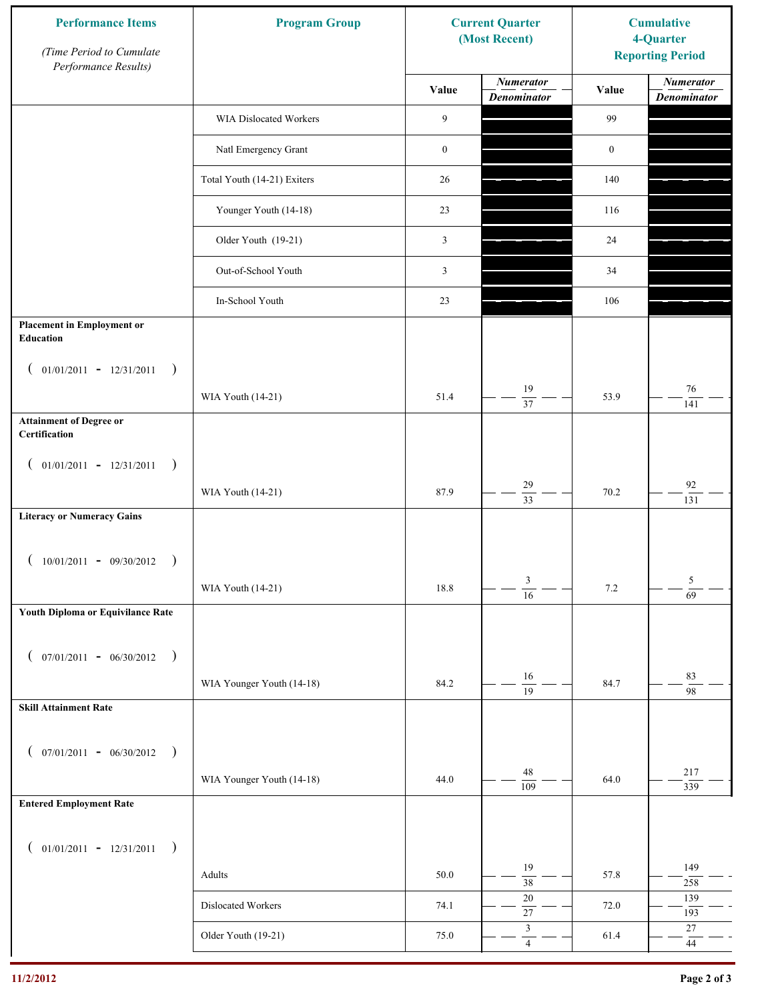| <b>Performance Items</b><br>(Time Period to Cumulate<br>Performance Results) | <b>Program Group</b>        |                  | <b>Current Quarter</b><br>(Most Recent)       | <b>Cumulative</b><br>4-Quarter<br><b>Reporting Period</b> |                                        |
|------------------------------------------------------------------------------|-----------------------------|------------------|-----------------------------------------------|-----------------------------------------------------------|----------------------------------------|
|                                                                              |                             | Value            | <b>Numerator</b><br><b>Denominator</b>        | Value                                                     | <b>Numerator</b><br><b>Denominator</b> |
|                                                                              | WIA Dislocated Workers      | 9                |                                               | 99                                                        |                                        |
|                                                                              | Natl Emergency Grant        | $\boldsymbol{0}$ |                                               | $\boldsymbol{0}$                                          |                                        |
|                                                                              | Total Youth (14-21) Exiters | 26               |                                               | 140                                                       |                                        |
|                                                                              | Younger Youth (14-18)       | 23               |                                               | 116                                                       |                                        |
|                                                                              | Older Youth (19-21)         | $\mathfrak{Z}$   |                                               | 24                                                        |                                        |
|                                                                              | Out-of-School Youth         | 3                |                                               | 34                                                        |                                        |
|                                                                              | In-School Youth             | 23               |                                               | 106                                                       |                                        |
| <b>Placement in Employment or</b><br>Education                               |                             |                  |                                               |                                                           |                                        |
| $01/01/2011 - 12/31/2011$<br>$\rightarrow$<br>$\overline{ }$                 | WIA Youth (14-21)           | 51.4             | 19                                            | 53.9                                                      | $76\,$                                 |
| <b>Attainment of Degree or</b><br>Certification                              |                             |                  | 37                                            |                                                           | 141                                    |
| $($ 01/01/2011 - 12/31/2011<br>$\rightarrow$                                 |                             |                  |                                               |                                                           |                                        |
|                                                                              | WIA Youth (14-21)           | 87.9             | 29<br>$\overline{33}$                         | 70.2                                                      | $\mathbf{92}$<br>131                   |
| <b>Literacy or Numeracy Gains</b>                                            |                             |                  |                                               |                                                           |                                        |
| $10/01/2011 - 09/30/2012$<br>$\rightarrow$                                   |                             |                  |                                               |                                                           |                                        |
|                                                                              | WIA Youth (14-21)           | 18.8             | 3<br>$\overline{16}$                          | $7.2\,$                                                   | 5<br>$\overline{69}$                   |
| Youth Diploma or Equivilance Rate                                            |                             |                  |                                               |                                                           |                                        |
| $07/01/2011 - 06/30/2012$<br>$\rightarrow$<br>€                              |                             |                  |                                               |                                                           |                                        |
|                                                                              | WIA Younger Youth (14-18)   | 84.2             | $16\,$<br>$\overline{19}$                     | 84.7                                                      | 83<br>$\overline{98}$                  |
| <b>Skill Attainment Rate</b>                                                 |                             |                  |                                               |                                                           |                                        |
| $07/01/2011 - 06/30/2012$ )<br>$\left($                                      |                             |                  |                                               |                                                           |                                        |
|                                                                              | WIA Younger Youth (14-18)   | 44.0             | $48\,$<br>$\overline{109}$                    | 64.0                                                      | 217<br>339                             |
| <b>Entered Employment Rate</b>                                               |                             |                  |                                               |                                                           |                                        |
| $($ 01/01/2011 - 12/31/2011<br>$\rightarrow$                                 |                             |                  |                                               |                                                           |                                        |
|                                                                              | Adults                      | 50.0             | 19<br>$\overline{38}$                         | 57.8                                                      | 149<br>258                             |
|                                                                              | Dislocated Workers          | 74.1             | $20\,$<br>$\overline{27}$                     | 72.0                                                      | 139<br>193                             |
|                                                                              | Older Youth (19-21)         | 75.0             | $\ensuremath{\mathfrak{Z}}$<br>$\overline{4}$ | 61.4                                                      | $27\,$<br>$44\,$                       |
|                                                                              |                             |                  |                                               |                                                           |                                        |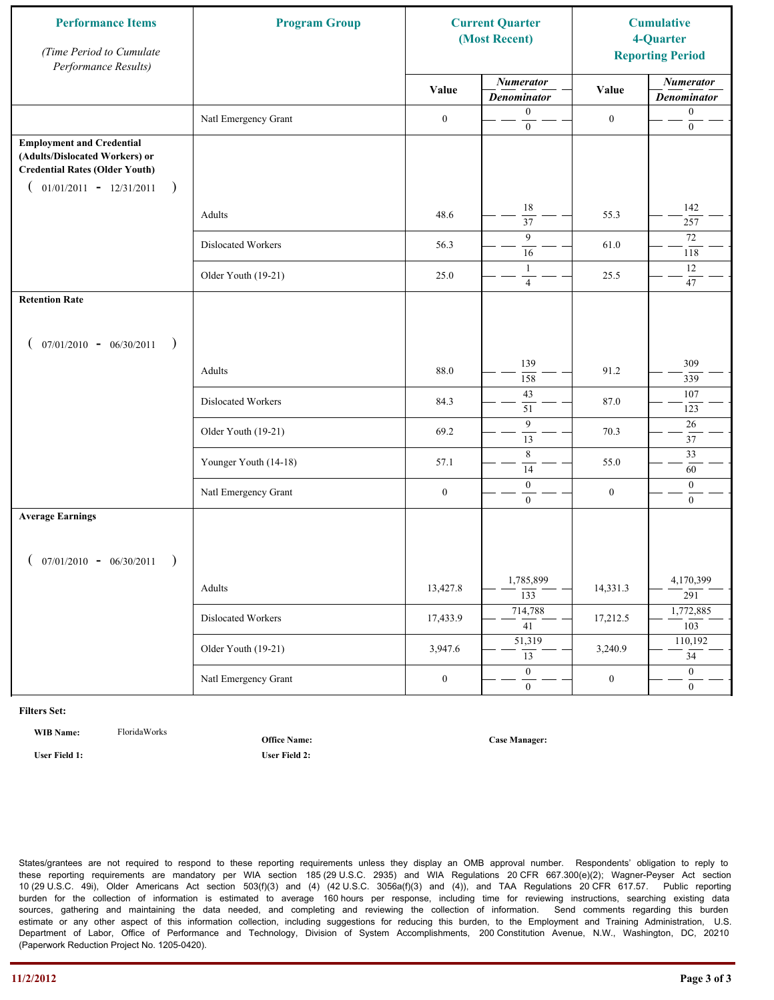| <b>Performance Items</b><br>(Time Period to Cumulate<br>Performance Results)                                                                              | <b>Program Group</b>  | <b>Current Quarter</b><br>(Most Recent) |                                        | <b>Cumulative</b><br>4-Quarter<br><b>Reporting Period</b> |                                        |
|-----------------------------------------------------------------------------------------------------------------------------------------------------------|-----------------------|-----------------------------------------|----------------------------------------|-----------------------------------------------------------|----------------------------------------|
|                                                                                                                                                           |                       | Value                                   | <b>Numerator</b><br><b>Denominator</b> | Value                                                     | <b>Numerator</b><br><b>Denominator</b> |
|                                                                                                                                                           | Natl Emergency Grant  | $\boldsymbol{0}$                        | $\boldsymbol{0}$<br>$\mathbf{0}$       | $\boldsymbol{0}$                                          | $\boldsymbol{0}$<br>$\boldsymbol{0}$   |
| <b>Employment and Credential</b><br>(Adults/Dislocated Workers) or<br><b>Credential Rates (Older Youth)</b><br>$01/01/2011 - 12/31/2011$<br>$\rightarrow$ |                       |                                         |                                        |                                                           |                                        |
|                                                                                                                                                           | Adults                | 48.6                                    | 18<br>$\overline{37}$                  | 55.3                                                      | 142<br>257                             |
|                                                                                                                                                           | Dislocated Workers    | 56.3                                    | 9<br>16                                | 61.0                                                      | 72<br>118                              |
|                                                                                                                                                           | Older Youth (19-21)   | 25.0                                    | $\mathbf{1}$<br>$\overline{4}$         | 25.5                                                      | 12<br>47                               |
| <b>Retention Rate</b>                                                                                                                                     |                       |                                         |                                        |                                                           |                                        |
| $07/01/2010 - 06/30/2011$<br>$\rightarrow$                                                                                                                |                       |                                         |                                        |                                                           |                                        |
|                                                                                                                                                           | Adults                | 88.0                                    | 139<br>158                             | 91.2                                                      | 309<br>339                             |
|                                                                                                                                                           | Dislocated Workers    | 84.3                                    | 43<br>51                               | 87.0                                                      | 107<br>123                             |
|                                                                                                                                                           | Older Youth (19-21)   | 69.2                                    | 9<br>$\overline{13}$                   | 70.3                                                      | 26<br>37                               |
|                                                                                                                                                           | Younger Youth (14-18) | 57.1                                    | $\,$ 8 $\,$<br>14                      | 55.0                                                      | $\overline{33}$<br>60                  |
|                                                                                                                                                           | Natl Emergency Grant  | $\boldsymbol{0}$                        | $\mathbf{0}$<br>$\overline{0}$         | $\boldsymbol{0}$                                          | $\mathbf{0}$<br>$\mathbf{0}$           |
| <b>Average Earnings</b>                                                                                                                                   |                       |                                         |                                        |                                                           |                                        |
| $07/01/2010 - 06/30/2011$<br>$\rightarrow$                                                                                                                |                       |                                         |                                        |                                                           |                                        |
|                                                                                                                                                           | Adults                | 13,427.8                                | 1,785,899<br>$\overline{133}$          | 14,331.3                                                  | 4,170,399<br>291                       |
|                                                                                                                                                           | Dislocated Workers    | 17,433.9                                | 714,788<br>$\overline{41}$             | 17,212.5                                                  | 1,772,885<br>103                       |
|                                                                                                                                                           | Older Youth (19-21)   | 3,947.6                                 | 51,319<br>$\overline{13}$              | 3,240.9                                                   | 110,192<br>$\overline{34}$             |
|                                                                                                                                                           | Natl Emergency Grant  | $\boldsymbol{0}$                        | $\overline{0}$<br>$\mathbf{0}$         | $\boldsymbol{0}$                                          | $\overline{0}$<br>$\overline{0}$       |

**WIB Name:** FloridaWorks

**User Field 1: User Field 2:**

**Office Name:**

**Case Manager:**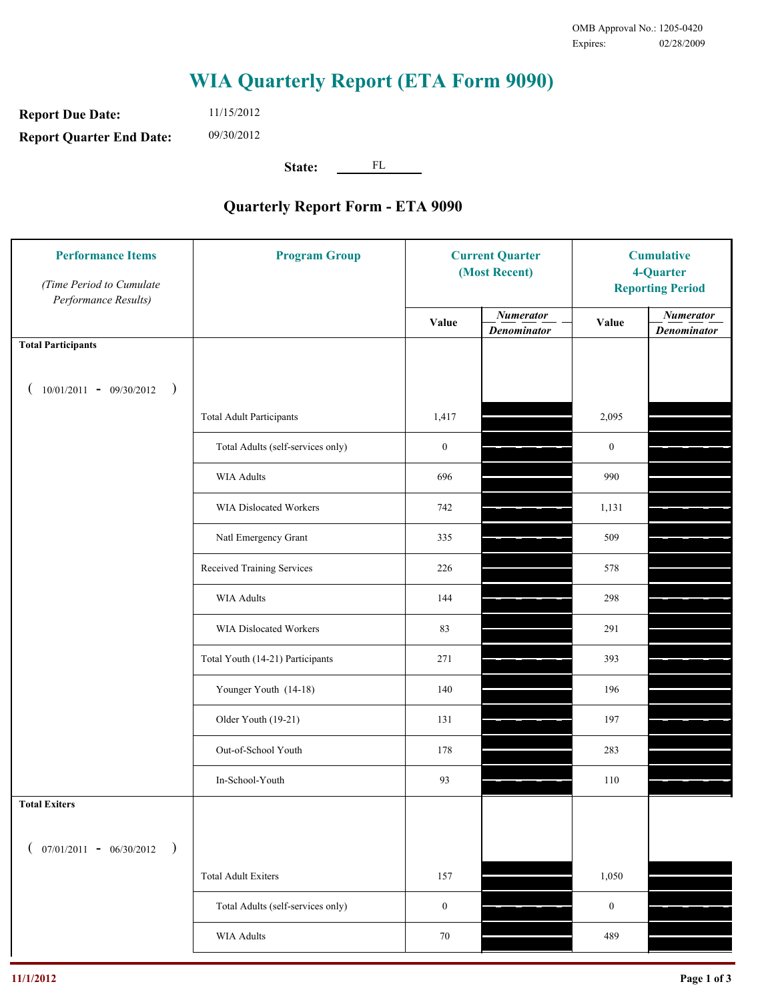**Report Due Date: Report Quarter End Date:** 11/15/2012 09/30/2012

**State:** FL

| <b>Performance Items</b><br>(Time Period to Cumulate<br>Performance Results) | <b>Program Group</b>              | <b>Current Quarter</b><br>(Most Recent) |                                        | <b>Cumulative</b><br>4-Quarter<br><b>Reporting Period</b> |                                        |
|------------------------------------------------------------------------------|-----------------------------------|-----------------------------------------|----------------------------------------|-----------------------------------------------------------|----------------------------------------|
|                                                                              |                                   | Value                                   | <b>Numerator</b><br><b>Denominator</b> | Value                                                     | <b>Numerator</b><br><b>Denominator</b> |
| <b>Total Participants</b>                                                    |                                   |                                         |                                        |                                                           |                                        |
| $10/01/2011 - 09/30/2012$<br>$\rightarrow$                                   |                                   |                                         |                                        |                                                           |                                        |
|                                                                              | <b>Total Adult Participants</b>   | 1,417                                   |                                        | 2,095                                                     |                                        |
|                                                                              | Total Adults (self-services only) | $\boldsymbol{0}$                        |                                        | $\boldsymbol{0}$                                          |                                        |
|                                                                              | <b>WIA Adults</b>                 | 696                                     |                                        | 990                                                       |                                        |
|                                                                              | WIA Dislocated Workers            | 742                                     |                                        | 1,131                                                     |                                        |
|                                                                              | Natl Emergency Grant              | 335                                     |                                        | 509                                                       |                                        |
|                                                                              | Received Training Services        | 226                                     |                                        | 578                                                       |                                        |
|                                                                              | <b>WIA Adults</b>                 | 144                                     |                                        | 298                                                       |                                        |
|                                                                              | WIA Dislocated Workers            | 83                                      |                                        | 291                                                       |                                        |
|                                                                              | Total Youth (14-21) Participants  | 271                                     |                                        | 393                                                       |                                        |
|                                                                              | Younger Youth (14-18)             | 140                                     |                                        | 196                                                       |                                        |
|                                                                              | Older Youth (19-21)               | 131                                     |                                        | 197                                                       |                                        |
|                                                                              | Out-of-School Youth               | 178                                     |                                        | 283                                                       |                                        |
|                                                                              | In-School-Youth                   | 93                                      |                                        | 110                                                       |                                        |
| <b>Total Exiters</b>                                                         |                                   |                                         |                                        |                                                           |                                        |
| $07/01/2011 - 06/30/2012$<br>$\rightarrow$                                   |                                   |                                         |                                        |                                                           |                                        |
|                                                                              | <b>Total Adult Exiters</b>        | 157                                     |                                        | 1,050                                                     |                                        |
|                                                                              | Total Adults (self-services only) | $\boldsymbol{0}$                        |                                        | $\boldsymbol{0}$                                          |                                        |
|                                                                              | WIA Adults                        | 70                                      |                                        | 489                                                       |                                        |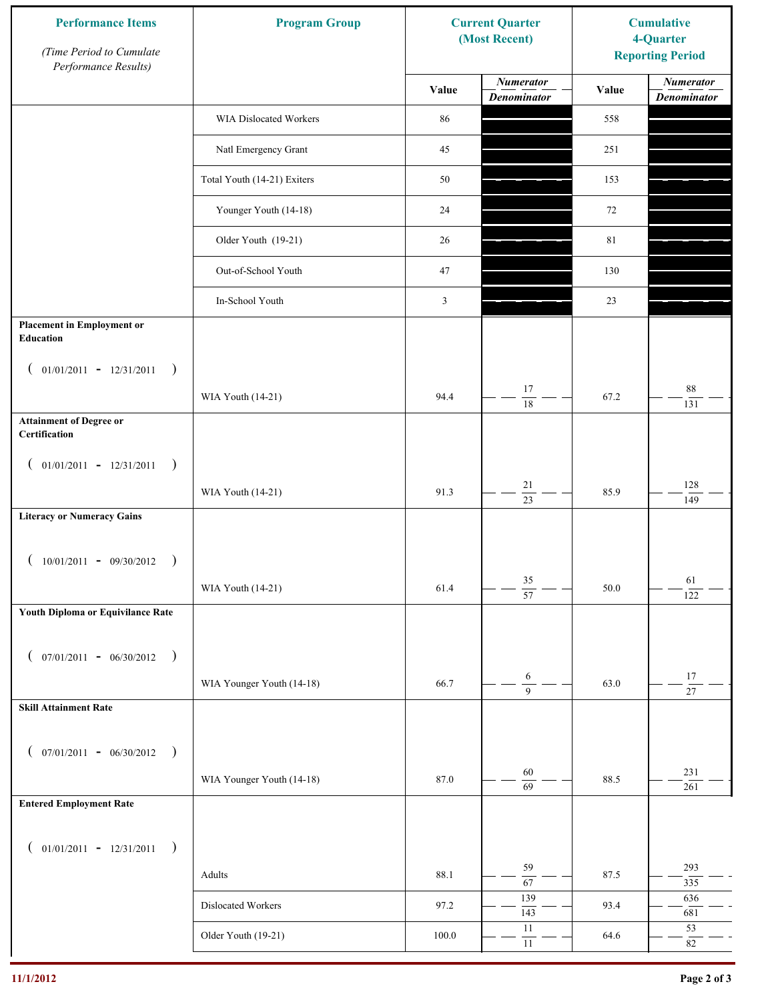| <b>Performance Items</b><br>(Time Period to Cumulate<br>Performance Results) | <b>Program Group</b>        |           | <b>Current Quarter</b><br>(Most Recent) | <b>Cumulative</b><br>4-Quarter<br><b>Reporting Period</b> |                                        |
|------------------------------------------------------------------------------|-----------------------------|-----------|-----------------------------------------|-----------------------------------------------------------|----------------------------------------|
|                                                                              |                             | Value     | <b>Numerator</b><br><b>Denominator</b>  | Value                                                     | <b>Numerator</b><br><b>Denominator</b> |
|                                                                              | WIA Dislocated Workers      | 86        |                                         | 558                                                       |                                        |
|                                                                              | Natl Emergency Grant        | 45        |                                         | 251                                                       |                                        |
|                                                                              | Total Youth (14-21) Exiters | 50        |                                         | 153                                                       |                                        |
|                                                                              | Younger Youth (14-18)       | 24        |                                         | 72                                                        |                                        |
|                                                                              | Older Youth (19-21)         | 26        |                                         | 81                                                        |                                        |
|                                                                              | Out-of-School Youth         | 47        |                                         | 130                                                       |                                        |
|                                                                              | In-School Youth             | 3         |                                         | 23                                                        |                                        |
| <b>Placement in Employment or</b><br>Education                               |                             |           |                                         |                                                           |                                        |
| $01/01/2011 - 12/31/2011$<br>$\rightarrow$<br>$\overline{ }$                 |                             |           | 17                                      |                                                           | $88\,$                                 |
| <b>Attainment of Degree or</b>                                               | WIA Youth (14-21)           | 94.4      | 18                                      | 67.2                                                      | 131                                    |
| Certification                                                                |                             |           |                                         |                                                           |                                        |
| $($ 01/01/2011 - 12/31/2011<br>$\rightarrow$                                 |                             |           |                                         |                                                           |                                        |
|                                                                              | WIA Youth (14-21)           | 91.3      | $21\,$<br>$\overline{23}$               | 85.9                                                      | 128<br>149                             |
| <b>Literacy or Numeracy Gains</b>                                            |                             |           |                                         |                                                           |                                        |
| $10/01/2011 - 09/30/2012$<br>$\rightarrow$                                   |                             |           |                                         |                                                           |                                        |
|                                                                              | WIA Youth (14-21)           | 61.4      | $35\,$<br>$\overline{57}$               | 50.0                                                      | 61<br>122                              |
| Youth Diploma or Equivilance Rate                                            |                             |           |                                         |                                                           |                                        |
| $07/01/2011 - 06/30/2012$<br>$\rightarrow$                                   |                             |           |                                         |                                                           |                                        |
| €                                                                            | WIA Younger Youth (14-18)   | 66.7      | 6                                       | 63.0                                                      | $17\,$                                 |
| <b>Skill Attainment Rate</b>                                                 |                             |           | $\overline{9}$                          |                                                           | $\overline{27}$                        |
|                                                                              |                             |           |                                         |                                                           |                                        |
| $07/01/2011 - 06/30/2012$ )<br>$\left($                                      |                             |           | 60                                      |                                                           | 231                                    |
|                                                                              | WIA Younger Youth (14-18)   | 87.0      | $\overline{69}$                         | 88.5                                                      | 261                                    |
| <b>Entered Employment Rate</b>                                               |                             |           |                                         |                                                           |                                        |
| $($ 01/01/2011 - 12/31/2011<br>$\rightarrow$                                 |                             |           |                                         |                                                           |                                        |
|                                                                              | Adults                      | 88.1      | 59<br>$\overline{67}$                   | 87.5                                                      | 293<br>335                             |
|                                                                              | Dislocated Workers          | 97.2      | 139<br>143                              | 93.4                                                      | 636<br>681                             |
|                                                                              | Older Youth (19-21)         | $100.0\,$ | $11\,$<br>$11\,$                        | 64.6                                                      | 53<br>$82\,$                           |
|                                                                              |                             |           |                                         |                                                           |                                        |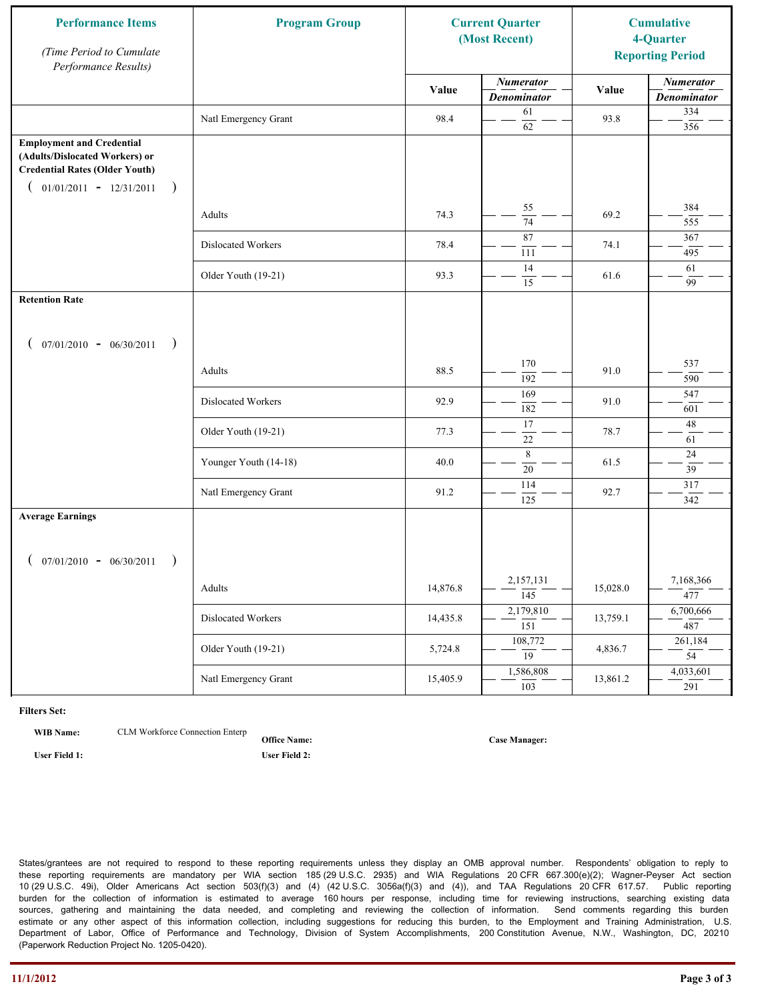| <b>Performance Items</b><br>(Time Period to Cumulate<br>Performance Results)                                                                              | <b>Program Group</b>  |          | <b>Current Quarter</b><br>(Most Recent) |          | <b>Cumulative</b><br>4-Quarter<br><b>Reporting Period</b> |
|-----------------------------------------------------------------------------------------------------------------------------------------------------------|-----------------------|----------|-----------------------------------------|----------|-----------------------------------------------------------|
|                                                                                                                                                           |                       | Value    | <b>Numerator</b><br><b>Denominator</b>  | Value    | <b>Numerator</b><br><b>Denominator</b>                    |
|                                                                                                                                                           | Natl Emergency Grant  | 98.4     | 61<br>62                                | 93.8     | 334<br>356                                                |
| <b>Employment and Credential</b><br>(Adults/Dislocated Workers) or<br><b>Credential Rates (Older Youth)</b><br>$01/01/2011 - 12/31/2011$<br>$\rightarrow$ |                       |          |                                         |          |                                                           |
|                                                                                                                                                           | Adults                | 74.3     | 55<br>$\overline{74}$                   | 69.2     | 384<br>555                                                |
|                                                                                                                                                           | Dislocated Workers    | 78.4     | 87<br>111                               | 74.1     | 367<br>495                                                |
|                                                                                                                                                           | Older Youth (19-21)   | 93.3     | 14<br>15                                | 61.6     | 61<br>99                                                  |
| <b>Retention Rate</b>                                                                                                                                     |                       |          |                                         |          |                                                           |
| $07/01/2010 - 06/30/2011$<br>$\rightarrow$                                                                                                                |                       |          |                                         |          |                                                           |
|                                                                                                                                                           | Adults                | 88.5     | 170<br>192                              | 91.0     | 537<br>590                                                |
|                                                                                                                                                           | Dislocated Workers    | 92.9     | 169<br>182                              | 91.0     | 547<br>601                                                |
|                                                                                                                                                           | Older Youth (19-21)   | 77.3     | 17<br>$22\,$                            | 78.7     | $48\,$<br>61                                              |
|                                                                                                                                                           | Younger Youth (14-18) | 40.0     | 8<br>$20\,$                             | 61.5     | 24<br>39                                                  |
|                                                                                                                                                           | Natl Emergency Grant  | 91.2     | 114<br>$\overline{125}$                 | 92.7     | 317<br>342                                                |
| <b>Average Earnings</b>                                                                                                                                   |                       |          |                                         |          |                                                           |
| $07/01/2010 - 06/30/2011$<br>$\rightarrow$                                                                                                                |                       |          |                                         |          |                                                           |
|                                                                                                                                                           | Adults                | 14,876.8 | 2,157,131<br>$\overline{145}$           | 15,028.0 | 7,168,366<br>477                                          |
|                                                                                                                                                           | Dislocated Workers    | 14,435.8 | 2,179,810<br>$\overline{151}$           | 13,759.1 | 6,700,666<br>487                                          |
|                                                                                                                                                           | Older Youth (19-21)   | 5,724.8  | 108,772<br>$\overline{19}$              | 4,836.7  | 261,184<br>$\overline{54}$                                |
|                                                                                                                                                           | Natl Emergency Grant  | 15,405.9 | 1,586,808<br>$\overline{103}$           | 13,861.2 | 4,033,601<br>291                                          |

**WIB Name:** CLM Workforce Connection Enterp

**Office Name: User Field 1: User Field 2:**

**Case Manager:**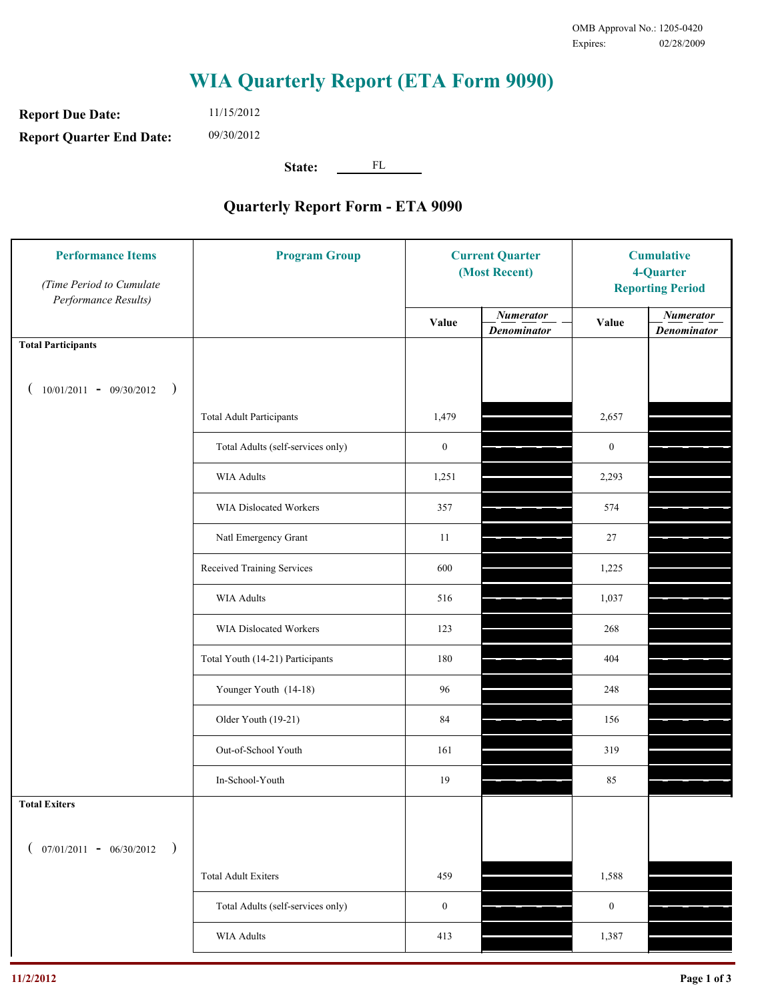**Report Due Date: Report Quarter End Date:** 11/15/2012 09/30/2012

**State:** FL

| <b>Performance Items</b><br>(Time Period to Cumulate<br>Performance Results) | <b>Program Group</b>              | <b>Current Quarter</b><br>(Most Recent) |                                        | <b>Cumulative</b><br>4-Quarter<br><b>Reporting Period</b> |                                        |
|------------------------------------------------------------------------------|-----------------------------------|-----------------------------------------|----------------------------------------|-----------------------------------------------------------|----------------------------------------|
|                                                                              |                                   | Value                                   | <b>Numerator</b><br><b>Denominator</b> | Value                                                     | <b>Numerator</b><br><b>Denominator</b> |
| <b>Total Participants</b>                                                    |                                   |                                         |                                        |                                                           |                                        |
| $10/01/2011 - 09/30/2012$ )                                                  |                                   |                                         |                                        |                                                           |                                        |
|                                                                              | <b>Total Adult Participants</b>   | 1,479                                   |                                        | 2,657                                                     |                                        |
|                                                                              | Total Adults (self-services only) | $\boldsymbol{0}$                        |                                        | $\boldsymbol{0}$                                          |                                        |
|                                                                              | WIA Adults                        | 1,251                                   |                                        | 2,293                                                     |                                        |
|                                                                              | WIA Dislocated Workers            | 357                                     |                                        | 574                                                       |                                        |
|                                                                              | Natl Emergency Grant              | 11                                      |                                        | 27                                                        |                                        |
|                                                                              | Received Training Services        | 600                                     |                                        | 1,225                                                     |                                        |
|                                                                              | WIA Adults                        | 516                                     |                                        | 1,037                                                     |                                        |
|                                                                              | WIA Dislocated Workers            | 123                                     |                                        | 268                                                       |                                        |
|                                                                              | Total Youth (14-21) Participants  | 180                                     |                                        | 404                                                       |                                        |
|                                                                              | Younger Youth (14-18)             | 96                                      |                                        | 248                                                       |                                        |
|                                                                              | Older Youth (19-21)               | 84                                      |                                        | 156                                                       |                                        |
|                                                                              | Out-of-School Youth               | 161                                     |                                        | 319                                                       |                                        |
|                                                                              | In-School-Youth                   | 19                                      |                                        | 85                                                        |                                        |
| <b>Total Exiters</b>                                                         |                                   |                                         |                                        |                                                           |                                        |
| $07/01/2011 - 06/30/2012$<br>$\rightarrow$                                   |                                   |                                         |                                        |                                                           |                                        |
|                                                                              | <b>Total Adult Exiters</b>        | 459                                     |                                        | 1,588                                                     |                                        |
|                                                                              | Total Adults (self-services only) | $\boldsymbol{0}$                        |                                        | $\boldsymbol{0}$                                          |                                        |
|                                                                              | <b>WIA Adults</b>                 | 413                                     |                                        | 1,387                                                     |                                        |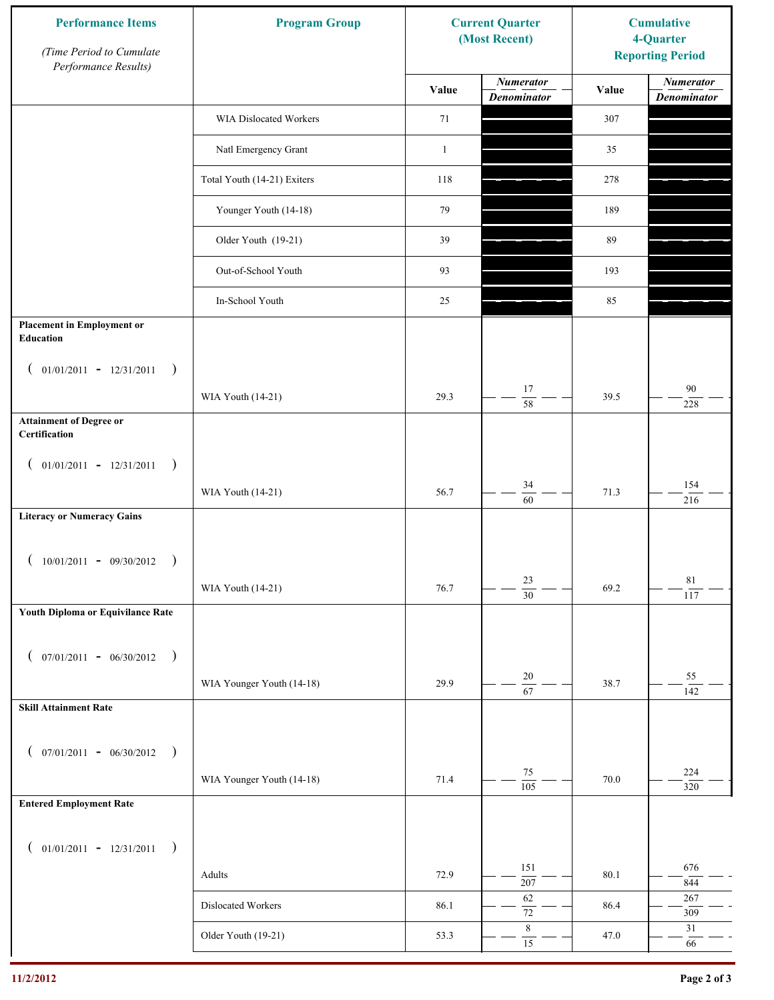| <b>Performance Items</b><br>(Time Period to Cumulate<br>Performance Results) | <b>Program Group</b>        |              | <b>Current Quarter</b><br>(Most Recent) |       | <b>Cumulative</b><br>4-Quarter<br><b>Reporting Period</b> |  |
|------------------------------------------------------------------------------|-----------------------------|--------------|-----------------------------------------|-------|-----------------------------------------------------------|--|
|                                                                              |                             | Value        | <b>Numerator</b><br><b>Denominator</b>  | Value | <b>Numerator</b><br><b>Denominator</b>                    |  |
|                                                                              | WIA Dislocated Workers      | 71           |                                         | 307   |                                                           |  |
|                                                                              | Natl Emergency Grant        | $\mathbf{1}$ |                                         | 35    |                                                           |  |
|                                                                              | Total Youth (14-21) Exiters | 118          |                                         | 278   |                                                           |  |
|                                                                              | Younger Youth (14-18)       | 79           |                                         | 189   |                                                           |  |
|                                                                              | Older Youth (19-21)         | 39           |                                         | 89    |                                                           |  |
|                                                                              | Out-of-School Youth         | 93           |                                         | 193   |                                                           |  |
|                                                                              | In-School Youth             | 25           |                                         | 85    |                                                           |  |
| <b>Placement in Employment or</b><br><b>Education</b>                        |                             |              |                                         |       |                                                           |  |
| $01/01/2011 - 12/31/2011$<br>$\rightarrow$<br>$\overline{ }$                 |                             |              |                                         |       |                                                           |  |
|                                                                              | WIA Youth (14-21)           | 29.3         | 17<br>58                                | 39.5  | 90<br>228                                                 |  |
| <b>Attainment of Degree or</b><br>Certification                              |                             |              |                                         |       |                                                           |  |
| $($ 01/01/2011 - 12/31/2011<br>$\rightarrow$                                 |                             |              |                                         |       |                                                           |  |
|                                                                              | WIA Youth (14-21)           | 56.7         | 34<br>$\overline{60}$                   | 71.3  | 154<br>216                                                |  |
| <b>Literacy or Numeracy Gains</b>                                            |                             |              |                                         |       |                                                           |  |
| $10/01/2011 - 09/30/2012$<br>$\rightarrow$                                   |                             |              |                                         |       |                                                           |  |
|                                                                              | WIA Youth (14-21)           | 76.7         | 23<br>$\overline{30}$                   | 69.2  | $8\sqrt{1}$<br>117                                        |  |
| Youth Diploma or Equivilance Rate                                            |                             |              |                                         |       |                                                           |  |
| $07/01/2011 - 06/30/2012$<br>$\rightarrow$                                   |                             |              |                                         |       |                                                           |  |
| €                                                                            | WIA Younger Youth (14-18)   | 29.9         | $20\,$                                  | 38.7  | 55                                                        |  |
| <b>Skill Attainment Rate</b>                                                 |                             |              | $\overline{67}$                         |       | 142                                                       |  |
|                                                                              |                             |              |                                         |       |                                                           |  |
| $07/01/2011 - 06/30/2012$ )<br>$\left($                                      |                             |              | $75\,$                                  |       | 224                                                       |  |
| <b>Entered Employment Rate</b>                                               | WIA Younger Youth (14-18)   | 71.4         | $\overline{105}$                        | 70.0  | 320                                                       |  |
|                                                                              |                             |              |                                         |       |                                                           |  |
| $($ 01/01/2011 - 12/31/2011<br>$\rightarrow$                                 |                             |              |                                         |       |                                                           |  |
|                                                                              | Adults                      | 72.9         | 151<br>207                              | 80.1  | 676<br>844                                                |  |
|                                                                              | Dislocated Workers          | 86.1         | 62<br>$\overline{72}$                   | 86.4  | 267<br>309                                                |  |
|                                                                              | Older Youth (19-21)         | 53.3         | $\,$ 8 $\,$<br>$\overline{15}$          | 47.0  | 31<br>66                                                  |  |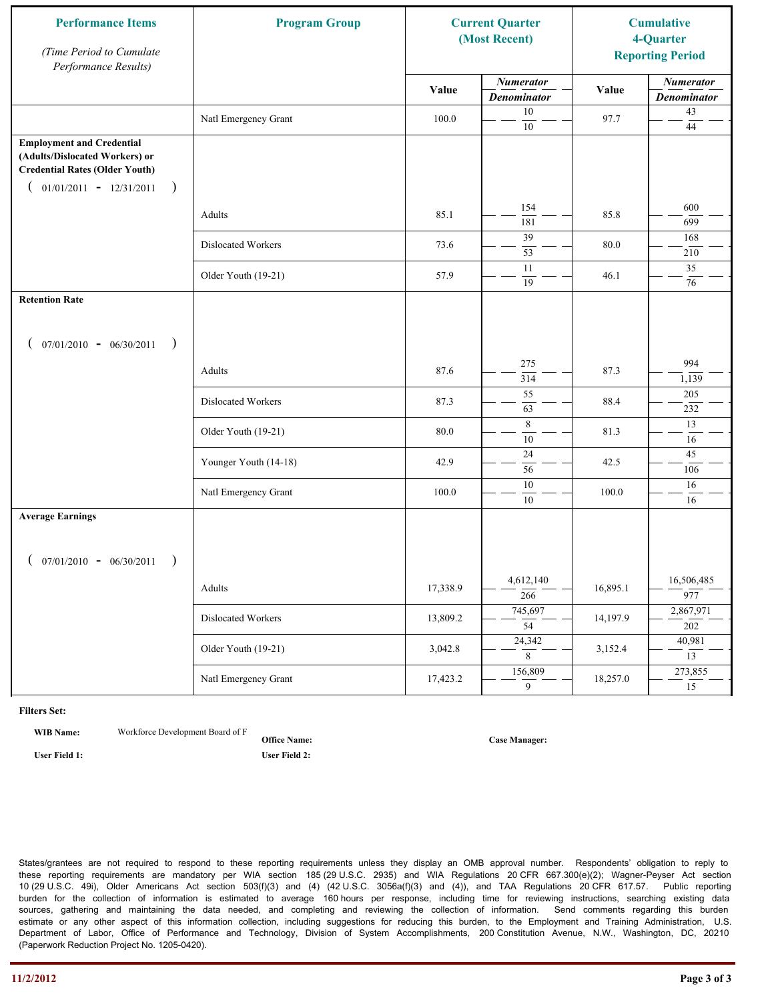| <b>Performance Items</b><br>(Time Period to Cumulate<br>Performance Results)                                                                              | <b>Program Group</b>  | <b>Current Quarter</b><br>(Most Recent) |                                        | <b>Cumulative</b><br>4-Quarter<br><b>Reporting Period</b> |                                        |
|-----------------------------------------------------------------------------------------------------------------------------------------------------------|-----------------------|-----------------------------------------|----------------------------------------|-----------------------------------------------------------|----------------------------------------|
|                                                                                                                                                           |                       | Value                                   | <b>Numerator</b><br><b>Denominator</b> | Value                                                     | <b>Numerator</b><br><b>Denominator</b> |
|                                                                                                                                                           | Natl Emergency Grant  | 100.0                                   | 10<br>$10\,$                           | 97.7                                                      | $43\,$<br>$44\,$                       |
| <b>Employment and Credential</b><br>(Adults/Dislocated Workers) or<br><b>Credential Rates (Older Youth)</b><br>$01/01/2011 - 12/31/2011$<br>$\rightarrow$ |                       |                                         |                                        |                                                           |                                        |
|                                                                                                                                                           | Adults                | 85.1                                    | 154<br>181                             | 85.8                                                      | 600<br>699                             |
|                                                                                                                                                           | Dislocated Workers    | 73.6                                    | 39<br>53                               | 80.0                                                      | 168<br>210                             |
|                                                                                                                                                           | Older Youth (19-21)   | 57.9                                    | 11<br>19                               | 46.1                                                      | 35<br>76                               |
| <b>Retention Rate</b>                                                                                                                                     |                       |                                         |                                        |                                                           |                                        |
| $07/01/2010 - 06/30/2011$<br>$\rightarrow$                                                                                                                |                       |                                         |                                        |                                                           |                                        |
|                                                                                                                                                           | Adults                | 87.6                                    | 275<br>314                             | 87.3                                                      | 994<br>1,139                           |
|                                                                                                                                                           | Dislocated Workers    | 87.3                                    | 55<br>63                               | 88.4                                                      | 205<br>232                             |
|                                                                                                                                                           | Older Youth (19-21)   | 80.0                                    | $\,$ 8 $\,$<br>$\overline{10}$         | 81.3                                                      | 13<br>16                               |
|                                                                                                                                                           | Younger Youth (14-18) | 42.9                                    | 24<br>56                               | 42.5                                                      | 45<br>106                              |
|                                                                                                                                                           | Natl Emergency Grant  | 100.0                                   | 10<br>$10\,$                           | 100.0                                                     | 16<br>16                               |
| <b>Average Earnings</b>                                                                                                                                   |                       |                                         |                                        |                                                           |                                        |
| $07/01/2010 - 06/30/2011$<br>$\rightarrow$                                                                                                                |                       |                                         |                                        |                                                           |                                        |
|                                                                                                                                                           | Adults                | 17,338.9                                | 4,612,140<br>$\frac{266}{ }$           | 16,895.1                                                  | 16,506,485<br>977                      |
|                                                                                                                                                           | Dislocated Workers    | 13,809.2                                | 745,697<br>$\overline{54}$             | 14,197.9                                                  | 2,867,971<br>202                       |
|                                                                                                                                                           | Older Youth (19-21)   | 3,042.8                                 | 24,342<br>8                            | 3,152.4                                                   | 40,981<br>13                           |
|                                                                                                                                                           | Natl Emergency Grant  | 17,423.2                                | 156,809<br>9                           | 18,257.0                                                  | 273,855<br>15                          |

**WIB Name:** Workforce Development Board of F

**Office Name: User Field 1: User Field 2:**

**Case Manager:**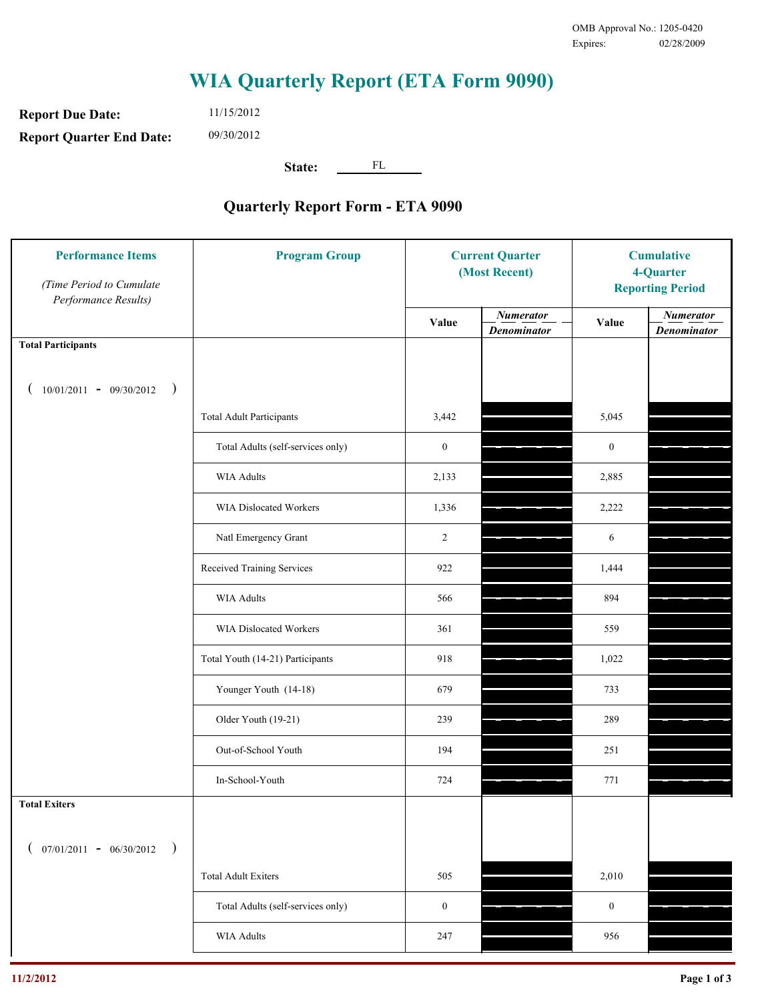**Report Due Date: Report Quarter End Date:** 11/15/2012 09/30/2012

**State:** FL

| <b>Performance Items</b><br>(Time Period to Cumulate<br>Performance Results) | <b>Program Group</b>              | <b>Current Quarter</b><br>(Most Recent) |                                        | <b>Cumulative</b><br>4-Quarter<br><b>Reporting Period</b> |                                        |
|------------------------------------------------------------------------------|-----------------------------------|-----------------------------------------|----------------------------------------|-----------------------------------------------------------|----------------------------------------|
|                                                                              |                                   | Value                                   | <b>Numerator</b><br><b>Denominator</b> | Value                                                     | <b>Numerator</b><br><b>Denominator</b> |
| <b>Total Participants</b>                                                    |                                   |                                         |                                        |                                                           |                                        |
| $10/01/2011 - 09/30/2012$ )                                                  |                                   |                                         |                                        |                                                           |                                        |
|                                                                              | <b>Total Adult Participants</b>   | 3,442                                   |                                        | 5,045                                                     |                                        |
|                                                                              | Total Adults (self-services only) | $\boldsymbol{0}$                        |                                        | $\boldsymbol{0}$                                          |                                        |
|                                                                              | <b>WIA Adults</b>                 | 2,133                                   |                                        | 2,885                                                     |                                        |
|                                                                              | WIA Dislocated Workers            | 1,336                                   |                                        | 2,222                                                     |                                        |
|                                                                              | Natl Emergency Grant              | $\overline{c}$                          |                                        | 6                                                         |                                        |
|                                                                              | Received Training Services        | 922                                     |                                        | 1,444                                                     |                                        |
|                                                                              | <b>WIA Adults</b>                 | 566                                     |                                        | 894                                                       |                                        |
|                                                                              | WIA Dislocated Workers            | 361                                     |                                        | 559                                                       |                                        |
|                                                                              | Total Youth (14-21) Participants  | 918                                     |                                        | 1,022                                                     |                                        |
|                                                                              | Younger Youth (14-18)             | 679                                     |                                        | 733                                                       |                                        |
|                                                                              | Older Youth (19-21)               | 239                                     |                                        | 289                                                       |                                        |
|                                                                              | Out-of-School Youth               | 194                                     |                                        | 251                                                       |                                        |
|                                                                              | In-School-Youth                   | 724                                     |                                        | 771                                                       |                                        |
| <b>Total Exiters</b>                                                         |                                   |                                         |                                        |                                                           |                                        |
| $07/01/2011 - 06/30/2012$<br>$\rightarrow$                                   |                                   |                                         |                                        |                                                           |                                        |
|                                                                              | <b>Total Adult Exiters</b>        | 505                                     |                                        | 2,010                                                     |                                        |
|                                                                              | Total Adults (self-services only) | $\boldsymbol{0}$                        |                                        | $\boldsymbol{0}$                                          |                                        |
|                                                                              | <b>WIA Adults</b>                 | 247                                     |                                        | 956                                                       |                                        |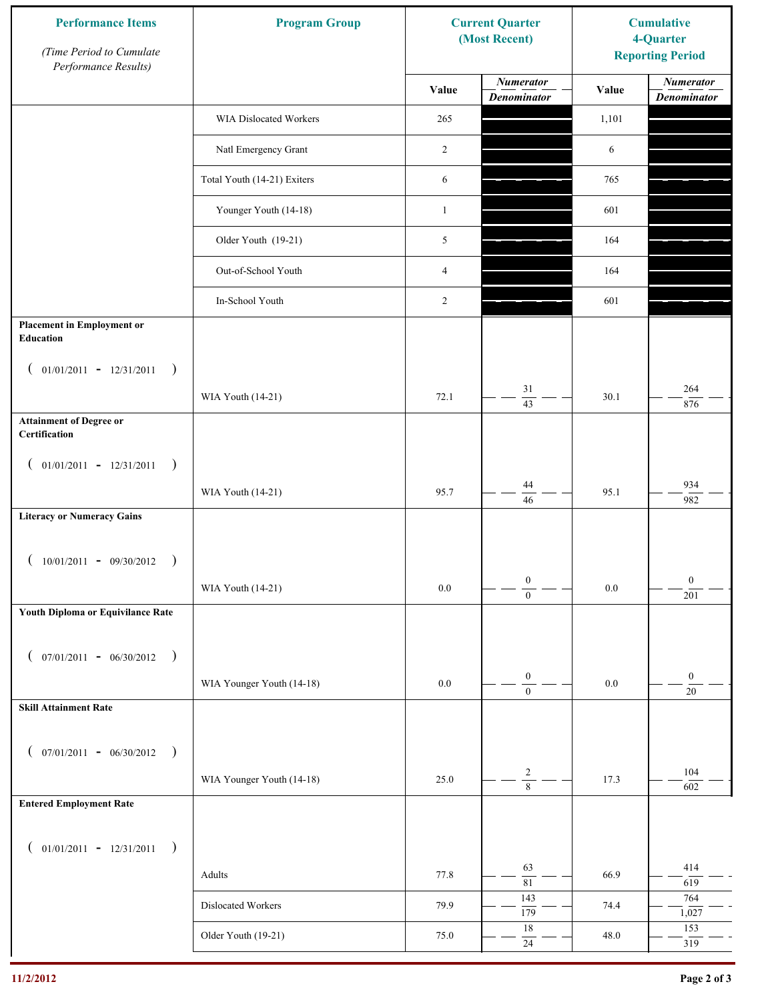| <b>Performance Items</b><br>(Time Period to Cumulate<br>Performance Results) | <b>Program Group</b>        |                | <b>Current Quarter</b><br>(Most Recent)                | <b>Cumulative</b><br>4-Quarter<br><b>Reporting Period</b> |                                        |
|------------------------------------------------------------------------------|-----------------------------|----------------|--------------------------------------------------------|-----------------------------------------------------------|----------------------------------------|
|                                                                              |                             | Value          | <b>Numerator</b><br><b>Denominator</b>                 | Value                                                     | <b>Numerator</b><br><b>Denominator</b> |
|                                                                              | WIA Dislocated Workers      | 265            |                                                        | 1,101                                                     |                                        |
|                                                                              | Natl Emergency Grant        | 2              |                                                        | 6                                                         |                                        |
|                                                                              | Total Youth (14-21) Exiters | 6              |                                                        | 765                                                       |                                        |
|                                                                              | Younger Youth (14-18)       | $\mathbf{1}$   |                                                        | 601                                                       |                                        |
|                                                                              | Older Youth (19-21)         | 5              |                                                        | 164                                                       |                                        |
|                                                                              | Out-of-School Youth         | $\overline{4}$ |                                                        | 164                                                       |                                        |
|                                                                              | In-School Youth             | 2              |                                                        | 601                                                       |                                        |
| <b>Placement in Employment or</b><br>Education                               |                             |                |                                                        |                                                           |                                        |
| $01/01/2011 - 12/31/2011$<br>$\rightarrow$<br>$\overline{ }$                 | WIA Youth (14-21)           | 72.1           | 31                                                     | 30.1                                                      | 264                                    |
| <b>Attainment of Degree or</b>                                               |                             |                | $\overline{43}$                                        |                                                           | 876                                    |
| Certification                                                                |                             |                |                                                        |                                                           |                                        |
| $($ 01/01/2011 - 12/31/2011<br>$\rightarrow$                                 |                             |                |                                                        |                                                           |                                        |
|                                                                              | WIA Youth (14-21)           | 95.7           | 44<br>46                                               | 95.1                                                      | 934<br>982                             |
| <b>Literacy or Numeracy Gains</b>                                            |                             |                |                                                        |                                                           |                                        |
| $10/01/2011 - 09/30/2012$<br>$\rightarrow$                                   |                             |                |                                                        |                                                           |                                        |
|                                                                              | WIA Youth (14-21)           | $0.0\,$        | $\boldsymbol{0}$<br>$\overline{0}$                     | $0.0\,$                                                   | $\boldsymbol{0}$<br>201                |
| Youth Diploma or Equivilance Rate                                            |                             |                |                                                        |                                                           |                                        |
|                                                                              |                             |                |                                                        |                                                           |                                        |
| $07/01/2011 - 06/30/2012$<br>$\rightarrow$<br>€                              |                             |                | $\boldsymbol{0}$                                       |                                                           | $\boldsymbol{0}$                       |
|                                                                              | WIA Younger Youth (14-18)   | $0.0\,$        | $\boldsymbol{0}$                                       | $0.0\,$                                                   | $20\,$                                 |
| <b>Skill Attainment Rate</b>                                                 |                             |                |                                                        |                                                           |                                        |
| $07/01/2011 - 06/30/2012$ )<br>$\left($                                      |                             |                |                                                        |                                                           |                                        |
|                                                                              | WIA Younger Youth (14-18)   | 25.0           | $\overline{c}$<br>$\overline{\overline{\overline{8}}}$ | 17.3                                                      | 104<br>602                             |
| <b>Entered Employment Rate</b>                                               |                             |                |                                                        |                                                           |                                        |
| $($ 01/01/2011 - 12/31/2011<br>$\rightarrow$                                 |                             |                |                                                        |                                                           |                                        |
|                                                                              | Adults                      | 77.8           | 63                                                     | 66.9                                                      | 414                                    |
|                                                                              | Dislocated Workers          | 79.9           | $\overline{81}$<br>143                                 | 74.4                                                      | 619<br>764                             |
|                                                                              |                             |                | 179<br>$18\,$                                          |                                                           | 1,027<br>153                           |
|                                                                              | Older Youth (19-21)         | 75.0           | $24\,$                                                 | 48.0                                                      | 319                                    |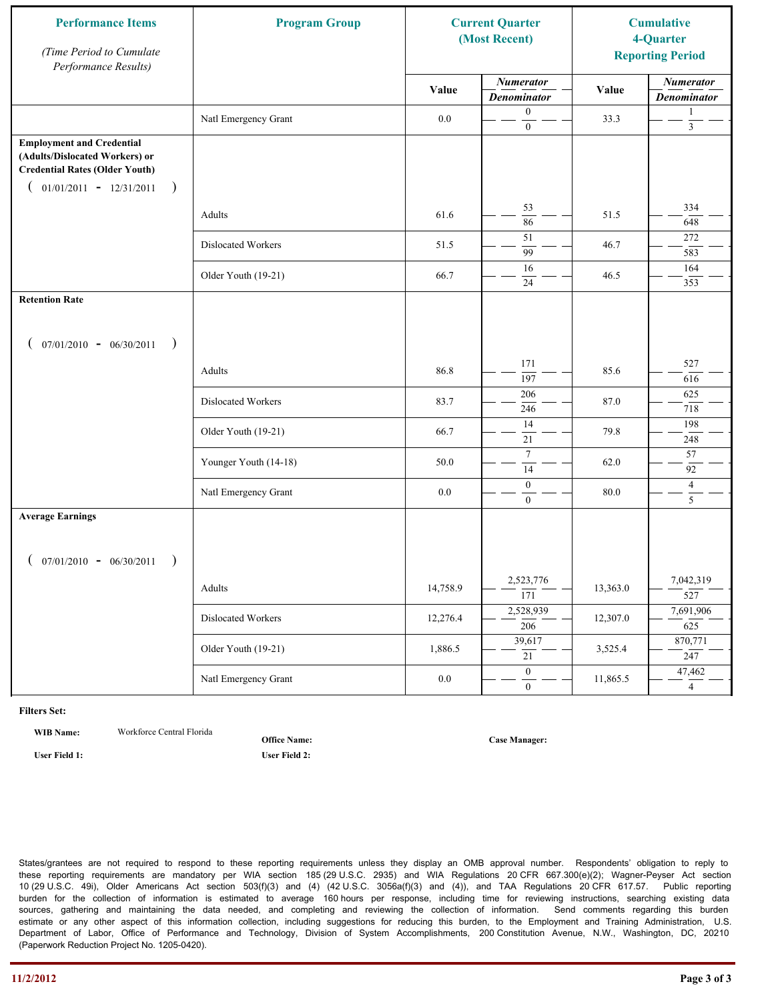| <b>Performance Items</b><br>(Time Period to Cumulate<br>Performance Results)                                                                              | <b>Program Group</b>  |          | <b>Current Quarter</b><br>(Most Recent) |          | <b>Cumulative</b><br>4-Quarter<br><b>Reporting Period</b> |
|-----------------------------------------------------------------------------------------------------------------------------------------------------------|-----------------------|----------|-----------------------------------------|----------|-----------------------------------------------------------|
|                                                                                                                                                           |                       | Value    | <b>Numerator</b><br><b>Denominator</b>  | Value    | <b>Numerator</b><br><b>Denominator</b>                    |
|                                                                                                                                                           | Natl Emergency Grant  | $0.0\,$  | $\boldsymbol{0}$<br>$\mathbf{0}$        | 33.3     | 1<br>$\mathfrak{Z}$                                       |
| <b>Employment and Credential</b><br>(Adults/Dislocated Workers) or<br><b>Credential Rates (Older Youth)</b><br>$01/01/2011 - 12/31/2011$<br>$\rightarrow$ |                       |          |                                         |          |                                                           |
|                                                                                                                                                           | Adults                | 61.6     | 53<br>86                                | 51.5     | 334<br>648                                                |
|                                                                                                                                                           | Dislocated Workers    | 51.5     | 51<br>$\overline{99}$                   | 46.7     | 272<br>583                                                |
|                                                                                                                                                           | Older Youth (19-21)   | 66.7     | 16<br>24                                | 46.5     | 164<br>353                                                |
| <b>Retention Rate</b>                                                                                                                                     |                       |          |                                         |          |                                                           |
| $07/01/2010 - 06/30/2011$<br>$\rightarrow$                                                                                                                |                       |          |                                         |          |                                                           |
|                                                                                                                                                           | Adults                | 86.8     | 171<br>197                              | 85.6     | 527<br>616                                                |
|                                                                                                                                                           | Dislocated Workers    | 83.7     | 206<br>246                              | 87.0     | 625<br>718                                                |
|                                                                                                                                                           | Older Youth (19-21)   | 66.7     | 14<br>21                                | 79.8     | 198<br>248                                                |
|                                                                                                                                                           | Younger Youth (14-18) | 50.0     | $\tau$<br>14                            | 62.0     | 57<br>92                                                  |
|                                                                                                                                                           | Natl Emergency Grant  | 0.0      | $\boldsymbol{0}$<br>$\mathbf{0}$        | 80.0     | $\overline{4}$<br>5                                       |
| <b>Average Earnings</b>                                                                                                                                   |                       |          |                                         |          |                                                           |
| $07/01/2010 - 06/30/2011$<br>$\rightarrow$                                                                                                                |                       |          |                                         |          |                                                           |
|                                                                                                                                                           | Adults                | 14,758.9 | 2,523,776<br>$\overline{171}$           | 13,363.0 | 7,042,319<br>527                                          |
|                                                                                                                                                           | Dislocated Workers    | 12,276.4 | 2,528,939<br>$\overline{206}$           | 12,307.0 | 7,691,906<br>625                                          |
|                                                                                                                                                           | Older Youth (19-21)   | 1,886.5  | 39,617<br>21                            | 3,525.4  | 870,771<br>247                                            |
|                                                                                                                                                           | Natl Emergency Grant  | $0.0\,$  | $\overline{0}$<br>$\overline{0}$        | 11,865.5 | 47,462<br>$\overline{4}$                                  |

**WIB Name:** Workforce Central Florida

**Office Name:**

**User Field 1: User Field 2:**

**Case Manager:**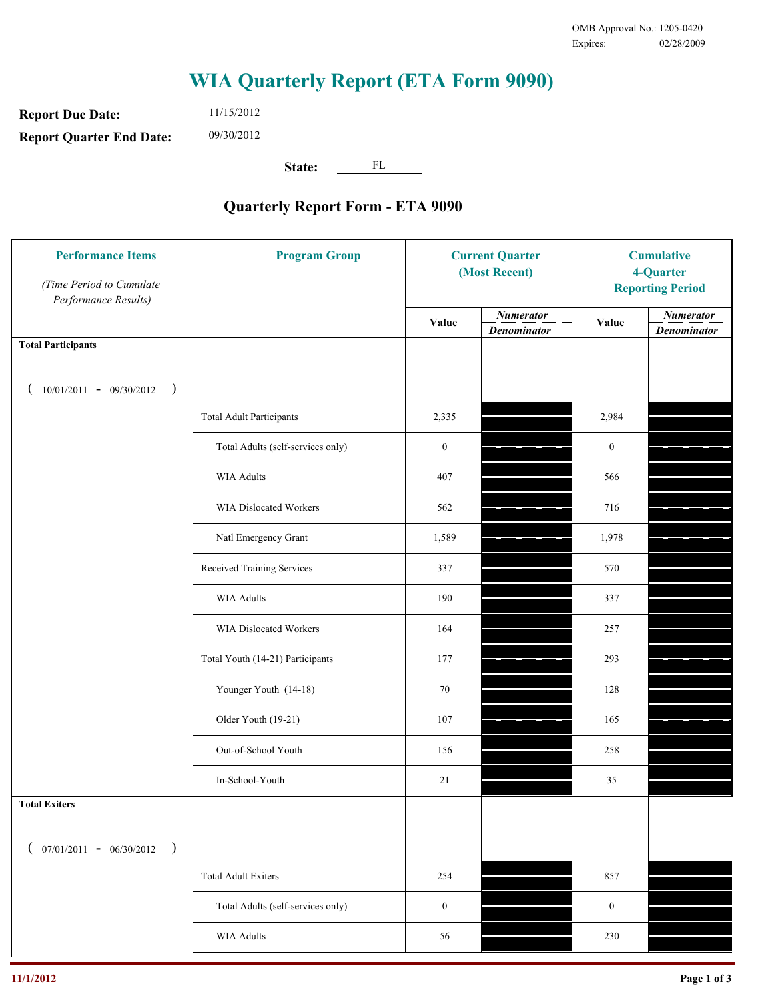**Report Due Date: Report Quarter End Date:** 11/15/2012 09/30/2012

**State:** FL

| <b>Performance Items</b><br>(Time Period to Cumulate<br>Performance Results) | <b>Program Group</b>              | <b>Current Quarter</b><br>(Most Recent) |                                        | <b>Cumulative</b><br>4-Quarter<br><b>Reporting Period</b> |                                        |
|------------------------------------------------------------------------------|-----------------------------------|-----------------------------------------|----------------------------------------|-----------------------------------------------------------|----------------------------------------|
|                                                                              |                                   | Value                                   | <b>Numerator</b><br><b>Denominator</b> | Value                                                     | <b>Numerator</b><br><b>Denominator</b> |
| <b>Total Participants</b>                                                    |                                   |                                         |                                        |                                                           |                                        |
| $10/01/2011 - 09/30/2012$<br>$\big)$                                         |                                   |                                         |                                        |                                                           |                                        |
|                                                                              | <b>Total Adult Participants</b>   | 2,335                                   |                                        | 2,984                                                     |                                        |
|                                                                              | Total Adults (self-services only) | $\boldsymbol{0}$                        |                                        | $\mathbf{0}$                                              |                                        |
|                                                                              | WIA Adults                        | 407                                     |                                        | 566                                                       |                                        |
|                                                                              | <b>WIA Dislocated Workers</b>     | 562                                     |                                        | 716                                                       |                                        |
|                                                                              | Natl Emergency Grant              | 1,589                                   |                                        | 1,978                                                     |                                        |
|                                                                              | Received Training Services        | 337                                     |                                        | 570                                                       |                                        |
|                                                                              | <b>WIA Adults</b>                 | 190                                     |                                        | 337                                                       |                                        |
|                                                                              | WIA Dislocated Workers            | 164                                     |                                        | 257                                                       |                                        |
|                                                                              | Total Youth (14-21) Participants  | 177                                     |                                        | 293                                                       |                                        |
|                                                                              | Younger Youth (14-18)             | 70                                      |                                        | 128                                                       |                                        |
|                                                                              | Older Youth (19-21)               | 107                                     |                                        | 165                                                       |                                        |
|                                                                              | Out-of-School Youth               | 156                                     |                                        | 258                                                       |                                        |
|                                                                              | In-School-Youth                   | $21\,$                                  |                                        | 35                                                        |                                        |
| <b>Total Exiters</b>                                                         |                                   |                                         |                                        |                                                           |                                        |
| $07/01/2011 - 06/30/2012$<br>$\rightarrow$                                   |                                   |                                         |                                        |                                                           |                                        |
|                                                                              | <b>Total Adult Exiters</b>        | 254                                     |                                        | 857                                                       |                                        |
|                                                                              | Total Adults (self-services only) | $\boldsymbol{0}$                        |                                        | $\boldsymbol{0}$                                          |                                        |
|                                                                              | <b>WIA Adults</b>                 | 56                                      |                                        | 230                                                       |                                        |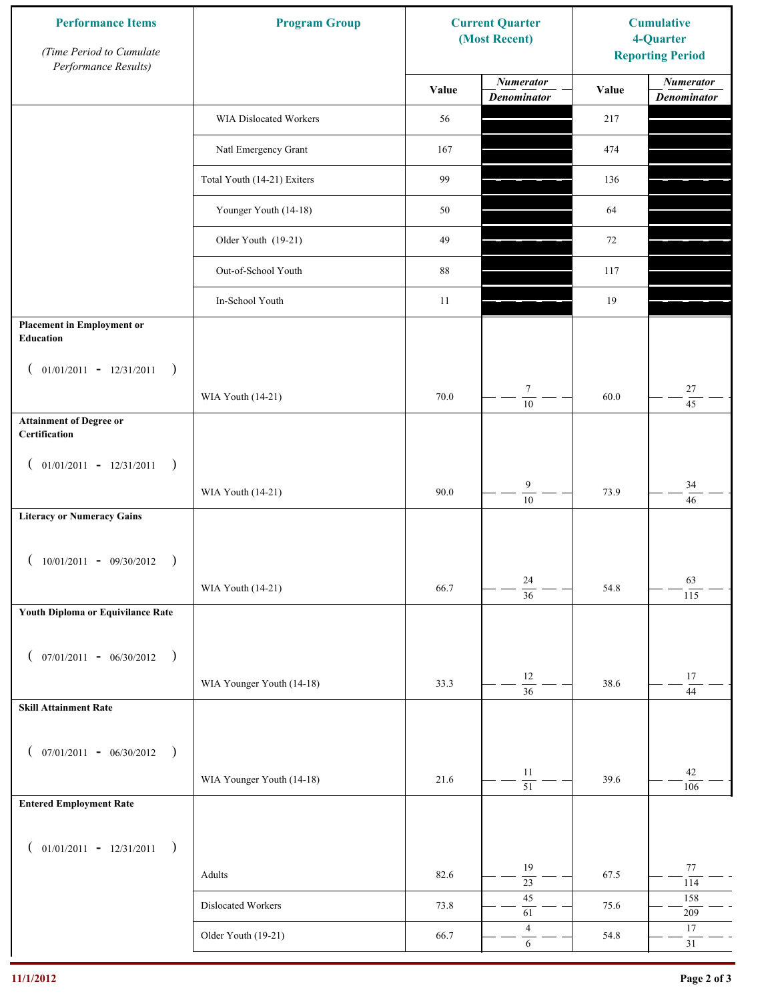| <b>Performance Items</b><br>(Time Period to Cumulate<br>Performance Results) | <b>Program Group</b>        | <b>Current Quarter</b><br>(Most Recent) |                                        | <b>Cumulative</b><br>4-Quarter<br><b>Reporting Period</b> |                                        |
|------------------------------------------------------------------------------|-----------------------------|-----------------------------------------|----------------------------------------|-----------------------------------------------------------|----------------------------------------|
|                                                                              |                             | Value                                   | <b>Numerator</b><br><b>Denominator</b> | Value                                                     | <b>Numerator</b><br><b>Denominator</b> |
|                                                                              | WIA Dislocated Workers      | 56                                      |                                        | 217                                                       |                                        |
|                                                                              | Natl Emergency Grant        | 167                                     |                                        | 474                                                       |                                        |
|                                                                              | Total Youth (14-21) Exiters | 99                                      |                                        | 136                                                       |                                        |
|                                                                              | Younger Youth (14-18)       | 50                                      |                                        | 64                                                        |                                        |
|                                                                              | Older Youth (19-21)         | 49                                      |                                        | 72                                                        |                                        |
|                                                                              | Out-of-School Youth         | 88                                      |                                        | 117                                                       |                                        |
|                                                                              | In-School Youth             | 11                                      |                                        | 19                                                        |                                        |
| <b>Placement in Employment or</b><br><b>Education</b>                        |                             |                                         |                                        |                                                           |                                        |
| $01/01/2011 - 12/31/2011$<br>$\rightarrow$<br>$\overline{ }$                 |                             |                                         |                                        |                                                           |                                        |
|                                                                              | WIA Youth (14-21)           | 70.0                                    | $\tau$<br>$\overline{10}$              | 60.0                                                      | 27<br>$\overline{45}$                  |
| <b>Attainment of Degree or</b><br>Certification                              |                             |                                         |                                        |                                                           |                                        |
| $($ 01/01/2011 - 12/31/2011<br>$\rightarrow$                                 |                             |                                         |                                        |                                                           |                                        |
|                                                                              | WIA Youth (14-21)           | 90.0                                    | $\boldsymbol{9}$<br>$\overline{10}$    | 73.9                                                      | $34\,$<br>46                           |
| <b>Literacy or Numeracy Gains</b>                                            |                             |                                         |                                        |                                                           |                                        |
| $10/01/2011 - 09/30/2012$                                                    |                             |                                         |                                        |                                                           |                                        |
|                                                                              | WIA Youth (14-21)           | 66.7                                    | $24\,$<br>$\overline{36}$              | 54.8                                                      | 63<br>115                              |
| Youth Diploma or Equivilance Rate                                            |                             |                                         |                                        |                                                           |                                        |
| $07/01/2011 - 06/30/2012$<br>$\rightarrow$<br>€                              |                             |                                         |                                        |                                                           |                                        |
|                                                                              | WIA Younger Youth (14-18)   | 33.3                                    | 12<br>$\overline{36}$                  | 38.6                                                      | $17\,$                                 |
| <b>Skill Attainment Rate</b>                                                 |                             |                                         |                                        |                                                           | 44                                     |
|                                                                              |                             |                                         |                                        |                                                           |                                        |
| $07/01/2011 - 06/30/2012$ )<br>$\left($                                      | WIA Younger Youth (14-18)   | 21.6                                    | 11                                     | 39.6                                                      | 42                                     |
| <b>Entered Employment Rate</b>                                               |                             |                                         | $\overline{51}$                        |                                                           | 106                                    |
|                                                                              |                             |                                         |                                        |                                                           |                                        |
| $($ 01/01/2011 - 12/31/2011<br>$\big)$                                       |                             |                                         | 19                                     |                                                           | 77                                     |
|                                                                              | Adults                      | 82.6                                    | $\overline{23}$<br>45                  | 67.5                                                      | 114<br>158                             |
|                                                                              | Dislocated Workers          | 73.8                                    | 61                                     | 75.6                                                      | 209                                    |
|                                                                              | Older Youth (19-21)         | 66.7                                    | $\overline{4}$<br>$\sqrt{6}$           | 54.8                                                      | 17<br>31                               |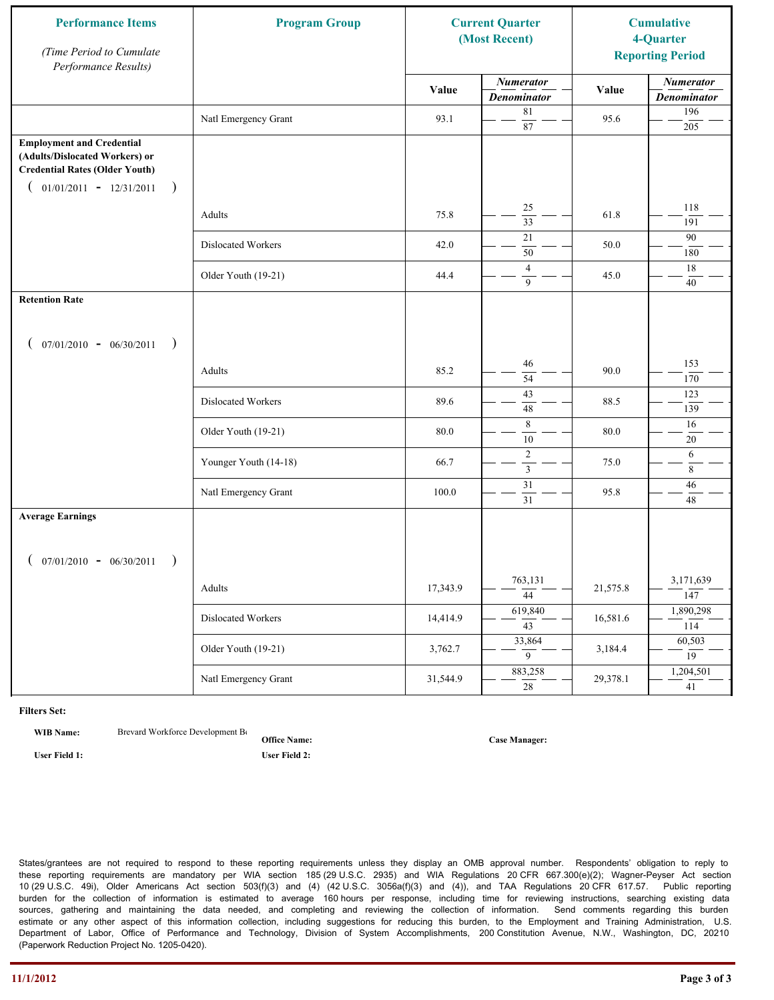| <b>Performance Items</b><br>(Time Period to Cumulate<br>Performance Results)                                                                              | <b>Program Group</b>  |          | <b>Current Quarter</b><br>(Most Recent) |          | <b>Cumulative</b><br>4-Quarter<br><b>Reporting Period</b> |
|-----------------------------------------------------------------------------------------------------------------------------------------------------------|-----------------------|----------|-----------------------------------------|----------|-----------------------------------------------------------|
|                                                                                                                                                           |                       | Value    | <b>Numerator</b><br><b>Denominator</b>  | Value    | <b>Numerator</b><br><b>Denominator</b>                    |
|                                                                                                                                                           | Natl Emergency Grant  | 93.1     | $8\sqrt{1}$<br>87                       | 95.6     | 196<br>205                                                |
| <b>Employment and Credential</b><br>(Adults/Dislocated Workers) or<br><b>Credential Rates (Older Youth)</b><br>$01/01/2011 - 12/31/2011$<br>$\rightarrow$ |                       |          |                                         |          |                                                           |
|                                                                                                                                                           | Adults                | 75.8     | 25<br>$\overline{33}$                   | 61.8     | 118<br>191                                                |
|                                                                                                                                                           | Dislocated Workers    | 42.0     | 21<br>50                                | 50.0     | 90<br>180                                                 |
|                                                                                                                                                           | Older Youth (19-21)   | 44.4     | $\overline{4}$<br>9                     | 45.0     | 18<br>40                                                  |
| <b>Retention Rate</b>                                                                                                                                     |                       |          |                                         |          |                                                           |
| $07/01/2010 - 06/30/2011$<br>$\rightarrow$                                                                                                                |                       |          |                                         |          |                                                           |
|                                                                                                                                                           | Adults                | 85.2     | 46<br>54                                | 90.0     | 153<br>170                                                |
|                                                                                                                                                           | Dislocated Workers    | 89.6     | $\overline{43}$<br>48                   | 88.5     | 123<br>139                                                |
|                                                                                                                                                           | Older Youth (19-21)   | 80.0     | $\,8\,$<br>10                           | 80.0     | 16<br>$20\,$                                              |
|                                                                                                                                                           | Younger Youth (14-18) | 66.7     | $\sqrt{2}$<br>$\mathfrak{Z}$            | 75.0     | 6<br>8                                                    |
|                                                                                                                                                           | Natl Emergency Grant  | 100.0    | $\overline{31}$<br>31                   | 95.8     | 46<br>48                                                  |
| <b>Average Earnings</b>                                                                                                                                   |                       |          |                                         |          |                                                           |
| $07/01/2010 - 06/30/2011$<br>$\rightarrow$                                                                                                                |                       |          |                                         |          |                                                           |
|                                                                                                                                                           | Adults                | 17,343.9 | 763,131<br>44                           | 21,575.8 | 3,171,639<br>147                                          |
|                                                                                                                                                           | Dislocated Workers    | 14,414.9 | 619,840<br>$\overline{43}$              | 16,581.6 | 1,890,298<br>114                                          |
|                                                                                                                                                           | Older Youth (19-21)   | 3,762.7  | 33,864<br>9                             | 3,184.4  | 60,503<br>19                                              |
|                                                                                                                                                           | Natl Emergency Grant  | 31,544.9 | 883,258<br>28                           | 29,378.1 | 1,204,501<br>41                                           |

**WIB Name:** Brevard Workforce Development Board Inc.

**Office Name:**

**User Field 1: User Field 2:**

**Case Manager:**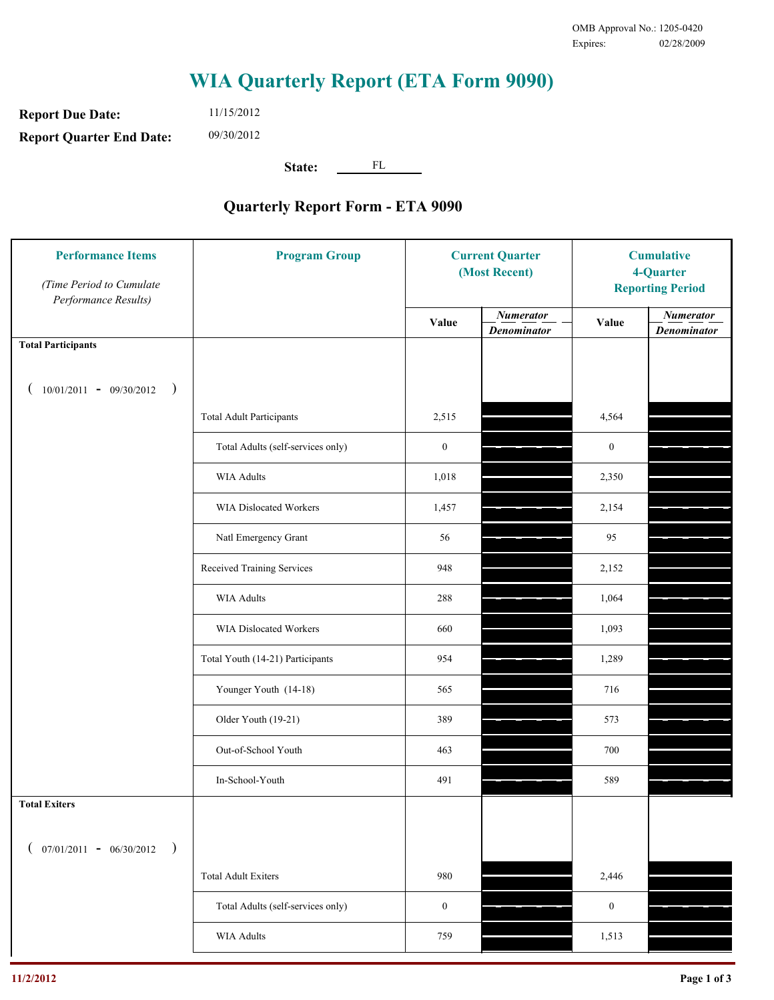**Report Due Date: Report Quarter End Date:** 11/15/2012 09/30/2012

**State:** FL

| <b>Performance Items</b><br>(Time Period to Cumulate<br>Performance Results) | <b>Program Group</b>              | <b>Current Quarter</b><br>(Most Recent) |                                        | <b>Cumulative</b><br>4-Quarter<br><b>Reporting Period</b> |                                        |
|------------------------------------------------------------------------------|-----------------------------------|-----------------------------------------|----------------------------------------|-----------------------------------------------------------|----------------------------------------|
|                                                                              |                                   | Value                                   | <b>Numerator</b><br><b>Denominator</b> | Value                                                     | <b>Numerator</b><br><b>Denominator</b> |
| <b>Total Participants</b>                                                    |                                   |                                         |                                        |                                                           |                                        |
| $10/01/2011 - 09/30/2012$<br>$\big)$                                         |                                   |                                         |                                        |                                                           |                                        |
|                                                                              | <b>Total Adult Participants</b>   | 2,515                                   |                                        | 4,564                                                     |                                        |
|                                                                              | Total Adults (self-services only) | $\boldsymbol{0}$                        |                                        | $\boldsymbol{0}$                                          |                                        |
|                                                                              | <b>WIA Adults</b>                 | 1,018                                   |                                        | 2,350                                                     |                                        |
|                                                                              | <b>WIA Dislocated Workers</b>     | 1,457                                   |                                        | 2,154                                                     |                                        |
|                                                                              | Natl Emergency Grant              | 56                                      |                                        | 95                                                        |                                        |
|                                                                              | Received Training Services        | 948                                     |                                        | 2,152                                                     |                                        |
|                                                                              | <b>WIA Adults</b>                 | 288                                     |                                        | 1,064                                                     |                                        |
|                                                                              | WIA Dislocated Workers            | 660                                     |                                        | 1,093                                                     |                                        |
|                                                                              | Total Youth (14-21) Participants  | 954                                     |                                        | 1,289                                                     |                                        |
|                                                                              | Younger Youth (14-18)             | 565                                     |                                        | 716                                                       |                                        |
|                                                                              | Older Youth (19-21)               | 389                                     |                                        | 573                                                       |                                        |
|                                                                              | Out-of-School Youth               | 463                                     |                                        | 700                                                       |                                        |
|                                                                              | In-School-Youth                   | 491                                     |                                        | 589                                                       |                                        |
| <b>Total Exiters</b>                                                         |                                   |                                         |                                        |                                                           |                                        |
| $07/01/2011 - 06/30/2012$<br>$\rightarrow$                                   |                                   |                                         |                                        |                                                           |                                        |
|                                                                              | <b>Total Adult Exiters</b>        | 980                                     |                                        | 2,446                                                     |                                        |
|                                                                              | Total Adults (self-services only) | $\boldsymbol{0}$                        |                                        | $\boldsymbol{0}$                                          |                                        |
|                                                                              | WIA Adults                        | 759                                     |                                        | 1,513                                                     |                                        |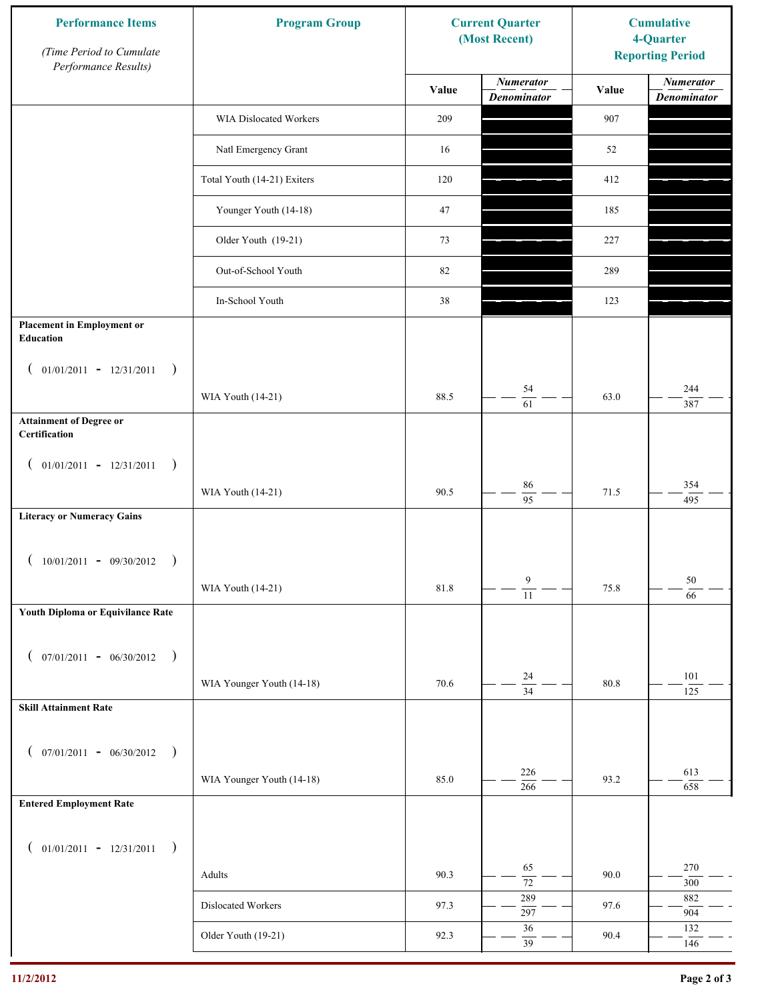| <b>Performance Items</b><br>(Time Period to Cumulate<br>Performance Results) | <b>Program Group</b>        | <b>Current Quarter</b><br>(Most Recent) |                                        | <b>Cumulative</b><br>4-Quarter<br><b>Reporting Period</b> |                                        |
|------------------------------------------------------------------------------|-----------------------------|-----------------------------------------|----------------------------------------|-----------------------------------------------------------|----------------------------------------|
|                                                                              |                             | Value                                   | <b>Numerator</b><br><b>Denominator</b> | Value                                                     | <b>Numerator</b><br><b>Denominator</b> |
|                                                                              | WIA Dislocated Workers      | 209                                     |                                        | 907                                                       |                                        |
|                                                                              | Natl Emergency Grant        | 16                                      |                                        | 52                                                        |                                        |
|                                                                              | Total Youth (14-21) Exiters | 120                                     |                                        | 412                                                       |                                        |
|                                                                              | Younger Youth (14-18)       | 47                                      |                                        | 185                                                       |                                        |
|                                                                              | Older Youth (19-21)         | 73                                      |                                        | 227                                                       |                                        |
|                                                                              | Out-of-School Youth         | 82                                      |                                        | 289                                                       |                                        |
|                                                                              | In-School Youth             | 38                                      |                                        | 123                                                       |                                        |
| <b>Placement in Employment or</b><br>Education                               |                             |                                         |                                        |                                                           |                                        |
| $01/01/2011 - 12/31/2011$<br>$\rightarrow$<br>$\overline{ }$                 |                             | 88.5                                    | 54                                     | 63.0                                                      | 244                                    |
| <b>Attainment of Degree or</b>                                               | WIA Youth (14-21)           |                                         | 61                                     |                                                           | 387                                    |
| Certification                                                                |                             |                                         |                                        |                                                           |                                        |
| $($ 01/01/2011 - 12/31/2011<br>$\rightarrow$                                 |                             |                                         |                                        |                                                           |                                        |
|                                                                              | WIA Youth (14-21)           | 90.5                                    | 86<br>$\overline{95}$                  | 71.5                                                      | 354<br>495                             |
| <b>Literacy or Numeracy Gains</b>                                            |                             |                                         |                                        |                                                           |                                        |
| $10/01/2011 - 09/30/2012$<br>$\rightarrow$                                   |                             |                                         |                                        |                                                           |                                        |
|                                                                              | WIA Youth (14-21)           | $81.8\,$                                | 9<br>$\overline{11}$                   | 75.8                                                      | 50<br>66                               |
| Youth Diploma or Equivilance Rate                                            |                             |                                         |                                        |                                                           |                                        |
| $07/01/2011 - 06/30/2012$ )                                                  |                             |                                         |                                        |                                                           |                                        |
| €                                                                            | WIA Younger Youth (14-18)   | 70.6                                    | $24\,$                                 | 80.8                                                      | 101                                    |
| <b>Skill Attainment Rate</b>                                                 |                             |                                         | $\overline{34}$                        |                                                           | 125                                    |
|                                                                              |                             |                                         |                                        |                                                           |                                        |
| $07/01/2011 - 06/30/2012$ )<br>$\left($                                      |                             |                                         | 226                                    |                                                           | 613                                    |
|                                                                              | WIA Younger Youth (14-18)   | 85.0                                    | $\frac{1}{266}$                        | 93.2                                                      | 658                                    |
| <b>Entered Employment Rate</b>                                               |                             |                                         |                                        |                                                           |                                        |
| $($ 01/01/2011 - 12/31/2011<br>$\rightarrow$                                 |                             |                                         |                                        |                                                           |                                        |
|                                                                              | Adults                      | 90.3                                    | 65<br>$\overline{72}$                  | 90.0                                                      | 270<br>$300\,$                         |
|                                                                              | Dislocated Workers          | 97.3                                    | 289<br>297                             | 97.6                                                      | 882<br>904                             |
|                                                                              | Older Youth (19-21)         | 92.3                                    | $36\,$<br>39                           | 90.4                                                      | 132<br>146                             |
|                                                                              |                             |                                         |                                        |                                                           |                                        |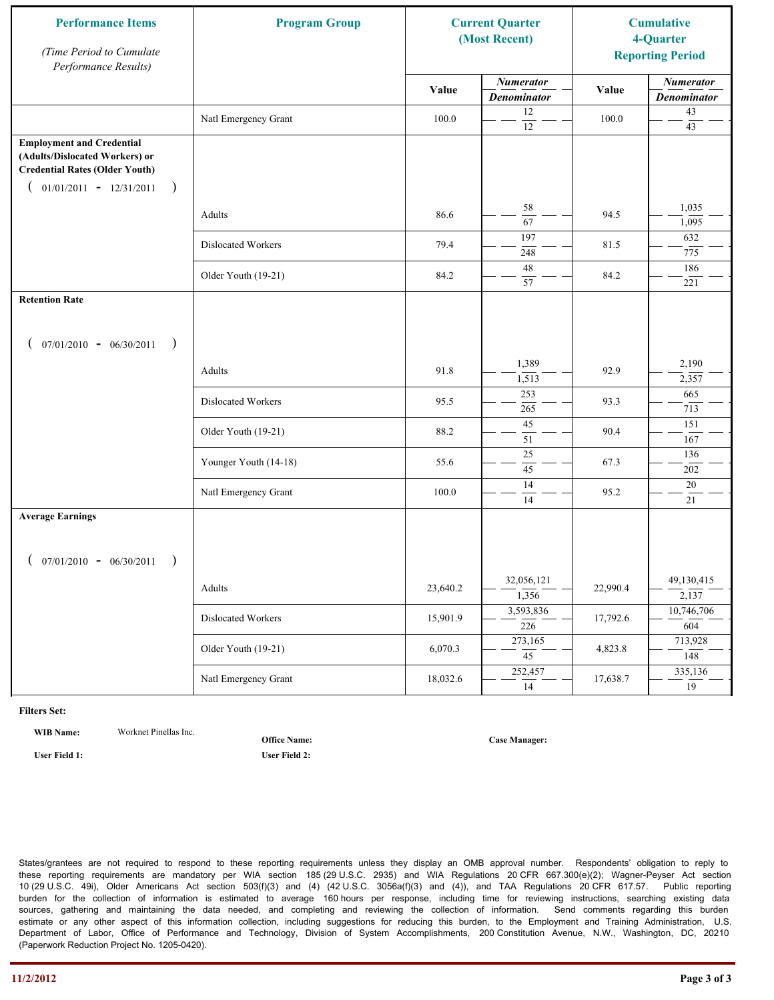| <b>Performance Items</b><br>(Time Period to Cumulate<br>Performance Results)                                                                              | <b>Program Group</b>  |          | <b>Current Quarter</b><br>(Most Recent) |          | <b>Cumulative</b><br>4-Quarter<br><b>Reporting Period</b> |
|-----------------------------------------------------------------------------------------------------------------------------------------------------------|-----------------------|----------|-----------------------------------------|----------|-----------------------------------------------------------|
|                                                                                                                                                           |                       | Value    | <b>Numerator</b><br><b>Denominator</b>  | Value    | <b>Numerator</b><br><b>Denominator</b>                    |
|                                                                                                                                                           | Natl Emergency Grant  | 100.0    | 12<br>$\overline{12}$                   | 100.0    | $43\,$<br>43                                              |
| <b>Employment and Credential</b><br>(Adults/Dislocated Workers) or<br><b>Credential Rates (Older Youth)</b><br>$01/01/2011 - 12/31/2011$<br>$\rightarrow$ |                       |          |                                         |          |                                                           |
|                                                                                                                                                           | Adults                | 86.6     | 58<br>$\overline{67}$                   | 94.5     | 1,035<br>1,095                                            |
|                                                                                                                                                           | Dislocated Workers    | 79.4     | 197<br>248                              | 81.5     | 632<br>775                                                |
|                                                                                                                                                           | Older Youth (19-21)   | 84.2     | 48<br>57                                | 84.2     | 186<br>221                                                |
| <b>Retention Rate</b>                                                                                                                                     |                       |          |                                         |          |                                                           |
| $07/01/2010 - 06/30/2011$<br>$\rightarrow$                                                                                                                |                       |          |                                         |          |                                                           |
|                                                                                                                                                           | Adults                | 91.8     | 1,389<br>1,513                          | 92.9     | 2,190<br>2,357                                            |
|                                                                                                                                                           | Dislocated Workers    | 95.5     | 253<br>265                              | 93.3     | 665<br>713                                                |
|                                                                                                                                                           | Older Youth (19-21)   | 88.2     | 45<br>51                                | 90.4     | 151<br>167                                                |
|                                                                                                                                                           | Younger Youth (14-18) | 55.6     | 25<br>45                                | 67.3     | 136<br>202                                                |
|                                                                                                                                                           | Natl Emergency Grant  | 100.0    | 14<br>14                                | 95.2     | 20<br>21                                                  |
| <b>Average Earnings</b>                                                                                                                                   |                       |          |                                         |          |                                                           |
| $07/01/2010 - 06/30/2011$<br>$\rightarrow$                                                                                                                | Adults                | 23,640.2 | 32,056,121<br>1,356                     | 22,990.4 | 49,130,415<br>2,137                                       |
|                                                                                                                                                           | Dislocated Workers    | 15,901.9 | 3,593,836<br>$\overline{226}$           | 17,792.6 | 10,746,706<br>604                                         |
|                                                                                                                                                           | Older Youth (19-21)   | 6,070.3  | 273,165<br>$\overline{45}$              | 4,823.8  | 713,928<br>148                                            |
|                                                                                                                                                           | Natl Emergency Grant  | 18,032.6 | 252,457<br>14                           | 17,638.7 | 335,136<br>19                                             |

**WIB Name:** Worknet Pinellas Inc.

**Office Name:**

**User Field 1: User Field 2:**

**Case Manager:**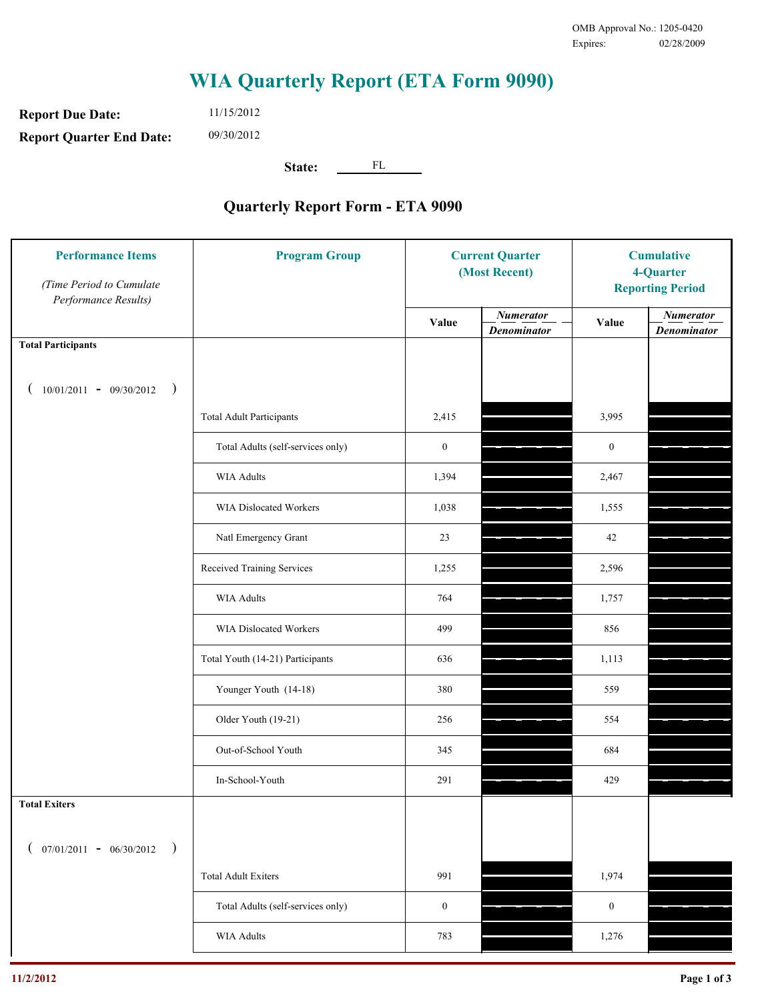**Report Due Date: Report Quarter End Date:** 11/15/2012 09/30/2012

**State:** FL

| <b>Performance Items</b><br>(Time Period to Cumulate<br>Performance Results) | <b>Program Group</b>              | <b>Current Quarter</b><br>(Most Recent) |                                        | <b>Cumulative</b><br>4-Quarter<br><b>Reporting Period</b> |                                        |
|------------------------------------------------------------------------------|-----------------------------------|-----------------------------------------|----------------------------------------|-----------------------------------------------------------|----------------------------------------|
|                                                                              |                                   | Value                                   | <b>Numerator</b><br><b>Denominator</b> | Value                                                     | <b>Numerator</b><br><b>Denominator</b> |
| <b>Total Participants</b>                                                    |                                   |                                         |                                        |                                                           |                                        |
| $10/01/2011 - 09/30/2012$ )                                                  |                                   |                                         |                                        |                                                           |                                        |
|                                                                              | <b>Total Adult Participants</b>   | 2,415                                   |                                        | 3,995                                                     |                                        |
|                                                                              | Total Adults (self-services only) | $\boldsymbol{0}$                        |                                        | $\boldsymbol{0}$                                          |                                        |
|                                                                              | WIA Adults                        | 1,394                                   |                                        | 2,467                                                     |                                        |
|                                                                              | WIA Dislocated Workers            | 1,038                                   |                                        | 1,555                                                     |                                        |
|                                                                              | Natl Emergency Grant              | 23                                      |                                        | 42                                                        |                                        |
|                                                                              | Received Training Services        | 1,255                                   |                                        | 2,596                                                     |                                        |
|                                                                              | WIA Adults                        | 764                                     |                                        | 1,757                                                     |                                        |
|                                                                              | WIA Dislocated Workers            | 499                                     |                                        | 856                                                       |                                        |
|                                                                              | Total Youth (14-21) Participants  | 636                                     |                                        | 1,113                                                     |                                        |
|                                                                              | Younger Youth (14-18)             | 380                                     |                                        | 559                                                       |                                        |
|                                                                              | Older Youth (19-21)               | 256                                     |                                        | 554                                                       |                                        |
|                                                                              | Out-of-School Youth               | 345                                     |                                        | 684                                                       |                                        |
|                                                                              | In-School-Youth                   | 291                                     |                                        | 429                                                       |                                        |
| <b>Total Exiters</b>                                                         |                                   |                                         |                                        |                                                           |                                        |
| $07/01/2011 - 06/30/2012$<br>$\rightarrow$                                   |                                   |                                         |                                        |                                                           |                                        |
|                                                                              | <b>Total Adult Exiters</b>        | 991                                     |                                        | 1,974                                                     |                                        |
|                                                                              | Total Adults (self-services only) | $\boldsymbol{0}$                        |                                        | $\boldsymbol{0}$                                          |                                        |
|                                                                              | WIA Adults                        | 783                                     |                                        | 1,276                                                     |                                        |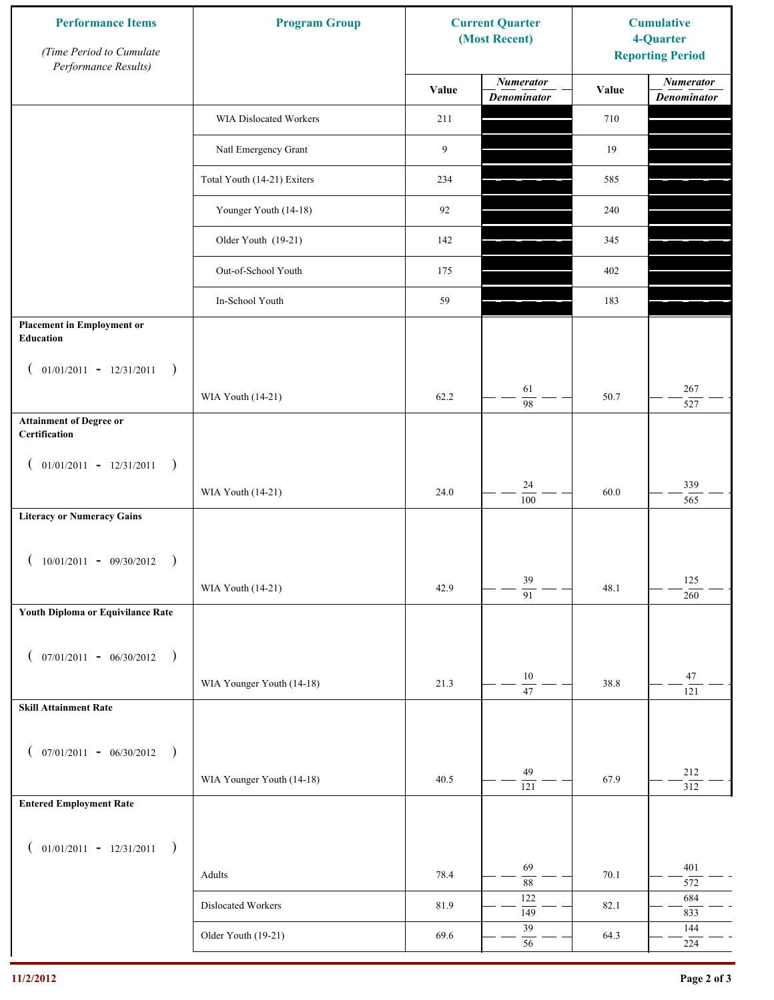| <b>Performance Items</b><br>(Time Period to Cumulate<br>Performance Results) | <b>Program Group</b>        |       | <b>Current Quarter</b><br>(Most Recent) | <b>Cumulative</b><br>4-Quarter<br><b>Reporting Period</b> |                                        |
|------------------------------------------------------------------------------|-----------------------------|-------|-----------------------------------------|-----------------------------------------------------------|----------------------------------------|
|                                                                              |                             | Value | <b>Numerator</b><br><b>Denominator</b>  | Value                                                     | <b>Numerator</b><br><b>Denominator</b> |
|                                                                              | WIA Dislocated Workers      | 211   |                                         | 710                                                       |                                        |
|                                                                              | Natl Emergency Grant        | 9     |                                         | 19                                                        |                                        |
|                                                                              | Total Youth (14-21) Exiters | 234   |                                         | 585                                                       |                                        |
|                                                                              | Younger Youth (14-18)       | 92    |                                         | 240                                                       |                                        |
|                                                                              | Older Youth (19-21)         | 142   |                                         | 345                                                       |                                        |
|                                                                              | Out-of-School Youth         | 175   |                                         | 402                                                       |                                        |
|                                                                              | In-School Youth             | 59    |                                         | 183                                                       |                                        |
| <b>Placement in Employment or</b><br>Education                               |                             |       |                                         |                                                           |                                        |
| $01/01/2011 - 12/31/2011$<br>$\rightarrow$<br>$\overline{ }$                 | WIA Youth (14-21)           | 62.2  | 61                                      | 50.7                                                      | 267                                    |
| <b>Attainment of Degree or</b>                                               |                             |       | 98                                      |                                                           | 527                                    |
| Certification<br>$($ 01/01/2011 - 12/31/2011<br>$\rightarrow$                |                             |       |                                         |                                                           |                                        |
|                                                                              | WIA Youth (14-21)           | 24.0  | 24<br>$\overline{100}$                  | 60.0                                                      | 339<br>565                             |
| <b>Literacy or Numeracy Gains</b>                                            |                             |       |                                         |                                                           |                                        |
| $10/01/2011 - 09/30/2012$<br>$\rightarrow$                                   |                             |       |                                         |                                                           |                                        |
|                                                                              | WIA Youth (14-21)           | 42.9  | 39<br>$\overline{91}$                   | 48.1                                                      | 125<br>260                             |
| Youth Diploma or Equivilance Rate                                            |                             |       |                                         |                                                           |                                        |
| $07/01/2011 - 06/30/2012$ )<br>€                                             |                             |       |                                         |                                                           |                                        |
|                                                                              | WIA Younger Youth (14-18)   | 21.3  | $10\,$<br>$47\,$                        | 38.8                                                      | 47<br>121                              |
| <b>Skill Attainment Rate</b>                                                 |                             |       |                                         |                                                           |                                        |
| $07/01/2011 - 06/30/2012$ )<br>$\left($                                      |                             |       |                                         |                                                           |                                        |
|                                                                              | WIA Younger Youth (14-18)   | 40.5  | 49<br>$\overline{121}$                  | 67.9                                                      | 212<br>312                             |
| <b>Entered Employment Rate</b>                                               |                             |       |                                         |                                                           |                                        |
| $($ 01/01/2011 - 12/31/2011<br>$\rightarrow$                                 |                             |       |                                         |                                                           |                                        |
|                                                                              | Adults                      | 78.4  | 69                                      | 70.1                                                      | 401                                    |
|                                                                              | Dislocated Workers          | 81.9  | $\overline{88}$<br>122                  | 82.1                                                      | 572<br>684                             |
|                                                                              | Older Youth (19-21)         | 69.6  | 149<br>39                               | 64.3                                                      | 833<br>144                             |
|                                                                              |                             |       | 56                                      |                                                           | 224                                    |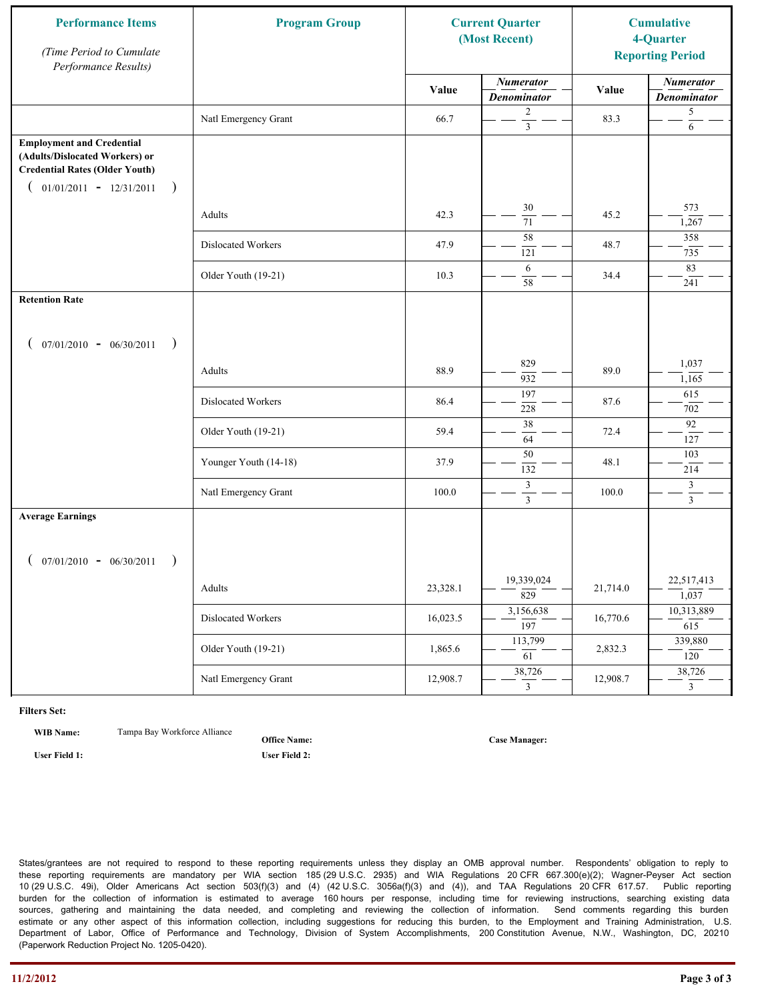| <b>Performance Items</b><br>(Time Period to Cumulate<br>Performance Results)                                                                              | <b>Program Group</b>  |          | <b>Current Quarter</b><br>(Most Recent) |          | <b>Cumulative</b><br>4-Quarter<br><b>Reporting Period</b> |
|-----------------------------------------------------------------------------------------------------------------------------------------------------------|-----------------------|----------|-----------------------------------------|----------|-----------------------------------------------------------|
|                                                                                                                                                           |                       | Value    | <b>Numerator</b><br><b>Denominator</b>  | Value    | <b>Numerator</b><br><b>Denominator</b>                    |
|                                                                                                                                                           | Natl Emergency Grant  | 66.7     | 2<br>$\overline{\mathbf{3}}$            | 83.3     | 5<br>6                                                    |
| <b>Employment and Credential</b><br>(Adults/Dislocated Workers) or<br><b>Credential Rates (Older Youth)</b><br>$01/01/2011 - 12/31/2011$<br>$\rightarrow$ |                       |          |                                         |          |                                                           |
|                                                                                                                                                           | Adults                | 42.3     | 30<br>$\overline{71}$                   | 45.2     | 573<br>1,267                                              |
|                                                                                                                                                           | Dislocated Workers    | 47.9     | 58<br>121                               | 48.7     | 358<br>735                                                |
|                                                                                                                                                           | Older Youth (19-21)   | 10.3     | 6<br>58                                 | 34.4     | 83<br>241                                                 |
| <b>Retention Rate</b>                                                                                                                                     |                       |          |                                         |          |                                                           |
| $07/01/2010 - 06/30/2011$<br>$\rightarrow$                                                                                                                |                       |          |                                         |          |                                                           |
|                                                                                                                                                           | Adults                | 88.9     | 829<br>932                              | 89.0     | 1,037<br>1,165                                            |
|                                                                                                                                                           | Dislocated Workers    | 86.4     | 197<br>228                              | 87.6     | 615<br>702                                                |
|                                                                                                                                                           | Older Youth (19-21)   | 59.4     | 38<br>64                                | 72.4     | 92<br>127                                                 |
|                                                                                                                                                           | Younger Youth (14-18) | 37.9     | 50<br>132                               | 48.1     | 103<br>214                                                |
|                                                                                                                                                           | Natl Emergency Grant  | 100.0    | $\mathfrak{Z}$<br>$\overline{3}$        | 100.0    | 3<br>$\mathfrak{Z}$                                       |
| <b>Average Earnings</b>                                                                                                                                   |                       |          |                                         |          |                                                           |
| $07/01/2010 - 06/30/2011$<br>$\rightarrow$                                                                                                                |                       |          |                                         |          |                                                           |
|                                                                                                                                                           | Adults                | 23,328.1 | 19,339,024<br>$\overline{829}$          | 21,714.0 | 22,517,413<br>1,037                                       |
|                                                                                                                                                           | Dislocated Workers    | 16,023.5 | 3,156,638<br>$\overline{197}$           | 16,770.6 | 10,313,889<br>615                                         |
|                                                                                                                                                           | Older Youth (19-21)   | 1,865.6  | 113,799<br>61                           | 2,832.3  | 339,880<br>120                                            |
|                                                                                                                                                           | Natl Emergency Grant  | 12,908.7 | 38,726<br>$\mathbf{3}$                  | 12,908.7 | 38,726<br>$\overline{3}$                                  |

**WIB Name:** Tampa Bay Workforce Alliance

**Office Name:**

**User Field 1: User Field 2:**

**Case Manager:**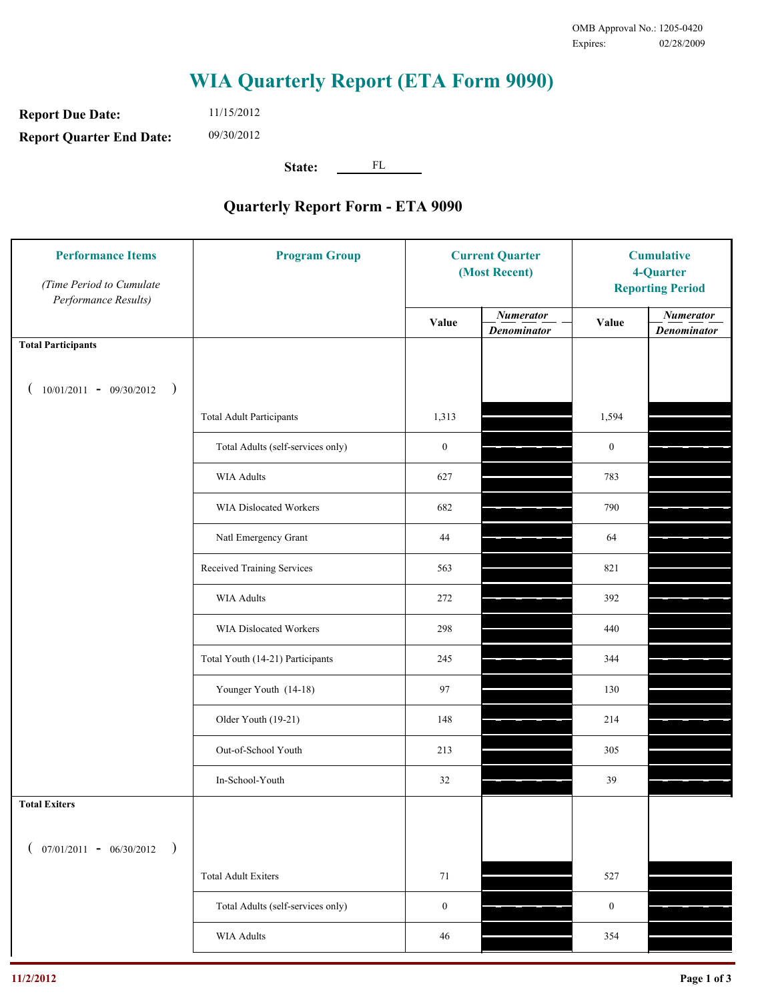**Report Due Date: Report Quarter End Date:** 11/15/2012 09/30/2012

**State:** FL

| <b>Performance Items</b><br>(Time Period to Cumulate<br>Performance Results) | <b>Program Group</b>              | <b>Current Quarter</b><br>(Most Recent) |                                        | <b>Cumulative</b><br>4-Quarter<br><b>Reporting Period</b> |                                        |
|------------------------------------------------------------------------------|-----------------------------------|-----------------------------------------|----------------------------------------|-----------------------------------------------------------|----------------------------------------|
|                                                                              |                                   | Value                                   | <b>Numerator</b><br><b>Denominator</b> | Value                                                     | <b>Numerator</b><br><b>Denominator</b> |
| <b>Total Participants</b>                                                    |                                   |                                         |                                        |                                                           |                                        |
| $10/01/2011 - 09/30/2012$<br>$\big)$                                         |                                   |                                         |                                        |                                                           |                                        |
|                                                                              | <b>Total Adult Participants</b>   | 1,313                                   |                                        | 1,594                                                     |                                        |
|                                                                              | Total Adults (self-services only) | $\boldsymbol{0}$                        |                                        | $\mathbf{0}$                                              |                                        |
|                                                                              | <b>WIA Adults</b>                 | 627                                     |                                        | 783                                                       |                                        |
|                                                                              | WIA Dislocated Workers            | 682                                     |                                        | 790                                                       |                                        |
|                                                                              | Natl Emergency Grant              | 44                                      |                                        | 64                                                        |                                        |
|                                                                              | Received Training Services        | 563                                     |                                        | 821                                                       |                                        |
|                                                                              | <b>WIA Adults</b>                 | 272                                     |                                        | 392                                                       |                                        |
|                                                                              | WIA Dislocated Workers            | 298                                     |                                        | 440                                                       |                                        |
|                                                                              | Total Youth (14-21) Participants  | 245                                     |                                        | 344                                                       |                                        |
|                                                                              | Younger Youth (14-18)             | 97                                      |                                        | 130                                                       |                                        |
|                                                                              | Older Youth (19-21)               | 148                                     |                                        | 214                                                       |                                        |
|                                                                              | Out-of-School Youth               | 213                                     |                                        | 305                                                       |                                        |
|                                                                              | In-School-Youth                   | $32\,$                                  |                                        | 39                                                        |                                        |
| <b>Total Exiters</b>                                                         |                                   |                                         |                                        |                                                           |                                        |
| $07/01/2011 - 06/30/2012$<br>$\rightarrow$                                   |                                   |                                         |                                        |                                                           |                                        |
|                                                                              | <b>Total Adult Exiters</b>        | 71                                      |                                        | 527                                                       |                                        |
|                                                                              | Total Adults (self-services only) | $\boldsymbol{0}$                        |                                        | $\boldsymbol{0}$                                          |                                        |
|                                                                              | WIA Adults                        | 46                                      |                                        | 354                                                       |                                        |
|                                                                              |                                   |                                         |                                        |                                                           |                                        |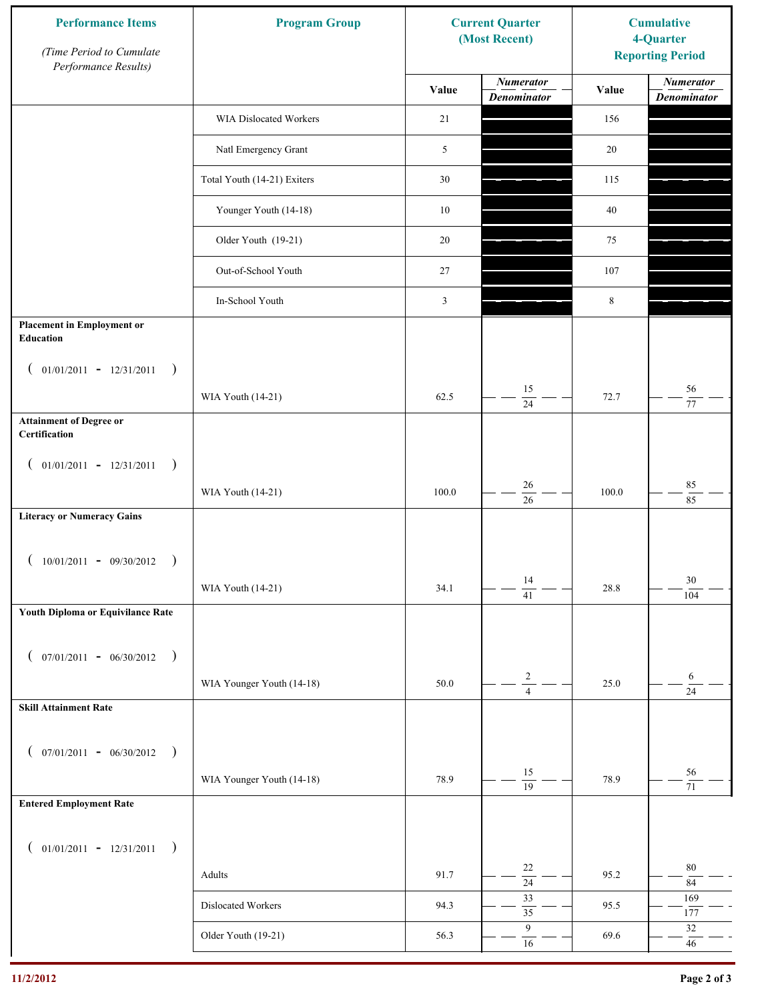| <b>Performance Items</b><br>(Time Period to Cumulate<br>Performance Results) | <b>Program Group</b>        | <b>Current Quarter</b><br>(Most Recent) |                                        | <b>Cumulative</b><br>4-Quarter<br><b>Reporting Period</b> |                                        |
|------------------------------------------------------------------------------|-----------------------------|-----------------------------------------|----------------------------------------|-----------------------------------------------------------|----------------------------------------|
|                                                                              |                             | Value                                   | <b>Numerator</b><br><b>Denominator</b> | Value                                                     | <b>Numerator</b><br><b>Denominator</b> |
|                                                                              | WIA Dislocated Workers      | 21                                      |                                        | 156                                                       |                                        |
|                                                                              | Natl Emergency Grant        | 5                                       |                                        | 20                                                        |                                        |
|                                                                              | Total Youth (14-21) Exiters | 30                                      |                                        | 115                                                       |                                        |
|                                                                              | Younger Youth (14-18)       | $10\,$                                  |                                        | 40                                                        |                                        |
|                                                                              | Older Youth (19-21)         | 20                                      |                                        | 75                                                        |                                        |
|                                                                              | Out-of-School Youth         | 27                                      |                                        | 107                                                       |                                        |
|                                                                              | In-School Youth             | $\mathfrak{Z}$                          |                                        | 8                                                         |                                        |
| <b>Placement in Employment or</b><br><b>Education</b>                        |                             |                                         |                                        |                                                           |                                        |
| $01/01/2011 - 12/31/2011$<br>$\rightarrow$<br>$\overline{ }$                 |                             |                                         |                                        |                                                           |                                        |
|                                                                              | WIA Youth (14-21)           | 62.5                                    | 15<br>24                               | 72.7                                                      | 56<br>$77\,$                           |
| <b>Attainment of Degree or</b><br>Certification                              |                             |                                         |                                        |                                                           |                                        |
| $($ 01/01/2011 - 12/31/2011<br>$\rightarrow$                                 |                             |                                         |                                        |                                                           |                                        |
|                                                                              | WIA Youth (14-21)           | 100.0                                   | 26<br>$\overline{26}$                  | 100.0                                                     | $85\,$<br>85                           |
| <b>Literacy or Numeracy Gains</b>                                            |                             |                                         |                                        |                                                           |                                        |
| $10/01/2011 - 09/30/2012$<br>$\rightarrow$                                   |                             |                                         |                                        |                                                           |                                        |
|                                                                              | WIA Youth (14-21)           | 34.1                                    | 14<br>$\overline{41}$                  | 28.8                                                      | 30<br>104                              |
| Youth Diploma or Equivilance Rate                                            |                             |                                         |                                        |                                                           |                                        |
| $07/01/2011 - 06/30/2012$<br>$\rightarrow$<br>€                              |                             |                                         |                                        |                                                           |                                        |
|                                                                              | WIA Younger Youth (14-18)   | 50.0                                    | $\sqrt{2}$                             | 25.0                                                      | 6                                      |
| <b>Skill Attainment Rate</b>                                                 |                             |                                         | $\overline{4}$                         |                                                           | $\overline{24}$                        |
| $07/01/2011 - 06/30/2012$ )                                                  |                             |                                         |                                        |                                                           |                                        |
| $\left($                                                                     | WIA Younger Youth (14-18)   | 78.9                                    | 15                                     | 78.9                                                      | 56                                     |
| <b>Entered Employment Rate</b>                                               |                             |                                         | $\overline{19}$                        |                                                           | 71                                     |
|                                                                              |                             |                                         |                                        |                                                           |                                        |
| $($ 01/01/2011 - 12/31/2011<br>$\big)$                                       |                             |                                         | 22                                     |                                                           | $80\,$                                 |
|                                                                              | Adults                      | 91.7                                    | $\overline{24}$<br>33                  | 95.2                                                      | $\bf 84$<br>169                        |
|                                                                              | Dislocated Workers          | 94.3                                    | $\overline{35}$                        | 95.5                                                      | 177                                    |
|                                                                              | Older Youth (19-21)         | 56.3                                    | $\boldsymbol{9}$<br>$16\,$             | 69.6                                                      | $32\,$<br>$46\,$                       |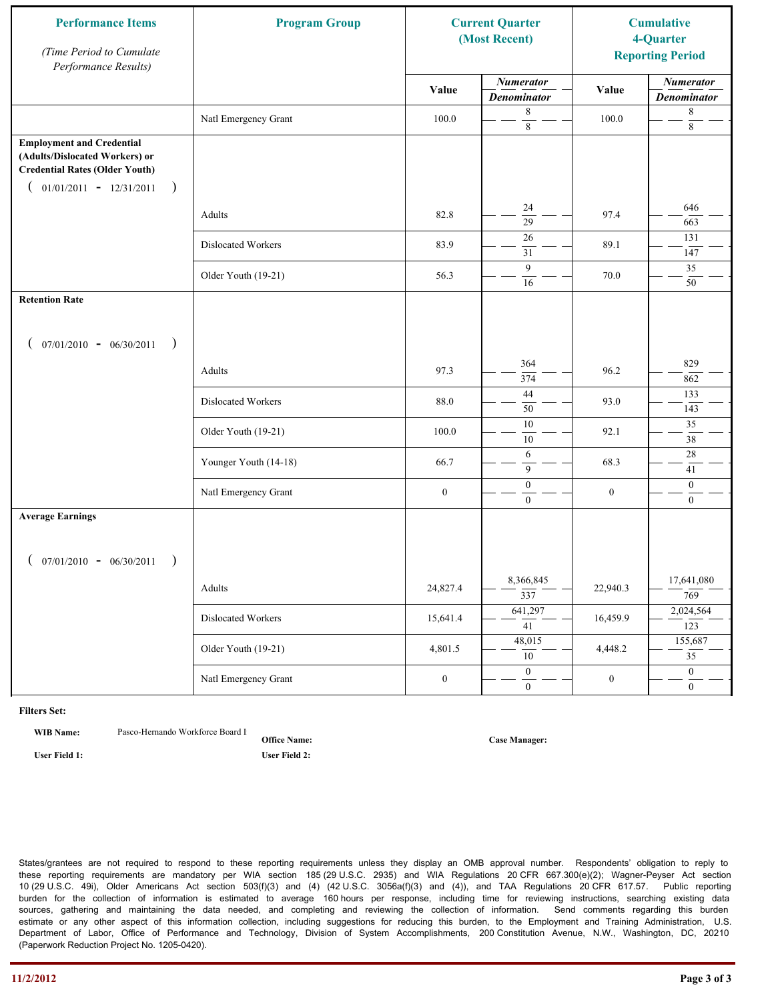| <b>Performance Items</b><br>(Time Period to Cumulate<br>Performance Results)                                                                              | <b>Program Group</b>  | <b>Current Quarter</b><br>(Most Recent) |                                        | <b>Cumulative</b><br>4-Quarter<br><b>Reporting Period</b> |                                        |
|-----------------------------------------------------------------------------------------------------------------------------------------------------------|-----------------------|-----------------------------------------|----------------------------------------|-----------------------------------------------------------|----------------------------------------|
|                                                                                                                                                           |                       | Value                                   | <b>Numerator</b><br><b>Denominator</b> | Value                                                     | <b>Numerator</b><br><b>Denominator</b> |
|                                                                                                                                                           | Natl Emergency Grant  | 100.0                                   | 8<br>$\,8\,$                           | 100.0                                                     | 8<br>$\,8\,$                           |
| <b>Employment and Credential</b><br>(Adults/Dislocated Workers) or<br><b>Credential Rates (Older Youth)</b><br>$01/01/2011 - 12/31/2011$<br>$\rightarrow$ |                       |                                         |                                        |                                                           |                                        |
|                                                                                                                                                           | Adults                | 82.8                                    | 24<br>$\overline{29}$                  | 97.4                                                      | 646<br>663                             |
|                                                                                                                                                           | Dislocated Workers    | 83.9                                    | 26<br>31                               | 89.1                                                      | 131<br>147                             |
|                                                                                                                                                           | Older Youth (19-21)   | 56.3                                    | 9<br>16                                | 70.0                                                      | 35<br>50                               |
| <b>Retention Rate</b>                                                                                                                                     |                       |                                         |                                        |                                                           |                                        |
| $07/01/2010 - 06/30/2011$<br>$\rightarrow$                                                                                                                |                       |                                         |                                        |                                                           |                                        |
|                                                                                                                                                           | Adults                | 97.3                                    | 364<br>374                             | 96.2                                                      | 829<br>862                             |
|                                                                                                                                                           | Dislocated Workers    | 88.0                                    | 44<br>50                               | 93.0                                                      | 133<br>143                             |
|                                                                                                                                                           | Older Youth (19-21)   | 100.0                                   | $\overline{10}$<br>10                  | 92.1                                                      | 35<br>38                               |
|                                                                                                                                                           | Younger Youth (14-18) | 66.7                                    | 6<br>9                                 | 68.3                                                      | $28\,$<br>41                           |
|                                                                                                                                                           | Natl Emergency Grant  | $\boldsymbol{0}$                        | $\boldsymbol{0}$<br>$\mathbf{0}$       | $\boldsymbol{0}$                                          | $\mathbf{0}$<br>$\overline{0}$         |
| <b>Average Earnings</b>                                                                                                                                   |                       |                                         |                                        |                                                           |                                        |
| $07/01/2010 - 06/30/2011$<br>$\rightarrow$                                                                                                                |                       |                                         |                                        |                                                           |                                        |
|                                                                                                                                                           | Adults                | 24,827.4                                | 8,366,845<br>$\overline{337}$          | 22,940.3                                                  | 17,641,080<br>769                      |
|                                                                                                                                                           | Dislocated Workers    | 15,641.4                                | 641,297<br>$\overline{41}$             | 16,459.9                                                  | 2,024,564<br>123                       |
|                                                                                                                                                           | Older Youth (19-21)   | 4,801.5                                 | 48,015<br>10                           | 4,448.2                                                   | 155,687<br>$\overline{35}$             |
|                                                                                                                                                           | Natl Emergency Grant  | $\boldsymbol{0}$                        | $\overline{0}$<br>$\mathbf{0}$         | $\boldsymbol{0}$                                          | $\overline{0}$<br>$\overline{0}$       |

**WIB Name:** Pasco-Hernando Workforce Board I

**Office Name: User Field 1: User Field 2:**

**Case Manager:**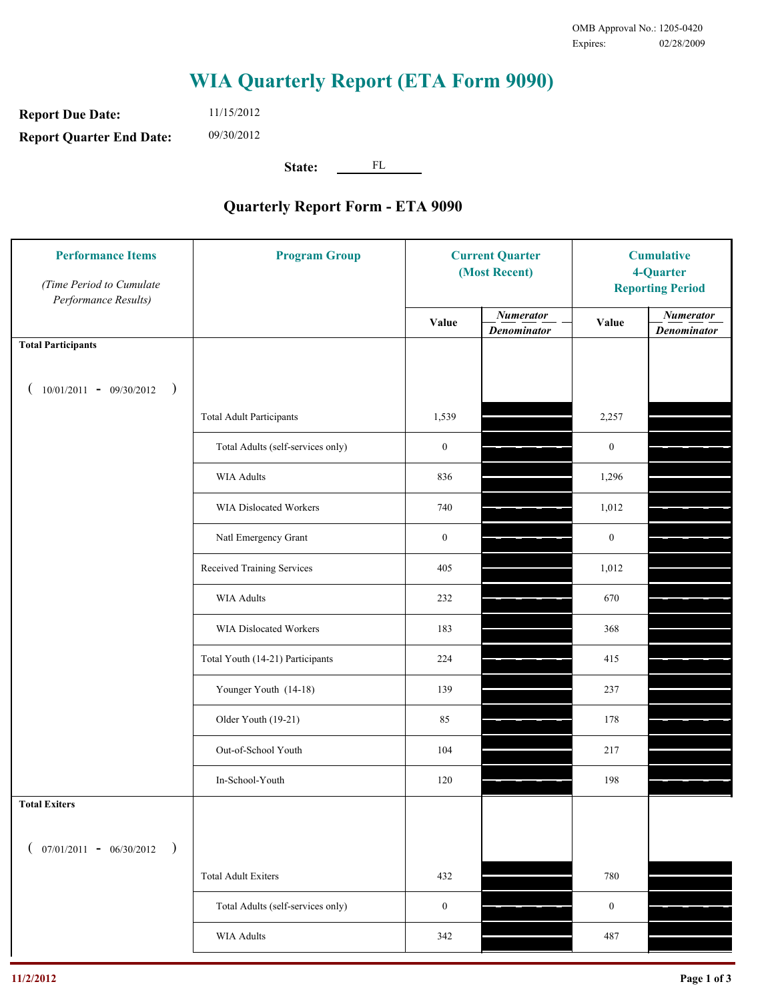**Report Due Date: Report Quarter End Date:** 11/15/2012 09/30/2012

**State:** FL

| <b>Performance Items</b><br>(Time Period to Cumulate<br>Performance Results) | <b>Program Group</b>              | <b>Current Quarter</b><br>(Most Recent) |                                        | <b>Cumulative</b><br>4-Quarter<br><b>Reporting Period</b> |                                        |
|------------------------------------------------------------------------------|-----------------------------------|-----------------------------------------|----------------------------------------|-----------------------------------------------------------|----------------------------------------|
|                                                                              |                                   | Value                                   | <b>Numerator</b><br><b>Denominator</b> | Value                                                     | <b>Numerator</b><br><b>Denominator</b> |
| <b>Total Participants</b>                                                    |                                   |                                         |                                        |                                                           |                                        |
| $10/01/2011 - 09/30/2012$<br>$\rightarrow$                                   |                                   |                                         |                                        |                                                           |                                        |
|                                                                              | <b>Total Adult Participants</b>   | 1,539                                   |                                        | 2,257                                                     |                                        |
|                                                                              | Total Adults (self-services only) | $\boldsymbol{0}$                        |                                        | $\boldsymbol{0}$                                          |                                        |
|                                                                              | <b>WIA Adults</b>                 | 836                                     |                                        | 1,296                                                     |                                        |
|                                                                              | WIA Dislocated Workers            | 740                                     |                                        | 1,012                                                     |                                        |
|                                                                              | Natl Emergency Grant              | $\boldsymbol{0}$                        |                                        | $\boldsymbol{0}$                                          |                                        |
|                                                                              | Received Training Services        | 405                                     |                                        | 1,012                                                     |                                        |
|                                                                              | <b>WIA Adults</b>                 | 232                                     |                                        | 670                                                       |                                        |
|                                                                              | WIA Dislocated Workers            | 183                                     |                                        | 368                                                       |                                        |
|                                                                              | Total Youth (14-21) Participants  | 224                                     |                                        | 415                                                       |                                        |
|                                                                              | Younger Youth (14-18)             | 139                                     |                                        | 237                                                       |                                        |
|                                                                              | Older Youth (19-21)               | 85                                      |                                        | 178                                                       |                                        |
|                                                                              | Out-of-School Youth               | 104                                     |                                        | 217                                                       |                                        |
|                                                                              | In-School-Youth                   | 120                                     |                                        | 198                                                       |                                        |
| <b>Total Exiters</b>                                                         |                                   |                                         |                                        |                                                           |                                        |
| $07/01/2011 - 06/30/2012$<br>$\rightarrow$                                   |                                   |                                         |                                        |                                                           |                                        |
|                                                                              | <b>Total Adult Exiters</b>        | 432                                     |                                        | 780                                                       |                                        |
|                                                                              | Total Adults (self-services only) | $\boldsymbol{0}$                        |                                        | $\boldsymbol{0}$                                          |                                        |
|                                                                              | WIA Adults                        | 342                                     |                                        | 487                                                       |                                        |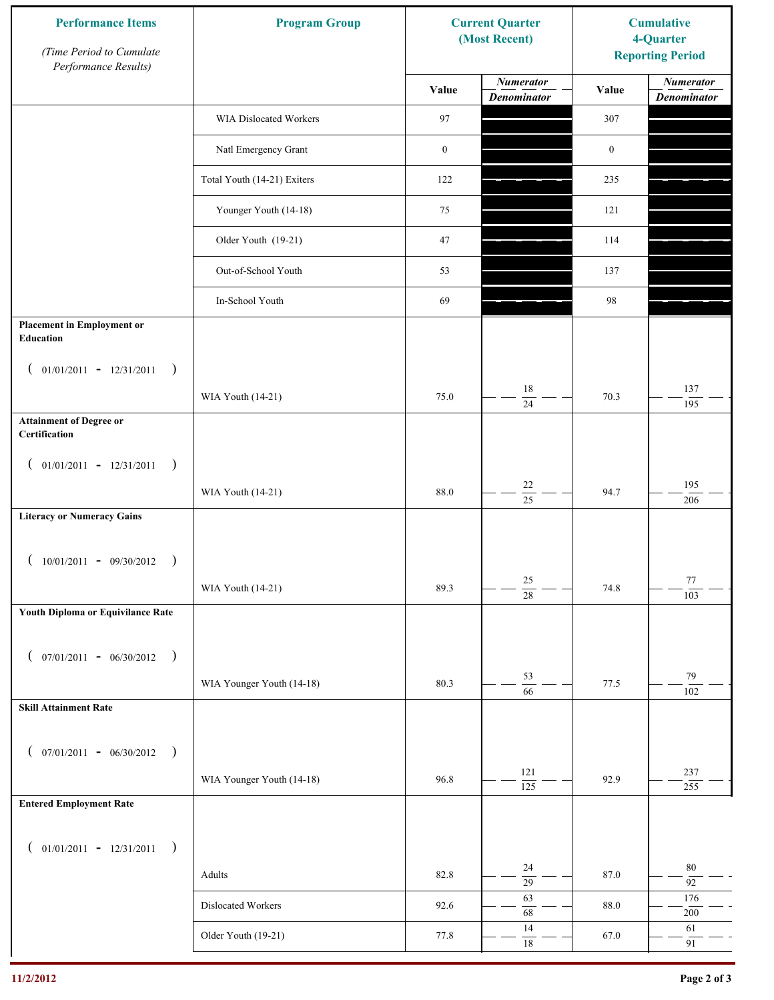| <b>Performance Items</b><br>(Time Period to Cumulate<br>Performance Results) | <b>Program Group</b>        | <b>Current Quarter</b><br>(Most Recent) |                                        | <b>Cumulative</b><br>4-Quarter<br><b>Reporting Period</b> |                                        |
|------------------------------------------------------------------------------|-----------------------------|-----------------------------------------|----------------------------------------|-----------------------------------------------------------|----------------------------------------|
|                                                                              |                             | Value                                   | <b>Numerator</b><br><b>Denominator</b> | Value                                                     | <b>Numerator</b><br><b>Denominator</b> |
|                                                                              | WIA Dislocated Workers      | 97                                      |                                        | 307                                                       |                                        |
|                                                                              | Natl Emergency Grant        | $\boldsymbol{0}$                        |                                        | $\boldsymbol{0}$                                          |                                        |
|                                                                              | Total Youth (14-21) Exiters | 122                                     |                                        | 235                                                       |                                        |
|                                                                              | Younger Youth (14-18)       | 75                                      |                                        | 121                                                       |                                        |
|                                                                              | Older Youth (19-21)         | 47                                      |                                        | 114                                                       |                                        |
|                                                                              | Out-of-School Youth         | 53                                      |                                        | 137                                                       |                                        |
|                                                                              | In-School Youth             | 69                                      |                                        | 98                                                        |                                        |
| <b>Placement in Employment or</b><br>Education                               |                             |                                         |                                        |                                                           |                                        |
| $01/01/2011 - 12/31/2011$<br>$\rightarrow$<br>$\overline{ }$                 |                             |                                         |                                        |                                                           |                                        |
|                                                                              | WIA Youth (14-21)           | 75.0                                    | 18<br>24                               | 70.3                                                      | 137<br>195                             |
| <b>Attainment of Degree or</b><br>Certification                              |                             |                                         |                                        |                                                           |                                        |
| $($ 01/01/2011 - 12/31/2011<br>$\rightarrow$                                 |                             |                                         |                                        |                                                           |                                        |
|                                                                              | WIA Youth (14-21)           | 88.0                                    | $22\,$<br>$\overline{25}$              | 94.7                                                      | 195<br>206                             |
| <b>Literacy or Numeracy Gains</b>                                            |                             |                                         |                                        |                                                           |                                        |
| $10/01/2011 - 09/30/2012$<br>$\rightarrow$                                   |                             |                                         |                                        |                                                           |                                        |
|                                                                              | WIA Youth (14-21)           | 89.3                                    | 25<br>$\overline{28}$                  | 74.8                                                      | 77<br>103                              |
| Youth Diploma or Equivilance Rate                                            |                             |                                         |                                        |                                                           |                                        |
| $07/01/2011 - 06/30/2012$<br>$\rightarrow$<br>€                              |                             |                                         |                                        |                                                           |                                        |
|                                                                              | WIA Younger Youth (14-18)   | 80.3                                    | 53                                     | 77.5                                                      | 79                                     |
| <b>Skill Attainment Rate</b>                                                 |                             |                                         | $\overline{66}$                        |                                                           | 102                                    |
|                                                                              |                             |                                         |                                        |                                                           |                                        |
| $07/01/2011 - 06/30/2012$ )<br>$\left($                                      |                             |                                         | 121                                    |                                                           | 237                                    |
|                                                                              | WIA Younger Youth (14-18)   | 96.8                                    | $\overline{125}$                       | 92.9                                                      | 255                                    |
| <b>Entered Employment Rate</b>                                               |                             |                                         |                                        |                                                           |                                        |
| $($ 01/01/2011 - 12/31/2011<br>$\rightarrow$                                 |                             |                                         |                                        |                                                           |                                        |
|                                                                              | Adults                      | 82.8                                    | 24<br>$\overline{29}$                  | 87.0                                                      | $80\,$<br>92                           |
|                                                                              | Dislocated Workers          | 92.6                                    | 63<br>68                               | 88.0                                                      | 176<br>$200\,$                         |
|                                                                              | Older Youth (19-21)         | 77.8                                    | 14<br>$\overline{18}$                  | 67.0                                                      | 61<br>91                               |
|                                                                              |                             |                                         |                                        |                                                           |                                        |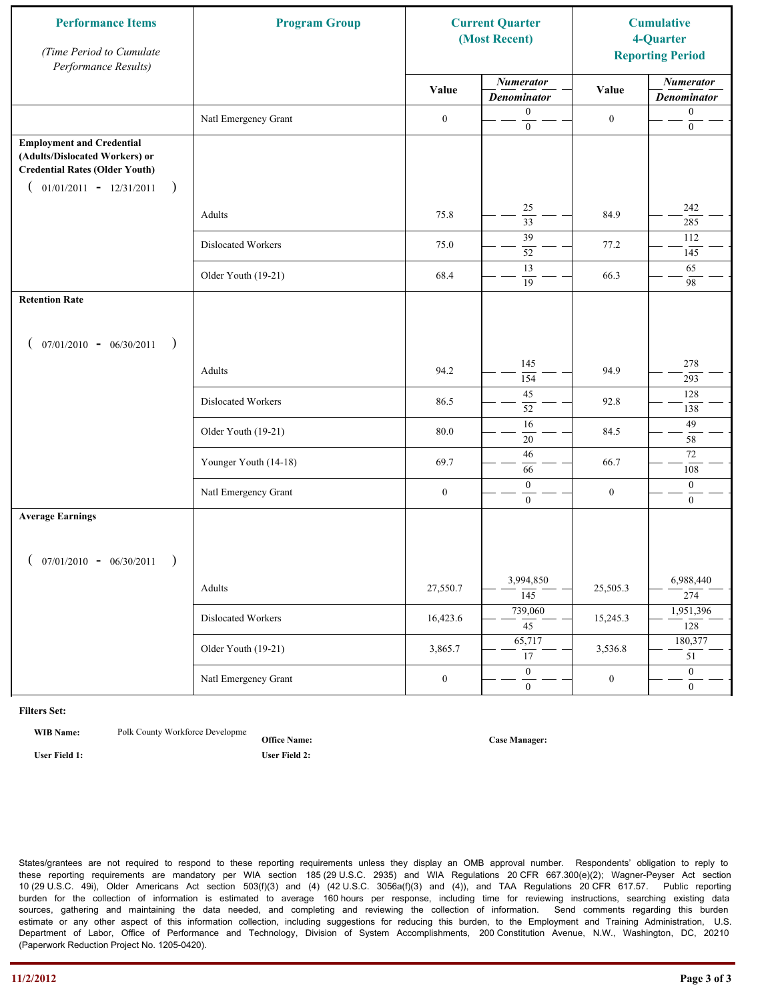| <b>Performance Items</b><br>(Time Period to Cumulate<br>Performance Results)                                                                              | <b>Program Group</b>  | <b>Current Quarter</b><br>(Most Recent) |                                        | <b>Cumulative</b><br>4-Quarter<br><b>Reporting Period</b> |                                        |
|-----------------------------------------------------------------------------------------------------------------------------------------------------------|-----------------------|-----------------------------------------|----------------------------------------|-----------------------------------------------------------|----------------------------------------|
|                                                                                                                                                           |                       | Value                                   | <b>Numerator</b><br><b>Denominator</b> | Value                                                     | <b>Numerator</b><br><b>Denominator</b> |
|                                                                                                                                                           | Natl Emergency Grant  | $\boldsymbol{0}$                        | $\boldsymbol{0}$<br>$\mathbf{0}$       | $\boldsymbol{0}$                                          | $\boldsymbol{0}$<br>$\boldsymbol{0}$   |
| <b>Employment and Credential</b><br>(Adults/Dislocated Workers) or<br><b>Credential Rates (Older Youth)</b><br>$01/01/2011 - 12/31/2011$<br>$\rightarrow$ |                       |                                         |                                        |                                                           |                                        |
|                                                                                                                                                           | Adults                | 75.8                                    | 25<br>$\overline{33}$                  | 84.9                                                      | 242<br>285                             |
|                                                                                                                                                           | Dislocated Workers    | 75.0                                    | 39<br>52                               | 77.2                                                      | 112<br>145                             |
|                                                                                                                                                           | Older Youth (19-21)   | 68.4                                    | 13<br>19                               | 66.3                                                      | 65<br>98                               |
| <b>Retention Rate</b>                                                                                                                                     |                       |                                         |                                        |                                                           |                                        |
| $07/01/2010 - 06/30/2011$<br>$\rightarrow$                                                                                                                |                       |                                         |                                        |                                                           |                                        |
|                                                                                                                                                           | Adults                | 94.2                                    | 145<br>154                             | 94.9                                                      | 278<br>293                             |
|                                                                                                                                                           | Dislocated Workers    | 86.5                                    | 45<br>52                               | 92.8                                                      | 128<br>138                             |
|                                                                                                                                                           | Older Youth (19-21)   | 80.0                                    | $\overline{16}$<br>$20\,$              | 84.5                                                      | 49<br>58                               |
|                                                                                                                                                           | Younger Youth (14-18) | 69.7                                    | 46<br>66                               | 66.7                                                      | 72<br>108                              |
|                                                                                                                                                           | Natl Emergency Grant  | $\boldsymbol{0}$                        | $\boldsymbol{0}$<br>$\overline{0}$     | $\boldsymbol{0}$                                          | $\boldsymbol{0}$<br>$\overline{0}$     |
| <b>Average Earnings</b>                                                                                                                                   |                       |                                         |                                        |                                                           |                                        |
| $07/01/2010 - 06/30/2011$<br>$\rightarrow$                                                                                                                |                       |                                         |                                        |                                                           |                                        |
|                                                                                                                                                           | Adults                | 27,550.7                                | 3,994,850<br>$\overline{145}$          | 25,505.3                                                  | 6,988,440<br>274                       |
|                                                                                                                                                           | Dislocated Workers    | 16,423.6                                | 739,060<br>$\overline{45}$             | 15,245.3                                                  | 1,951,396<br>128                       |
|                                                                                                                                                           | Older Youth (19-21)   | 3,865.7                                 | 65,717<br>17                           | 3,536.8                                                   | 180,377<br>$\overline{51}$             |
|                                                                                                                                                           | Natl Emergency Grant  | $\boldsymbol{0}$                        | $\overline{0}$<br>$\mathbf{0}$         | $\boldsymbol{0}$                                          | $\overline{0}$<br>$\overline{0}$       |

**WIB Name:** Polk County Workforce Developme

**Office Name: User Field 1: User Field 2:**

**Case Manager:**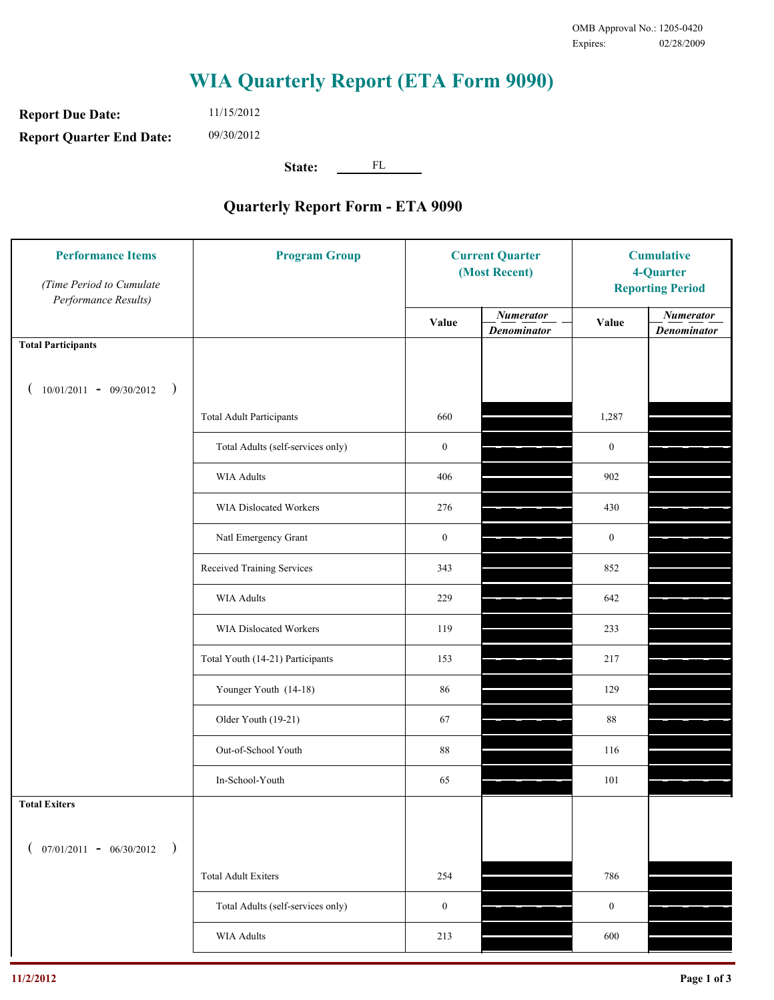**Report Due Date: Report Quarter End Date:** 11/15/2012 09/30/2012

**State:** FL

| <b>Performance Items</b><br>(Time Period to Cumulate<br>Performance Results) | <b>Program Group</b>              | <b>Current Quarter</b><br>(Most Recent) |                                        | <b>Cumulative</b><br>4-Quarter<br><b>Reporting Period</b> |                                        |
|------------------------------------------------------------------------------|-----------------------------------|-----------------------------------------|----------------------------------------|-----------------------------------------------------------|----------------------------------------|
|                                                                              |                                   | Value                                   | <b>Numerator</b><br><b>Denominator</b> | Value                                                     | <b>Numerator</b><br><b>Denominator</b> |
| <b>Total Participants</b>                                                    |                                   |                                         |                                        |                                                           |                                        |
| $10/01/2011 - 09/30/2012$ )                                                  |                                   |                                         |                                        |                                                           |                                        |
|                                                                              | <b>Total Adult Participants</b>   | 660                                     |                                        | 1,287                                                     |                                        |
|                                                                              | Total Adults (self-services only) | $\boldsymbol{0}$                        |                                        | $\mathbf{0}$                                              |                                        |
|                                                                              | WIA Adults                        | 406                                     |                                        | 902                                                       |                                        |
|                                                                              | WIA Dislocated Workers            | 276                                     |                                        | 430                                                       |                                        |
|                                                                              | Natl Emergency Grant              | $\boldsymbol{0}$                        |                                        | $\mathbf{0}$                                              |                                        |
|                                                                              | Received Training Services        | 343                                     |                                        | 852                                                       |                                        |
|                                                                              | <b>WIA Adults</b>                 | 229                                     |                                        | 642                                                       |                                        |
|                                                                              | WIA Dislocated Workers            | 119                                     |                                        | 233                                                       |                                        |
|                                                                              | Total Youth (14-21) Participants  | 153                                     |                                        | 217                                                       |                                        |
|                                                                              | Younger Youth (14-18)             | 86                                      |                                        | 129                                                       |                                        |
|                                                                              | Older Youth (19-21)               | 67                                      |                                        | 88                                                        |                                        |
|                                                                              | Out-of-School Youth               | 88                                      |                                        | 116                                                       |                                        |
|                                                                              | In-School-Youth                   | 65                                      |                                        | 101                                                       |                                        |
| <b>Total Exiters</b>                                                         |                                   |                                         |                                        |                                                           |                                        |
| $07/01/2011 - 06/30/2012$<br>$\rightarrow$                                   |                                   |                                         |                                        |                                                           |                                        |
|                                                                              | <b>Total Adult Exiters</b>        | 254                                     |                                        | 786                                                       |                                        |
|                                                                              | Total Adults (self-services only) | $\boldsymbol{0}$                        |                                        | $\mathbf{0}$                                              |                                        |
|                                                                              | WIA Adults                        | 213                                     |                                        | 600                                                       |                                        |
|                                                                              |                                   |                                         |                                        |                                                           |                                        |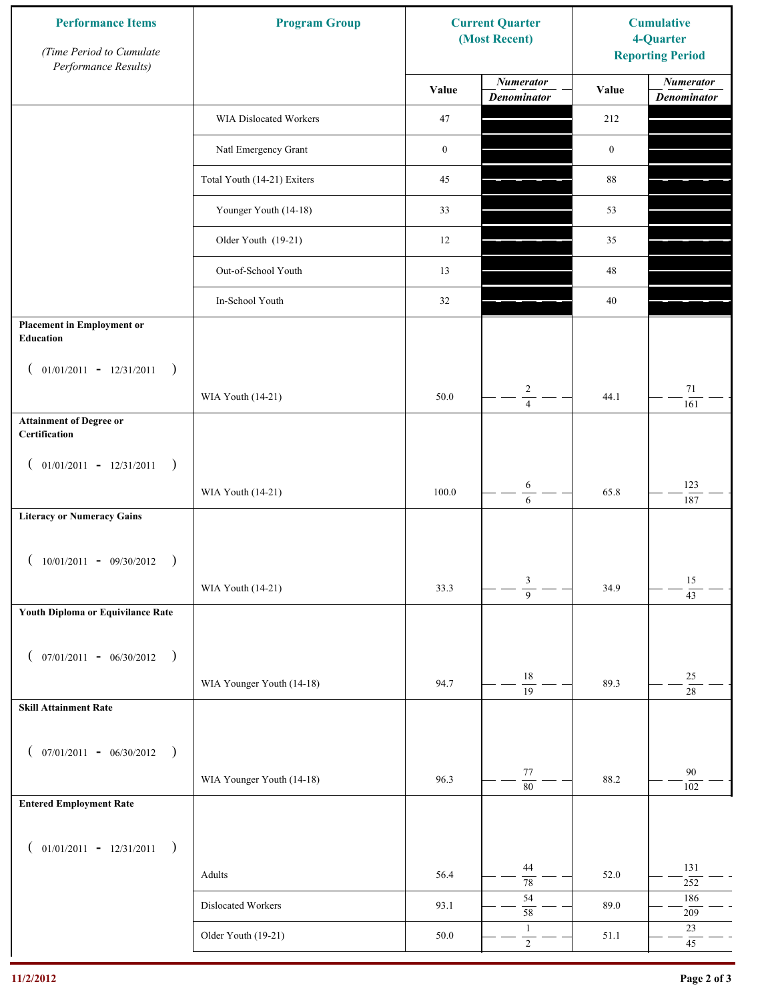| <b>Performance Items</b><br>(Time Period to Cumulate<br>Performance Results) | <b>Program Group</b>        | <b>Current Quarter</b><br>(Most Recent) |                                        | <b>Cumulative</b><br>4-Quarter<br><b>Reporting Period</b> |                                        |
|------------------------------------------------------------------------------|-----------------------------|-----------------------------------------|----------------------------------------|-----------------------------------------------------------|----------------------------------------|
|                                                                              |                             | Value                                   | <b>Numerator</b><br><b>Denominator</b> | Value                                                     | <b>Numerator</b><br><b>Denominator</b> |
|                                                                              | WIA Dislocated Workers      | 47                                      |                                        | 212                                                       |                                        |
|                                                                              | Natl Emergency Grant        | $\boldsymbol{0}$                        |                                        | $\boldsymbol{0}$                                          |                                        |
|                                                                              | Total Youth (14-21) Exiters | 45                                      |                                        | $88\,$                                                    |                                        |
|                                                                              | Younger Youth (14-18)       | 33                                      |                                        | 53                                                        |                                        |
|                                                                              | Older Youth (19-21)         | 12                                      |                                        | 35                                                        |                                        |
|                                                                              | Out-of-School Youth         | 13                                      |                                        | $48\,$                                                    |                                        |
|                                                                              | In-School Youth             | 32                                      |                                        | 40                                                        |                                        |
| <b>Placement in Employment or</b><br>Education                               |                             |                                         |                                        |                                                           |                                        |
| $01/01/2011 - 12/31/2011$<br>$\rightarrow$<br>$\overline{ }$                 |                             |                                         |                                        |                                                           |                                        |
|                                                                              | WIA Youth (14-21)           | 50.0                                    | $\overline{c}$<br>$\overline{4}$       | 44.1                                                      | $71\,$<br>161                          |
| <b>Attainment of Degree or</b><br>Certification                              |                             |                                         |                                        |                                                           |                                        |
| $($ 01/01/2011 - 12/31/2011<br>$\big)$                                       |                             |                                         |                                        |                                                           |                                        |
|                                                                              | WIA Youth (14-21)           | 100.0                                   | $\sqrt{6}$<br>6                        | 65.8                                                      | 123<br>187                             |
| <b>Literacy or Numeracy Gains</b>                                            |                             |                                         |                                        |                                                           |                                        |
| $10/01/2011 - 09/30/2012$<br>$\rightarrow$                                   |                             |                                         |                                        |                                                           |                                        |
|                                                                              | WIA Youth (14-21)           | 33.3                                    | 3<br>$\overline{9}$                    | 34.9                                                      | 15<br>$\overline{43}$                  |
| Youth Diploma or Equivilance Rate                                            |                             |                                         |                                        |                                                           |                                        |
|                                                                              |                             |                                         |                                        |                                                           |                                        |
| $07/01/2011 - 06/30/2012$<br>$\rightarrow$<br>€                              | WIA Younger Youth (14-18)   | 94.7                                    | $18\,$                                 | 89.3                                                      | $25\,$                                 |
| <b>Skill Attainment Rate</b>                                                 |                             |                                         | $\overline{19}$                        |                                                           | $\overline{28}$                        |
|                                                                              |                             |                                         |                                        |                                                           |                                        |
| $07/01/2011 - 06/30/2012$ )<br>$\left($                                      |                             |                                         |                                        |                                                           |                                        |
|                                                                              | WIA Younger Youth (14-18)   | 96.3                                    | $77\,$<br>$\overline{80}$              | 88.2                                                      | 90<br>102                              |
| <b>Entered Employment Rate</b>                                               |                             |                                         |                                        |                                                           |                                        |
| $($ 01/01/2011 - 12/31/2011<br>$\big)$                                       |                             |                                         |                                        |                                                           |                                        |
|                                                                              | Adults                      | 56.4                                    | 44<br>$\overline{78}$                  | 52.0                                                      | 131<br>$252\,$                         |
|                                                                              | Dislocated Workers          | 93.1                                    | 54<br>58                               | 89.0                                                      | 186<br>209                             |
|                                                                              | Older Youth (19-21)         | 50.0                                    | $\mathbf{1}$<br>$\overline{2}$         | 51.1                                                      | $23\,$<br>$45\,$                       |
|                                                                              |                             |                                         |                                        |                                                           |                                        |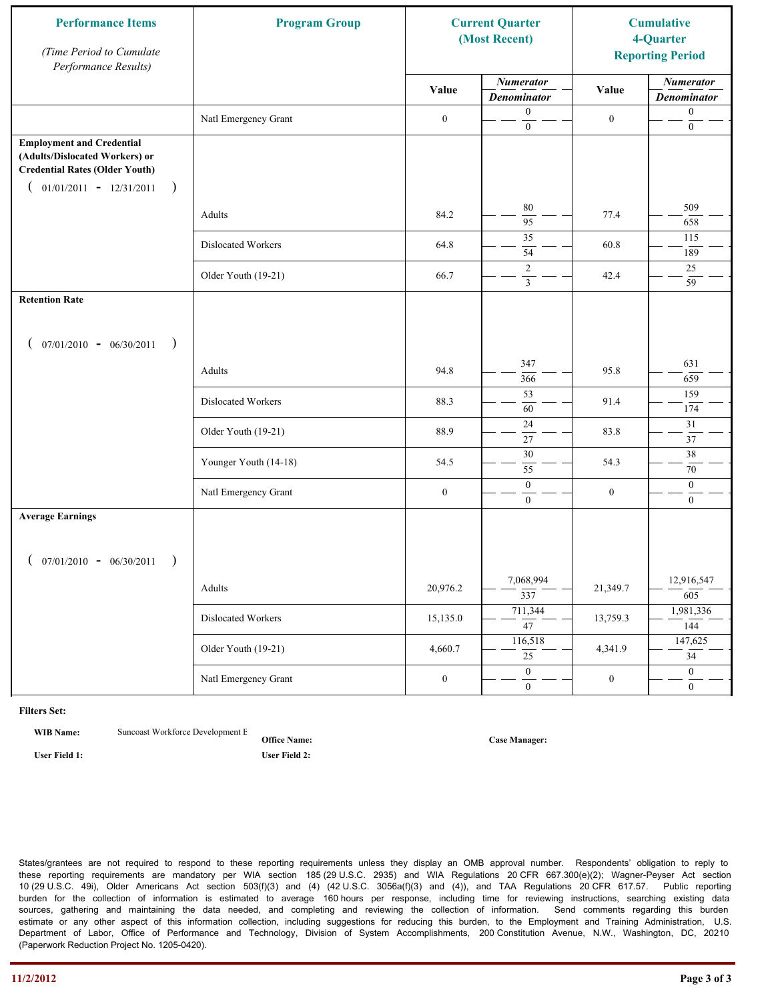| <b>Performance Items</b><br>(Time Period to Cumulate<br>Performance Results)                                                                              | <b>Program Group</b>  |                  | <b>Current Quarter</b><br>(Most Recent)   |                  | <b>Cumulative</b><br>4-Quarter<br><b>Reporting Period</b> |
|-----------------------------------------------------------------------------------------------------------------------------------------------------------|-----------------------|------------------|-------------------------------------------|------------------|-----------------------------------------------------------|
|                                                                                                                                                           |                       | Value            | <b>Numerator</b><br><b>Denominator</b>    | Value            | <b>Numerator</b><br><b>Denominator</b>                    |
|                                                                                                                                                           | Natl Emergency Grant  | $\boldsymbol{0}$ | $\boldsymbol{0}$<br>$\mathbf{0}$          | $\boldsymbol{0}$ | $\boldsymbol{0}$<br>$\boldsymbol{0}$                      |
| <b>Employment and Credential</b><br>(Adults/Dislocated Workers) or<br><b>Credential Rates (Older Youth)</b><br>$01/01/2011 - 12/31/2011$<br>$\rightarrow$ |                       |                  |                                           |                  |                                                           |
|                                                                                                                                                           | Adults                | 84.2             | 80<br>$\overline{95}$                     | 77.4             | 509<br>658                                                |
|                                                                                                                                                           | Dislocated Workers    | 64.8             | 35<br>54                                  | 60.8             | 115<br>189                                                |
|                                                                                                                                                           | Older Youth (19-21)   | 66.7             | $\overline{2}$<br>$\overline{\mathbf{3}}$ | 42.4             | 25<br>59                                                  |
| <b>Retention Rate</b>                                                                                                                                     |                       |                  |                                           |                  |                                                           |
| $07/01/2010 - 06/30/2011$<br>$\rightarrow$                                                                                                                |                       |                  |                                           |                  |                                                           |
|                                                                                                                                                           | Adults                | 94.8             | 347<br>366                                | 95.8             | 631<br>659                                                |
|                                                                                                                                                           | Dislocated Workers    | 88.3             | 53<br>60                                  | 91.4             | 159<br>174                                                |
|                                                                                                                                                           | Older Youth (19-21)   | 88.9             | 24<br>27                                  | 83.8             | 31<br>37                                                  |
|                                                                                                                                                           | Younger Youth (14-18) | 54.5             | $\overline{30}$<br>55                     | 54.3             | 38<br>70                                                  |
|                                                                                                                                                           | Natl Emergency Grant  | $\boldsymbol{0}$ | $\boldsymbol{0}$<br>$\overline{0}$        | $\boldsymbol{0}$ | $\boldsymbol{0}$<br>$\overline{0}$                        |
| <b>Average Earnings</b>                                                                                                                                   |                       |                  |                                           |                  |                                                           |
| $07/01/2010 - 06/30/2011$<br>$\rightarrow$                                                                                                                |                       |                  |                                           |                  |                                                           |
|                                                                                                                                                           | Adults                | 20,976.2         | 7,068,994<br>$\overline{337}$             | 21,349.7         | 12,916,547<br>605                                         |
|                                                                                                                                                           | Dislocated Workers    | 15,135.0         | 711,344<br>$\overline{47}$                | 13,759.3         | 1,981,336<br>144                                          |
|                                                                                                                                                           | Older Youth (19-21)   | 4,660.7          | 116,518<br>$\overline{25}$                | 4,341.9          | 147,625<br>$\overline{34}$                                |
|                                                                                                                                                           | Natl Emergency Grant  | $\boldsymbol{0}$ | $\overline{0}$<br>$\mathbf{0}$            | $\boldsymbol{0}$ | $\overline{0}$<br>$\overline{0}$                          |

**WIB Name:** Suncoast Workforce Development E

**Office Name: User Field 1: User Field 2:**

**Case Manager:**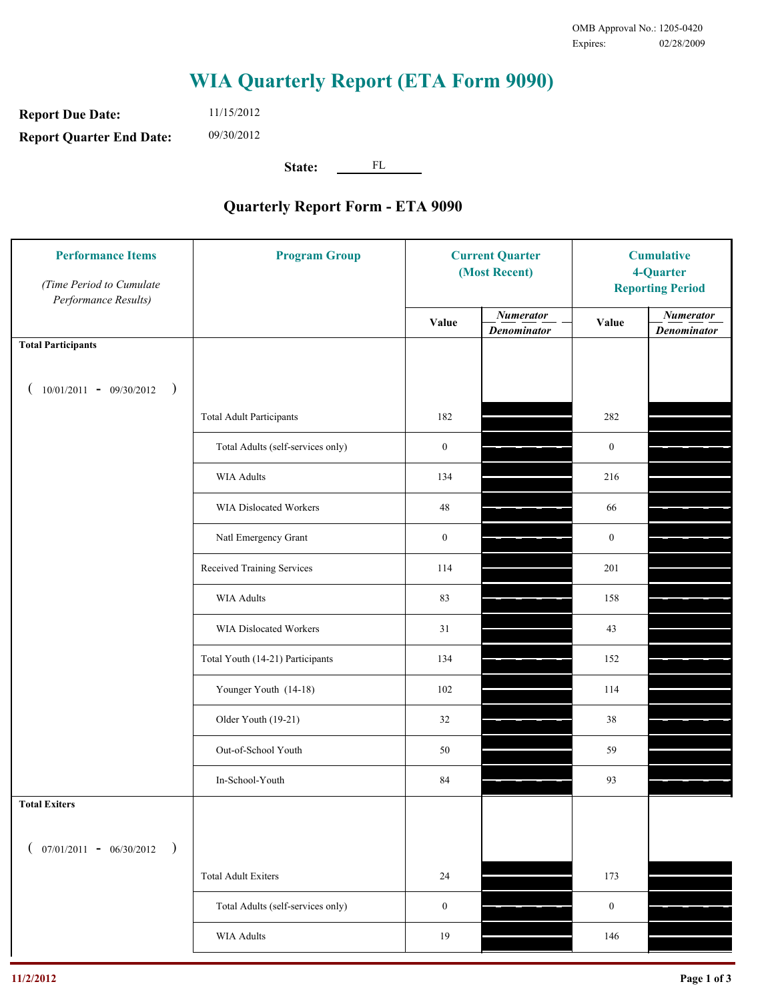**Report Due Date: Report Quarter End Date:** 11/15/2012 09/30/2012

**State:** FL

| <b>Performance Items</b><br>(Time Period to Cumulate<br>Performance Results) | <b>Program Group</b>              | <b>Current Quarter</b><br>(Most Recent) |                                        | <b>Cumulative</b><br>4-Quarter<br><b>Reporting Period</b> |                                        |
|------------------------------------------------------------------------------|-----------------------------------|-----------------------------------------|----------------------------------------|-----------------------------------------------------------|----------------------------------------|
|                                                                              |                                   | Value                                   | <b>Numerator</b><br><b>Denominator</b> | Value                                                     | <b>Numerator</b><br><b>Denominator</b> |
| <b>Total Participants</b>                                                    |                                   |                                         |                                        |                                                           |                                        |
| $10/01/2011 - 09/30/2012$ )                                                  |                                   |                                         |                                        |                                                           |                                        |
|                                                                              | <b>Total Adult Participants</b>   | 182                                     |                                        | 282                                                       |                                        |
|                                                                              | Total Adults (self-services only) | $\boldsymbol{0}$                        |                                        | $\boldsymbol{0}$                                          |                                        |
|                                                                              | <b>WIA Adults</b>                 | 134                                     |                                        | 216                                                       |                                        |
|                                                                              | <b>WIA Dislocated Workers</b>     | 48                                      |                                        | 66                                                        |                                        |
|                                                                              | Natl Emergency Grant              | $\boldsymbol{0}$                        |                                        | $\boldsymbol{0}$                                          |                                        |
|                                                                              | Received Training Services        | 114                                     |                                        | 201                                                       |                                        |
|                                                                              | <b>WIA Adults</b>                 | 83                                      |                                        | 158                                                       |                                        |
|                                                                              | WIA Dislocated Workers            | 31                                      |                                        | 43                                                        |                                        |
|                                                                              | Total Youth (14-21) Participants  | 134                                     |                                        | 152                                                       |                                        |
|                                                                              | Younger Youth (14-18)             | 102                                     |                                        | 114                                                       |                                        |
|                                                                              | Older Youth (19-21)               | 32                                      |                                        | 38                                                        |                                        |
|                                                                              | Out-of-School Youth               | 50                                      |                                        | 59                                                        |                                        |
|                                                                              | In-School-Youth                   | 84                                      |                                        | 93                                                        |                                        |
| <b>Total Exiters</b>                                                         |                                   |                                         |                                        |                                                           |                                        |
| $($ 07/01/2011 - 06/30/2012<br>$\rightarrow$                                 |                                   |                                         |                                        |                                                           |                                        |
|                                                                              | <b>Total Adult Exiters</b>        | 24                                      |                                        | 173                                                       |                                        |
|                                                                              | Total Adults (self-services only) | $\mathbf{0}$                            |                                        | $\boldsymbol{0}$                                          |                                        |
|                                                                              | WIA Adults                        | 19                                      |                                        | 146                                                       |                                        |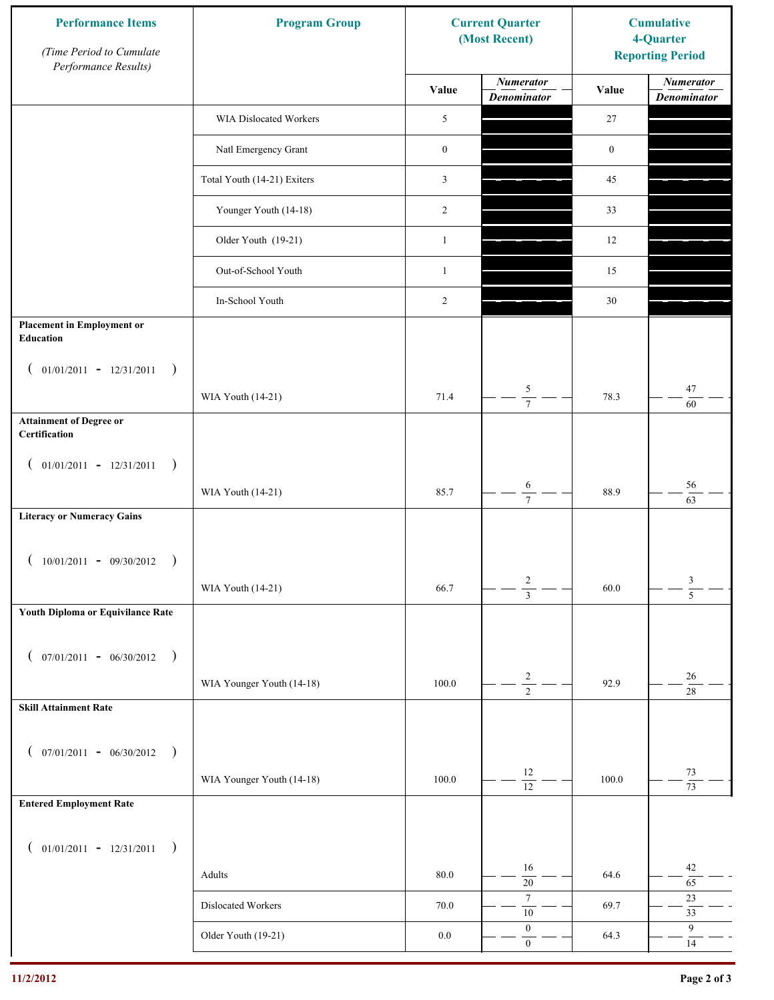| <b>Performance Items</b><br>(Time Period to Cumulate<br>Performance Results) | <b>Program Group</b>        |                  | <b>Current Quarter</b><br>(Most Recent) | <b>Cumulative</b><br>4-Quarter<br><b>Reporting Period</b> |                                        |
|------------------------------------------------------------------------------|-----------------------------|------------------|-----------------------------------------|-----------------------------------------------------------|----------------------------------------|
|                                                                              |                             | Value            | <b>Numerator</b><br><b>Denominator</b>  | Value                                                     | <b>Numerator</b><br><b>Denominator</b> |
|                                                                              | WIA Dislocated Workers      | 5                |                                         | 27                                                        |                                        |
|                                                                              | Natl Emergency Grant        | $\boldsymbol{0}$ |                                         | $\boldsymbol{0}$                                          |                                        |
|                                                                              | Total Youth (14-21) Exiters | 3                |                                         | 45                                                        |                                        |
|                                                                              | Younger Youth (14-18)       | 2                |                                         | 33                                                        |                                        |
|                                                                              | Older Youth (19-21)         | $\mathbf{1}$     |                                         | 12                                                        |                                        |
|                                                                              | Out-of-School Youth         | $\mathbf{1}$     |                                         | 15                                                        |                                        |
|                                                                              | In-School Youth             | 2                |                                         | 30                                                        |                                        |
| <b>Placement in Employment or</b><br>Education                               |                             |                  |                                         |                                                           |                                        |
| $01/01/2011 - 12/31/2011$<br>$\rightarrow$<br>$\overline{ }$                 |                             |                  |                                         |                                                           |                                        |
|                                                                              | WIA Youth (14-21)           | 71.4             | 5<br>$\overline{7}$                     | 78.3                                                      | 47<br>60                               |
| <b>Attainment of Degree or</b><br>Certification                              |                             |                  |                                         |                                                           |                                        |
| $($ 01/01/2011 - 12/31/2011<br>$\rightarrow$                                 |                             |                  |                                         |                                                           |                                        |
|                                                                              | WIA Youth (14-21)           | 85.7             | $\sqrt{6}$<br>$\overline{7}$            | 88.9                                                      | 56<br>63                               |
| <b>Literacy or Numeracy Gains</b>                                            |                             |                  |                                         |                                                           |                                        |
| $10/01/2011 - 09/30/2012$                                                    |                             |                  |                                         |                                                           |                                        |
|                                                                              | WIA Youth (14-21)           | 66.7             | $\overline{c}$<br>$\overline{3}$        | 60.0                                                      | $\frac{3}{5}$                          |
| Youth Diploma or Equivilance Rate                                            |                             |                  |                                         |                                                           |                                        |
| $07/01/2011 - 06/30/2012$<br>$\rightarrow$<br>€                              |                             |                  |                                         |                                                           |                                        |
|                                                                              | WIA Younger Youth (14-18)   | 100.0            | $\overline{\mathbf{c}}$                 | 92.9                                                      | $26\,$                                 |
| <b>Skill Attainment Rate</b>                                                 |                             |                  | $\overline{2}$                          |                                                           | $28\,$                                 |
|                                                                              |                             |                  |                                         |                                                           |                                        |
| $07/01/2011 - 06/30/2012$ )<br>$\left($                                      |                             | 100.0            | 12                                      | 100.0                                                     | 73                                     |
| <b>Entered Employment Rate</b>                                               | WIA Younger Youth (14-18)   |                  | $\overline{12}$                         |                                                           | $\overline{73}$                        |
|                                                                              |                             |                  |                                         |                                                           |                                        |
| $($ 01/01/2011 - 12/31/2011<br>$\rightarrow$                                 |                             |                  |                                         |                                                           |                                        |
|                                                                              | Adults                      | $80.0\,$         | 16<br>$\overline{20}$                   | 64.6                                                      | 42<br>65                               |
|                                                                              | Dislocated Workers          | 70.0             | $\boldsymbol{7}$<br>$10\,$              | 69.7                                                      | $23\,$<br>33                           |
|                                                                              | Older Youth (19-21)         | $0.0\,$          | $\boldsymbol{0}$<br>$\mathbf{0}$        | 64.3                                                      | 9<br>$14\,$                            |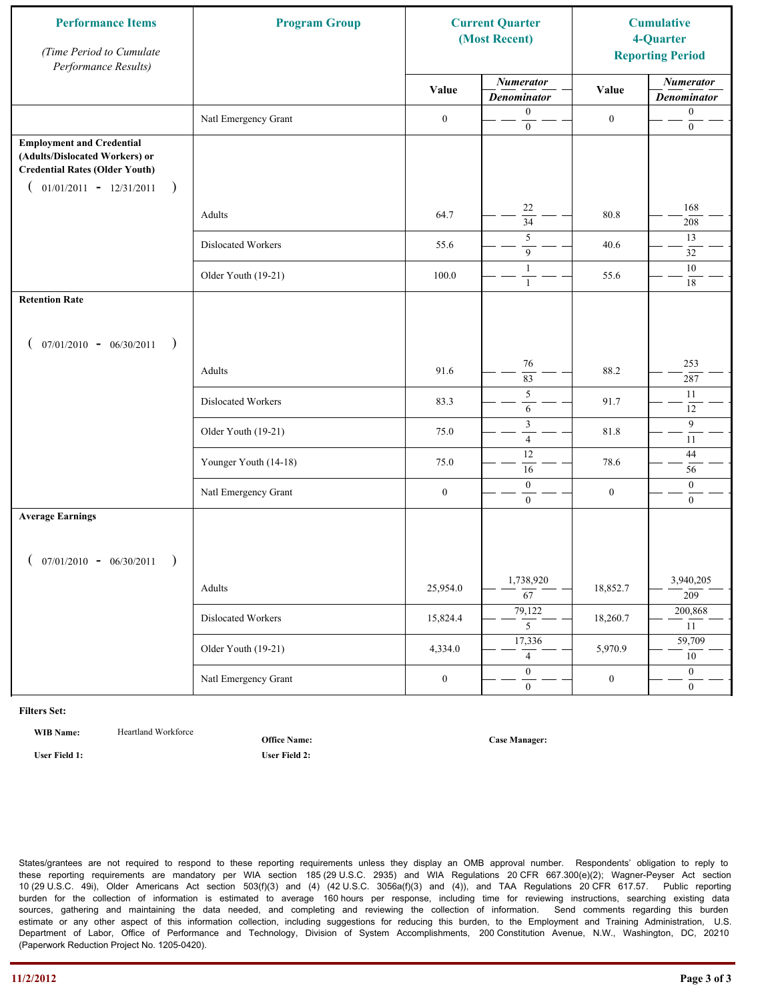| <b>Performance Items</b><br>(Time Period to Cumulate<br>Performance Results)                                                                              | <b>Program Group</b>  | <b>Current Quarter</b><br>(Most Recent) |                                        | <b>Cumulative</b><br>4-Quarter<br><b>Reporting Period</b> |                                        |
|-----------------------------------------------------------------------------------------------------------------------------------------------------------|-----------------------|-----------------------------------------|----------------------------------------|-----------------------------------------------------------|----------------------------------------|
|                                                                                                                                                           |                       | Value                                   | <b>Numerator</b><br><b>Denominator</b> | Value                                                     | <b>Numerator</b><br><b>Denominator</b> |
|                                                                                                                                                           | Natl Emergency Grant  | $\boldsymbol{0}$                        | $\boldsymbol{0}$<br>$\boldsymbol{0}$   | $\boldsymbol{0}$                                          | $\boldsymbol{0}$<br>$\boldsymbol{0}$   |
| <b>Employment and Credential</b><br>(Adults/Dislocated Workers) or<br><b>Credential Rates (Older Youth)</b><br>$01/01/2011 - 12/31/2011$<br>$\rightarrow$ |                       |                                         |                                        |                                                           |                                        |
|                                                                                                                                                           | Adults                | 64.7                                    | 22<br>$\overline{34}$                  | 80.8                                                      | 168<br>208                             |
|                                                                                                                                                           | Dislocated Workers    | 55.6                                    | 5<br>9                                 | 40.6                                                      | 13<br>32                               |
|                                                                                                                                                           | Older Youth (19-21)   | 100.0                                   | $\mathbf{1}$<br>$\mathbf{1}$           | 55.6                                                      | $10\,$<br>$18\,$                       |
| <b>Retention Rate</b>                                                                                                                                     |                       |                                         |                                        |                                                           |                                        |
| $07/01/2010 - 06/30/2011$<br>$\rightarrow$                                                                                                                |                       |                                         |                                        |                                                           |                                        |
|                                                                                                                                                           | Adults                | 91.6                                    | 76<br>83                               | 88.2                                                      | 253<br>287                             |
|                                                                                                                                                           | Dislocated Workers    | 83.3                                    | $\sqrt{5}$<br>$\sqrt{6}$               | 91.7                                                      | 11<br>12                               |
|                                                                                                                                                           | Older Youth (19-21)   | 75.0                                    | $\mathfrak z$<br>$\overline{4}$        | 81.8                                                      | 9<br>11                                |
|                                                                                                                                                           | Younger Youth (14-18) | 75.0                                    | 12<br>16                               | 78.6                                                      | $44\,$<br>56                           |
|                                                                                                                                                           | Natl Emergency Grant  | $\boldsymbol{0}$                        | $\boldsymbol{0}$<br>$\mathbf{0}$       | $\boldsymbol{0}$                                          | $\boldsymbol{0}$<br>$\overline{0}$     |
| <b>Average Earnings</b>                                                                                                                                   |                       |                                         |                                        |                                                           |                                        |
| $07/01/2010 - 06/30/2011$<br>$\rightarrow$                                                                                                                |                       |                                         |                                        |                                                           |                                        |
|                                                                                                                                                           | Adults                | 25,954.0                                | 1,738,920<br>$\overline{67}$           | 18,852.7                                                  | 3,940,205<br>209                       |
|                                                                                                                                                           | Dislocated Workers    | 15,824.4                                | 79,122<br>$\overline{5}$               | 18,260.7                                                  | 200,868<br>11                          |
|                                                                                                                                                           | Older Youth (19-21)   | 4,334.0                                 | 17,336<br>$\overline{4}$               | 5,970.9                                                   | 59,709<br>10                           |
|                                                                                                                                                           | Natl Emergency Grant  | $\boldsymbol{0}$                        | $\overline{0}$<br>$\mathbf{0}$         | $\boldsymbol{0}$                                          | $\overline{0}$<br>$\overline{0}$       |

WIB Name: **Heartland Workforce** 

**Office Name:**

**User Field 1: User Field 2:**

**Case Manager:**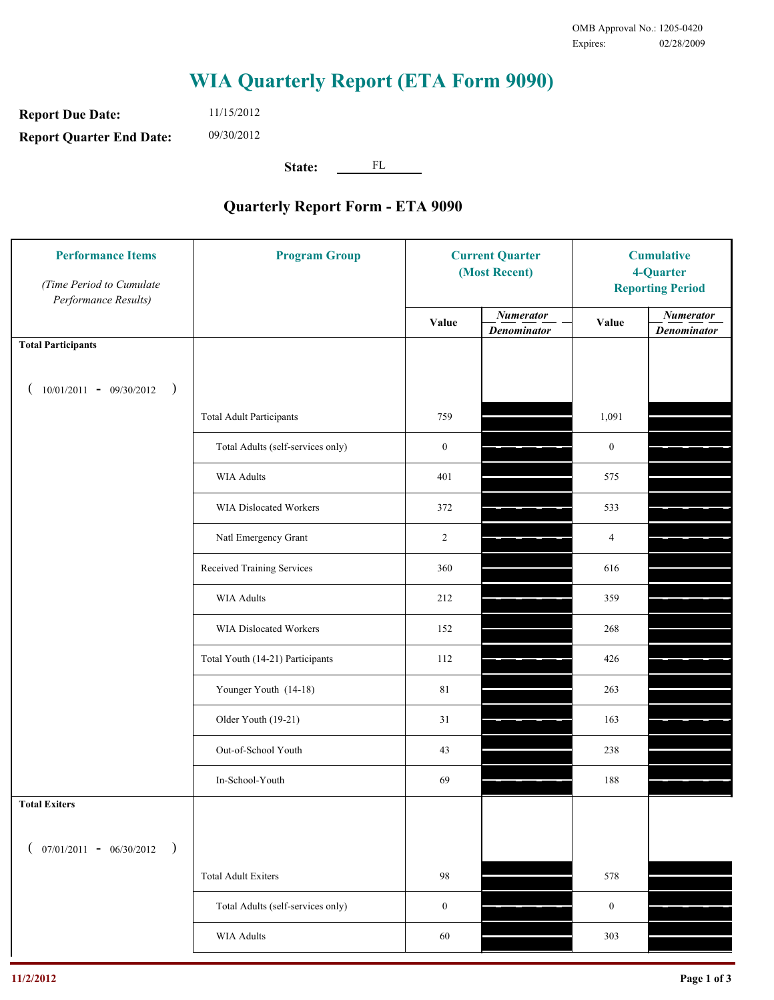**Report Due Date: Report Quarter End Date:** 11/15/2012 09/30/2012

**State:** FL

| <b>Performance Items</b><br>(Time Period to Cumulate<br>Performance Results) | <b>Program Group</b>              | <b>Current Quarter</b><br>(Most Recent) |                                        | <b>Cumulative</b><br>4-Quarter<br><b>Reporting Period</b> |                                        |
|------------------------------------------------------------------------------|-----------------------------------|-----------------------------------------|----------------------------------------|-----------------------------------------------------------|----------------------------------------|
|                                                                              |                                   | Value                                   | <b>Numerator</b><br><b>Denominator</b> | Value                                                     | <b>Numerator</b><br><b>Denominator</b> |
| <b>Total Participants</b>                                                    |                                   |                                         |                                        |                                                           |                                        |
| $10/01/2011 - 09/30/2012$ )                                                  |                                   |                                         |                                        |                                                           |                                        |
|                                                                              | <b>Total Adult Participants</b>   | 759                                     |                                        | 1,091                                                     |                                        |
|                                                                              | Total Adults (self-services only) | $\boldsymbol{0}$                        |                                        | $\boldsymbol{0}$                                          |                                        |
|                                                                              | <b>WIA Adults</b>                 | 401                                     |                                        | 575                                                       |                                        |
|                                                                              | <b>WIA Dislocated Workers</b>     | 372                                     |                                        | 533                                                       |                                        |
|                                                                              | Natl Emergency Grant              | $\overline{c}$                          |                                        | $\overline{4}$                                            |                                        |
|                                                                              | Received Training Services        | 360                                     |                                        | 616                                                       |                                        |
|                                                                              | <b>WIA Adults</b>                 | 212                                     |                                        | 359                                                       |                                        |
|                                                                              | WIA Dislocated Workers            | 152                                     |                                        | 268                                                       |                                        |
|                                                                              | Total Youth (14-21) Participants  | 112                                     |                                        | 426                                                       |                                        |
|                                                                              | Younger Youth (14-18)             | 81                                      |                                        | 263                                                       |                                        |
|                                                                              | Older Youth (19-21)               | 31                                      |                                        | 163                                                       |                                        |
|                                                                              | Out-of-School Youth               | 43                                      |                                        | 238                                                       |                                        |
|                                                                              | In-School-Youth                   | 69                                      |                                        | 188                                                       |                                        |
| <b>Total Exiters</b>                                                         |                                   |                                         |                                        |                                                           |                                        |
| $($ 07/01/2011 - 06/30/2012<br>$\rightarrow$                                 |                                   |                                         |                                        |                                                           |                                        |
|                                                                              | <b>Total Adult Exiters</b>        | 98                                      |                                        | 578                                                       |                                        |
|                                                                              | Total Adults (self-services only) | $\mathbf{0}$                            |                                        | $\boldsymbol{0}$                                          |                                        |
|                                                                              | WIA Adults                        | 60                                      |                                        | 303                                                       |                                        |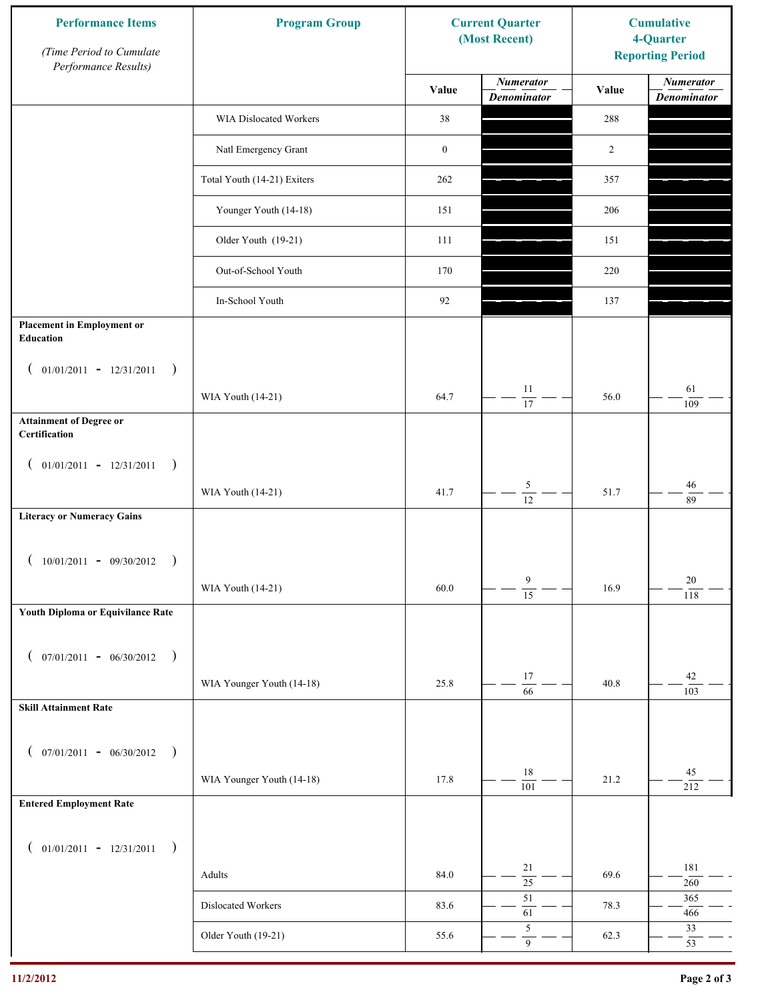| <b>Performance Items</b><br>(Time Period to Cumulate<br>Performance Results) | <b>Program Group</b>        |                  | <b>Current Quarter</b><br>(Most Recent) | <b>Cumulative</b><br>4-Quarter<br><b>Reporting Period</b> |                                        |
|------------------------------------------------------------------------------|-----------------------------|------------------|-----------------------------------------|-----------------------------------------------------------|----------------------------------------|
|                                                                              |                             | Value            | <b>Numerator</b><br><b>Denominator</b>  | Value                                                     | <b>Numerator</b><br><b>Denominator</b> |
|                                                                              | WIA Dislocated Workers      | 38               |                                         | 288                                                       |                                        |
|                                                                              | Natl Emergency Grant        | $\boldsymbol{0}$ |                                         | $\overline{c}$                                            |                                        |
|                                                                              | Total Youth (14-21) Exiters | 262              |                                         | 357                                                       |                                        |
|                                                                              | Younger Youth (14-18)       | 151              |                                         | 206                                                       |                                        |
|                                                                              | Older Youth (19-21)         | 111              |                                         | 151                                                       |                                        |
|                                                                              | Out-of-School Youth         | 170              |                                         | 220                                                       |                                        |
|                                                                              | In-School Youth             | 92               |                                         | 137                                                       |                                        |
| <b>Placement in Employment or</b><br>Education                               |                             |                  |                                         |                                                           |                                        |
| $01/01/2011 - 12/31/2011$<br>$\rightarrow$<br>$\overline{ }$                 | WIA Youth (14-21)           | 64.7             | 11<br>17                                | 56.0                                                      | 61<br>109                              |
| <b>Attainment of Degree or</b><br>Certification                              |                             |                  |                                         |                                                           |                                        |
| $($ 01/01/2011 - 12/31/2011<br>$\rightarrow$                                 |                             |                  |                                         |                                                           |                                        |
|                                                                              | WIA Youth (14-21)           | 41.7             | $\mathfrak{S}$<br>$\overline{12}$       | 51.7                                                      | 46<br>89                               |
| <b>Literacy or Numeracy Gains</b>                                            |                             |                  |                                         |                                                           |                                        |
| $10/01/2011 - 09/30/2012$                                                    |                             |                  |                                         |                                                           |                                        |
|                                                                              | WIA Youth (14-21)           | 60.0             | $\overline{9}$<br>$\overline{15}$       | 16.9                                                      | 20<br>118                              |
| Youth Diploma or Equivilance Rate                                            |                             |                  |                                         |                                                           |                                        |
| $07/01/2011 - 06/30/2012$<br>$\rightarrow$<br>€                              |                             |                  |                                         |                                                           |                                        |
|                                                                              | WIA Younger Youth (14-18)   | 25.8             | 17<br>66                                | 40.8                                                      | 42<br>103                              |
| <b>Skill Attainment Rate</b>                                                 |                             |                  |                                         |                                                           |                                        |
| $07/01/2011 - 06/30/2012$ )<br>$\left($                                      |                             |                  |                                         |                                                           |                                        |
|                                                                              | WIA Younger Youth (14-18)   | 17.8             | $18\,$<br>$\overline{101}$              | 21.2                                                      | 45<br>212                              |
| <b>Entered Employment Rate</b>                                               |                             |                  |                                         |                                                           |                                        |
| $($ 01/01/2011 - 12/31/2011<br>$\rightarrow$                                 |                             |                  |                                         |                                                           |                                        |
|                                                                              | Adults                      | 84.0             | 21<br>$\overline{25}$                   | 69.6                                                      | 181<br>$260\,$                         |
|                                                                              | Dislocated Workers          | 83.6             | $51\,$<br>61                            | 78.3                                                      | 365<br>466                             |
|                                                                              | Older Youth (19-21)         | 55.6             | $\sqrt{5}$<br>$\overline{9}$            | 62.3                                                      | 33<br>53                               |
|                                                                              |                             |                  |                                         |                                                           |                                        |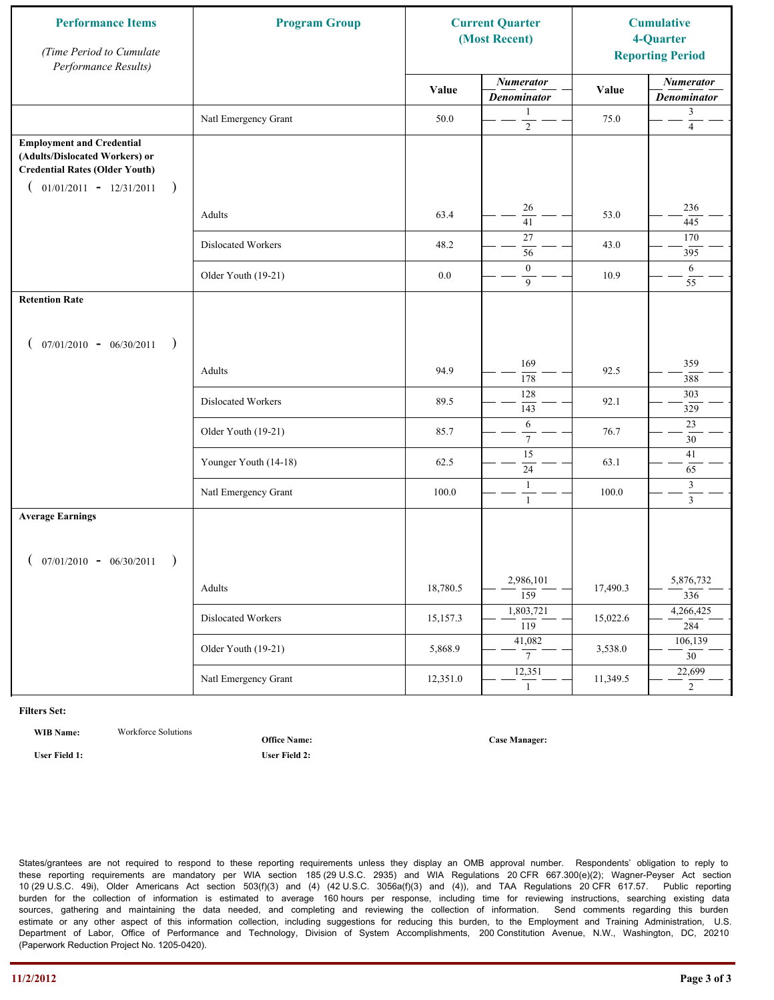| <b>Performance Items</b><br>(Time Period to Cumulate<br>Performance Results)                                                                              | <b>Program Group</b>  | <b>Current Quarter</b><br>(Most Recent) |                                        | <b>Cumulative</b><br>4-Quarter<br><b>Reporting Period</b> |                                        |
|-----------------------------------------------------------------------------------------------------------------------------------------------------------|-----------------------|-----------------------------------------|----------------------------------------|-----------------------------------------------------------|----------------------------------------|
|                                                                                                                                                           |                       | Value                                   | <b>Numerator</b><br><b>Denominator</b> | Value                                                     | <b>Numerator</b><br><b>Denominator</b> |
|                                                                                                                                                           | Natl Emergency Grant  | 50.0                                    | 1<br>$\sqrt{2}$                        | 75.0                                                      | 3<br>$\overline{4}$                    |
| <b>Employment and Credential</b><br>(Adults/Dislocated Workers) or<br><b>Credential Rates (Older Youth)</b><br>$01/01/2011 - 12/31/2011$<br>$\rightarrow$ |                       |                                         |                                        |                                                           |                                        |
|                                                                                                                                                           | Adults                | 63.4                                    | 26<br>41                               | 53.0                                                      | 236<br>445                             |
|                                                                                                                                                           | Dislocated Workers    | 48.2                                    | $27\,$<br>56                           | 43.0                                                      | 170<br>395                             |
|                                                                                                                                                           | Older Youth (19-21)   | $0.0\,$                                 | $\boldsymbol{0}$<br>9                  | 10.9                                                      | 6<br>55                                |
| <b>Retention Rate</b>                                                                                                                                     |                       |                                         |                                        |                                                           |                                        |
| $07/01/2010 - 06/30/2011$<br>$\rightarrow$                                                                                                                |                       |                                         |                                        |                                                           |                                        |
|                                                                                                                                                           | Adults                | 94.9                                    | 169<br>178                             | 92.5                                                      | 359<br>388                             |
|                                                                                                                                                           | Dislocated Workers    | 89.5                                    | 128<br>143                             | 92.1                                                      | 303<br>329                             |
|                                                                                                                                                           | Older Youth (19-21)   | 85.7                                    | 6<br>$\tau$                            | 76.7                                                      | 23<br>30                               |
|                                                                                                                                                           | Younger Youth (14-18) | 62.5                                    | $\overline{15}$<br>24                  | 63.1                                                      | 41<br>65                               |
|                                                                                                                                                           | Natl Emergency Grant  | 100.0                                   | 1<br>$\mathbf{1}$                      | 100.0                                                     | $\mathfrak{Z}$<br>$\mathfrak{Z}$       |
| <b>Average Earnings</b><br>$07/01/2010 - 06/30/2011$<br>$\rightarrow$                                                                                     |                       |                                         |                                        |                                                           |                                        |
|                                                                                                                                                           | Adults                | 18,780.5                                | 2,986,101<br>$\overline{159}$          | 17,490.3                                                  | 5,876,732<br>336                       |
|                                                                                                                                                           | Dislocated Workers    | 15,157.3                                | 1,803,721<br>$\overline{119}$          | 15,022.6                                                  | 4,266,425<br>284                       |
|                                                                                                                                                           | Older Youth (19-21)   | 5,868.9                                 | 41,082<br>$7\overline{ }$              | 3,538.0                                                   | 106,139<br>$\overline{30}$             |
|                                                                                                                                                           | Natl Emergency Grant  | 12,351.0                                | 12,351<br>$\mathbf{1}$                 | 11,349.5                                                  | 22,699<br>$\overline{2}$               |

**WIB Name:** Workforce Solutions

**Office Name:**

**User Field 1: User Field 2:**

**Case Manager:**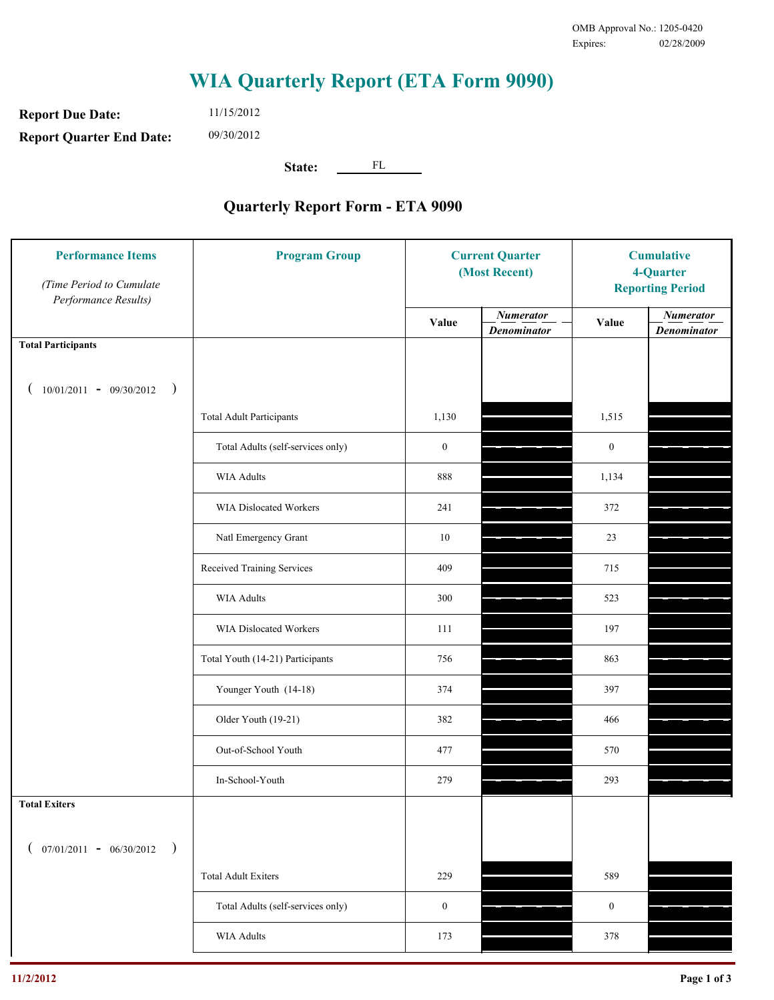**Report Due Date: Report Quarter End Date:** 11/15/2012 09/30/2012

**State:** FL

| <b>Performance Items</b><br>(Time Period to Cumulate<br>Performance Results) | <b>Program Group</b>              | <b>Current Quarter</b><br>(Most Recent) |                                        | <b>Cumulative</b><br>4-Quarter<br><b>Reporting Period</b> |                                        |
|------------------------------------------------------------------------------|-----------------------------------|-----------------------------------------|----------------------------------------|-----------------------------------------------------------|----------------------------------------|
|                                                                              |                                   | Value                                   | <b>Numerator</b><br><b>Denominator</b> | Value                                                     | <b>Numerator</b><br><b>Denominator</b> |
| <b>Total Participants</b>                                                    |                                   |                                         |                                        |                                                           |                                        |
| $10/01/2011 - 09/30/2012$<br>$\rightarrow$                                   |                                   |                                         |                                        |                                                           |                                        |
|                                                                              | <b>Total Adult Participants</b>   | 1,130                                   |                                        | 1,515                                                     |                                        |
|                                                                              | Total Adults (self-services only) | $\boldsymbol{0}$                        |                                        | $\boldsymbol{0}$                                          |                                        |
|                                                                              | <b>WIA Adults</b>                 | 888                                     |                                        | 1,134                                                     |                                        |
|                                                                              | WIA Dislocated Workers            | 241                                     |                                        | 372                                                       |                                        |
|                                                                              | Natl Emergency Grant              | $10\,$                                  |                                        | 23                                                        |                                        |
|                                                                              | Received Training Services        | 409                                     |                                        | 715                                                       |                                        |
|                                                                              | <b>WIA Adults</b>                 | 300                                     |                                        | 523                                                       |                                        |
|                                                                              | WIA Dislocated Workers            | 111                                     |                                        | 197                                                       |                                        |
|                                                                              | Total Youth (14-21) Participants  | 756                                     |                                        | 863                                                       |                                        |
|                                                                              | Younger Youth (14-18)             | 374                                     |                                        | 397                                                       |                                        |
|                                                                              | Older Youth (19-21)               | 382                                     |                                        | 466                                                       |                                        |
|                                                                              | Out-of-School Youth               | 477                                     |                                        | 570                                                       |                                        |
|                                                                              | In-School-Youth                   | 279                                     |                                        | 293                                                       |                                        |
| <b>Total Exiters</b>                                                         |                                   |                                         |                                        |                                                           |                                        |
| $07/01/2011 - 06/30/2012$<br>$\rightarrow$                                   |                                   |                                         |                                        |                                                           |                                        |
|                                                                              | <b>Total Adult Exiters</b>        | 229                                     |                                        | 589                                                       |                                        |
|                                                                              | Total Adults (self-services only) | $\boldsymbol{0}$                        |                                        | $\boldsymbol{0}$                                          |                                        |
|                                                                              | WIA Adults                        | 173                                     |                                        | 378                                                       |                                        |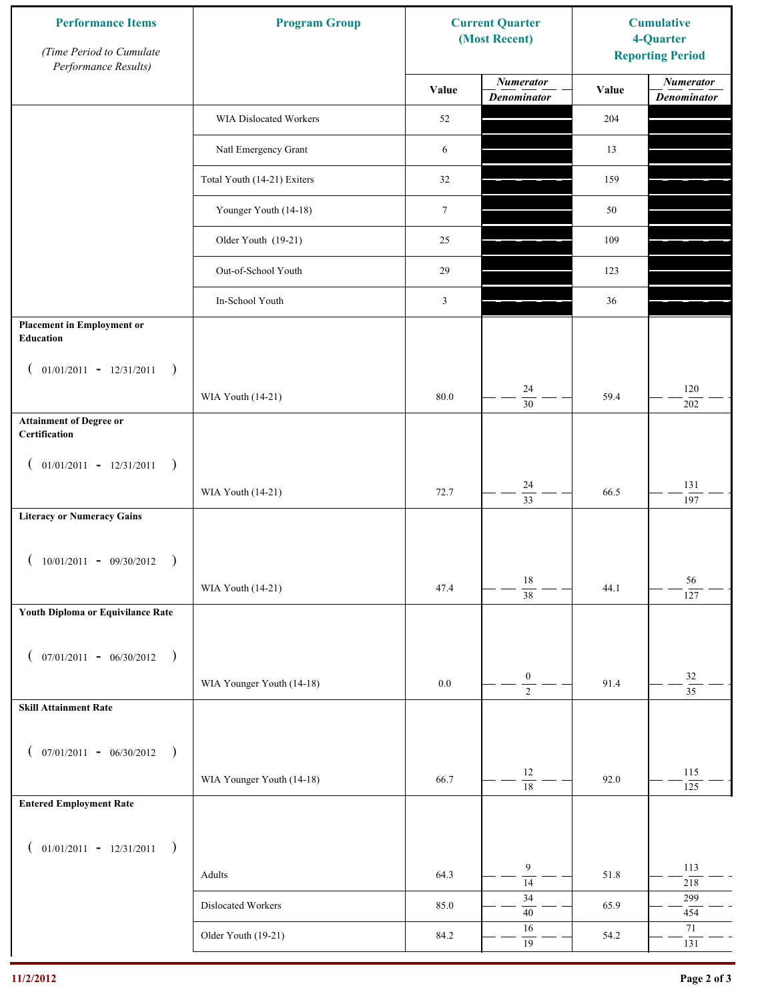| <b>Performance Items</b><br>(Time Period to Cumulate<br>Performance Results) | <b>Program Group</b>        |                  | <b>Current Quarter</b><br>(Most Recent) | <b>Cumulative</b><br>4-Quarter<br><b>Reporting Period</b> |                                        |
|------------------------------------------------------------------------------|-----------------------------|------------------|-----------------------------------------|-----------------------------------------------------------|----------------------------------------|
|                                                                              |                             | Value            | <b>Numerator</b><br><b>Denominator</b>  | Value                                                     | <b>Numerator</b><br><b>Denominator</b> |
|                                                                              | WIA Dislocated Workers      | 52               |                                         | 204                                                       |                                        |
|                                                                              | Natl Emergency Grant        | 6                |                                         | 13                                                        |                                        |
|                                                                              | Total Youth (14-21) Exiters | 32               |                                         | 159                                                       |                                        |
|                                                                              | Younger Youth (14-18)       | $\boldsymbol{7}$ |                                         | 50                                                        |                                        |
|                                                                              | Older Youth (19-21)         | 25               |                                         | 109                                                       |                                        |
|                                                                              | Out-of-School Youth         | 29               |                                         | 123                                                       |                                        |
|                                                                              | In-School Youth             | $\mathfrak{Z}$   |                                         | 36                                                        |                                        |
| <b>Placement in Employment or</b><br>Education                               |                             |                  |                                         |                                                           |                                        |
| $01/01/2011 - 12/31/2011$<br>$\rightarrow$<br>$\overline{ }$                 | WIA Youth (14-21)           | $80.0\,$         | 24                                      | 59.4                                                      | 120                                    |
| <b>Attainment of Degree or</b><br>Certification                              |                             |                  | $\overline{30}$                         |                                                           | 202                                    |
| $($ 01/01/2011 - 12/31/2011<br>$\rightarrow$                                 |                             |                  |                                         |                                                           |                                        |
|                                                                              | WIA Youth (14-21)           | 72.7             | 24<br>$\overline{33}$                   | 66.5                                                      | 131<br>197                             |
| <b>Literacy or Numeracy Gains</b>                                            |                             |                  |                                         |                                                           |                                        |
| $10/01/2011 - 09/30/2012$<br>$\rightarrow$                                   |                             |                  |                                         |                                                           |                                        |
|                                                                              | WIA Youth (14-21)           | 47.4             | $18\,$<br>$\overline{38}$               | 44.1                                                      | 56<br>127                              |
| Youth Diploma or Equivilance Rate                                            |                             |                  |                                         |                                                           |                                        |
| $07/01/2011 - 06/30/2012$<br>$\rightarrow$<br>€                              |                             |                  |                                         |                                                           |                                        |
|                                                                              | WIA Younger Youth (14-18)   | $0.0\,$          | $\boldsymbol{0}$<br>$\overline{2}$      | 91.4                                                      | $32\,$<br>$\overline{35}$              |
| <b>Skill Attainment Rate</b>                                                 |                             |                  |                                         |                                                           |                                        |
| $07/01/2011 - 06/30/2012$ )<br>$\left($                                      |                             |                  |                                         |                                                           |                                        |
|                                                                              | WIA Younger Youth (14-18)   | 66.7             | $12\,$<br>$\overline{18}$               | 92.0                                                      | 115                                    |
| <b>Entered Employment Rate</b>                                               |                             |                  |                                         |                                                           | 125                                    |
| $($ 01/01/2011 - 12/31/2011<br>$\big)$                                       |                             |                  |                                         |                                                           |                                        |
|                                                                              | Adults                      | 64.3             | 9<br>$\overline{14}$                    | 51.8                                                      | 113<br>218                             |
|                                                                              | Dislocated Workers          | 85.0             | 34<br>$40\,$                            | 65.9                                                      | 299<br>454                             |
|                                                                              | Older Youth (19-21)         | 84.2             | 16<br>$\overline{19}$                   | 54.2                                                      | 71<br>131                              |
|                                                                              |                             |                  |                                         |                                                           |                                        |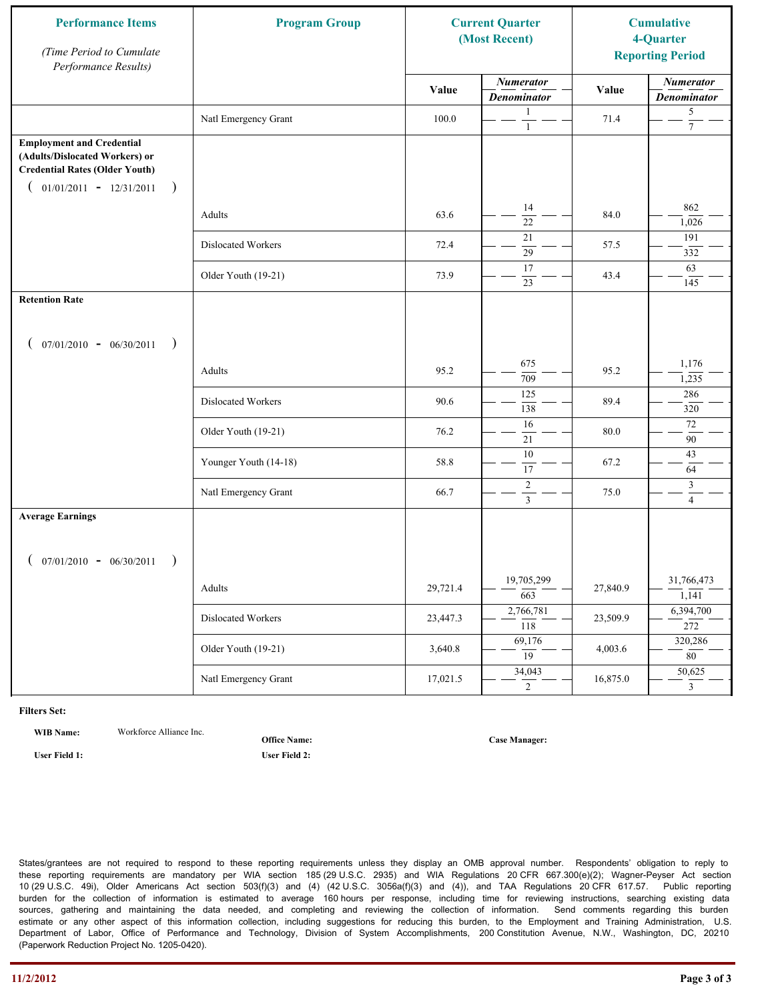| <b>Performance Items</b><br>(Time Period to Cumulate<br>Performance Results)                                                                              | <b>Program Group</b>  | <b>Current Quarter</b><br>(Most Recent) |                                        | <b>Cumulative</b><br>4-Quarter<br><b>Reporting Period</b> |                                        |
|-----------------------------------------------------------------------------------------------------------------------------------------------------------|-----------------------|-----------------------------------------|----------------------------------------|-----------------------------------------------------------|----------------------------------------|
|                                                                                                                                                           |                       | Value                                   | <b>Numerator</b><br><b>Denominator</b> | Value                                                     | <b>Numerator</b><br><b>Denominator</b> |
|                                                                                                                                                           | Natl Emergency Grant  | 100.0                                   | 1<br>$\mathbf{1}$                      | 71.4                                                      | 5<br>$\tau$                            |
| <b>Employment and Credential</b><br>(Adults/Dislocated Workers) or<br><b>Credential Rates (Older Youth)</b><br>$01/01/2011 - 12/31/2011$<br>$\rightarrow$ |                       |                                         |                                        |                                                           |                                        |
|                                                                                                                                                           | Adults                | 63.6                                    | 14<br>$\overline{22}$                  | 84.0                                                      | 862<br>1,026                           |
|                                                                                                                                                           | Dislocated Workers    | 72.4                                    | 21<br>$\overline{29}$                  | 57.5                                                      | 191<br>332                             |
|                                                                                                                                                           | Older Youth (19-21)   | 73.9                                    | 17<br>23                               | 43.4                                                      | 63<br>145                              |
| <b>Retention Rate</b>                                                                                                                                     |                       |                                         |                                        |                                                           |                                        |
| $07/01/2010 - 06/30/2011$<br>$\rightarrow$                                                                                                                |                       |                                         |                                        |                                                           |                                        |
|                                                                                                                                                           | Adults                | 95.2                                    | 675<br>709                             | 95.2                                                      | 1,176<br>1,235                         |
|                                                                                                                                                           | Dislocated Workers    | 90.6                                    | 125<br>138                             | 89.4                                                      | 286<br>320                             |
|                                                                                                                                                           | Older Youth (19-21)   | 76.2                                    | 16<br>21                               | 80.0                                                      | $72\,$<br>90                           |
|                                                                                                                                                           | Younger Youth (14-18) | 58.8                                    | 10<br>17                               | 67.2                                                      | 43<br>64                               |
|                                                                                                                                                           | Natl Emergency Grant  | 66.7                                    | $\sqrt{2}$<br>$\overline{3}$           | 75.0                                                      | $\mathfrak{Z}$<br>$\overline{4}$       |
| <b>Average Earnings</b>                                                                                                                                   |                       |                                         |                                        |                                                           |                                        |
| $07/01/2010 - 06/30/2011$<br>$\rightarrow$                                                                                                                |                       |                                         |                                        |                                                           |                                        |
|                                                                                                                                                           | Adults                | 29,721.4                                | 19,705,299<br>663                      | 27,840.9                                                  | 31,766,473<br>1,141                    |
|                                                                                                                                                           | Dislocated Workers    | 23,447.3                                | 2,766,781<br>$\overline{118}$          | 23,509.9                                                  | 6,394,700<br>272                       |
|                                                                                                                                                           | Older Youth (19-21)   | 3,640.8                                 | 69,176<br>19                           | 4,003.6                                                   | 320,286<br>80                          |
|                                                                                                                                                           | Natl Emergency Grant  | 17,021.5                                | 34,043<br>$\overline{2}$               | 16,875.0                                                  | 50,625<br>$\mathbf{3}$                 |

**WIB Name:** Workforce Alliance Inc.

**Office Name:**

**User Field 1: User Field 2:**

**Case Manager:**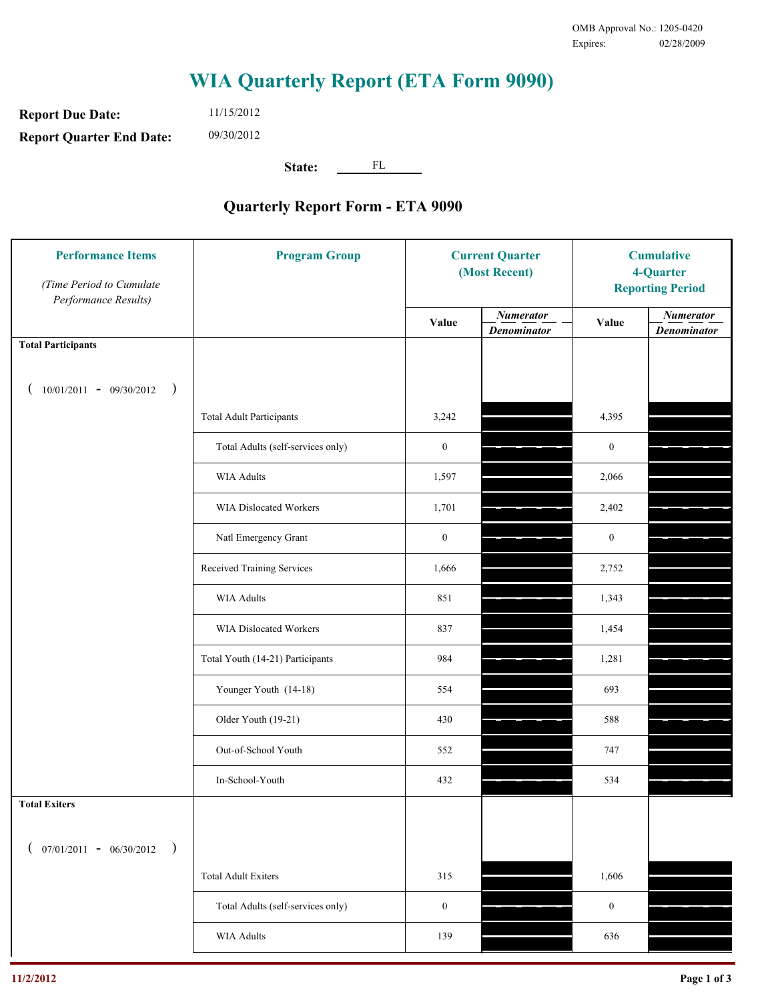**Report Due Date: Report Quarter End Date:** 11/15/2012 09/30/2012

**State:** FL

| <b>Performance Items</b><br>(Time Period to Cumulate<br>Performance Results) | <b>Program Group</b>              | <b>Current Quarter</b><br>(Most Recent) |                                        | <b>Cumulative</b><br>4-Quarter<br><b>Reporting Period</b> |                                        |
|------------------------------------------------------------------------------|-----------------------------------|-----------------------------------------|----------------------------------------|-----------------------------------------------------------|----------------------------------------|
|                                                                              |                                   | Value                                   | <b>Numerator</b><br><b>Denominator</b> | Value                                                     | <b>Numerator</b><br><b>Denominator</b> |
| <b>Total Participants</b>                                                    |                                   |                                         |                                        |                                                           |                                        |
| $10/01/2011 - 09/30/2012$<br>$\big)$                                         |                                   |                                         |                                        |                                                           |                                        |
|                                                                              | <b>Total Adult Participants</b>   | 3,242                                   |                                        | 4,395                                                     |                                        |
|                                                                              | Total Adults (self-services only) | $\boldsymbol{0}$                        |                                        | $\boldsymbol{0}$                                          |                                        |
|                                                                              | <b>WIA Adults</b>                 | 1,597                                   |                                        | 2,066                                                     |                                        |
|                                                                              | <b>WIA Dislocated Workers</b>     | 1,701                                   |                                        | 2,402                                                     |                                        |
|                                                                              | Natl Emergency Grant              | $\boldsymbol{0}$                        |                                        | $\boldsymbol{0}$                                          |                                        |
|                                                                              | Received Training Services        | 1,666                                   |                                        | 2,752                                                     |                                        |
|                                                                              | <b>WIA Adults</b>                 | 851                                     |                                        | 1,343                                                     |                                        |
|                                                                              | WIA Dislocated Workers            | 837                                     |                                        | 1,454                                                     |                                        |
|                                                                              | Total Youth (14-21) Participants  | 984                                     |                                        | 1,281                                                     |                                        |
|                                                                              | Younger Youth (14-18)             | 554                                     |                                        | 693                                                       |                                        |
|                                                                              | Older Youth (19-21)               | 430                                     |                                        | 588                                                       |                                        |
|                                                                              | Out-of-School Youth               | 552                                     |                                        | 747                                                       |                                        |
|                                                                              | In-School-Youth                   | 432                                     |                                        | 534                                                       |                                        |
| <b>Total Exiters</b>                                                         |                                   |                                         |                                        |                                                           |                                        |
| $07/01/2011 - 06/30/2012$<br>$\rightarrow$                                   |                                   |                                         |                                        |                                                           |                                        |
|                                                                              | <b>Total Adult Exiters</b>        | 315                                     |                                        | 1,606                                                     |                                        |
|                                                                              | Total Adults (self-services only) | $\boldsymbol{0}$                        |                                        | $\boldsymbol{0}$                                          |                                        |
|                                                                              | WIA Adults                        | 139                                     |                                        | 636                                                       |                                        |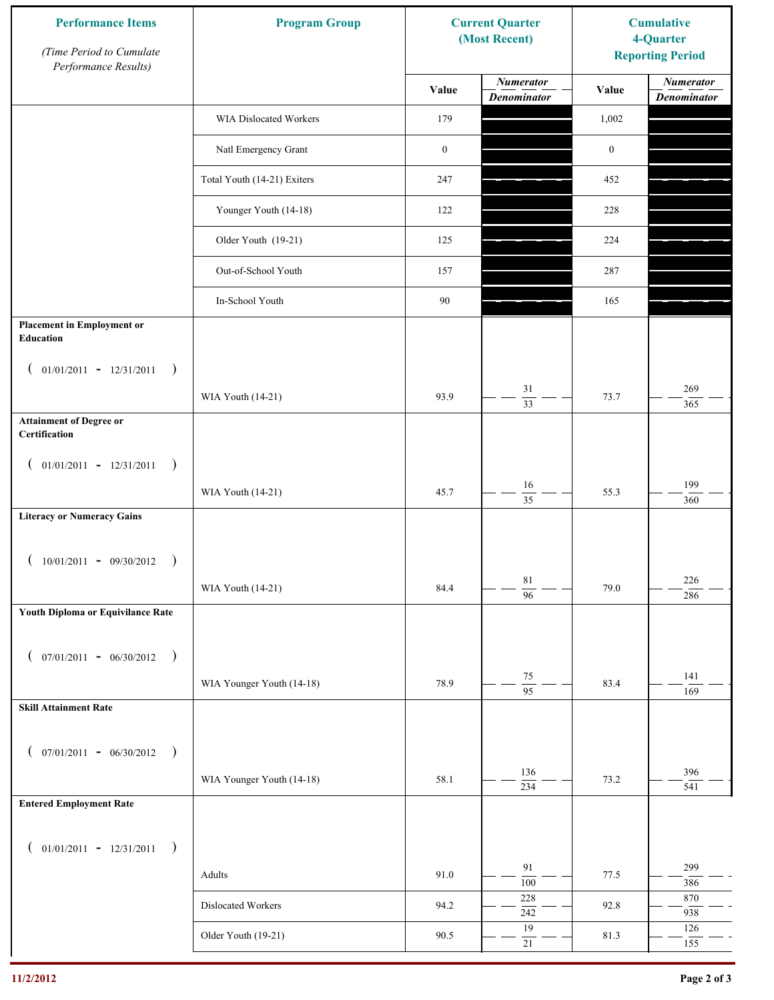| <b>Numerator</b><br><b>Numerator</b><br>Value<br>Value<br><b>Denominator</b><br><b>Denominator</b><br>WIA Dislocated Workers<br>179<br>1,002<br>Natl Emergency Grant<br>$\boldsymbol{0}$<br>$\boldsymbol{0}$<br>Total Youth (14-21) Exiters<br>247<br>452<br>Younger Youth (14-18)<br>122<br>228<br>Older Youth (19-21)<br>125<br>224<br>Out-of-School Youth<br>287<br>157<br>90<br>In-School Youth<br>165<br><b>Placement in Employment or</b><br>Education<br>$01/01/2011 - 12/31/2011$<br>$\rightarrow$<br>$\overline{ }$<br>$31\,$<br>269<br>93.9<br>73.7<br>WIA Youth (14-21)<br>$\overline{33}$<br>365<br><b>Attainment of Degree or</b><br>Certification<br>$($ 01/01/2011 - 12/31/2011<br>$\rightarrow$<br>199<br>16<br>45.7<br>55.3<br>WIA Youth (14-21)<br>$\overline{35}$<br>360<br><b>Literacy or Numeracy Gains</b><br>$10/01/2011 - 09/30/2012$<br>$\rightarrow$<br>$8\sqrt{1}$<br>226<br>WIA Youth (14-21)<br>84.4<br>79.0<br>$\overline{96}$<br>286<br>Youth Diploma or Equivilance Rate<br>$07/01/2011 - 06/30/2012$ )<br>€<br>141<br>$75\,$<br>WIA Younger Youth (14-18)<br>78.9<br>83.4<br>$\overline{95}$<br>169<br><b>Skill Attainment Rate</b><br>$07/01/2011 - 06/30/2012$ )<br>$\left($<br>136<br>396<br>WIA Younger Youth (14-18)<br>58.1<br>73.2<br>$\overline{234}$<br>541<br><b>Entered Employment Rate</b><br>$($ 01/01/2011 - 12/31/2011<br>$\rightarrow$<br>91<br>299<br>91.0<br>77.5<br>Adults<br>100<br>386<br>228<br>870<br>Dislocated Workers<br>94.2<br>92.8<br>242<br>938<br>19<br>126<br>Older Youth (19-21)<br>90.5<br>81.3<br>$21\,$<br>155 | <b>Performance Items</b><br>(Time Period to Cumulate<br>Performance Results) | <b>Program Group</b> | <b>Current Quarter</b><br>(Most Recent) | <b>Cumulative</b><br>4-Quarter<br><b>Reporting Period</b> |  |
|-------------------------------------------------------------------------------------------------------------------------------------------------------------------------------------------------------------------------------------------------------------------------------------------------------------------------------------------------------------------------------------------------------------------------------------------------------------------------------------------------------------------------------------------------------------------------------------------------------------------------------------------------------------------------------------------------------------------------------------------------------------------------------------------------------------------------------------------------------------------------------------------------------------------------------------------------------------------------------------------------------------------------------------------------------------------------------------------------------------------------------------------------------------------------------------------------------------------------------------------------------------------------------------------------------------------------------------------------------------------------------------------------------------------------------------------------------------------------------------------------------------------------------------------------------------------------------------|------------------------------------------------------------------------------|----------------------|-----------------------------------------|-----------------------------------------------------------|--|
|                                                                                                                                                                                                                                                                                                                                                                                                                                                                                                                                                                                                                                                                                                                                                                                                                                                                                                                                                                                                                                                                                                                                                                                                                                                                                                                                                                                                                                                                                                                                                                                     |                                                                              |                      |                                         |                                                           |  |
|                                                                                                                                                                                                                                                                                                                                                                                                                                                                                                                                                                                                                                                                                                                                                                                                                                                                                                                                                                                                                                                                                                                                                                                                                                                                                                                                                                                                                                                                                                                                                                                     |                                                                              |                      |                                         |                                                           |  |
|                                                                                                                                                                                                                                                                                                                                                                                                                                                                                                                                                                                                                                                                                                                                                                                                                                                                                                                                                                                                                                                                                                                                                                                                                                                                                                                                                                                                                                                                                                                                                                                     |                                                                              |                      |                                         |                                                           |  |
|                                                                                                                                                                                                                                                                                                                                                                                                                                                                                                                                                                                                                                                                                                                                                                                                                                                                                                                                                                                                                                                                                                                                                                                                                                                                                                                                                                                                                                                                                                                                                                                     |                                                                              |                      |                                         |                                                           |  |
|                                                                                                                                                                                                                                                                                                                                                                                                                                                                                                                                                                                                                                                                                                                                                                                                                                                                                                                                                                                                                                                                                                                                                                                                                                                                                                                                                                                                                                                                                                                                                                                     |                                                                              |                      |                                         |                                                           |  |
|                                                                                                                                                                                                                                                                                                                                                                                                                                                                                                                                                                                                                                                                                                                                                                                                                                                                                                                                                                                                                                                                                                                                                                                                                                                                                                                                                                                                                                                                                                                                                                                     |                                                                              |                      |                                         |                                                           |  |
|                                                                                                                                                                                                                                                                                                                                                                                                                                                                                                                                                                                                                                                                                                                                                                                                                                                                                                                                                                                                                                                                                                                                                                                                                                                                                                                                                                                                                                                                                                                                                                                     |                                                                              |                      |                                         |                                                           |  |
|                                                                                                                                                                                                                                                                                                                                                                                                                                                                                                                                                                                                                                                                                                                                                                                                                                                                                                                                                                                                                                                                                                                                                                                                                                                                                                                                                                                                                                                                                                                                                                                     |                                                                              |                      |                                         |                                                           |  |
|                                                                                                                                                                                                                                                                                                                                                                                                                                                                                                                                                                                                                                                                                                                                                                                                                                                                                                                                                                                                                                                                                                                                                                                                                                                                                                                                                                                                                                                                                                                                                                                     |                                                                              |                      |                                         |                                                           |  |
|                                                                                                                                                                                                                                                                                                                                                                                                                                                                                                                                                                                                                                                                                                                                                                                                                                                                                                                                                                                                                                                                                                                                                                                                                                                                                                                                                                                                                                                                                                                                                                                     |                                                                              |                      |                                         |                                                           |  |
|                                                                                                                                                                                                                                                                                                                                                                                                                                                                                                                                                                                                                                                                                                                                                                                                                                                                                                                                                                                                                                                                                                                                                                                                                                                                                                                                                                                                                                                                                                                                                                                     |                                                                              |                      |                                         |                                                           |  |
|                                                                                                                                                                                                                                                                                                                                                                                                                                                                                                                                                                                                                                                                                                                                                                                                                                                                                                                                                                                                                                                                                                                                                                                                                                                                                                                                                                                                                                                                                                                                                                                     |                                                                              |                      |                                         |                                                           |  |
|                                                                                                                                                                                                                                                                                                                                                                                                                                                                                                                                                                                                                                                                                                                                                                                                                                                                                                                                                                                                                                                                                                                                                                                                                                                                                                                                                                                                                                                                                                                                                                                     |                                                                              |                      |                                         |                                                           |  |
|                                                                                                                                                                                                                                                                                                                                                                                                                                                                                                                                                                                                                                                                                                                                                                                                                                                                                                                                                                                                                                                                                                                                                                                                                                                                                                                                                                                                                                                                                                                                                                                     |                                                                              |                      |                                         |                                                           |  |
|                                                                                                                                                                                                                                                                                                                                                                                                                                                                                                                                                                                                                                                                                                                                                                                                                                                                                                                                                                                                                                                                                                                                                                                                                                                                                                                                                                                                                                                                                                                                                                                     |                                                                              |                      |                                         |                                                           |  |
|                                                                                                                                                                                                                                                                                                                                                                                                                                                                                                                                                                                                                                                                                                                                                                                                                                                                                                                                                                                                                                                                                                                                                                                                                                                                                                                                                                                                                                                                                                                                                                                     |                                                                              |                      |                                         |                                                           |  |
|                                                                                                                                                                                                                                                                                                                                                                                                                                                                                                                                                                                                                                                                                                                                                                                                                                                                                                                                                                                                                                                                                                                                                                                                                                                                                                                                                                                                                                                                                                                                                                                     |                                                                              |                      |                                         |                                                           |  |
|                                                                                                                                                                                                                                                                                                                                                                                                                                                                                                                                                                                                                                                                                                                                                                                                                                                                                                                                                                                                                                                                                                                                                                                                                                                                                                                                                                                                                                                                                                                                                                                     |                                                                              |                      |                                         |                                                           |  |
|                                                                                                                                                                                                                                                                                                                                                                                                                                                                                                                                                                                                                                                                                                                                                                                                                                                                                                                                                                                                                                                                                                                                                                                                                                                                                                                                                                                                                                                                                                                                                                                     |                                                                              |                      |                                         |                                                           |  |
|                                                                                                                                                                                                                                                                                                                                                                                                                                                                                                                                                                                                                                                                                                                                                                                                                                                                                                                                                                                                                                                                                                                                                                                                                                                                                                                                                                                                                                                                                                                                                                                     |                                                                              |                      |                                         |                                                           |  |
|                                                                                                                                                                                                                                                                                                                                                                                                                                                                                                                                                                                                                                                                                                                                                                                                                                                                                                                                                                                                                                                                                                                                                                                                                                                                                                                                                                                                                                                                                                                                                                                     |                                                                              |                      |                                         |                                                           |  |
|                                                                                                                                                                                                                                                                                                                                                                                                                                                                                                                                                                                                                                                                                                                                                                                                                                                                                                                                                                                                                                                                                                                                                                                                                                                                                                                                                                                                                                                                                                                                                                                     |                                                                              |                      |                                         |                                                           |  |
|                                                                                                                                                                                                                                                                                                                                                                                                                                                                                                                                                                                                                                                                                                                                                                                                                                                                                                                                                                                                                                                                                                                                                                                                                                                                                                                                                                                                                                                                                                                                                                                     |                                                                              |                      |                                         |                                                           |  |
|                                                                                                                                                                                                                                                                                                                                                                                                                                                                                                                                                                                                                                                                                                                                                                                                                                                                                                                                                                                                                                                                                                                                                                                                                                                                                                                                                                                                                                                                                                                                                                                     |                                                                              |                      |                                         |                                                           |  |
|                                                                                                                                                                                                                                                                                                                                                                                                                                                                                                                                                                                                                                                                                                                                                                                                                                                                                                                                                                                                                                                                                                                                                                                                                                                                                                                                                                                                                                                                                                                                                                                     |                                                                              |                      |                                         |                                                           |  |
|                                                                                                                                                                                                                                                                                                                                                                                                                                                                                                                                                                                                                                                                                                                                                                                                                                                                                                                                                                                                                                                                                                                                                                                                                                                                                                                                                                                                                                                                                                                                                                                     |                                                                              |                      |                                         |                                                           |  |
|                                                                                                                                                                                                                                                                                                                                                                                                                                                                                                                                                                                                                                                                                                                                                                                                                                                                                                                                                                                                                                                                                                                                                                                                                                                                                                                                                                                                                                                                                                                                                                                     |                                                                              |                      |                                         |                                                           |  |
|                                                                                                                                                                                                                                                                                                                                                                                                                                                                                                                                                                                                                                                                                                                                                                                                                                                                                                                                                                                                                                                                                                                                                                                                                                                                                                                                                                                                                                                                                                                                                                                     |                                                                              |                      |                                         |                                                           |  |
|                                                                                                                                                                                                                                                                                                                                                                                                                                                                                                                                                                                                                                                                                                                                                                                                                                                                                                                                                                                                                                                                                                                                                                                                                                                                                                                                                                                                                                                                                                                                                                                     |                                                                              |                      |                                         |                                                           |  |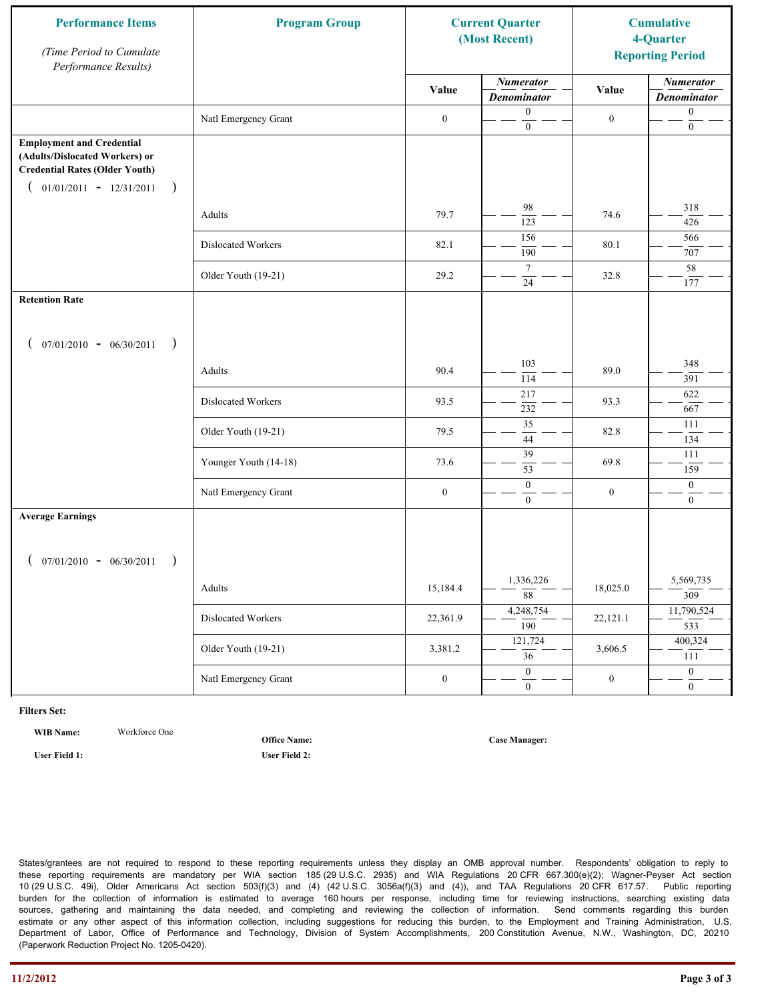| <b>Performance Items</b><br>(Time Period to Cumulate<br>Performance Results)                                                                              | <b>Program Group</b>  | <b>Current Quarter</b><br>(Most Recent) |                                        | <b>Cumulative</b><br>4-Quarter<br><b>Reporting Period</b> |                                        |
|-----------------------------------------------------------------------------------------------------------------------------------------------------------|-----------------------|-----------------------------------------|----------------------------------------|-----------------------------------------------------------|----------------------------------------|
|                                                                                                                                                           |                       | Value                                   | <b>Numerator</b><br><b>Denominator</b> | Value                                                     | <b>Numerator</b><br><b>Denominator</b> |
|                                                                                                                                                           | Natl Emergency Grant  | $\boldsymbol{0}$                        | $\boldsymbol{0}$<br>$\mathbf{0}$       | $\boldsymbol{0}$                                          | $\boldsymbol{0}$<br>$\boldsymbol{0}$   |
| <b>Employment and Credential</b><br>(Adults/Dislocated Workers) or<br><b>Credential Rates (Older Youth)</b><br>$01/01/2011 - 12/31/2011$<br>$\rightarrow$ |                       |                                         |                                        |                                                           |                                        |
|                                                                                                                                                           | Adults                | 79.7                                    | 98<br>123                              | 74.6                                                      | 318<br>426                             |
|                                                                                                                                                           | Dislocated Workers    | 82.1                                    | 156<br>190                             | 80.1                                                      | 566<br>707                             |
|                                                                                                                                                           | Older Youth (19-21)   | 29.2                                    | $\tau$<br>24                           | 32.8                                                      | 58<br>177                              |
| <b>Retention Rate</b>                                                                                                                                     |                       |                                         |                                        |                                                           |                                        |
| $07/01/2010 - 06/30/2011$<br>$\rightarrow$                                                                                                                |                       |                                         |                                        |                                                           |                                        |
|                                                                                                                                                           | Adults                | 90.4                                    | 103<br>114                             | 89.0                                                      | 348<br>391                             |
|                                                                                                                                                           | Dislocated Workers    | 93.5                                    | 217<br>232                             | 93.3                                                      | 622<br>667                             |
|                                                                                                                                                           | Older Youth (19-21)   | 79.5                                    | $\overline{35}$<br>44                  | 82.8                                                      | 111<br>134                             |
|                                                                                                                                                           | Younger Youth (14-18) | 73.6                                    | 39<br>53                               | 69.8                                                      | 111<br>159                             |
|                                                                                                                                                           | Natl Emergency Grant  | $\boldsymbol{0}$                        | $\boldsymbol{0}$<br>$\overline{0}$     | $\boldsymbol{0}$                                          | $\boldsymbol{0}$<br>$\overline{0}$     |
| <b>Average Earnings</b>                                                                                                                                   |                       |                                         |                                        |                                                           |                                        |
| $07/01/2010 - 06/30/2011$<br>$\rightarrow$                                                                                                                |                       |                                         |                                        |                                                           |                                        |
|                                                                                                                                                           | Adults                | 15,184.4                                | 1,336,226<br>$\overline{88}$           | 18,025.0                                                  | 5,569,735<br>309                       |
|                                                                                                                                                           | Dislocated Workers    | 22,361.9                                | 4,248,754<br>$\overline{190}$          | 22,121.1                                                  | 11,790,524<br>533                      |
|                                                                                                                                                           | Older Youth (19-21)   | 3,381.2                                 | 121,724<br>$\overline{36}$             | 3,606.5                                                   | 400,324<br>111                         |
|                                                                                                                                                           | Natl Emergency Grant  | $\boldsymbol{0}$                        | $\theta$<br>$\mathbf{0}$               | $\boldsymbol{0}$                                          | $\overline{0}$<br>$\mathbf{0}$         |

**WIB Name:** Workforce One

**User Field 1: User Field 2:**

**Office Name:**

**Case Manager:**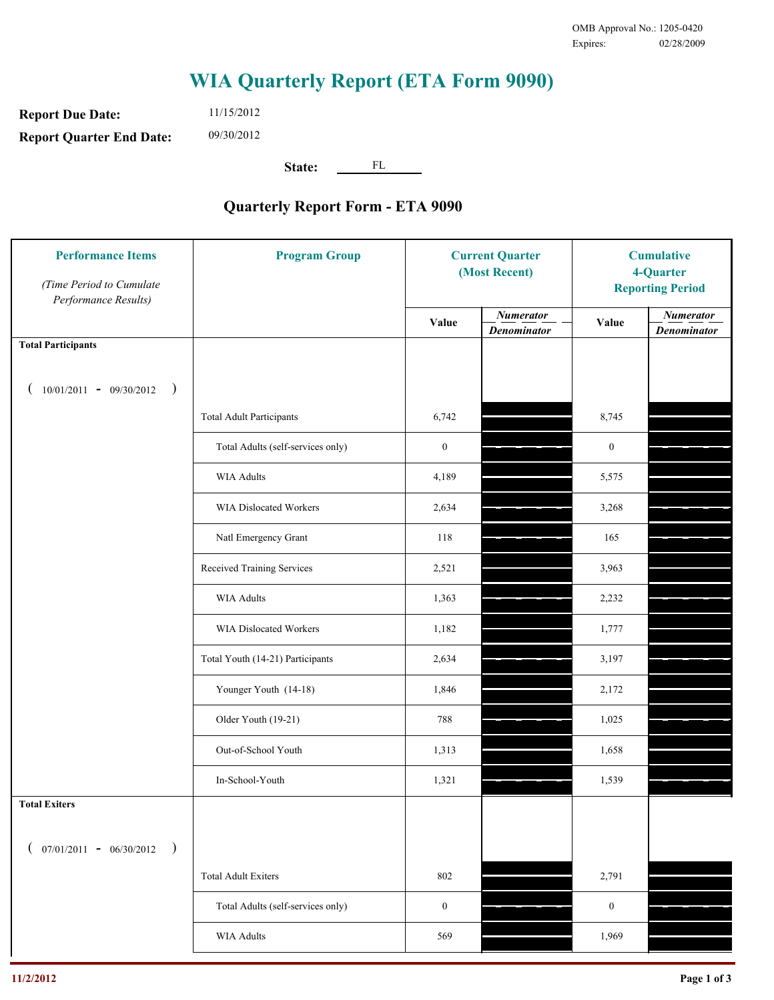**Report Due Date: Report Quarter End Date:** 11/15/2012 09/30/2012

**State:** FL

| <b>Performance Items</b><br>(Time Period to Cumulate<br>Performance Results) | <b>Program Group</b>              | <b>Current Quarter</b><br>(Most Recent) |                                        | <b>Cumulative</b><br>4-Quarter<br><b>Reporting Period</b> |                                        |
|------------------------------------------------------------------------------|-----------------------------------|-----------------------------------------|----------------------------------------|-----------------------------------------------------------|----------------------------------------|
|                                                                              |                                   | Value                                   | <b>Numerator</b><br><b>Denominator</b> | Value                                                     | <b>Numerator</b><br><b>Denominator</b> |
| <b>Total Participants</b>                                                    |                                   |                                         |                                        |                                                           |                                        |
| $10/01/2011 - 09/30/2012$<br>$\big)$                                         |                                   |                                         |                                        |                                                           |                                        |
|                                                                              | <b>Total Adult Participants</b>   | 6,742                                   |                                        | 8,745                                                     |                                        |
|                                                                              | Total Adults (self-services only) | $\boldsymbol{0}$                        |                                        | $\boldsymbol{0}$                                          |                                        |
|                                                                              | WIA Adults                        | 4,189                                   |                                        | 5,575                                                     |                                        |
|                                                                              | WIA Dislocated Workers            | 2,634                                   |                                        | 3,268                                                     |                                        |
|                                                                              | Natl Emergency Grant              | 118                                     |                                        | 165                                                       |                                        |
|                                                                              | Received Training Services        | 2,521                                   |                                        | 3,963                                                     |                                        |
|                                                                              | <b>WIA Adults</b>                 | 1,363                                   |                                        | 2,232                                                     |                                        |
|                                                                              | WIA Dislocated Workers            | 1,182                                   |                                        | 1,777                                                     |                                        |
|                                                                              | Total Youth (14-21) Participants  | 2,634                                   |                                        | 3,197                                                     |                                        |
|                                                                              | Younger Youth (14-18)             | 1,846                                   |                                        | 2,172                                                     |                                        |
|                                                                              | Older Youth (19-21)               | 788                                     |                                        | 1,025                                                     |                                        |
|                                                                              | Out-of-School Youth               | 1,313                                   |                                        | 1,658                                                     |                                        |
|                                                                              | In-School-Youth                   | 1,321                                   |                                        | 1,539                                                     |                                        |
| <b>Total Exiters</b>                                                         |                                   |                                         |                                        |                                                           |                                        |
| $07/01/2011 - 06/30/2012$<br>$\rightarrow$                                   |                                   |                                         |                                        |                                                           |                                        |
|                                                                              | <b>Total Adult Exiters</b>        | 802                                     |                                        | 2,791                                                     |                                        |
|                                                                              | Total Adults (self-services only) | $\boldsymbol{0}$                        |                                        | $\boldsymbol{0}$                                          |                                        |
|                                                                              | WIA Adults                        | 569                                     |                                        | 1,969                                                     |                                        |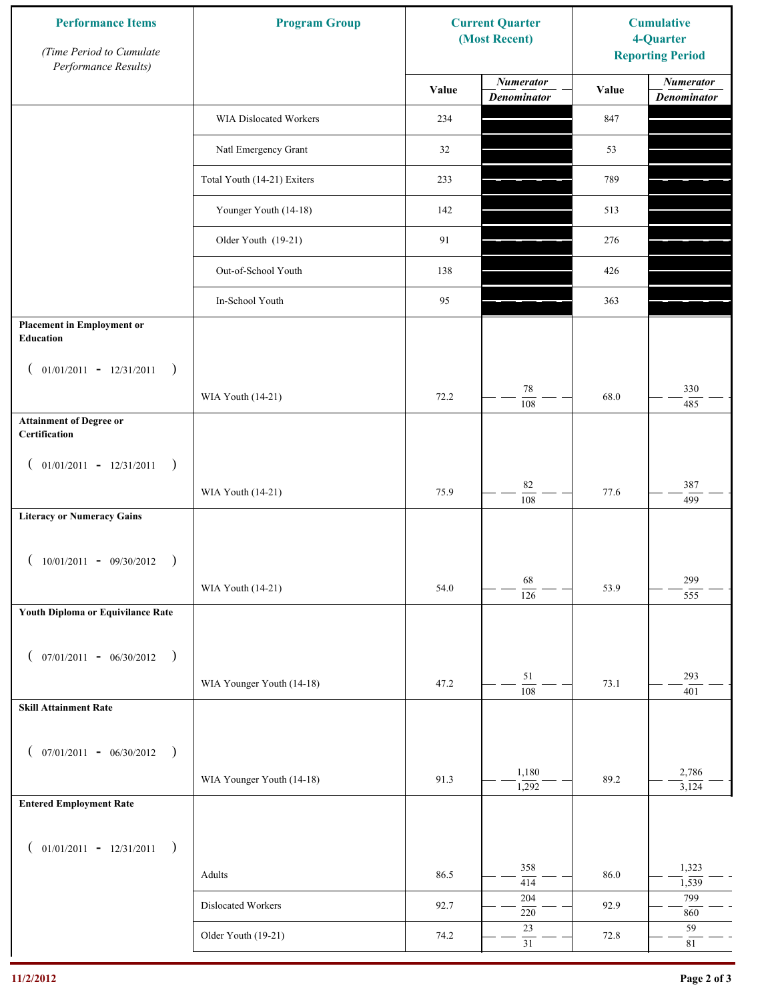| <b>Performance Items</b><br>(Time Period to Cumulate<br>Performance Results) | <b>Program Group</b>        |       | <b>Current Quarter</b><br>(Most Recent) | <b>Cumulative</b><br>4-Quarter<br><b>Reporting Period</b> |                                        |
|------------------------------------------------------------------------------|-----------------------------|-------|-----------------------------------------|-----------------------------------------------------------|----------------------------------------|
|                                                                              |                             | Value | <b>Numerator</b><br><b>Denominator</b>  | Value                                                     | <b>Numerator</b><br><b>Denominator</b> |
|                                                                              | WIA Dislocated Workers      | 234   |                                         | 847                                                       |                                        |
|                                                                              | Natl Emergency Grant        | 32    |                                         | 53                                                        |                                        |
|                                                                              | Total Youth (14-21) Exiters | 233   |                                         | 789                                                       |                                        |
|                                                                              | Younger Youth (14-18)       | 142   |                                         | 513                                                       |                                        |
|                                                                              | Older Youth (19-21)         | 91    |                                         | 276                                                       |                                        |
|                                                                              | Out-of-School Youth         | 138   |                                         | 426                                                       |                                        |
|                                                                              | In-School Youth             | 95    |                                         | 363                                                       |                                        |
| <b>Placement in Employment or</b><br>Education                               |                             |       |                                         |                                                           |                                        |
| $01/01/2011 - 12/31/2011$<br>$\rightarrow$<br>$\overline{ }$                 |                             |       |                                         |                                                           |                                        |
|                                                                              | WIA Youth (14-21)           | 72.2  | 78<br>108                               | 68.0                                                      | 330<br>485                             |
| <b>Attainment of Degree or</b><br>Certification                              |                             |       |                                         |                                                           |                                        |
| $($ 01/01/2011 - 12/31/2011<br>$\rightarrow$                                 |                             |       |                                         |                                                           |                                        |
|                                                                              | WIA Youth (14-21)           | 75.9  | $82\,$<br>$\overline{108}$              | 77.6                                                      | 387<br>499                             |
| <b>Literacy or Numeracy Gains</b>                                            |                             |       |                                         |                                                           |                                        |
| $10/01/2011 - 09/30/2012$<br>$\rightarrow$                                   |                             |       |                                         |                                                           |                                        |
|                                                                              | WIA Youth (14-21)           | 54.0  | 68<br>$\overline{126}$                  | 53.9                                                      | 299<br>555                             |
| Youth Diploma or Equivilance Rate                                            |                             |       |                                         |                                                           |                                        |
| $07/01/2011 - 06/30/2012$ )<br>$\overline{ }$                                |                             |       |                                         |                                                           |                                        |
|                                                                              | WIA Younger Youth (14-18)   | 47.2  | 51                                      | 73.1                                                      | 293                                    |
| <b>Skill Attainment Rate</b>                                                 |                             |       | 108                                     |                                                           | 401                                    |
|                                                                              |                             |       |                                         |                                                           |                                        |
| $07/01/2011 - 06/30/2012$ )<br>$\left($                                      |                             |       | 1,180                                   |                                                           | 2,786                                  |
|                                                                              | WIA Younger Youth (14-18)   | 91.3  | 1,292                                   | 89.2                                                      | 3,124                                  |
| <b>Entered Employment Rate</b>                                               |                             |       |                                         |                                                           |                                        |
| $($ 01/01/2011 - 12/31/2011<br>$\rightarrow$                                 |                             |       |                                         |                                                           |                                        |
|                                                                              | Adults                      | 86.5  | 358<br>414                              | 86.0                                                      | 1,323<br>1,539                         |
|                                                                              | Dislocated Workers          | 92.7  | 204<br>$220\,$                          | 92.9                                                      | 799<br>860                             |
|                                                                              | Older Youth (19-21)         | 74.2  | $23\,$<br>$\overline{31}$               | 72.8                                                      | 59<br>$81\,$                           |
|                                                                              |                             |       |                                         |                                                           |                                        |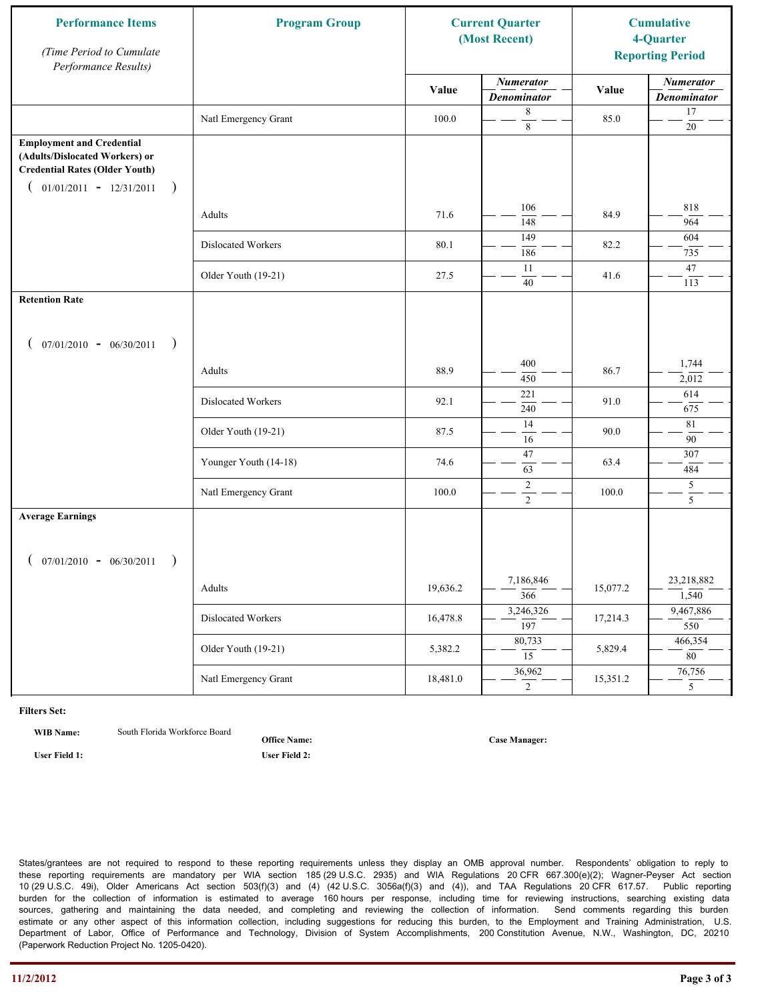| <b>Performance Items</b><br>(Time Period to Cumulate<br>Performance Results)                                                                              | <b>Program Group</b>  |          | <b>Current Quarter</b><br>(Most Recent) |          | <b>Cumulative</b><br>4-Quarter<br><b>Reporting Period</b> |
|-----------------------------------------------------------------------------------------------------------------------------------------------------------|-----------------------|----------|-----------------------------------------|----------|-----------------------------------------------------------|
|                                                                                                                                                           |                       | Value    | <b>Numerator</b><br><b>Denominator</b>  | Value    | <b>Numerator</b><br><b>Denominator</b>                    |
|                                                                                                                                                           | Natl Emergency Grant  | 100.0    | 8<br>$\,8\,$                            | 85.0     | 17<br>$20\,$                                              |
| <b>Employment and Credential</b><br>(Adults/Dislocated Workers) or<br><b>Credential Rates (Older Youth)</b><br>$01/01/2011 - 12/31/2011$<br>$\rightarrow$ |                       |          |                                         |          |                                                           |
|                                                                                                                                                           | Adults                | 71.6     | 106<br>148                              | 84.9     | 818<br>964                                                |
|                                                                                                                                                           | Dislocated Workers    | 80.1     | 149<br>186                              | 82.2     | 604<br>735                                                |
|                                                                                                                                                           | Older Youth (19-21)   | 27.5     | 11<br>40                                | 41.6     | 47<br>113                                                 |
| <b>Retention Rate</b>                                                                                                                                     |                       |          |                                         |          |                                                           |
| $07/01/2010 - 06/30/2011$<br>$\rightarrow$                                                                                                                |                       |          |                                         |          |                                                           |
|                                                                                                                                                           | Adults                | 88.9     | 400<br>450                              | 86.7     | 1,744<br>2,012                                            |
|                                                                                                                                                           | Dislocated Workers    | 92.1     | 221<br>240                              | 91.0     | 614<br>675                                                |
|                                                                                                                                                           | Older Youth (19-21)   | 87.5     | 14<br>16                                | 90.0     | 81<br>90                                                  |
|                                                                                                                                                           | Younger Youth (14-18) | 74.6     | $47\,$<br>63                            | 63.4     | 307<br>484                                                |
|                                                                                                                                                           | Natl Emergency Grant  | 100.0    | $\sqrt{2}$<br>$\overline{2}$            | 100.0    | 5<br>5                                                    |
| <b>Average Earnings</b><br>$07/01/2010 - 06/30/2011$<br>$\rightarrow$                                                                                     |                       |          |                                         |          |                                                           |
|                                                                                                                                                           | Adults                | 19,636.2 | 7,186,846<br>$\overline{366}$           | 15,077.2 | 23,218,882<br>1,540                                       |
|                                                                                                                                                           | Dislocated Workers    | 16,478.8 | 3,246,326<br>$\overline{197}$           | 17,214.3 | 9,467,886<br>550                                          |
|                                                                                                                                                           | Older Youth (19-21)   | 5,382.2  | 80,733<br>15                            | 5,829.4  | 466,354<br>80                                             |
|                                                                                                                                                           | Natl Emergency Grant  | 18,481.0 | 36,962<br>$\overline{2}$                | 15,351.2 | 76,756<br>5 <sup>5</sup>                                  |

**WIB Name:** South Florida Workforce Board

**Office Name:**

**User Field 1: User Field 2:**

**Case Manager:**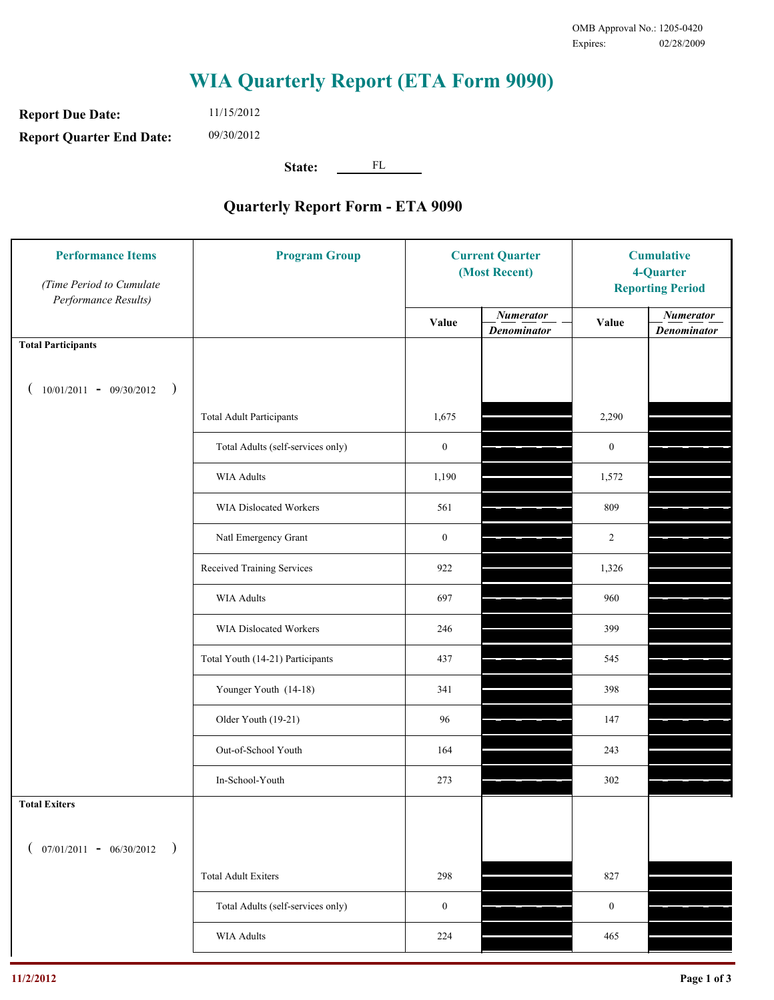**Report Due Date: Report Quarter End Date:** 11/15/2012 09/30/2012

**State:** FL

| <b>Performance Items</b><br>(Time Period to Cumulate<br>Performance Results) | <b>Program Group</b>              | <b>Current Quarter</b><br>(Most Recent) |                                        | <b>Cumulative</b><br>4-Quarter<br><b>Reporting Period</b> |                                        |
|------------------------------------------------------------------------------|-----------------------------------|-----------------------------------------|----------------------------------------|-----------------------------------------------------------|----------------------------------------|
|                                                                              |                                   | Value                                   | <b>Numerator</b><br><b>Denominator</b> | Value                                                     | <b>Numerator</b><br><b>Denominator</b> |
| <b>Total Participants</b>                                                    |                                   |                                         |                                        |                                                           |                                        |
| $10/01/2011 - 09/30/2012$<br>$\rightarrow$                                   |                                   |                                         |                                        |                                                           |                                        |
|                                                                              | <b>Total Adult Participants</b>   | 1,675                                   |                                        | 2,290                                                     |                                        |
|                                                                              | Total Adults (self-services only) | $\boldsymbol{0}$                        |                                        | $\boldsymbol{0}$                                          |                                        |
|                                                                              | <b>WIA Adults</b>                 | 1,190                                   |                                        | 1,572                                                     |                                        |
|                                                                              | WIA Dislocated Workers            | 561                                     |                                        | 809                                                       |                                        |
|                                                                              | Natl Emergency Grant              | $\boldsymbol{0}$                        |                                        | $\overline{2}$                                            |                                        |
|                                                                              | Received Training Services        | 922                                     |                                        | 1,326                                                     |                                        |
|                                                                              | <b>WIA Adults</b>                 | 697                                     |                                        | 960                                                       |                                        |
|                                                                              | WIA Dislocated Workers            | 246                                     |                                        | 399                                                       |                                        |
|                                                                              | Total Youth (14-21) Participants  | 437                                     |                                        | 545                                                       |                                        |
|                                                                              | Younger Youth (14-18)             | 341                                     |                                        | 398                                                       |                                        |
|                                                                              | Older Youth (19-21)               | 96                                      |                                        | 147                                                       |                                        |
|                                                                              | Out-of-School Youth               | 164                                     |                                        | 243                                                       |                                        |
|                                                                              | In-School-Youth                   | 273                                     |                                        | 302                                                       |                                        |
| <b>Total Exiters</b>                                                         |                                   |                                         |                                        |                                                           |                                        |
| $07/01/2011 - 06/30/2012$<br>$\rightarrow$                                   |                                   |                                         |                                        |                                                           |                                        |
|                                                                              | <b>Total Adult Exiters</b>        | 298                                     |                                        | 827                                                       |                                        |
|                                                                              | Total Adults (self-services only) | $\boldsymbol{0}$                        |                                        | $\boldsymbol{0}$                                          |                                        |
|                                                                              | WIA Adults                        | 224                                     |                                        | 465                                                       |                                        |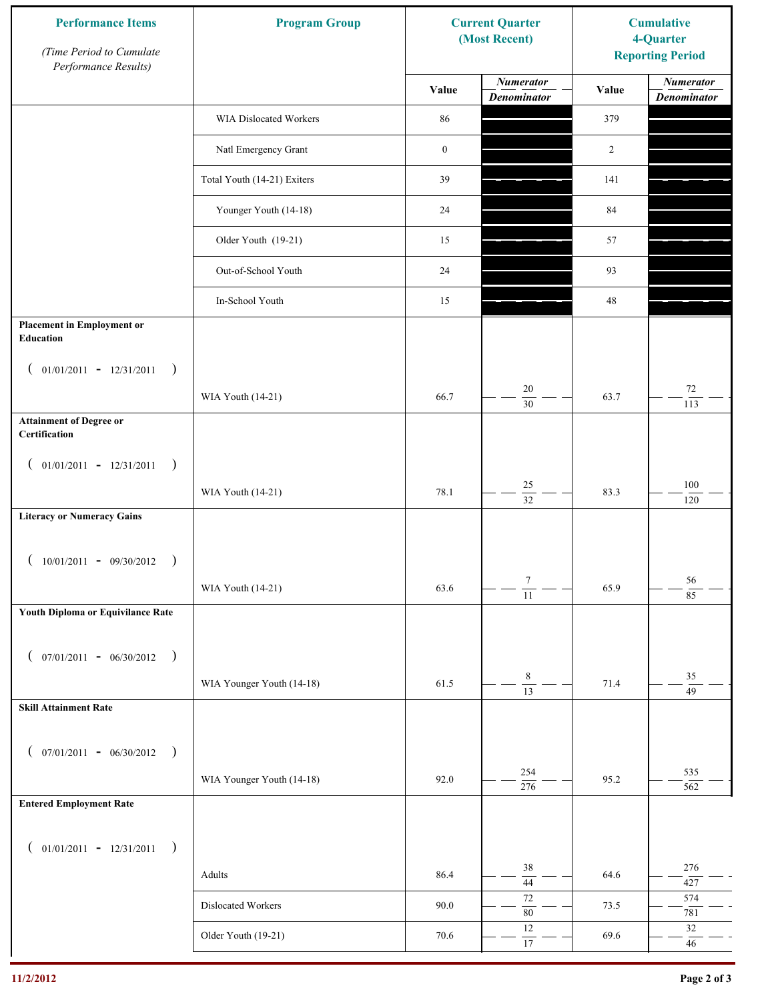| <b>Performance Items</b><br>(Time Period to Cumulate<br>Performance Results) | <b>Program Group</b>        |                  | <b>Current Quarter</b><br>(Most Recent) | <b>Cumulative</b><br>4-Quarter<br><b>Reporting Period</b> |                                        |
|------------------------------------------------------------------------------|-----------------------------|------------------|-----------------------------------------|-----------------------------------------------------------|----------------------------------------|
|                                                                              |                             | Value            | <b>Numerator</b><br><b>Denominator</b>  | Value                                                     | <b>Numerator</b><br><b>Denominator</b> |
|                                                                              | WIA Dislocated Workers      | 86               |                                         | 379                                                       |                                        |
|                                                                              | Natl Emergency Grant        | $\boldsymbol{0}$ |                                         | $\overline{2}$                                            |                                        |
|                                                                              | Total Youth (14-21) Exiters | 39               |                                         | 141                                                       |                                        |
|                                                                              | Younger Youth (14-18)       | 24               |                                         | 84                                                        |                                        |
|                                                                              | Older Youth (19-21)         | 15               |                                         | 57                                                        |                                        |
|                                                                              | Out-of-School Youth         | 24               |                                         | 93                                                        |                                        |
|                                                                              | In-School Youth             | 15               |                                         | 48                                                        |                                        |
| <b>Placement in Employment or</b><br><b>Education</b>                        |                             |                  |                                         |                                                           |                                        |
| $01/01/2011 - 12/31/2011$<br>$\rightarrow$<br>$\overline{ }$                 | WIA Youth (14-21)           | 66.7             | 20<br>$\overline{30}$                   | 63.7                                                      | $72\,$                                 |
| <b>Attainment of Degree or</b><br>Certification                              |                             |                  |                                         |                                                           | 113                                    |
| $($ 01/01/2011 - 12/31/2011<br>$\rightarrow$                                 |                             |                  |                                         |                                                           |                                        |
|                                                                              | WIA Youth (14-21)           | 78.1             | $25\,$<br>$\overline{32}$               | 83.3                                                      | $100\,$<br>120                         |
| <b>Literacy or Numeracy Gains</b>                                            |                             |                  |                                         |                                                           |                                        |
| $10/01/2011 - 09/30/2012$<br>$\rightarrow$                                   |                             |                  |                                         |                                                           |                                        |
|                                                                              | WIA Youth (14-21)           | 63.6             | $\tau$<br>$\overline{11}$               | 65.9                                                      | 56<br>$8\overline{5}$                  |
| Youth Diploma or Equivilance Rate                                            |                             |                  |                                         |                                                           |                                        |
| $07/01/2011 - 06/30/2012$<br>$\rightarrow$<br>€                              |                             |                  |                                         |                                                           |                                        |
|                                                                              | WIA Younger Youth (14-18)   | 61.5             | $\,$ 8 $\,$<br>$\overline{13}$          | 71.4                                                      | 35<br>49                               |
| <b>Skill Attainment Rate</b>                                                 |                             |                  |                                         |                                                           |                                        |
| $07/01/2011 - 06/30/2012$ )<br>$\left($                                      |                             |                  |                                         |                                                           |                                        |
|                                                                              | WIA Younger Youth (14-18)   | 92.0             | 254<br>$\frac{276}{ }$                  | 95.2                                                      | 535<br>562                             |
| <b>Entered Employment Rate</b>                                               |                             |                  |                                         |                                                           |                                        |
| $($ 01/01/2011 - 12/31/2011<br>$\rightarrow$                                 |                             |                  |                                         |                                                           |                                        |
|                                                                              | Adults                      | 86.4             | 38<br>$\overline{44}$                   | 64.6                                                      | 276<br>427                             |
|                                                                              | Dislocated Workers          | 90.0             | $72\,$<br>$\overline{80}$               | 73.5                                                      | 574<br>781                             |
|                                                                              | Older Youth (19-21)         | 70.6             | $12\,$<br>$\overline{17}$               | 69.6                                                      | $32\,$<br>$46\,$                       |
|                                                                              |                             |                  |                                         |                                                           |                                        |